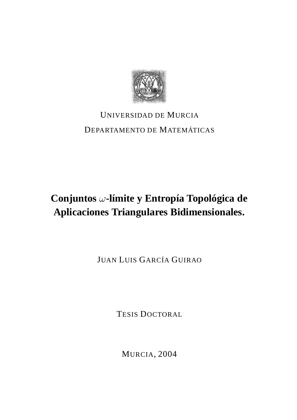

## UNIVERSIDAD DE MURCIA DEPARTAMENTO DE MATEMÁTICAS

# **Conjuntos** ω**-límite y Entropía Topológica de Aplicaciones Triangulares Bidimensionales.**

JUAN LUIS GARCÍA GUIRAO

TESIS DOCTORAL

MURCIA, 2004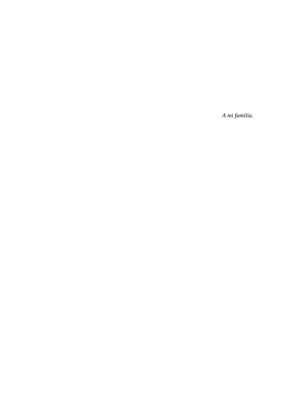*A mi familia.*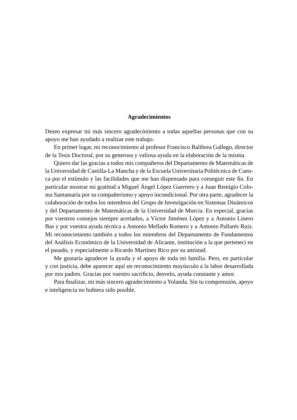#### **Agradecimientos**

Deseo expresar mi más sincero agradecimiento a todas aquellas personas que con su apoyo me han ayudado a realizar este trabajo.

En primer lugar, mi reconocimiento al profesor Francisco Balibrea Gallego, director de la Tesis Doctoral, por su generosa y valiosa ayuda en la elaboración de la misma.

Quiero dar las gracias a todos mis compañeros del Departamento de Matemáticas de la Universidad de Castilla-La Mancha y de la Escuela Universitaria Politécnica de Cuenca por el estímulo y las facilidades que me han dispensado para conseguir este fin. En particular mostrar mi gratitud a Miguel Ángel López Guerrero y a Juan Remigio Coloma Santamaría por su compañerismo y apoyo incondicional. Por otra parte, agradecer la colaboración de todos los miembros del Grupo de Investigación en Sistemas Dinámicos y del Departamento de Matemáticas de la Universidad de Murcia. En especial, gracias por vuestros consejos siempre acertados, a Víctor Jiménez López y a Antonio Linero Bas y por vuestra ayuda técnica a Antonio Mellado Romero y a Antonio Pallarés Ruiz. Mi reconocimiento también a todos los miembros del Departamento de Fundamentos del Análisis Económico de la Universidad de Alicante, institución a la que pertenecí en el pasado, y especialmente a Ricardo Martínez Rico por su amistad.

Me gustaría agradecer la ayuda y el apoyo de toda mi familia. Pero, en particular y con justicia, debe aparecer aquí un reconocimiento mayúsculo a la labor desarrollada por mis padres. Gracias por vuestro sacrificio, desvelo, ayuda constante y amor.

Para finalizar, mi más sincero agradecimiento a Yolanda. Sin tu comprensión, apoyo e inteligencia no hubiera sido posible.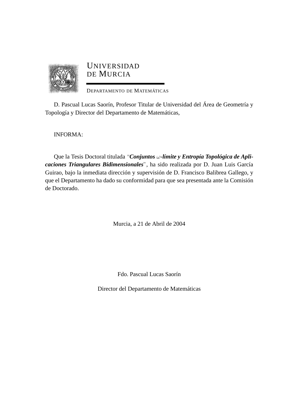

#### UNIVERSIDAD DE MURCIA

DEPARTAMENTO DE MATEMÁTICAS

D. Pascual Lucas Saorín, Profesor Titular de Universidad del Área de Geometría y Topología y Director del Departamento de Matemáticas,

INFORMA:

Que la Tesis Doctoral titulada "*Conjuntos* ω*-límite y Entropía Topológica de Aplicaciones Triangulares Bidimensionales*", ha sido realizada por D. Juan Luis García Guirao, bajo la inmediata dirección y supervisión de D. Francisco Balibrea Gallego, y que el Departamento ha dado su conformidad para que sea presentada ante la Comisión de Doctorado.

Murcia, a 21 de Abril de 2004

Fdo. Pascual Lucas Saorín

Director del Departamento de Matemáticas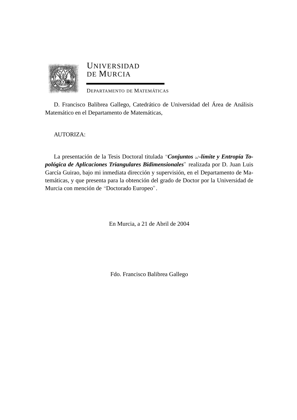

#### UNIVERSIDAD DE MURCIA

DEPARTAMENTO DE MATEMÁTICAS

D. Francisco Balibrea Gallego, Catedrático de Universidad del Área de Análisis Matemático en el Departamento de Matemáticas,

AUTORIZA:

La presentación de la Tesis Doctoral titulada "*Conjuntos* ω*-límite y Entropía Topológica de Aplicaciones Triangulares Bidimensionales*" realizada por D. Juan Luis García Guirao, bajo mi inmediata dirección y supervisión, en el Departamento de Matemáticas, y que presenta para la obtención del grado de Doctor por la Universidad de Murcia con mención de "Doctorado Europeo".

En Murcia, a 21 de Abril de 2004

Fdo. Francisco Balibrea Gallego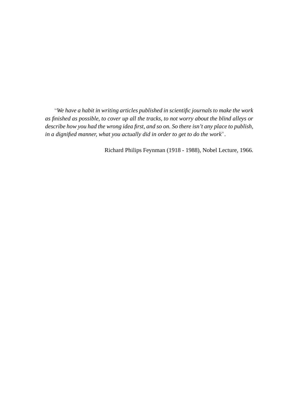"*We have a habit in writing articles published in scientific journals to make the work as finished as possible, to cover up all the tracks, to not worry about the blind alleys or describe how you had the wrong idea first, and so on. So there isn't any place to publish, in a dignified manner, what you actually did in order to get to do the work*"*.*

Richard Philips Feynman (1918 - 1988), Nobel Lecture, 1966.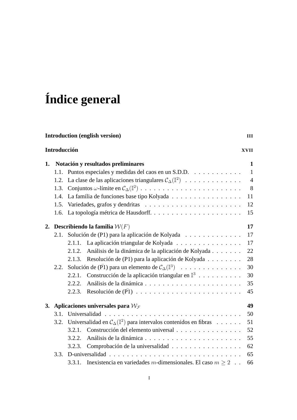# **Índice general**

| <b>Introduction (english version)</b><br>Ш |                                                           |                                                                                  |                                                                                |                |  |  |  |
|--------------------------------------------|-----------------------------------------------------------|----------------------------------------------------------------------------------|--------------------------------------------------------------------------------|----------------|--|--|--|
| Introducción<br><b>XVII</b>                |                                                           |                                                                                  |                                                                                |                |  |  |  |
| 1.                                         | Notación y resultados preliminares                        |                                                                                  |                                                                                |                |  |  |  |
|                                            | 1.1.                                                      |                                                                                  | Puntos especiales y medidas del caos en un S.D.D.                              |                |  |  |  |
|                                            | 1.2.                                                      |                                                                                  | La clase de las aplicaciones triangulares $C_{\Delta}(\mathbb{I}^2)$           | $\overline{4}$ |  |  |  |
|                                            | 1.3.                                                      |                                                                                  |                                                                                | 8              |  |  |  |
|                                            | 1.4.                                                      |                                                                                  | La familia de funciones base tipo Kolyada                                      | 11             |  |  |  |
|                                            | 1.5.                                                      |                                                                                  |                                                                                |                |  |  |  |
|                                            | 1.6.                                                      |                                                                                  |                                                                                |                |  |  |  |
| 2.                                         | <b>Describiendo la familia</b> $W(F)$                     |                                                                                  |                                                                                |                |  |  |  |
|                                            | 2.1.                                                      | Solución de (P1) para la aplicación de Kolyada                                   |                                                                                |                |  |  |  |
|                                            |                                                           | 2.1.1.                                                                           | La aplicación triangular de Kolyada                                            | 17             |  |  |  |
|                                            |                                                           | 2.1.2.                                                                           | Análisis de la dinámica de la aplicación de Kolyada                            | 22             |  |  |  |
|                                            |                                                           | 2.1.3.                                                                           | Resolución de (P1) para la aplicación de Kolyada                               | 28             |  |  |  |
|                                            | 2.2.                                                      |                                                                                  | Solución de ( $\overline{P}1$ ) para un elemento de $C_{\Delta}(\mathbb{I}^3)$ |                |  |  |  |
|                                            |                                                           | 2.2.1.                                                                           | Construcción de la aplicación triangular en $\mathbb{I}^3$                     | 30             |  |  |  |
|                                            |                                                           | 2.2.2.                                                                           |                                                                                | 35             |  |  |  |
|                                            |                                                           | 2.2.3.                                                                           |                                                                                | 45             |  |  |  |
| 3.                                         | Aplicaciones universales para $\mathcal{W}_{\mathcal{F}}$ |                                                                                  |                                                                                |                |  |  |  |
|                                            | 3.1.                                                      |                                                                                  |                                                                                |                |  |  |  |
|                                            | 3.2.                                                      | Universalidad en $C_{\Delta}(\mathbb{I}^2)$ para intervalos contenidos en fibras |                                                                                | 51             |  |  |  |
|                                            |                                                           | 3.2.1.                                                                           | Construcción del elemento universal                                            | 52             |  |  |  |
|                                            |                                                           | 3.2.2.                                                                           |                                                                                | 55             |  |  |  |
|                                            |                                                           | 3.2.3.                                                                           | Comprobación de la universalidad                                               | 62             |  |  |  |
|                                            | 3.3.                                                      |                                                                                  |                                                                                |                |  |  |  |
|                                            |                                                           | 3.3.1.                                                                           | Inexistencia en variedades m-dimensionales. El caso $m \ge 2$ .                | 66             |  |  |  |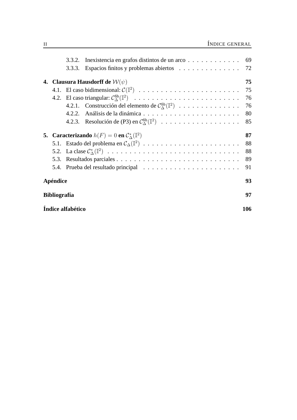|                     |  | 3.3.2.                                                                         | Inexistencia en grafos distintos de un arco                          | 69 |  |  |  |
|---------------------|--|--------------------------------------------------------------------------------|----------------------------------------------------------------------|----|--|--|--|
|                     |  | 3.3.3.                                                                         | Espacios finitos y problemas abiertos                                | 72 |  |  |  |
|                     |  |                                                                                | 4. Clausura Hausdorff de $\mathcal{W}(\psi)$                         | 75 |  |  |  |
|                     |  |                                                                                |                                                                      | 75 |  |  |  |
|                     |  |                                                                                |                                                                      | 76 |  |  |  |
|                     |  |                                                                                | 4.2.1. Construcción del elemento de $C_{\Delta}^{fib}(\mathbb{I}^2)$ | 76 |  |  |  |
|                     |  | 4.2.2                                                                          |                                                                      | 80 |  |  |  |
|                     |  |                                                                                | 4.2.3. Resolución de (P3) en $C_{\Lambda}^{fib}(\mathbb{I}^2)$       | 85 |  |  |  |
|                     |  | <b>5.</b> Caracterizando $h(F) = 0$ en $\mathcal{C}_{\Lambda}^*(\mathbb{I}^2)$ |                                                                      |    |  |  |  |
|                     |  |                                                                                |                                                                      | 88 |  |  |  |
|                     |  |                                                                                |                                                                      | 88 |  |  |  |
|                     |  |                                                                                |                                                                      | 89 |  |  |  |
|                     |  |                                                                                |                                                                      | 91 |  |  |  |
| Apéndice            |  |                                                                                |                                                                      |    |  |  |  |
| <b>Bibliografía</b> |  |                                                                                |                                                                      |    |  |  |  |
| Índice alfabético   |  |                                                                                |                                                                      |    |  |  |  |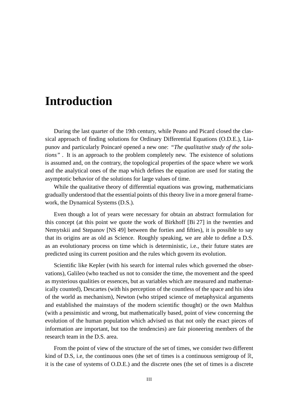### **Introduction**

During the last quarter of the 19th century, while Peano and Picard closed the classical approach of finding solutions for Ordinary Differential Equations (O.D.E.), Liapunov and particularly Poincaré opened a new one: *"The qualitative study of the solutions"* . It is an approach to the problem completely new. The existence of solutions is assumed and, on the contrary, the topological properties of the space where we work and the analytical ones of the map which defines the equation are used for stating the asymptotic behavior of the solutions for large values of time.

While the qualitative theory of differential equations was growing, mathematicians gradually understood that the essential points of this theory live in a more general framework, the Dynamical Systems (D.S.).

Even though a lot of years were necessary for obtain an abstract formulation for this concept (at this point we quote the work of Birkhoff [Bi 27] in the twenties and Nemytskii and Stepanov [NS 49] between the forties and fifties), it is possible to say that its origins are as old as Science. Roughly speaking, we are able to define a D.S. as an evolutionary process on time which is deterministic, i.e., their future states are predicted using its current position and the rules which govern its evolution.

Scientific like Kepler (with his search for internal rules which governed the observations), Galileo (who teached us not to consider the time, the movement and the speed as mysterious qualities or essences, but as variables which are measured and mathematically counted), Descartes (with his perception of the countless of the space and his idea of the world as mechanism), Newton (who striped science of metaphysical arguments and established the mainstays of the modern scientific thought) or the own Malthus (with a pessimistic and wrong, but mathematically based, point of view concerning the evolution of the human population which advised us that not only the exact pieces of information are important, but too the tendencies) are fair pioneering members of the research team in the D.S. area.

From the point of view of the structure of the set of times, we consider two different kind of D.S, i.e, the continuous ones (the set of times is a continuous semigroup of  $\mathbb{R}$ , it is the case of systems of O.D.E.) and the discrete ones (the set of times is a discrete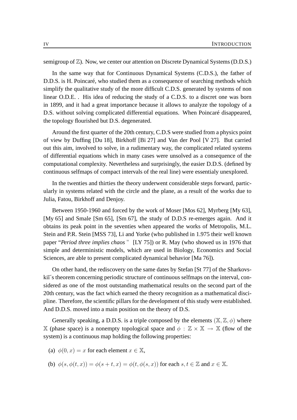semigroup of  $\mathbb{Z}$ ). Now, we center our attention on Discrete Dynamical Systems (D.D.S.)

In the same way that for Continuous Dynamical Systems (C.D.S.), the father of D.D.S. is H. Poincaré, who studied them as a consequence of searching methods which simplify the qualitative study of the more difficult C.D.S. generated by systems of non linear O.D.E. . His idea of reducing the study of a C.D.S. to a discret one was born in 1899, and it had a great importance because it allows to analyze the topology of a D.S. without solving complicated differential equations. When Poincaré disappeared, the topology flourished but D.S. degenerated.

Around the first quarter of the 20th century, C.D.S were studied from a physics point of view by Duffing [Du 18], Birkhoff [Bi 27] and Van der Pool [V 27]. But carried out this aim, involved to solve, in a rudimentary way, the complicated related systems of differential equations which in many cases were unsolved as a consequence of the computational complexity. Nevertheless and surprisingly, the easier D.D.S. (defined by continuous selfmaps of compact intervals of the real line) were essentialy unexplored.

In the twenties and thirties the theory underwent considerable steps forward, particularly in systems related with the circle and the plane, as a result of the works due to Julia, Fatou, Birkhoff and Denjoy.

Between 1950-1960 and forced by the work of Moser [Mos 62], Myrberg [My 63], [My 65] and Smale [Sm 65], [Sm 67], the study of D.D.S re-emerges again. And it obtains its peak point in the seventies when appeared the works of Metropolis, M.L. Stein and P.R. Stein [MSS 73], Li and Yorke (who published in 1.975 their well known paper "*Period three implies chaos* " [LY 75]) or R. May (who showed us in 1976 that simple and deterministic models, which are used in Biology, Economics and Social Sciences, are able to present complicated dynamical behavior [Ma 76]).

On other hand, the rediscovery on the same dates by Stefan [St 77] of the Sharkovskit<sup> $\zeta$ </sup> is theorem concerning periodic structure of continuous selfmaps on the interval, considered as one of the most outstanding mathematical results on the second part of the 20th century, was the fact which earned the theory recognition as a mathematical discipline. Therefore, the scientific pillars for the development of this study were established. And D.D.S. moved into a main position on the theory of D.S.

Generally speaking, a D.D.S. is a triple composed by the elements  $(\mathbb{X}, \mathbb{Z}, \phi)$  where X (phase space) is a nonempty topological space and  $\phi : \mathbb{Z} \times \mathbb{X} \to \mathbb{X}$  (flow of the system) is a continuous map holding the following properties:

- (a)  $\phi(0, x) = x$  for each element  $x \in \mathbb{X}$ ,
- (b)  $\phi(s, \phi(t, x)) = \phi(s + t, x) = \phi(t, \phi(s, x))$  for each  $s, t \in \mathbb{Z}$  and  $x \in \mathbb{X}$ .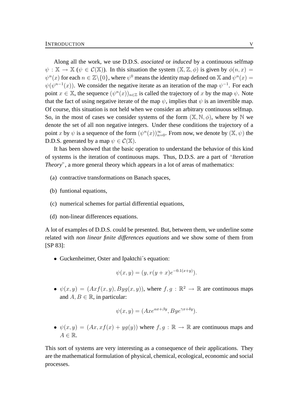Along all the work, we use D.D.S. *asociated* or *induced* by a continuous selfmap  $\psi : \mathbb{X} \to \mathbb{X}$  ( $\psi \in \mathcal{C}(\mathbb{X})$ ). In this situation the system  $(\mathbb{X}, \mathbb{Z}, \phi)$  is given by  $\phi(n, x) =$  $\psi^n(x)$  for each  $n \in \mathbb{Z}\backslash \{0\}$ , where  $\psi^0$  means the identity map defined on  $\mathbb X$  and  $\psi^n(x) =$  $\psi(\psi^{n-1}(x))$ . We consider the negative iterate as an iteration of the map  $\psi^{-1}$ . For each point  $x \in \mathbb{X}$ , the sequence  $(\psi^n(x))_{n \in \mathbb{Z}}$  is called the trajectory of x by the map  $\psi$ . Note that the fact of using negative iterate of the map  $\psi$ , implies that  $\psi$  is an invertible map. Of course, this situation is not held when we consider an arbitrary continuous selfmap. So, in the most of cases we consider systems of the form  $(\mathbb{X}, \mathbb{N}, \phi)$ , where by  $\mathbb N$  we denote the set of all non negative integers. Under these conditions the trajectory of a point x by  $\psi$  is a sequence of the form  $(\psi^n(x))_{n=0}^{\infty}$ . From now, we denote by  $(\mathbb{X}, \psi)$  the D.D.S. generated by a map  $\psi \in C(\mathbb{X})$ .

It has been showed that the basic operation to understand the behavior of this kind of systems is the iteration of continuous maps. Thus, D.D.S. are a part of "*Iteration Theory*", a more general theory which appears in a lot of areas of mathematics:

- (a) contractive transformations on Banach spaces,
- (b) funtional equations,
- (c) numerical schemes for partial differential equations,
- (d) non-linear differences equations.

A lot of examples of D.D.S. could be presented. But, between them, we underline some related with *non linear finite differences equations* and we show some of them from [SP 83]:

• Guckenheimer, Oster and Ipaktchi's equation:

$$
\psi(x, y) = (y, r(y + x)e^{-0.1(x+y)}).
$$

•  $\psi(x, y) = (Axf(x, y), Byg(x, y)),$  where  $f, g : \mathbb{R}^2 \to \mathbb{R}$  are continuous maps and  $A, B \in \mathbb{R}$ , in particular:

$$
\psi(x, y) = (Axe^{\alpha x + \beta y}, Bye^{\gamma x + \delta y}).
$$

•  $\psi(x, y) = (Ax, xf(x) + yg(y))$  where  $f, g : \mathbb{R} \to \mathbb{R}$  are continuous maps and  $A \in \mathbb{R}$ .

This sort of systems are very interesting as a consequence of their applications. They are the mathematical formulation of physical, chemical, ecological, economic and social processes.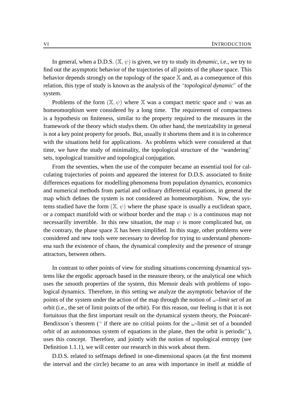In general, when a D.D.S.  $(\mathbb{X}, \psi)$  is given, we try to study its *dynamic*, i.e., we try to find out the asymptotic behavior of the trajectories of all points of the phase space. This behavior depends strongly on the topology of the space  $X$  and, as a consequence of this relation, this type of study is known as the analysis of the "*topological dynamic*" of the system.

Problems of the form  $(\mathbb{X}, \psi)$  where  $\mathbb{X}$  was a compact metric space and  $\psi$  was an homeomorphism were considered by a long time. The requirement of compactness is a hypothesis on finiteness, similar to the property required to the measures in the framework of the theory which studys them. On other hand, the metrizability in general is not a key point property for proofs. But, usually it shortens them and it is in coherence with the situations held for applications. As problems which were considered at that time, we have the study of minimality, the topological structure of the "wandering" sets, topological transitive and topological conjugation.

From the seventies, when the use of the computer became an essential tool for calculating trajectories of points and appeared the interest for D.D.S. associated to finite differences equations for modelling phenomena from population dynamics, economics and numerical methods from partial and ordinary differential equations, in general the map which defines the system is not considered an homeomorphism. Now, the systems studied have the form  $(\mathbb{X}, \psi)$  where the phase space is usually a euclidean space, or a compact manifold with or without border and the map  $\psi$  is a continuous map not necessarilly invertible. In this new situation, the map  $\psi$  is more complicated but, on the contrary, the phase space  $X$  has been simplified. In this stage, other problems were considered and new tools were necessary to develop for trying to understand phenomena such the existence of chaos, the dynamical complexity and the presence of strange attractors, between others.

In contrast to other points of view for studing situations concerning dynamical systems like the ergodic approach based in the measure theory, or the analytical one which uses the smooth properties of the system, this Memoir deals with problems of topological dynamics. Therefore, in this setting we analyze the asymptotic behavior of the points of the system under the action of the map through the notion of  $\omega$ -limit set of an orbit (i.e., the set of limit points of the orbit). For this reason, our feeling is that it is not fortuitous that the first important result on the dynamical system theory, the Poincaré-Bendixson's theorem (" if there are no critial points for the  $\omega$ -limit set of a bounded orbit of an autonomous system of equations in the plane, then the orbit is periodic"), uses this concept. Therefore, and jointly with the notion of topological entropy (see Definition 1.1.1), we will center our research in this work about them.

D.D.S. related to selfmaps defined in one-dimensional spaces (at the first moment the interval and the circle) became to an area with importance in itself at middle of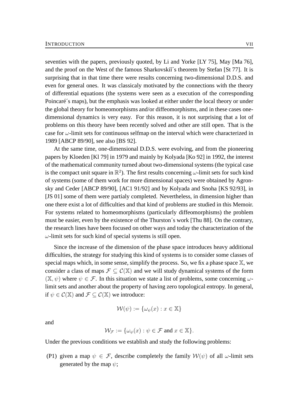seventies with the papers, previously quoted, by Li and Yorke [LY 75], May [Ma 76], and the proof on the West of the famous Sharkovskii´s theorem by Stefan [St 77]. It is surprising that in that time there were results concerning two-dimensional D.D.S. and even for general ones. It was classicaly motivated by the connections with the theory of differential equations (the systems were seen as a execution of the corresponding Poincaré´s maps), but the emphasis was looked at either under the local theory or under the global theory for homeomorphisms and/or diffeomorphisms, and in these cases onedimensional dynamics is very easy. For this reason, it is not surprising that a lot of problems on this theory have been recently solved and other are still open. That is the case for  $\omega$ -limit sets for continuous selfmap on the interval which were characterized in 1989 [ABCP 89/90], see also [BS 92].

At the same time, one-dimensional D.D.S. were evolving, and from the pioneering papers by Kloeden [Kl 79] in 1979 and mainly by Kolyada [Ko 92] in 1992, the interest of the mathematical community turned about two-dimensional systems (the typical case is the compact unit square in  $\mathbb{R}^2$ ). The first results concerning  $\omega$ -limit sets for such kind of systems (some of them work for more dimensional spaces) were obtained by Agronsky and Ceder [ABCP 89/90], [AC1 91/92] and by Kolyada and Snoha [KS 92/93], in [JS 01] some of them were partialy completed. Nevertheless, in dimension higher than one there exist a lot of difficulties and that kind of problems are studied in this Memoir. For systems related to homeomorphisms (particularly diffeomorphisms) the problem must be easier, even by the existence of the Thurston´s work [Thu 88]. On the contrary, the research lines have been focused on other ways and today the characterization of the  $\omega$ -limit sets for such kind of special systems is still open.

Since the increase of the dimension of the phase space introduces heavy additional difficulties, the strategy for studying this kind of systems is to consider some classes of special maps which, in some sense, simplify the process. So, we fix a phase space  $X$ , we consider a class of maps  $\mathcal{F} \subset \mathcal{C}(\mathbb{X})$  and we will study dynamical systems of the form  $(\mathbb{X}, \psi)$  where  $\psi \in \mathcal{F}$ . In this situation we state a list of problems, some concerning  $\omega$ limit sets and another about the property of having zero topological entropy. In general, if  $\psi \in \mathcal{C}(\mathbb{X})$  and  $\mathcal{F} \subset \mathcal{C}(\mathbb{X})$  we introduce:

$$
\mathcal{W}(\psi) := \{\omega_{\psi}(x) : x \in \mathbb{X}\}\
$$

and

$$
\mathcal{W}_{\mathcal{F}} := \{ \omega_{\psi}(x) : \psi \in \mathcal{F} \text{ and } x \in \mathbb{X} \}.
$$

Under the previous conditions we establish and study the following problems:

(P1) given a map  $\psi \in \mathcal{F}$ , describe completely the family  $\mathcal{W}(\psi)$  of all  $\omega$ -limit sets generated by the map  $\psi$ ;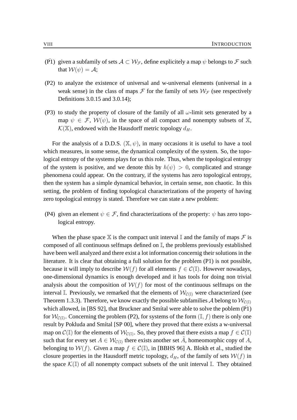- (P1) given a subfamily of sets  $A \subset \mathcal{W}_{\mathcal{F}}$ , define explicitely a map  $\psi$  belongs to  $\mathcal F$  such that  $W(\psi) = A$ :
- (P2) to analyze the existence of universal and w-universal elements (universal in a weak sense) in the class of maps  $\mathcal F$  for the family of sets  $\mathcal W_{\mathcal F}$  (see respectively Definitions 3.0.15 and 3.0.14);
- (P3) to study the property of closure of the family of all  $\omega$ -limit sets generated by a map  $\psi \in \mathcal{F}$ ,  $\mathcal{W}(\psi)$ , in the space of all compact and nonempty subsets of X,  $\mathcal{K}(\mathbb{X})$ , endowed with the Hausdorff metric topology  $d_H$ .

For the analysis of a D.D.S.  $(\mathbb{X}, \psi)$ , in many occasions it is useful to have a tool which measures, in some sense, the dynamical complexity of the system. So, the topological entropy of the systems plays for us this role. Thus, when the topological entropy of the system is positive, and we denote this by  $h(\psi) > 0$ , complicated and strange phenomena could appear. On the contrary, if the systems has zero topological entropy, then the system has a simple dynamical behavior, in certain sense, non chaotic. In this setting, the problem of finding topological characterizations of the property of having zero topological entropy is stated. Therefore we can state a new problem:

(P4) given an element  $\psi \in \mathcal{F}$ , find characterizations of the property:  $\psi$  has zero topological entropy.

When the phase space  $X$  is the compact unit interval I and the family of maps  $\mathcal F$  is composed of all continuous selfmaps defined on I, the problems previously established have been well analyzed and there exist a lot information concernig their solutions in the literature. It is clear that obtaining a full solution for the problem (P1) is not possible, because it will imply to describe  $W(f)$  for all elements  $f \in C(\mathbb{I})$ . However nowadays, one-dimensional dynamics is enough developed and it has tools for doing non trivial analysis about the composition of  $W(f)$  for most of the continuous selfmaps on the interval I. Previously, we remarked that the elements of  $W_{\mathcal{C}(\mathbb{I})}$  were characterized (see Theorem 1.3.3). Therefore, we know exactly the possible subfamilies A belong to  $\mathcal{W}_{\mathcal{C}(\mathbb{I})}$ which allowed, in [BS 92], that Bruckner and Smital were able to solve the poblem  $(\overline{P1})$ for  $\mathcal{W}_{\mathcal{C}(\mathbb{I})}$ . Concerning the problem (P2), for systems of the form  $(\mathbb{I}, f)$  there is only one result by Pokluda and Smítal [SP 00], where they proved that there exists a w-universal map on  $\mathcal{C}(\mathbb{I})$  for the elements of  $\mathcal{W}_{\mathcal{C}(\mathbb{I})}$ . So, they proved that there exists a map  $f \in \mathcal{C}(\mathbb{I})$ such that for every set  $A \in \mathcal{W}_{\mathcal{C}(\mathbb{I})}$  there exists another set  $\tilde{A}$ , homeomorphic copy of  $A$ , belonging to  $W(f)$ . Given a map  $f \in \mathcal{C}(\mathbb{I})$ , in [BBHS 96] A. Blokh et al., studied the closure properties in the Hausdorff metric topology,  $d_H$ , of the family of sets  $W(f)$  in the space  $\mathcal{K}(\mathbb{I})$  of all nonempty compact subsets of the unit interval  $\mathbb{I}$ . They obtained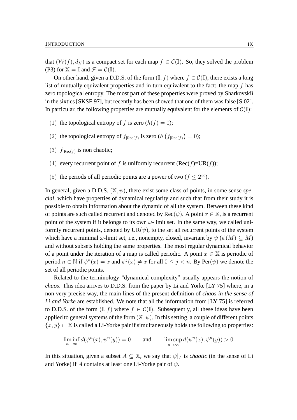that  $(W(f), d_H)$  is a compact set for each map  $f \in C(\mathbb{I})$ . So, they solved the problem (P3) for  $X = \mathbb{I}$  and  $\mathcal{F} = \mathcal{C}(\mathbb{I}).$ 

On other hand, given a D.D.S. of the form  $(\mathbb{I}, f)$  where  $f \in \mathcal{C}(\mathbb{I})$ , there exists a long list of mutually equivalent properties and in turn equivalent to the fact: the map f has zero topological entropy. The most part of these properties were proved by Sharkovskiı̆ in the sixties [SKSF 97], but recently has been showed that one of them was false [S 02]. In particular, the following properties are mutually equivalent for the elements of  $C(\mathbb{I})$ :

- (1) the topological entropy of f is zero  $(h(f) = 0)$ ;
- (2) the topological entropy of  $f_{|Rec(f)}$  is zero  $(h(f_{|Rec(f)}) = 0)$ ;
- (3)  $f_{|Rec(f)}$  is non chaotic;
- (4) every recurrent point of f is uniformly recurrent (Rec(f)=UR(f));
- (5) the periods of all periodic points are a power of two ( $f \leq 2^{\infty}$ ).

In general, given a D.D.S. (X, ψ), there exist some class of points, in some sense *special*, which have properties of dynamical regularity and such that from their study it is possible to obtain information about the dynamic of all the system. Between these kind of points are such called recurrent and denoted by  $Rec(\psi)$ . A point  $x \in \mathbb{X}$ , is a recurrent point of the system if it belongs to its own  $\omega$ -limit set. In the same way, we called uniformly recurrent points, denoted by  $UR(\psi)$ , to the set all recurrent points of the system which have a minimal  $\omega$ -limit set, i.e., nonempty, closed, invariant by  $\psi(\psi(M) \subseteq M)$ and without subsets holding the same properties. The most regular dynamical behavior of a point under the iteration of a map is called periodic. A point  $x \in \mathbb{X}$  is periodic of period  $n \in \mathbb{N}$  if  $\psi^n(x) = x$  and  $\psi^j(x) \neq x$  for all  $0 \leq j < n$ . By Per $(\psi)$  we denote the set of all periodic points.

Related to the terminology "dynamical complexity" usually appears the notion of *chaos*. This idea arrives to D.D.S. from the paper by Li and Yorke [LY 75] where, in a non very precise way, the main lines of the present definition of *chaos in the sense of Li and Yorke* are established. We note that all the information from [LY 75] is referred to D.D.S. of the form  $(I, f)$  where  $f \in \mathcal{C}(I)$ . Subsequently, all these ideas have been applied to general systems of the form  $(\mathbb{X}, \psi)$ . In this setting, a couple of different points  $\{x, y\} \subset \mathbb{X}$  is called a Li-Yorke pair if simultaneously holds the following to properties:

$$
\liminf_{n \to \infty} d(\psi^n(x), \psi^n(y)) = 0 \quad \text{and} \quad \limsup_{n \to \infty} d(\psi^n(x), \psi^n(y)) > 0.
$$

In this situation, given a subset  $A \subseteq \mathbb{X}$ , we say that  $\psi|_A$  is *chaotic* (in the sense of Li and Yorke) if A contains at least one Li-Yorke pair of  $\psi$ .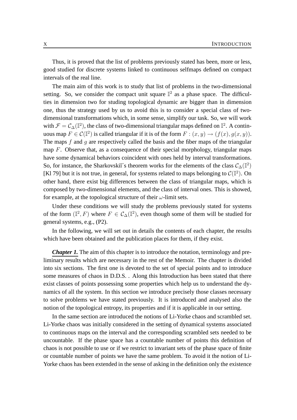Thus, it is proved that the list of problems previously stated has been, more or less, good studied for discrete systems linked to continuous selfmaps defined on compact intervals of the real line.

The main aim of this work is to study that list of problems in the two-dimensional setting. So, we consider the compact unit square  $\mathbb{I}^2$  as a phase space. The difficulties in dimension two for studing topological dynamic are bigger than in dimension one, thus the strategy used by us to avoid this is to consider a special class of twodimensional transformations which, in some sense, simplify our task. So, we will work with  $\mathcal{F} = \mathcal{C}_{\Delta}(\mathbb{I}^2)$ , the class of two-dimensional triangular maps defined on  $\mathbb{I}^2$ . A continuous map  $F \in \mathcal{C}(\mathbb{I}^2)$  is called triangular if it is of the form  $F : (x, y) \to (f(x), g(x, y))$ . The maps  $f$  and  $g$  are respectively called the basis and the fiber maps of the triangular map  $F$ . Observe that, as a consequence of their special morphology, triangular maps have some dynamical behaviors coincident with ones held by interval transformations. So, for instance, the Sharkovskii´s theorem works for the elements of the class  $\mathcal{C}_{\Delta}(\mathbb{I}^2)$ [Kl 79] but it is not true, in general, for systems related to maps belonging to  $\mathcal{C}(\mathbb{I}^2)$ . On other hand, there exist big differences between the class of triangular maps, which is composed by two-dimensional elements, and the class of interval ones. This is showed, for example, at the topological structure of their  $\omega$ -limit sets.

Under these conditions we will study the problems previously stated for systems of the form  $(\mathbb{I}^2, F)$  where  $F \in C_{\Delta}(\mathbb{I}^2)$ , even though some of them will be studied for general systems, e.g., (P2).

In the following, we will set out in details the contents of each chapter, the results which have been obtained and the publication places for them, if they exist.

*Chapter 1*. The aim of this chapter is to introduce the notation, terminology and preliminary results which are necessary in the rest of the Memoir. The chapter is divided into six sections. The first one is devoted to the set of special points and to introduce some measures of chaos in D.D.S. . Along this Introduction has been stated that there exist classes of points possessing some properties which help us to understand the dynamics of all the system. In this section we introduce precisely those classes necessary to solve problems we have stated previously. It is introduced and analysed also the notion of the topological entropy, its properties and if it is applicable in our setting.

In the same section are introduced the notions of Li-Yorke chaos and scrambled set. Li-Yorke chaos was initially considered in the setting of dynamical systems associated to continuous maps on the interval and the corresponding scrambled sets needed to be uncountable. If the phase space has a countable number of points this definition of chaos is not possible to use or if we restrict to invariant sets of the phase space of finite or countable number of points we have the same problem. To avoid it the notion of Li-Yorke chaos has been extended in the sense of asking in the definition only the existence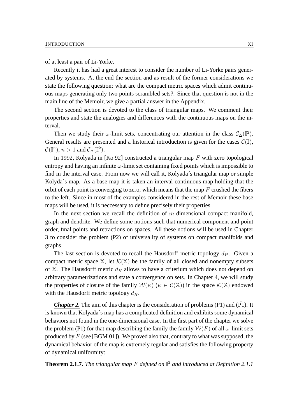of at least a pair of Li-Yorke.

Recently it has had a great interest to consider the number of Li-Yorke pairs generated by systems. At the end the section and as result of the former considerations we state the following question: what are the compact metric spaces which admit continuous maps generating only two points scrambled sets?. Since that question is not in the main line of the Memoir, we give a partial answer in the Appendix.

The second section is devoted to the class of triangular maps. We comment their properties and state the analogies and differences with the continuous maps on the interval.

Then we study their  $\omega$ -limit sets, concentrating our attention in the class  $\mathcal{C}_{\Delta}(\mathbb{I}^2)$ . General results are presented and a historical introduction is given for the cases  $\mathcal{C}(\mathbb{I})$ ,  $\mathcal{C}(\mathbb{I}^n)$ ,  $n>1$  and  $\mathcal{C}_{\Delta}(\mathbb{I}^2)$ .

In 1992, Kolyada in [Ko 92] constructed a triangular map  $F$  with zero topological entropy and having an infinite  $\omega$ -limit set containing fixed points which is impossible to find in the interval case. From now we will call it, Kolyada´s triangular map or simple Kolyda´s map. As a base map it is taken an interval continuous map holding that the orbit of each point is converging to zero, which means that the map  $F$  crushed the fibers to the left. Since in most of the examples considered in the rest of Memoir these base maps will be used, it is neccessary to define precisely their properties.

In the next section we recall the definition of  $m$ -dimensional compact manifold, graph and dendrite. We define some notions such that numerical component and point order, final points and retractions on spaces. All these notions will be used in Chapter 3 to consider the problem (P2) of universality of systems on compact manifolds and graphs.

The last section is devoted to recall the Hausdorff metric topology  $d_H$ . Given a compact metric space  $\mathbb{X}$ , let  $\mathcal{K}(\mathbb{X})$  be the family of all closed and nonempty subsets of X. The Hausdorff metric  $d_H$  allows to have a criterium which does not depend on arbitrary parametrizations and state a convergence on sets. In Chapter 4, we will study the properties of closure of the family  $W(\psi)$  ( $\psi \in C(\mathbb{X})$ ) in the space  $\mathcal{K}(\mathbb{X})$  endowed with the Hausdorff metric topology  $d_H$ .

*Chapter 2.* The aim of this chapter is the consideration of problems (P1) and  $(\overline{P1})$ . It is known that Kolyada´s map has a complicated definition and exhibits some dynamical behaviors not found in the one-dimensional case. In the first part of the chapter we solve the problem (P1) for that map describing the family the family  $W(F)$  of all  $\omega$ -limit sets produced by  $F$  (see [BGM 01]). We proved also that, contrary to what was supposed, the dynamical behavior of the map is extremely regular and satisfies the following property of dynamical uniformity:

**Theorem 2.1.7.** *The triangular map* F *defined on* I <sup>2</sup> *and introduced at Definition 2.1.1*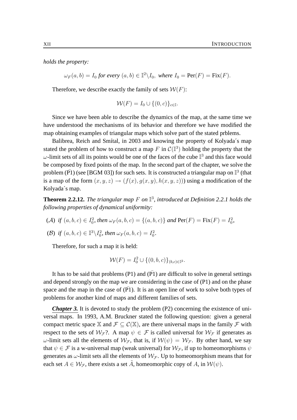*holds the property:*

 $\omega_F(a, b) = I_0$  for every  $(a, b) \in \mathbb{I}^2 \backslash I_0$ , where  $I_0 = \text{Per}(F) = \text{Fix}(F)$ .

Therefore, we describe exactly the family of sets  $W(F)$ :

$$
\mathcal{W}(F) = I_0 \cup \{(0, c)\}_{c \in \mathbb{I}}.
$$

Since we have been able to describe the dynamics of the map, at the same time we have understood the mechanisms of its behavior and therefore we have modified the map obtaining examples of triangular maps which solve part of the stated prblems.

Balibrea, Reich and Smítal, in 2003 and knowing the property of Kolyada´s map stated the problem of how to construct a map F in  $\mathcal{C}(\mathbb{I}^3)$  holding the property that the  $\omega$ -limit sets of all its points would be one of the faces of the cube  $\mathbb{I}^3$  and this face would be composed by fixed points of the map. In the second part of the chapter, we solve the problem ( $\bar{PI}$ ) (see [BGM 03]) for such sets. It is constructed a triangular map on  $\mathbb{I}^3$  (that is a map of the form  $(x, y, z) \rightarrow (f(x), g(x, y), h(x, y, z))$  using a modification of the Kolyada´s map.

**Theorem 2.2.12.** The triangular map F on  $\mathbb{I}^3$ , introduced at Definition 2.2.1 holds the *following properties of dynamical uniformity:*

- (A) if  $(a, b, c) \in I_0^2$ , then  $\omega_F(a, b, c) = \{(a, b, c)\}\$  and  $\text{Per}(F) = \text{Fix}(F) = I_0^2$ ,
- (B) if  $(a, b, c) \in \mathbb{I}^3 \backslash I_0^2$ , then  $\omega_F(a, b, c) = I_0^2$ .

Therefore, for such a map it is held:

$$
\mathcal{W}(F) = I_0^2 \cup \{(0, b, c)\}_{(b, c) \in \mathbb{I}^2}.
$$

It has to be said that problems (P1) and  $(\overline{P1})$  are difficult to solve in general settings and depend strongly on the map we are considering in the case of (P1) and on the phase space and the map in the case of  $(P1)$ . It is an open line of work to solve both types of problems for another kind of maps and different families of sets.

*Chapter 3.* It is devoted to study the problem (P2) concerning the existence of universal maps. In 1993, A.M. Bruckner stated the following question: given a general compact metric space X and  $\mathcal{F} \subseteq \mathcal{C}(\mathbb{X})$ , are there universal maps in the family  $\mathcal F$  with respect to the sets of  $W_{\mathcal{F}}$ ?. A map  $\psi \in \mathcal{F}$  is called universal for  $W_{\mathcal{F}}$  if generates as ω-limit sets all the elements of  $W_{\mathcal{F}}$ , that is, if  $W(\psi) = W_{\mathcal{F}}$ . By other hand, we say that  $\psi \in \mathcal{F}$  is a w-universal map (weak universal) for  $\mathcal{W}_{\mathcal{F}}$ , if up to homeomorphisms  $\psi$ generates as  $\omega$ -limit sets all the elements of  $\mathcal{W}_{\mathcal{F}}$ . Up to homeomorphism means that for each set  $A \in \mathcal{W}_{\mathcal{F}}$ , there exists a set  $\tilde{A}$ , homeomorphic copy of A, in  $\mathcal{W}(\psi)$ .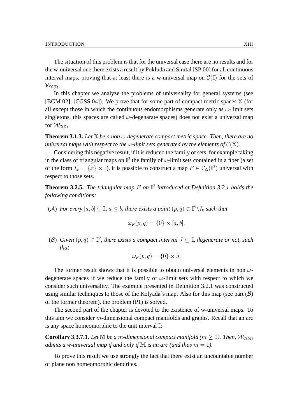The situation of this problem is that for the universal case there are no results and for the w-universal one there exists a result by Pokluda and Smítal [SP 00] for all continuous interval maps, proving that at least there is a w-universal map on  $\mathcal{C}(\mathbb{I})$  for the sets of  $\mathcal{W}_{\mathcal{C}(\mathbb{I})}.$ 

In this chapter we analyze the problems of universality for general systems (see [BGM 02], [CGSS 04]). We prove that for some part of compact metric spaces  $X$  (for all except those in which the continuous endomorphisms generate only as  $\omega$ -limit sets singletons, this spaces are called  $\omega$ -degenarate spaces) does not exist a universal map for  $\mathcal{W}_{\mathcal{C}(\mathbb{X})}.$ 

**Theorem 3.1.3.** *Let* X *be a non* ω*-degenerate compact metric space. Then, there are no universal maps with respect to the*  $\omega$ -*limit sets generated by the elements of*  $C(\mathbb{X})$ *.* 

Considering this negative result, if it is reduced the family of sets, for example taking in the class of triangular maps on  $\mathbb{I}^2$  the family of  $\omega$ -limit sets contained in a fiber (a set of the form  $I_x = \{x\} \times \mathbb{I}$ , it is possible to construct a map  $F \in C_{\Delta}(\mathbb{I}^2)$  universal with respect to those sets.

**Theorem 3.2.5.** The triangular map F on  $\mathbb{I}^2$  introduced at Definition 3.2.1 holds the *following conditions:*

(A) For every  $[a, b] \subseteq \mathbb{I}$ ,  $a \leq b$ , there exists a point  $(p, q) \in \mathbb{I}^2 \backslash I_0$  such that

$$
\omega_F(p,q) = \{0\} \times [a,b].
$$

(B) Given  $(p, q) \in \mathbb{I}^2$ , there exists a compact interval  $J \subseteq \mathbb{I}$ , degenerate or not, such *that*

$$
\omega_F(p,q) = \{0\} \times J.
$$

The former result shows that it is possible to obtain universal elements in non  $\omega$ degenerate spaces if we reduce the family of  $\omega$ -limit sets with respect to which we consider such universality. The example presented in Definition 3.2.1 was constructed using similar techniques to those of the Kolyada´s map. Also for this map (see part  $(\beta)$ ) of the former theorem), the problem (P1) is solved.

The second part of the chapter is devoted to the existence of w-universal maps. To this aim we consider  $m$ -dimensional compact manifolds and graphs. Recall that an arc is any space homeomorphic to the unit interval I:

**Corollary 3.3.7.1.** *Let*  $\mathbb{M}$  *be a* m-dimensional compact manifold ( $m \geq 1$ ). Then,  $\mathcal{W}_{\mathcal{C}(\mathbb{M})}$ *admits a w-universal map if and only if*  $M$  *is an arc (and thus*  $m = 1$ *).* 

To prove this result we use strongly the fact that there exist an uncountable number of plane non homeomorphic dendrites.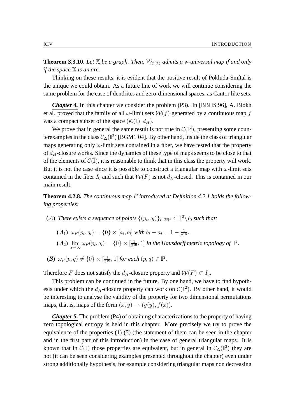**Theorem 3.3.10.** Let  $X$  be a graph. Then,  $W_{\mathcal{C}(X)}$  admits a w-universal map if and only *if the space* X *is an arc.*

Thinking on these results, it is evident that the positive result of Pokluda-Smítal is the unique we could obtain. As a future line of work we will continue considering the same problem for the case of dendrites and zero-dimensional spaces, as Cantor like sets.

*Chapter 4.* In this chapter we consider the problem (P3). In [BBHS 96], A. Blokh et al. proved that the family of all  $\omega$ -limit sets  $W(f)$  generated by a continuous map f was a compact subset of the space  $(\mathcal{K}(\mathbb{I}), d_H)$ .

We prove that in general the same result is not true in  $\mathcal{C}(\mathbb{I}^2)$ , presenting some counterexamples in the class  $\mathcal{C}_{\Delta}(\mathbb{I}^2)$  [BGM1 04]. By other hand, inside the class of triangular maps generating only  $\omega$ -limit sets contained in a fiber, we have tested that the property of  $d_H$ -closure works. Since the dynamics of these type of maps seems to be close to that of the elements of  $C(\mathbb{I})$ , it is reasonable to think that in this class the property will work. But it is not the case since it is possible to construct a triangular map with  $\omega$ -limit sets contained in the fiber  $I_0$  and such that  $W(F)$  is not  $d_H$ -closed. This is contained in our main result.

**Theorem 4.2.8.** *The continuous map* F *introduced at Definition 4.2.1 holds the following properties:*

- (A) There exists a sequence of points  $\{(p_i, q_i)\}_{i \in 2\mathbb{N}^*} \subset \mathbb{I}^2 \backslash I_0$  such that:
	- $(A_1) \omega_F(p_i, q_i) = \{0\} \times [a_i, b_i]$  with  $b_i a_i = 1 \frac{1}{2!}$  $\frac{1}{2^{10}}.$
	- $(\mathcal{A}_2)$   $\lim_{i\to\infty}\omega_F(p_i,q_i)=\{0\}\times[\frac{1}{2^1}]$  $\frac{1}{2^{10}}$ , 1] *in the Hausdorff metric topology of*  $\mathbb{I}^2$ .
- (B)  $\omega_F(p,q) \neq \{0\} \times [\frac{1}{2^1}]$  $\frac{1}{2^{10}}, 1]$  for each  $(p, q) \in \mathbb{I}^2$ .

Therefore F does not satisfy the  $d_H$ -closure property and  $W(F) \subset I_0$ .

This problem can be continued in the future. By one hand, we have to find hypothesis under which the  $d_H$ -closure property can work on  $\mathcal{C}(\mathbb{I}^2)$ . By other hand, it would be interesting to analyse the validity of the property for two dimensional permutations maps, that is, maps of the form  $(x, y) \rightarrow (g(y), f(x))$ .

*Chapter 5.* The problem (P4) of obtaining characterizations to the property of having zero topological entropy is held in this chapter. More precisely we try to prove the equivalence of the properties (1)-(5) (the statement of them can be seen in the chapter and in the first part of this introduction) in the case of general triangular maps. It is known that in  $\mathcal{C}(\mathbb{I})$  those properties are equivalent, but in general in  $\mathcal{C}_{\Delta}(\mathbb{I}^2)$  they are not (it can be seen considering examples presented throughout the chapter) even under strong additionally hypothesis, for example considering triangular maps non decreasing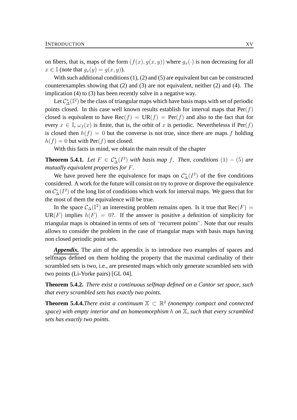on fibers, that is, maps of the form  $(f(x), g(x, y))$  where  $g_x(\cdot)$  is non decreasing for all  $x \in \mathbb{I}$  (note that  $g_x(y) = g(x, y)$ ).

With such additional conditions (1), (2) and (5) are equivalent but can be constructed counterexamples showing that (2) and (3) are not equivalent, neither (2) and (4). The implication (4) to (3) has been recently solve in a negative way.

Let  $\mathcal{C}^*_\Delta(\mathbb{I}^2)$  be the class of triangular maps which have basis maps with set of periodic points closed. In this case well known results establish for interval maps that  $Per(f)$ closed is equivalent to have  $Rec(f) = UR(f) = Per(f)$  and also to the fact that for every  $x \in \mathbb{I}$ ,  $\omega_f(x)$  is finite, that is, the orbit of x is periodic. Neverthelesss if Per(f) is closed then  $h(f) = 0$  but the converse is not true, since there are maps f holding  $h(f) = 0$  but with Per(f) not closed.

With this facts in mind, we obtain the main result of the chapter

**Theorem 5.4.1.** *Let*  $F \in C^*_{\Delta}(I^2)$  *with basis map f. Then, conditions*  $(1) - (5)$  *are mutually equivalent properties for* F*.*

We have proved here the equivalence for maps on  $C^*_{\Delta}(I^2)$  of the five conditions considered. A work for the future will consist on try to prove or disprove the equivalence on  $\mathcal{C}^*_{\Delta}(I^2)$  of the long list of conditions which work for interval maps. We guess that for the most of them the equivalence will be true.

In the space  $\mathcal{C}_{\Delta}(\mathbb{I}^2)$  an interesting problem remains open. Is it true that Rec $(F)$  =  $UR(F)$  implies  $h(F) = 0$ ?. If the answer is positive a definition of simplicity for triangular maps is obtained in terms of sets of "recurrent points". Note that our results allows to consider the problem in the case of triangular maps with basis maps having non closed periodic point sets.

*Appendix.* The aim of the appendix is to introduce two examples of spaces and selfmaps defined on them holding the property that the maximal cardinality of their scrambled sets is two, i.e., are presented maps which only generate scrambled sets with two points (Li-Yorke pairs) [GL 04].

**Theorem 5.4.2.** *There exist a continuous selfmap defined on a Cantor set space, such that every scrambled sets has exactly two points.*

**Theorem 5.4.4.***There exist a continuum*  $X \subset \mathbb{R}^2$  (nonempty compact and connected *space) with empty interior and an homeomorphism* h *on* X*, such that every scrambled sets has exactly two points.*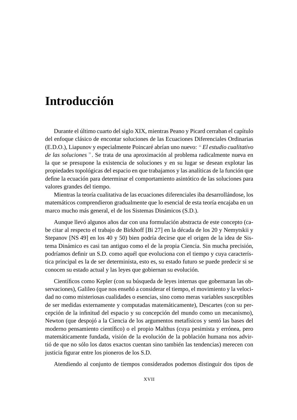## **Introducción**

Durante el último cuarto del siglo XIX, mientras Peano y Picard cerraban el capítulo del enfoque clásico de encontar soluciones de las Ecuaciones Diferenciales Ordinarias (E.D.O.), Liapunov y especialmente Poincaré abrían uno nuevo: " *El estudio cualitativo de las soluciones* ". Se trata de una aproximación al problema radicalmente nueva en la que se presupone la existencia de soluciones y en su lugar se desean explotar las propiedades topológicas del espacio en que trabajamos y las analíticas de la función que define la ecuación para determinar el comportamiento asintótico de las soluciones para valores grandes del tiempo.

Mientras la teoría cualitativa de las ecuaciones diferenciales iba desarrollándose, los matemáticos comprendieron gradualmente que lo esencial de esta teoría encajaba en un marco mucho más general, el de los Sistemas Dinámicos (S.D.).

Aunque llevó algunos años dar con una formulación abstracta de este concepto (cabe citar al respecto el trabajo de Birkhoff [Bi 27] en la década de los 20 y Nemytskii y Stepanov [NS 49] en los 40 y 50) bien podría decirse que el origen de la idea de Sistema Dinámico es casi tan antiguo como el de la propia Ciencia. Sin mucha precisión, podríamos definir un S.D. como aquél que evoluciona con el tiempo y cuya característica principal es la de ser determinista, esto es, su estado futuro se puede predecir si se conocen su estado actual y las leyes que gobiernan su evolución.

Científicos como Kepler (con su búsqueda de leyes internas que gobernaran las observaciones), Galileo (que nos enseñó a considerar el tiempo, el movimiento y la velocidad no como misteriosas cualidades o esencias, sino como meras variables susceptibles de ser medidas externamente y computadas matemáticamente), Descartes (con su percepción de la infinitud del espacio y su concepción del mundo como un mecanismo), Newton (que despojó a la Ciencia de los argumentos metafísicos y sentó las bases del moderno pensamiento científico) o el propio Malthus (cuya pesimista y errónea, pero matemáticamente fundada, visión de la evolución de la población humana nos advirtió de que no sólo los datos exactos cuentan sino también las tendencias) merecen con justicia figurar entre los pioneros de los S.D.

Atendiendo al conjunto de tiempos considerados podemos distinguir dos tipos de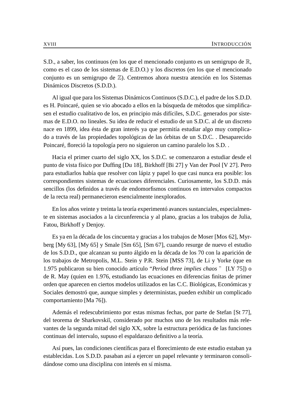S.D., a saber, los continuos (en los que el mencionado conjunto es un semigrupo de R, como es el caso de los sistemas de E.D.O.) y los discretos (en los que el mencionado conjunto es un semigrupo de Z). Centremos ahora nuestra atención en los Sistemas Dinámicos Discretos (S.D.D.).

Al igual que para los Sistemas Dinámicos Continuos (S.D.C.), el padre de los S.D.D. es H. Poincaré, quien se vio abocado a ellos en la búsqueda de métodos que simplificasen el estudio cualitativo de los, en principio más difíciles, S.D.C. generados por sistemas de E.D.O. no lineales. Su idea de reducir el estudio de un S.D.C. al de un discreto nace en 1899, idea ésta de gran interés ya que permitía estudiar algo muy complicado a través de las propiedades topológicas de las órbitas de un S.D.C. . Desaparecido Poincaré, floreció la topología pero no siguieron un camino paralelo los S.D. .

Hacia el primer cuarto del siglo XX, los S.D.C. se comenzaron a estudiar desde el punto de vista físico por Duffing [Du 18], Birkhoff [Bi 27] y Van der Pool [V 27]. Pero para estudiarlos había que resolver con lápiz y papel lo que casi nunca era posible: los correspondientes sistemas de ecuaciones diferenciales. Curiosamente, los S.D.D. más sencillos (los definidos a través de endomorfismos continuos en intervalos compactos de la recta real) permanecieron esencialmente inexplorados.

En los años veinte y treinta la teoría experimentó avances sustanciales, especialmente en sistemas asociados a la circunferencia y al plano, gracias a los trabajos de Julia, Fatou, Birkhoff y Denjoy.

Es ya en la década de los cincuenta y gracias a los trabajos de Moser [Mos 62], Myrberg [My 63], [My 65] y Smale [Sm 65], [Sm 67], cuando resurge de nuevo el estudio de los S.D.D., que alcanzan su punto álgido en la década de los 70 con la aparición de los trabajos de Metropolis, M.L. Stein y P.R. Stein [MSS 73], de Li y Yorke (que en 1.975 publicaron su bien conocido artículo "*Period three implies chaos* " [LY 75]) o de R. May (quien en 1.976, estudiando las ecuaciones en diferencias finitas de primer orden que aparecen en ciertos modelos utilizados en las C.C. Biológicas, Económicas y Sociales demostró que, aunque simples y deterministas, pueden exhibir un complicado comportamiento [Ma 76]).

Además el redescubrimiento por estas mismas fechas, por parte de Stefan [St 77], del teorema de Sharkovski˘ı, considerado por muchos uno de los resultados más relevantes de la segunda mitad del siglo XX, sobre la estructura periódica de las funciones continuas del intervalo, supuso el espaldarazo definitivo a la teoría.

Así pues, las condiciones científicas para el florecimiento de este estudio estaban ya establecidas. Los S.D.D. pasaban así a ejercer un papel relevante y terminaron consolidándose como una disciplina con interés en sí misma.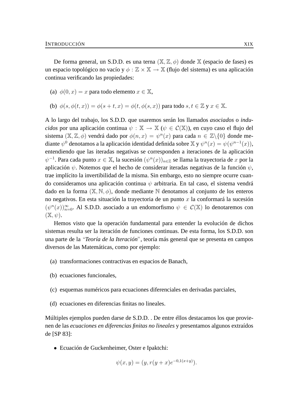De forma general, un S.D.D. es una terna  $(\mathbb{X}, \mathbb{Z}, \phi)$  donde  $\mathbb{X}$  (espacio de fases) es un espacio topológico no vacío y  $\phi : \mathbb{Z} \times \mathbb{X} \to \mathbb{X}$  (flujo del sistema) es una aplicación continua verificando las propiedades:

- (a)  $\phi(0, x) = x$  para todo elemento  $x \in \mathbb{X}$ ,
- (b)  $\phi(s, \phi(t, x)) = \phi(s + t, x) = \phi(t, \phi(s, x))$  para todo  $s, t \in \mathbb{Z}$  y  $x \in \mathbb{X}$ .

A lo largo del trabajo, los S.D.D. que usaremos serán los llamados *asociados* o *inducidos* por una aplicación continua  $\psi : \mathbb{X} \to \mathbb{X}$  ( $\psi \in C(\mathbb{X})$ ), en cuyo caso el flujo del sistema  $(\mathbb{X}, \mathbb{Z}, \phi)$  vendrá dado por  $\phi(n, x) = \psi^n(x)$  para cada  $n \in \mathbb{Z} \setminus \{0\}$  donde mediante  $\psi^0$  denotamos a la aplicación identidad definida sobre X y  $\psi^n(x) = \psi(\psi^{n-1}(x)),$ entendiendo que las iteradas negativas se corresponden a iteraciones de la aplicación  $\psi^{-1}$ . Para cada punto  $x \in \mathbb{X}$ , la sucesión  $(\psi^n(x))_{n \in \mathbb{Z}}$  se llama la trayectoria de  $x$  por la aplicación  $\psi$ . Notemos que el hecho de considerar iteradas negativas de la función  $\psi$ , trae implícito la invertibilidad de la misma. Sin embargo, esto no siempre ocurre cuando consideramos una aplicación continua  $\psi$  arbitraria. En tal caso, el sistema vendrá dado en la forma  $(\mathbb{X}, \mathbb{N}, \phi)$ , donde mediante N denotamos al conjunto de los enteros no negativos. En esta situación la trayectoria de un punto  $x$  la conformará la sucesión  $(\psi^n(x))_{n=0}^{\infty}$ . Al S.D.D. asociado a un endomorfismo  $\psi \in C(\mathbb{X})$  lo denotaremos con  $(\mathbb{X}, \psi).$ 

Hemos visto que la operación fundamental para entender la evolución de dichos sistemas resulta ser la iteración de funciones continuas. De esta forma, los S.D.D. son una parte de la "*Teoría de la Iteración*", teoría más general que se presenta en campos diversos de las Matemáticas, como por ejemplo:

- (a) transformaciones contractivas en espacios de Banach,
- (b) ecuaciones funcionales,
- (c) esquemas numéricos para ecuaciones diferenciales en derivadas parciales,
- (d) ecuaciones en diferencias finitas no lineales.

Múltiples ejemplos pueden darse de S.D.D. . De entre éllos destacamos los que provienen de las *ecuaciones en diferencias finitas no lineales* y presentamos algunos extraídos de [SP 83]:

• Ecuación de Guckenheimer, Oster e Ipaktchi:

$$
\psi(x, y) = (y, r(y + x)e^{-0, 1(x+y)}).
$$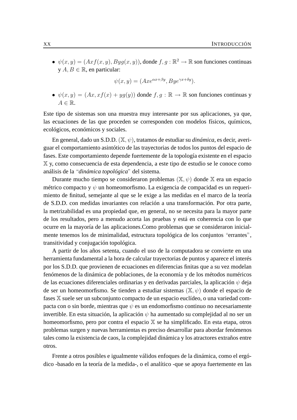•  $\psi(x, y) = (Axf(x, y), Byg(x, y))$ , donde  $f, g : \mathbb{R}^2 \to \mathbb{R}$  son funciones continuas  $y \land B \in \mathbb{R}$ , en particular:

$$
\psi(x,y) = (Axe^{\alpha x + \beta y}, Bye^{\gamma x + \delta y}).
$$

•  $\psi(x, y) = (Ax, xf(x) + yg(y))$  donde  $f, g : \mathbb{R} \to \mathbb{R}$  son funciones continuas y  $A \in \mathbb{R}$ .

Este tipo de sistemas son una muestra muy interesante por sus aplicaciones, ya que, las ecuaciones de las que proceden se corresponden con modelos físicos, químicos, ecológicos, económicos y sociales.

En general, dado un S.D.D. (X, ψ), tratamos de estudiar su *dinámica*, es decir, averiguar el comportamiento asintótico de las trayectorias de todos los puntos del espacio de fases. Este comportamiento depende fuertemente de la topología existente en el espacio X y, como consecuencia de esta dependencia, a este tipo de estudio se le conoce como análisis de la "*dinámica topológica*" del sistema.

Durante mucho tiempo se consideraron problemas  $(\mathbb{X}, \psi)$  donde  $\mathbb{X}$  era un espacio métrico compacto y  $\psi$  un homeomorfismo. La exigencia de compacidad es un requerimiento de finitud, semejante al que se le exige a las medidas en el marco de la teoría de S.D.D. con medidas invariantes con relación a una transformación. Por otra parte, la metrizabilidad es una propiedad que, en general, no se necesita para la mayor parte de los resultados, pero a menudo acorta las pruebas y está en coherencia con lo que ocurre en la mayoría de las aplicaciones.Como problemas que se consideraron inicialmente tenemos los de minimalidad, estructura topológica de los conjuntos "errantes", transitividad y conjugación topológica.

A partir de los años setenta, cuando el uso de la computadora se convierte en una herramienta fundamental a la hora de calcular trayectorias de puntos y aparece el interés por los S.D.D. que provienen de ecuaciones en diferencias finitas que a su vez modelan fenómenos de la dinámica de poblaciones, de la economía y de los métodos numéricos de las ecuaciones diferenciales ordinarias y en derivadas parciales, la aplicación  $\psi$  deja de ser un homeomorfismo. Se tienden a estudiar sistemas  $(\mathbb{X}, \psi)$  donde el espacio de fases X suele ser un subconjunto compacto de un espacio euclídeo, o una variedad compacta con o sin borde, mientras que  $\psi$  es un endomorfismo continuo no necesariamente invertible. En esta situación, la aplicación  $\psi$  ha aumentado su complejidad al no ser un homeomorfismo, pero por contra el espacio X se ha simplificado. En esta etapa, otros problemas surgen y nuevas herramientas es preciso desarrollar para abordar fenómenos tales como la existencia de caos, la complejidad dinámica y los atractores extraños entre otros.

Frente a otros posibles e igualmente válidos enfoques de la dinámica, como el ergódico -basado en la teoría de la medida-, o el analítico -que se apoya fuertemente en las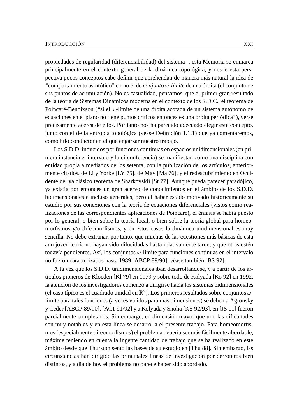propiedades de regularidad (diferenciabilidad) del sistema- , esta Memoria se enmarca principalmente en el contexto general de la dinámica topológica, y desde esta perspectiva pocos conceptos cabe definir que aprehendan de manera más natural la idea de "comportamiento asintótico" como el de *conjunto* ω*-límite* de una órbita (el conjunto de sus puntos de acumulación). No es casualidad, pensamos, que el primer gran resultado de la teoría de Sistemas Dinámicos moderna en el contexto de los S.D.C., el teorema de Poincaré-Bendixson ("si el ω-límite de una órbita acotada de un sistema autónomo de ecuaciones en el plano no tiene puntos críticos entonces es una órbita periódica"), verse precisamente acerca de ellos. Por tanto nos ha parecido adecuado elegir este concepto, junto con el de la entropía topológica (véase Definición 1.1.1) que ya comentaremos, como hilo conductor en el que engarzar nuestro trabajo.

Los S.D.D. inducidos por funciones continuas en espacios unidimensionales (en primera instancia el intervalo y la circunferencia) se manifiestan como una disciplina con entidad propia a mediados de los setenta, con la publicación de los artículos, anteriormente citados, de Li y Yorke [LY 75], de May [Ma 76], y el redescubrimiento en Occidente del ya clásico teorema de Sharkovski˘ı [St 77]. Aunque pueda parecer paradójico, ya existía por entonces un gran acervo de conocimientos en el ámbito de los S.D.D. bidimensionales e incluso generales, pero al haber estado motivado históricamente su estudio por sus conexiones con la teoría de ecuaciones diferenciales (vistos como realizaciones de las correspondientes aplicaciones de Poincaré), el énfasis se había puesto por lo general, o bien sobre la teoría local, o bien sobre la teoría global para homeomorfismos y/o difeomorfismos, y en estos casos la dinámica unidimensional es muy sencilla. No debe extrañar, por tanto, que muchas de las cuestiones más básicas de esta aun joven teoría no hayan sido dilucidadas hasta relativamente tarde, y que otras estén todavía pendientes. Así, los conjuntos  $\omega$ -límite para funciones continuas en el intervalo no fueron caracterizados hasta 1989 [ABCP 89/90], véase también [BS 92].

A la vez que los S.D.D. unidimensionales iban desarrollándose, y a partir de los artículos pioneros de Kloeden [Kl 79] en 1979 y sobre todo de Kolyada [Ko 92] en 1992, la atención de los investigadores comenzó a dirigirse hacía los sistemas bidimensionales (el caso típico es el cuadrado unidad en  $\mathbb{R}^2$ ). Los primeros resultados sobre conjuntos  $\omega$ límite para tales funciones (a veces válidos para más dimensiones) se deben a Agronsky y Ceder [ABCP 89/90], [AC1 91/92] y a Kolyada y Snoha [KS 92/93], en [JS 01] fueron parcialmente completados. Sin embargo, en dimensión mayor que uno las dificultades son muy notables y en esta línea se desarrolla el presente trabajo. Para homeomorfismos (especialmente difeomorfismos) el problema debería ser más fácilmente abordable, máxime teniendo en cuenta la ingente cantidad de trabajo que se ha realizado en este ámbito desde que Thurston sentó las bases de su estudio en [Thu 88]. Sin embargo, las circunstancias han dirigido las principales líneas de investigación por derroteros bien distintos, y a día de hoy el problema no parece haber sido abordado.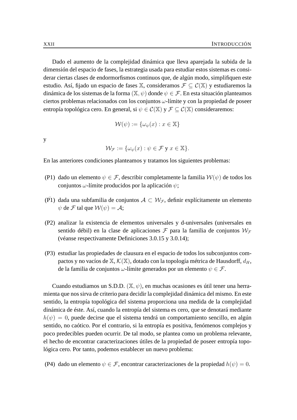Dado el aumento de la complejidad dinámica que lleva aparejada la subida de la dimensión del espacio de fases, la estrategia usada para estudiar estos sistemas es considerar ciertas clases de endormorfismos continuos que, de algún modo, simplifiquen este estudio. Así, fijado un espacio de fases X, consideramos  $\mathcal{F} \subset \mathcal{C}(\mathbb{X})$  y estudiaremos la dinámica de los sistemas de la forma  $(X, \psi)$  donde  $\psi \in \mathcal{F}$ . En esta situación planteamos ciertos problemas relacionados con los conjuntos  $\omega$ -límite y con la propiedad de poseer entropía topológica cero. En general, si  $\psi \in C(\mathbb{X})$  y  $\mathcal{F} \subset C(\mathbb{X})$  consideraremos:

$$
\mathcal{W}(\psi) := \{\omega_{\psi}(x) : x \in \mathbb{X}\}\
$$

y

$$
\mathcal{W}_{\mathcal{F}} := \{ \omega_{\psi}(x) : \psi \in \mathcal{F} \text{ y } x \in \mathbb{X} \}.
$$

En las anteriores condiciones planteamos y tratamos los siguientes problemas:

- (P1) dado un elemento  $\psi \in \mathcal{F}$ , describir completamente la familia  $\mathcal{W}(\psi)$  de todos los conjuntos  $\omega$ -límite producidos por la aplicación  $\psi$ ;
- (P1) dada una subfamilia de conjuntos  $A \subset \mathcal{W}_{\mathcal{F}}$ , definir explícitamente un elemento  $\psi$  de F tal que  $\mathcal{W}(\psi) = \mathcal{A}$ ;
- (P2) analizar la existencia de elementos universales y d-universales (universales en sentido débil) en la clase de aplicaciones  $\mathcal F$  para la familia de conjuntos  $\mathcal W_{\mathcal F}$ (véanse respectivamente Definiciones 3.0.15 y 3.0.14);
- (P3) estudiar las propiedades de clausura en el espacio de todos los subconjuntos compactos y no vacíos de  $\mathbb{X}, \mathcal{K}(\mathbb{X})$ , dotado con la topología métrica de Hausdorff,  $d_H$ , de la familia de conjuntos  $\omega$ -límite generados por un elemento  $\psi \in \mathcal{F}$ .

Cuando estudiamos un S.D.D. ( $\mathbb{X}, \psi$ ), en muchas ocasiones es útil tener una herramienta que nos sirva de criterio para decidir la complejidad dinámica del mismo. En este sentido, la entropía topológica del sistema proporciona una medida de la complejidad dinámica de éste. Así, cuando la entropía del sistema es cero, que se denotará mediante  $h(\psi) = 0$ , puede decirse que el sistema tendrá un comportamiento sencillo, en algún sentido, no caótico. Por el contrario, si la entropía es positiva, fenómenos complejos y poco predecibles pueden ocurrir. De tal modo, se plantea como un problema relevante, el hecho de encontrar caracterizaciones útiles de la propiedad de poseer entropía topológica cero. Por tanto, podemos establecer un nuevo problema:

(P4) dado un elemento  $\psi \in \mathcal{F}$ , encontrar caracterizaciones de la propiedad  $h(\psi) = 0$ .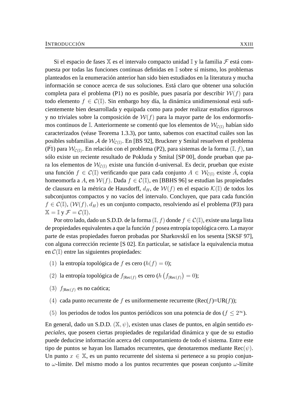Si el espacio de fases  $X$  es el intervalo compacto unidad  $I_y$  la familia  $\mathcal F$  está compuesta por todas las funciones continuas definidas en I sobre sí mismo, los problemas planteados en la enumeración anterior han sido bien estudiados en la literatura y mucha información se conoce acerca de sus soluciones. Está claro que obtener una solución completa para el problema (P1) no es posible, pues pasaría por describir  $W(f)$  para todo elemento  $f \in \mathcal{C}(\mathbb{I})$ . Sin embargo hoy día, la dinámica unidimensional está suficientemente bien desarrollada y equipada como para poder realizar estudios rigurosos y no triviales sobre la composición de  $W(f)$  para la mayor parte de los endormorfismos continuos de I. Anteriormente se comentó que los elementos de  $W_{\mathcal{C}(\mathbb{I})}$  habían sido caracterizados (véase Teorema 1.3.3), por tanto, sabemos con exactitud cuáles son las posibles subfamilias  ${\cal A}$  de  ${\cal W}_{{\cal C} (\mathbb{I})}.$  En [BS 92], Bruckner y Smítal resuelven el problema ( $\overline{P1}$ ) para  $\mathcal{W}_{\mathcal{C}(\mathbb{I})}$ . En relación con el problema (P2), para sistemas de la forma ( $\mathbb{I}, f$ ), tan sólo existe un reciente resultado de Pokluda y Smítal [SP 00], donde prueban que para los elementos de  $W_{\mathcal{C}(\mathbb{I})}$  existe una función d-universal. Es decir, prueban que existe una función  $f \in \mathcal{C}(\mathbb{I})$  verificando que para cada conjunto  $A \in \mathcal{W}_{\mathcal{C}(\mathbb{I})}$  existe  $\hat{A}$ , copia homeomorfa a A, en  $W(f)$ . Dada  $f \in \mathcal{C}(\mathbb{I})$ , en [BBHS 96] se estudian las propiedades de clausura en la métrica de Hausdorff,  $d_H$ , de  $W(f)$  en el espacio  $\mathcal{K}(\mathbb{I})$  de todos los subconjuntos compactos y no vacíos del intervalo. Concluyen, que para cada función  $f \in \mathcal{C}(\mathbb{I}), (\mathcal{W}(f), d_H)$  es un conjunto compacto, resolviendo así el problema (P3) para  $\mathbb{X} = \mathbb{I}$  y  $\mathcal{F} = \mathcal{C}(\mathbb{I}).$ 

Por otro lado, dado un S.D.D. de la forma  $(\mathbb{I}, f)$  donde  $f \in \mathcal{C}(\mathbb{I})$ , existe una larga lista de propiedades equivalentes a que la función f posea entropía topológica cero. La mayor parte de estas propiedades fueron probadas por Sharkovskiĭ en los sesenta [SKSF 97], con alguna corrección reciente [S 02]. En particular, se satisface la equivalencia mutua en  $\mathcal{C}(\mathbb{I})$  entre las siguientes propiedades:

- (1) la entropía topológica de f es cero  $(h(f) = 0)$ ;
- (2) la entropía topológica de  $f_{|Rec(f)}$  es cero (h  $(f_{|Rec(f)}) = 0$ );
- (3)  $f_{\text{Rec}(f)}$  es no caótica;
- (4) cada punto recurrente de f es uniformemente recurrente (Rec(f)=UR(f));
- (5) los periodos de todos los puntos periódicos son una potencia de dos ( $f \leq 2^{\infty}$ ).

En general, dado un S.D.D. (X, ψ), existen unas clases de puntos, en algún sentido *especiales*, que poseen ciertas propiedades de regularidad dinámica y que de su estudio puede deducirse información acerca del comportamiento de todo el sistema. Entre este tipo de puntos se hayan los llamados recurrentes, que denotaremos mediante  $\text{Rec}(\psi)$ . Un punto  $x \in \mathbb{X}$ , es un punto recurrente del sistema si pertenece a su propio conjunto  $\omega$ -límite. Del mismo modo a los puntos recurrentes que posean conjunto  $\omega$ -límite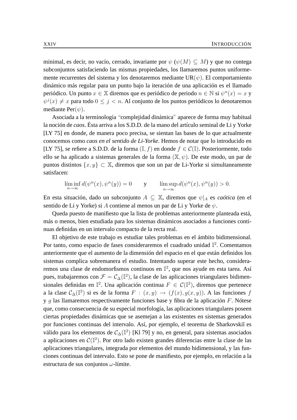minimal, es decir, no vacío, cerrado, invariante por  $\psi$  ( $\psi(M) \subseteq M$ ) y que no contega subconjuntos satisfaciendo las mismas propiedades, los llamaremos puntos uniformemente recurrentes del sistema y los denotaremos mediante  $UR(\psi)$ . El comportamiento dinámico más regular para un punto bajo la iteración de una aplicación es el llamado periódico. Un punto  $x \in \mathbb{X}$  diremos que es periódico de periodo  $n \in \mathbb{N}$  si  $\psi^n(x) = x$  y  $\psi^{j}(x) \neq x$  para todo  $0 \leq j < n$ . Al conjunto de los puntos periódicos lo denotaremos mediante Per( $\psi$ ).

Asociada a la terminología "complejidad dinámica" aparece de forma muy habitual la noción de *caos*. Ésta arriva a los S.D.D. de la mano del artículo seminal de Li y Yorke [LY 75] en donde, de manera poco precisa, se sientan las bases de lo que actualmente conocemos como *caos en el sentido de Li-Yorke*. Hemos de notar que lo introducido en [LY 75], se refiere a S.D.D. de la forma  $(I, f)$  en donde  $f \in \mathcal{C}(\mathbb{I})$ . Posteriormente, todo ello se ha aplicado a sistemas generales de la forma  $(\mathbb{X}, \psi)$ . De este modo, un par de puntos distintos  $\{x, y\}$  ⊂ X, diremos que son un par de Li-Yorke si simultaneamente satisfacen:

$$
\liminf_{n \to \infty} d(\psi^n(x), \psi^n(y)) = 0 \qquad \text{y} \qquad \limsup_{n \to \infty} d(\psi^n(x), \psi^n(y)) > 0.
$$

En esta situación, dado un subconjunto  $A \subseteq \mathbb{X}$ , diremos que  $\psi|_A$  es *caótica* (en el sentido de Li y Yorke) si A contiene al menos un par de Li y Yorke de  $\psi$ .

Queda puesto de manifiesto que la lista de problemas anteriormente planteada está, más o menos, bien estudiada para los sistemas dinámicos asociados a funciones continuas definidas en un intervalo compacto de la recta real.

El objetivo de este trabajo es estudiar tales problemas en el ámbito bidimensional. Por tanto, como espacio de fases consideraremos el cuadrado unidad  $\mathbb{I}^2$ . Comentamos anteriormente que el aumento de la dimensión del espacio en el que están definidos los sistemas complica sobremanera el estudio. Intentando superar este hecho, consideraremos una clase de endomorfismos continuos en  $\mathbb{I}^2$ , que nos ayude en esta tarea. Así pues, trabajaremos con  $\mathcal{F} = \mathcal{C}_{\Delta}(\mathbb{I}^2)$ , la clase de las aplicaciones triangulares bidimensionales definidas en  $\mathbb{I}^2$ . Una aplicación continua  $F \in \mathcal{C}(\mathbb{I}^2)$ , diremos que pertenece a la clase  $C_{\Delta}(\mathbb{I}^2)$  si es de la forma  $F : (x, y) \rightarrow (f(x), g(x, y))$ . A las funciones f y  $g$  las llamaremos respectivamente funciones base y fibra de la aplicación  $F$ . Nótese que, como consecuencia de su especial morfología, las aplicaciones triangulares poseen ciertas propiedades dinámicas que se asemejan a las existentes en sistemas generados por funciones continuas del intervalo. Así, por ejemplo, el teorema de Sharkovskiĭ es válido para los elementos de  $\mathcal{C}_{\Delta}(\mathbb{I}^2)$  [Kl 79] y no, en general, para sistemas asociados a aplicaciones en  $C(\mathbb{I}^2)$ . Por otro lado existen grandes diferencias entre la clase de las aplicaciones triangulares, integrada por elementos del mundo bidimensional, y las funciones continuas del intervalo. Esto se pone de manifiesto, por ejemplo, en relación a la estructura de sus conjuntos  $\omega$ -límite.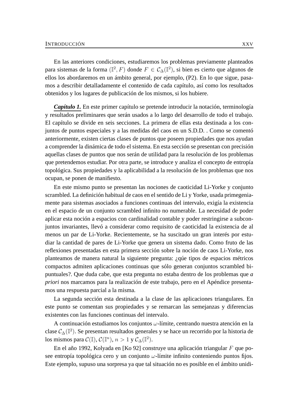En las anteriores condiciones, estudiaremos los problemas previamente planteados para sistemas de la forma ( $\mathbb{I}^2$ ,  $F$ ) donde  $F \in \mathcal{C}_{\Delta}(\mathbb{I}^2)$ , si bien es cierto que algunos de ellos los abordaremos en un ámbito general, por ejemplo, (P2). En lo que sigue, pasamos a describir detalladamente el contenido de cada capítulo, así como los resultados obtenidos y los lugares de publicación de los mismos, si los hubiere.

*Capítulo 1.* En este primer capítulo se pretende introducir la notación, terminología y resultados preliminares que serán usados a lo largo del desarrollo de todo el trabajo. El capítulo se divide en seis secciones. La primera de ellas esta destinada a los conjuntos de puntos especiales y a las medidas del caos en un S.D.D. . Como se comentó anteriormente, existen ciertas clases de puntos que poseen propiedades que nos ayudan a comprender la dinámica de todo el sistema. En esta sección se presentan con precisión aquellas clases de puntos que nos serán de utilidad para la resolución de los problemas que pretendemos estudiar. Por otra parte, se introduce y analiza el concepto de entropía topológica. Sus propiedades y la aplicabilidad a la resolución de los problemas que nos ocupan, se ponen de manifiesto.

En este mismo punto se presentan las nociones de caoticidad Li-Yorke y conjunto scrambled. La definición habitual de caos en el sentido de Li y Yorke, usada primegeniamente para sistemas asociados a funciones continuas del intervalo, exigía la existencia en el espacio de un conjunto scrambled infinito no numerable. La necesidad de poder aplicar esta noción a espacios con cardinalidad contable y poder restringirse a subconjuntos invariantes, llevó a considerar como requisito de caoticidad la existencia de al menos un par de Li-Yorke. Recientemente, se ha suscitado un gran interés por estudiar la cantidad de pares de Li-Yorke que genera un sistema dado. Como fruto de las reflexiones presentadas en esta primera sección sobre la noción de caos Li-Yorke, nos planteamos de manera natural la siguiente pregunta: ¿qúe tipos de espacios métricos compactos admiten aplicaciones continuas que sólo generan conjuntos scrambled bipuntuales?. Que duda cabe, que esta pregunta no estaba dentro de los problemas que *a priori* nos marcamos para la realización de este trabajo, pero en el Apéndice presentamos una respuesta parcial a la misma.

La segunda sección esta destinada a la clase de las aplicaciones triangulares. En este punto se comentan sus propiedades y se remarcan las semejanzas y diferencias existentes con las funciones continuas del intervalo.

A continuación estudiamos los conjuntos  $\omega$ -límite, centrando nuestra atención en la clase  $\mathcal{C}_{\Delta}(\mathbb{I}^2)$ . Se presentan resultados generales y se hace un recorrido por la historia de los mismos para  $C(\mathbb{I}), C(\mathbb{I}^n), n > 1$  y  $C_{\Delta}(\mathbb{I}^2)$ .

En el año 1992, Kolyada en [Ko 92] construye una aplicación triangular F que posee entropía topológica cero y un conjunto  $\omega$ -límite infinito conteniendo puntos fijos. Este ejemplo, supuso una sorpresa ya que tal situación no es posible en el ámbito unidi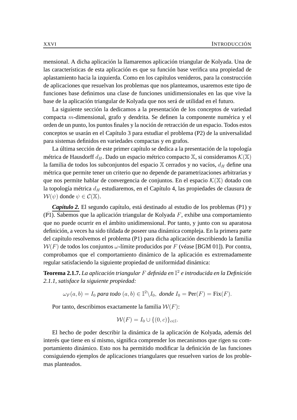mensional. A dicha aplicación la llamaremos aplicación triangular de Kolyada. Una de las características de esta aplicación es que su función base verifica una propiedad de aplastamiento hacia la izquierda. Como en los capítulos venideros, para la construcción de aplicaciones que resuelvan los problemas que nos planteamos, usaremos este tipo de funciones base definimos una clase de funciones unidimensionales en las que vive la base de la aplicación triangular de Kolyada que nos será de utilidad en el futuro.

La siguiente sección la dedicamos a la presentación de los conceptos de variedad compacta m-dimensional, grafo y dendrita. Se definen la componente numérica y el orden de un punto, los puntos finales y la noción de retracción de un espacio. Todos estos conceptos se usarán en el Capítulo 3 para estudiar el problema (P2) de la universalidad para sistemas definidos en variedades compactas y en grafos.

La última sección de este primer capítulo se dedica a la presentación de la topología métrica de Hausdorff  $d_H$ . Dado un espacio métrico compacto X, si consideramos  $\mathcal{K}(\mathbb{X})$ la familia de todos los subconjuntos del espacio  $X$  cerrados y no vacíos,  $d_H$  define una métrica que permite tener un criterio que no depende de parametrizaciones arbitrarias y que nos permite hablar de convergencia de conjuntos. En el espacio  $\mathcal{K}(\mathbb{X})$  dotado con la topología métrica  $d_H$  estudiaremos, en el Capítulo 4, las propiedades de clausura de  $W(\psi)$  donde  $\psi \in \mathcal{C}(\mathbb{X})$ .

*Capítulo 2.* El segundo capítulo, está destinado al estudio de los problemas (P1) y  $(\overline{P1})$ . Sabemos que la aplicación triangular de Kolyada F, exhibe una comportamiento que no puede ocurrir en el ámbito unidimensional. Por tanto, y junto con su aparatosa definición, a veces ha sido tildada de poseer una dinámica compleja. En la primera parte del capítulo resolvemos el problema (P1) para dicha aplicación describiendo la familia  $W(F)$  de todos los conjuntos  $\omega$ -límite producidos por F (véase [BGM 01]). Por contra, comprobamos que el comportamiento dinámico de la aplicación es extremadamente regular satisfaciendo la siguiente propiedad de uniformidad dinámica:

**Teorema 2.1.7.** *La aplicación triangular* F *definida en* I 2 *e introducida en la Definición 2.1.1, satisface la siguiente propiedad:*

 $\omega_F(a, b) = I_0$  para todo  $(a, b) \in \mathbb{I}^2 \backslash I_0$ , donde  $I_0 = \text{Per}(F) = \text{Fix}(F)$ .

Por tanto, describimos exactamente la familia  $W(F)$ :

$$
\mathcal{W}(F) = I_0 \cup \{(0, c)\}_{c \in \mathbb{I}}.
$$

El hecho de poder describir la dinámica de la aplicación de Kolyada, además del interés que tiene en sí mismo, significa comprender los mecanismos que rigen su comportamiento dinámico. Esto nos ha permitido modificar la definición de las funciones consiguiendo ejemplos de aplicaciones triangulares que resuelven varios de los problemas planteados.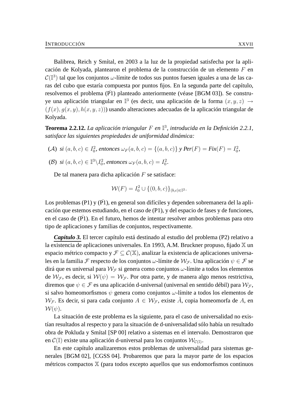Balibrea, Reich y Smítal, en 2003 a la luz de la propiedad satisfecha por la aplicación de Kolyada, plantearon el problema de la construcción de un elemento F en  $\mathcal{C}(\mathbb{I}^3)$  tal que los conjuntos  $\omega$ -límite de todos sus puntos fuesen iguales a una de las caras del cubo que estaría compuesta por puntos fijos. En la segunda parte del capítulo, resolvemos el problema  $(\overline{P1})$  planteado anteriormente (véase [BGM 03]). Se construye una aplicación triangular en  $\mathbb{I}^3$  (es decir, una aplicación de la forma  $(x, y, z) \rightarrow$  $(f(x), g(x, y), h(x, y, z))$  usando alteraciones adecuadas de la aplicación triangular de Kolyada.

**Teorema 2.2.12.** *La aplicación triangular* F *en* I 3 *, introducida en la Definición 2.2.1, satisface las siguientes propiedades de uniformidad dinámica:*

(A)  $si(a, b, c) \in I_0^2$ , entonces  $\omega_F(a, b, c) = \{(a, b, c)\}\ y \ Per(F) = Fix(F) = I_0^2$ , (B)  $si(a, b, c) \in \mathbb{I}^3 \backslash I_0^2$ , entonces  $\omega_F(a, b, c) = I_0^2$ .

De tal manera para dicha aplicación  $F$  se satisface:

$$
\mathcal{W}(F) = I_0^2 \cup \{(0, b, c)\}_{(b, c) \in \mathbb{I}^2}.
$$

Los problemas (P1) y (P1), en general son difíciles y dependen sobremanera del la aplicación que estemos estudiando, en el caso de (P1), y del espacio de fases y de funciones, en el caso de  $(P1)$ . En el futuro, hemos de intentar resolver ambos problemas para otro tipo de aplicaciones y familias de conjuntos, respectivamente.

*Capítulo 3.* El tercer capítulo está destinado al estudio del problema (P2) relativo a la existencia de aplicaciones universales. En 1993, A.M. Bruckner propuso, fijado  $X$  un espacio métrico compacto y  $\mathcal{F} \subseteq \mathcal{C}(\mathbb{X})$ , analizar la existencia de aplicaciones universales en la familia F respecto de los conjuntos  $\omega$ -límite de  $\mathcal{W}_{\mathcal{F}}$ . Una aplicación  $\psi \in \mathcal{F}$  se dirá que es universal para  $W_F$  si genera como conjuntos  $\omega$ -límite a todos los elementos de  $W_{\mathcal{F}}$ , es decir, si  $W(\psi) = W_{\mathcal{F}}$ . Por otra parte, y de manera algo menos restrictiva, diremos que  $\psi \in \mathcal{F}$  es una aplicación d-universal (universal en sentido débil) para  $\mathcal{W}_{\mathcal{F}}$ , si salvo homeomorfismos  $\psi$  genera como conjuntos  $\omega$ -límite a todos los elementos de  $W_{\mathcal{F}}$ . Es decir, si para cada conjunto  $A \in W_{\mathcal{F}}$ , existe  $\hat{A}$ , copia homeomorfa de A, en  $\mathcal{W}(\psi)$ .

La situación de este problema es la siguiente, para el caso de universalidad no existían resultados al respecto y para la situación de d-universalidad sólo había un resultado obra de Pokluda y Smítal [SP 00] relativo a sistemas en el intervalo. Demostraron que en  $\mathcal{C}(\mathbb{I})$  existe una aplicación d-universal para los conjuntos  $\mathcal{W}_{\mathcal{C}(\mathbb{I})}.$ 

En este capítulo analizaremos estos problemas de universalidad para sistemas generales [BGM 02], [CGSS 04]. Probaremos que para la mayor parte de los espacios métricos compactos X (para todos excepto aquellos que sus endomorfismos continuos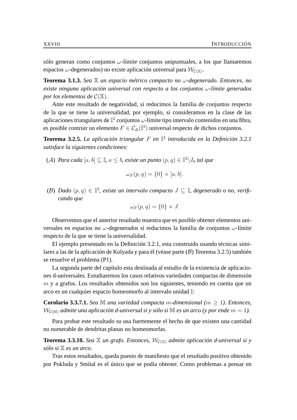sólo generan como conjuntos  $\omega$ -límite conjuntos unipuntuales, a los que llamaremos espacios  $\omega$ -degenerados) no existe aplicación universal para  $\mathcal{W}_{\mathcal{C}(\mathbb{X})}.$ 

**Teorema 3.1.3.** *Sea* X *un espacio métrico compacto no* ω*-degenerado. Entonces, no existe ninguna aplicación universal con respecto a los conjuntos* ω*-límite generados por los elementos de*  $C(\mathbb{X})$ *.* 

Ante este resultado de negatividad, si reducimos la familia de conjuntos respecto de la que se tiene la universalidad, por ejemplo, si consideramos en la clase de las aplicaciones triangulares de  $\mathbb{I}^2$  conjuntos  $\omega$ -límite tipo intervalo contenidos en una fibra, es posible contruir un elemento  $F \in C_{\Delta}(\mathbb{I}^2)$  universal respecto de dichos conjuntos.

**Teorema 3.2.5.** *La aplicación triangular* F *en* I 2 *introducida en la Definición 3.2.1 satisface la siguientes condiciones:*

(A) Para cada  $[a, b] \subseteq \mathbb{I}$ ,  $a \leq b$ , existe un punto  $(p, q) \in \mathbb{I}^2 \backslash I_0$  tal que

$$
\omega_F(p,q) = \{0\} \times [a,b].
$$

(B) Dado  $(p, q) \in \mathbb{I}^2$ , existe un intervalo compacto  $J \subseteq \mathbb{I}$ , degenerado o no, verifi*cando que*

$$
\omega_F(p,q) = \{0\} \times J.
$$

Observemos que el anterior resultado muestra que es posible obtener elementos universales en espacios no  $\omega$ -degenerados si reducimos la familia de conjuntos  $\omega$ -límite respecto de la que se tiene la universalidad.

El ejemplo presentado en la Definición 3.2.1, esta construido usando técnicas similares a las de la aplicación de Kolyada y para él (véase parte (B) Teorema 3.2.5) también se resuelve el problema (P1).

La segunda parte del capítulo esta destinada al estudio de la existencia de aplicaciones d-universales. Estudiaremos los casos relativos variedades compactas de dimensión  $m$  y a grafos. Los resultados obtenidos son los siguientes, teniendo en cuenta que un arco es un cualquier espacio homeomorfo al intervalo unidad I:

**Corolario 3.3.7.1.** *Sea* M *una variedad compacta m-dimensional* ( $m > 1$ ). *Entonces,*  $W_{\mathcal{C}(\mathbb{M})}$  *admite una aplicación d-universal si y sólo si* M *es un arco (y por ende*  $m = 1$ ).

Para probar este resultado su usa fuertemente el hecho de que existen una cantidad no numerable de dendritas planas no homeomorfas.

**Teorema 3.3.10.** *Sea*  $\mathbb{X}$  *un grafo. Entonces,*  $\mathcal{W}_{\mathcal{C}(\mathbb{X})}$  *admite aplicación d-universal si y sólo si* X *es un arco.*

Tras estos resultados, queda puesto de manifiesto que el resultado positivo obtenido por Pokluda y Smítal es el único que se podía obtener. Como problemas a pensar en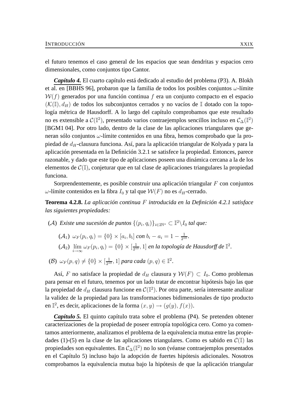el futuro tenemos el caso general de los espacios que sean dendritas y espacios cero dimensionales, como conjuntos tipo Cantor.

*Capítulo 4.* El cuarto capítulo está dedicado al estudio del problema (P3). A. Blokh et al. en [BBHS 96], probaron que la familia de todos los posibles conjuntos  $\omega$ -límite  $W(f)$  generados por una función continua f era un conjunto compacto en el espacio  $(K(\mathbb{I}), d_H)$  de todos los subconjuntos cerrados y no vacíos de  $\mathbb{I}$  dotado con la topología métrica de Hausdorff. A lo largo del capítulo comprobamos que este resultado no es extensible a  $\mathcal{C}(\mathbb{I}^2)$ , presentado varios contraejemplos sencillos incluso en  $\mathcal{C}_{\Delta}(\mathbb{I}^2)$ [BGM1 04]. Por otro lado, dentro de la clase de las aplicaciones triangulares que generan sólo conjuntos ω-límite contenidos en una fibra, hemos comprobado que la propiedad de  $d_H$ -clausura funciona. Así, para la aplicación triangular de Kolyada y para la aplicación presentada en la Definición 3.2.1 se satisfece la propiedad. Entonces, parece razonable, y dado que este tipo de aplicaciones poseen una dinámica cercana a la de los elementos de  $\mathcal{C}(\mathbb{I})$ , conjeturar que en tal clase de aplicaciones triangulares la propiedad funciona.

Sorprendentemente, es posible construir una aplicación triangular F con conjuntos ω-límite contenidos en la fibra  $I_0$  y tal que  $W(F)$  no es  $d_H$ -cerrado.

**Teorema 4.2.8.** *La aplicación continua* F *introducida en la Definición 4.2.1 satisface las siguientes propiedades:*

(A) *Existe una sucesión de puntos*  $\{(p_i, q_i)\}_{i \in 2\mathbb{N}^*} \subset \mathbb{I}^2 \backslash I_0$  tal que:

 $(\mathcal{A}_1) \ \omega_F(p_i,q_i) = \{0\} \times [a_i,b_i] \ con \ b_i - a_i = 1 - \frac{1}{2^1}$  $\frac{1}{2^{10}}.$  $(\mathcal{A}_2)$   $\lim_{i\to\infty}\omega_F(p_i,q_i)=\{0\}\times[\frac{1}{2^1}]$  $\frac{1}{2^{10}}, 1]$  en la topología de Hausdorff de  $\mathbb{I}^2$ .

(B)  $\omega_F(p,q) \neq \{0\} \times [\frac{1}{2^1}]$  $\frac{1}{2^{10}}, 1]$  *para cada*  $(p, q) \in \mathbb{I}^2$ .

Así, F no satisface la propiedad de  $d_H$  clausura y  $W(F) \subset I_0$ . Como problemas para pensar en el futuro, tenemos por un lado tratar de encontrar hipótesis bajo las que la propiedad de  $d_H$  clausura funcione en  $\mathcal{C}(\mathbb{I}^2).$  Por otra parte, sería interesante analizar la validez de la propiedad para las transformaciones bidimensionales de tipo producto en  $\mathbb{I}^2$ , es decir, aplicaciones de la forma  $(x, y) \rightarrow (g(y), f(x))$ .

*Capítulo 5.* El quinto capítulo trata sobre el problema (P4). Se pretenden obtener caracterizaciones de la propiedad de poseer entropía topológica cero. Como ya comentamos anteriormente, analizamos el problema de la equivalencia mutua entre las propiedades (1)-(5) en la clase de las aplicaciones triangulares. Como es sabido en  $\mathcal{C}(\mathbb{I})$  las propiedades son equivalentes. En  $\mathcal{C}_{\Delta}(\mathbb{I}^2)$  no lo son (véanse contraejemplos presentados en el Capítulo 5) incluso bajo la adopción de fuertes hipótesis adicionales. Nosotros comprobamos la equivalencia mutua bajo la hipótesis de que la aplicación triangular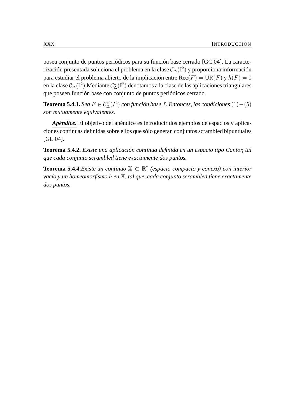posea conjunto de puntos periódicos para su función base cerrado [GC 04]. La caracterización presentada soluciona el problema en la clase  $\mathcal{C}_{\Delta}(\mathbb{I}^2)$  y proporciona información para estudiar el problema abierto de la implicación entre  $\text{Rec}(F) = \text{UR}(F)$  y  $h(F) = 0$ en la clase  $\mathcal{C}_\Delta(\mathbb{I}^2)$ .Mediante  $\mathcal{C}_\Delta^*(\mathbb{I}^2)$  denotamos a la clase de las aplicaciones triangulares que poseen función base con conjunto de puntos periódicos cerrado.

**Teorema 5.4.1.** *Sea*  $F ∈ C^*_{\Delta}(I^2)$  *con función base f. Entonces, las condiciones*  $(1) - (5)$ *son mutuamente equivalentes.*

*Apéndice.* El objetivo del apéndice es introducir dos ejemplos de espacios y aplicaciones continuas definidas sobre ellos que sólo generan conjuntos scrambled bipuntuales [GL 04].

**Teorema 5.4.2.** *Existe una aplicación continua definida en un espacio tipo Cantor, tal que cada conjunto scrambled tiene exactamente dos puntos.*

**Teorema 5.4.4.***Existe un continuo* X ⊂ R 2 *(espacio compacto y conexo) con interior vacío y un homeomorfismo* h *en* X*, tal que, cada conjunto scrambled tiene exactamente dos puntos.*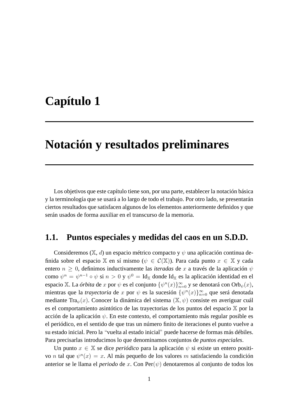# **Capítulo 1**

## **Notación y resultados preliminares**

Los objetivos que este capítulo tiene son, por una parte, establecer la notación básica y la terminología que se usará a lo largo de todo el trabajo. Por otro lado, se presentarán ciertos resultados que satisfacen algunos de los elementos anteriormente definidos y que serán usados de forma auxiliar en el transcurso de la memoria.

#### **1.1. Puntos especiales y medidas del caos en un S.D.D.**

Consideremos ( $\mathbb{X}$ , d) un espacio métrico compacto y  $\psi$  una aplicación continua definida sobre el espacio X en sí mismo ( $\psi \in C(\mathbb{X})$ ). Para cada punto  $x \in \mathbb{X}$  y cada entero  $n \geq 0$ , definimos inductivamente las *iteradas* de x a través de la aplicación  $\psi$ como  $\psi^n = \psi^{n-1} \circ \psi$  si  $n > 0$  y  $\psi^0 = \text{Id}_{\mathbb{X}}$  donde Id $_{\mathbb{X}}$  es la aplicación identidad en el espacio X. La *órbita* de  $x$  por  $\psi$  es el conjunto  $\{\psi^n(x)\}_{n=0}^{\infty}$  y se denotará con  $\mathrm{Orb}_\psi(x),$ mientras que la *trayectoria* de x por  $\psi$  es la sucesión  $\{\psi^n(x)\}_{n=0}^{\infty}$  que será denotada mediante Tra $_{\psi}(x)$ . Conocer la dinámica del sistema  $(\mathbb{X}, \psi)$  consiste en averiguar cuál es el comportamiento asintótico de las trayectorias de los puntos del espacio X por la acción de la aplicación  $\psi$ . En este contexto, el comportamiento más regular posible es el periódico, en el sentido de que tras un número finito de iteraciones el punto vuelve a su estado inicial. Pero la "vuelta al estado inicial" puede hacerse de formas más débiles. Para precisarlas introducimos lo que denominamos conjuntos de *puntos especiales*.

Un punto  $x \in \mathbb{X}$  se dice *periódico* para la aplicación  $\psi$  si existe un entero positivo *n* tal que  $\psi^{n}(x) = x$ . Al más pequeño de los valores *m* satisfaciendo la condición anterior se le llama el *periodo* de x. Con Per $(\psi)$  denotaremos al conjunto de todos los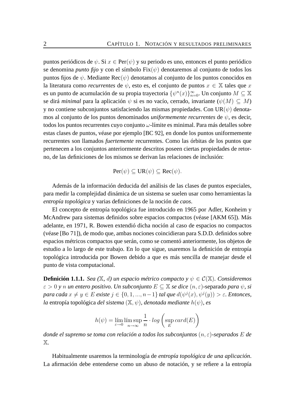puntos periódicos de  $\psi$ . Si  $x \in Per(\psi)$  y su periodo es uno, entonces el punto periódico se denomina *punto fijo* y con el símbolo  $Fix(\psi)$  denotaremos al conjunto de todos los puntos fijos de  $\psi$ . Mediante Rec $(\psi)$  denotamos al conjunto de los puntos conocidos en la literatura como *recurrentes* de  $\psi$ , esto es, el conjunto de puntos  $x \in \mathbb{X}$  tales que x es un punto de acumulación de su propia trayectoria  $\{\psi^n(x)\}_{n=0}^{\infty}$ . Un conjunto  $M\subseteq \mathbb{X}$ se dirá *minimal* para la aplicación  $\psi$  si es no vacío, cerrado, invariante ( $\psi(M) \subseteq M$ ) y no contiene subconjuntos satisfaciendo las mismas propiedades. Con UR $(\psi)$  denotamos al conjunto de los puntos denominados *uniformemente recurrentes* de ψ, es decir, todos los puntos recurrentes cuyo conjunto  $\omega$ -límite es minimal. Para más detalles sobre estas clases de puntos, véase por ejemplo [BC 92], en donde los puntos uniformemente recurrentes son llamados *fuertemente* recurrentes. Como las órbitas de los puntos que pertenecen a los conjuntos anteriormente descritos poseen ciertas propiedades de retorno, de las definiciones de los mismos se derivan las relaciones de inclusión:

$$
Per(\psi) \subseteq UR(\psi) \subseteq Rec(\psi).
$$

Además de la información deducida del análisis de las clases de puntos especiales, para medir la complejidad dinámica de un sistema se suelen usar como herramientas la *entropía topológica* y varias definiciones de la noción de *caos*.

El concepto de entropía topológica fue introducido en 1965 por Adler, Konheim y McAndrew para sistemas definidos sobre espacios compactos (véase [AKM 65]). Más adelante, en 1971, R. Bowen extendió dicha noción al caso de espacios no compactos (véase [Bo 71]), de modo que, ambas nociones coincidieran para S.D.D. definidos sobre espacios métricos compactos que serán, como se comentó anteriormente, los objetos de estudio a lo largo de este trabajo. En lo que sigue, usaremos la definición de entropía topológica introducida por Bowen debido a que es más sencilla de manejar desde el punto de vista computacional.

**Definición 1.1.1.** *Sea* ( $\mathbb{X}$ , *d*) *un espacio métrico compacto*  $\gamma \psi \in C(\mathbb{X})$ *. Consideremos*  $\varepsilon > 0$  *y n un entero positivo. Un subconjunto*  $E \subseteq \mathbb{X}$  *se dice*  $(n, \varepsilon)$ -separado *para*  $\psi$ , *si para cada*  $x \neq y \in E$  *existe*  $j \in \{0, 1, ..., n-1\}$  *tal que*  $d(\psi^j(x), \psi^j(y)) > \varepsilon$ *. Entonces, la* entropía topológica *del sistema* (X, ψ)*, denotada mediante* h(ψ)*, es*

$$
h(\psi) = \lim_{\varepsilon \to 0} \limsup_{n \to \infty} \frac{1}{n} \cdot \log \left( \sup_{E} \text{card}(E) \right)
$$

*donde el supremo se toma con relación a todos los subconjuntos* (n, ε)*-separados* E *de* X*.*

Habitualmente usaremos la terminología de *entropía topológica de una aplicación*. La afirmación debe entenderse como un abuso de notación, y se refiere a la entropía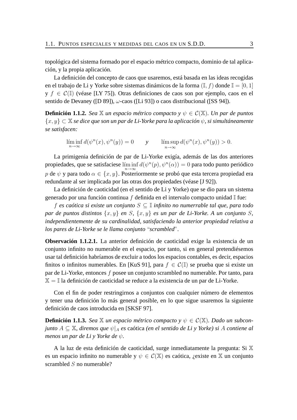topológica del sistema formado por el espacio métrico compacto, dominio de tal aplicación, y la propia aplicación.

La definición del concepto de caos que usaremos, está basada en las ideas recogidas en el trabajo de Li y Yorke sobre sistemas dinámicos de la forma  $(I, f)$  donde  $I = [0, 1]$  $y f \in C(\mathbb{I})$  (véase [LY 75]). Otras definiciones de caos son por ejemplo, caos en el sentido de Devaney ([D 89]),  $\omega$ -caos ([Li 93]) o caos distribucional ([SS 94]).

**Definición 1.1.2.** *Sea*  $\mathbb{X}$  *un espacio métrico compacto*  $y \psi \in C(\mathbb{X})$ *. Un par de puntos* {x, y} ⊂ X *se dice que son un par de Li-Yorke para la aplicación* ψ*, si simultáneamente se satisfacen:*

$$
\liminf_{n \to \infty} d(\psi^n(x), \psi^n(y)) = 0 \qquad y \qquad \limsup_{n \to \infty} d(\psi^n(x), \psi^n(y)) > 0.
$$

La primigenia definición de par de Li-Yorke exigía, además de las dos anteriores propiedades, que se satisfaciese lím $\inf d(\psi^n(p), \psi^n(\alpha)) = 0$  para todo punto periódico p de  $\psi$  y para todo  $\alpha \in \{x, y\}$ . Posteriormente se probó que esta tercera propiedad era redundante al ser implicada por las otras dos propiedades (véase [J 92]).

La definición de caoticidad (en el sentido de Li y Yorke) que se dio para un sistema generado por una función continua f definida en el intervalo compacto unidad  $\mathbb{I}$  fue:

f *es caótica si existe un conjunto* S ⊆ I *infinito no numerrable tal que, para todo par de puntos distintos*  $\{x, y\}$  *en* S,  $\{x, y\}$  *es un par de Li-Yorke. A un conjunto* S, *independientemente de su cardinalidad, satisfaciendo la anterior propiedad relativa a los pares de Li-Yorke se le llama conjunto* "*scrambled*"*.*

**Observación 1.1.2.1.** La anterior definición de caoticidad exige la existencia de un conjunto infinito no numerable en el espacio, por tanto, si en general pretendiésemos usar tal definición habríamos de excluir a todos los espacios contables, es decir, espacios finitos o infinitos numerables. En [KuS 91], para  $f \in \mathcal{C}(\mathbb{I})$  se prueba que si existe un par de Li-Yorke, entonces f posee un conjunto scrambled no numerable. Por tanto, para  $X = I$  la definición de caoticidad se reduce a la existencia de un par de Li-Yorke.

Con el fin de poder restringirnos a conjuntos con cualquier número de elementos y tener una definición lo más general posible, en lo que sigue usaremos la siguiente definición de caos introducida en [SKSF 97].

**Definición 1.1.3.** *Sea*  $\mathbb X$  *un espacio métrico compacto*  $y \psi \in C(\mathbb X)$ *. Dado un subconjunto* A ⊆ X*, diremos que* ψ|<sup>A</sup> *es* caótica *(en el sentido de Li y Yorke) si* A *contiene al menos un par de Li y Yorke de* ψ*.*

A la luz de esta definición de caoticidad, surge inmediatamente la pregunta: Si X es un espacio infinito no numerable y  $\psi \in C(\mathbb{X})$  es caótica, ¿existe en X un conjunto scrambled S no numerable?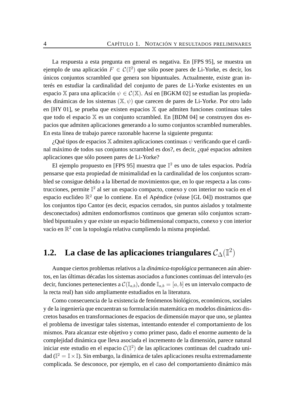La respuesta a esta pregunta en general es negativa. En [FPS 95], se muestra un ejemplo de una aplicación  $F \in \mathcal{C}(\mathbb{I}^2)$  que sólo posee pares de Li-Yorke, es decir, los únicos conjuntos scrambled que genera son bipuntuales. Actualmente, existe gran interés en estudiar la cardinalidad del conjunto de pares de Li-Yorke existentes en un espacio X para una aplicación  $\psi \in \mathcal{C}(\mathbb{X})$ . Así en [BGKM 02] se estudian las propiedades dinámicas de los sistemas  $(\mathbb{X}, \psi)$  que carecen de pares de Li-Yorke. Por otro lado en  $[HY 01]$ , se prueba que existen espacios  $X$  que admiten funciones continuas tales que todo el espacio  $X$  es un conjunto scrambled. En [BDM 04] se construyen dos espacios que admiten aplicaciones generando a lo sumo conjuntos scrambled numerables. En esta línea de trabajo parece razonable hacerse la siguiente pregunta:

 $i$ . Qué tipos de espacios  $X$  admiten aplicaciones continuas  $\psi$  verificando que el cardinal máximo de todos sus conjuntos scrambled es dos?, es decir, ¿qué espacios admiten aplicaciones que sólo poseen pares de Li-Yorke?

El ejemplo propuesto en [FPS 95] muestra que  $\mathbb{I}^2$  es uno de tales espacios. Podría pensarse que esta propiedad de minimalidad en la cardinalidad de los conjuntos scrambled se consigue debido a la libertad de movimientos que, en lo que respecta a las construcciones, permite  $\mathbb{I}^2$  al ser un espacio compacto, conexo y con interior no vacío en el espacio euclideo  $\mathbb{R}^2$  que lo contiene. En el Apéndice (véase [GL 04]) mostramos que los conjuntos tipo Cantor (es decir, espacios cerrados, sin puntos aislados y totalmente desconectados) admiten endomorfismos continuos que generan sólo conjuntos scrambled bipuntuales y que existe un espacio bidimensional compacto, conexo y con interior vacío en  $\mathbb{R}^2$  con la topología relativa cumpliendo la misma propiedad.

## **1.2. La clase de las aplicaciones triangulares** C∆(I 2 )

Aunque ciertos problemas relativos a la *dinámica-topológica* permanecen aún abiertos, en las últimas décadas los sistemas asociados a funciones continuas del intervalo (es decir, funciones pertenecientes a  $\mathcal{C}(\mathbb{I}_{a,b})$ , donde  $\mathbb{I}_{a,b} = [a, b]$  es un intervalo compacto de la recta real) han sido ampliamente estudiados en la literatura.

Como consecuencia de la existencia de fenómenos biológicos, económicos, sociales y de la ingeniería que encuentran su formulación matemática en modelos dinámicos discretos basados en transformaciones de espacios de dimensión mayor que uno, se plantea el problema de investigar tales sistemas, intentando entender el comportamiento de los mismos. Para alcanzar este objetivo y como primer paso, dado el enorme aumento de la complejidad dinámica que lleva asociada el incremento de la dimensión, parece natural iniciar este estudio en el espacio  $\mathcal{C}(\mathbb{I}^2)$  de las aplicaciones continuas del cuadrado unidad ( $\mathbb{I}^2=\mathbb{I}\times\mathbb{I}$ ). Sin embargo, la dinámica de tales aplicaciones resulta extremadamente complicada. Se desconoce, por ejemplo, en el caso del comportamiento dinámico más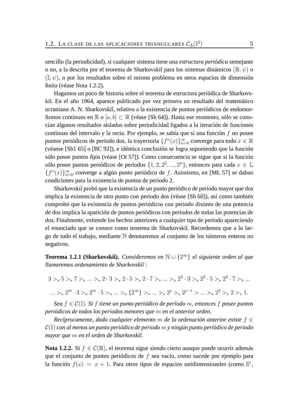sencillo (la periodicidad), si cualquier sistema tiene una *estructura periódica* semejante o no, a la descrita por el teorema de Sharkovskiĭ para los sistemas dinámicos ( $\mathbb{R}, \psi$ ) o  $(I, \psi)$ , o por los resultados sobre el mismo problema en otros espacios de dimensión finita (véase Nota 1.2.2).

Hagamos un poco de historia sobre el teorema de estructura periódica de Sharkovskiĭ. En el año 1964, aparece publicado por vez primera un resultado del matemático ucraniano A. N. Sharkovskiĭ, relativo a la existencia de puntos periódicos de endomorfismos continuos en  $\mathbb{R}$  o  $[a, b] \subset \mathbb{R}$  (véase [Sh 64]). Hasta ese momento, sólo se conocían algunos resultados aislados sobre periodicidad ligados a la iteración de funciones continuas del intervalo y la recta. Por ejemplo, se sabía que si una función  $f$  no posee puntos periódicos de periodo dos, la trayectoria  $\{f^n(x)\}_{n=0}^\infty$  converge para todo  $x\in\mathbb{R}$ (véanse [Sh1 65] o [BC 92]), e idéntica conclusión se logra suponiendo que la función sólo posee puntos fijos (véase [Ot 57]). Como consecuencia se sigue que si la función sólo posee puntos periódicos de periodos  $\{1, 2, 2^2, ..., 2^n\}$ , entonces para cada  $x \in \mathbb{I}$ ,  ${f^n(x)}_{n=0}^\infty$  converge a algún punto periódico de f. Asimismo, en [ML 57] se daban condiciones para la existencia de puntos de periodo 2.

Sharkovskiĭ probó que la existencia de un punto periódico de periodo mayor que dos implica la existencia de otro punto con periodo dos (véase [Sh 60]), así como también comprobó que la existencia de puntos periódicos con periodo distinto de una potencia de dos implica la aparición de puntos periódicos con periodos de todas las potencias de dos. Finalmente, extiende los hechos anteriores a cualquier tipo de periodo apareciendo el enunciado que se conoce como teorema de Sharkovskiĭ. Recordemos que a lo largo de todo el trabajo, mediante N denotaremos al conjunto de los números enteros no negativos.

**Teorema 1.2.1 (Sharkovski˘ı).** *Consideremos en* N ∪ {2 <sup>∞</sup>} *el siguiente orden al que llamaremos ordenamiento de Sharkovski˘ı :*

$$
3 >_{s} 5 >_{s} 7 >_{s} ... >_{s} 2 \cdot 3 >_{s} 2 \cdot 5 >_{s} 2 \cdot 7 >_{s} ... >_{s} 2^{2} \cdot 3 >_{s} 2^{2} \cdot 5 >_{s} 2^{2} \cdot 7 >_{s} ...
$$
  

$$
... >_{s} 2^{m} \cdot 3 >_{s} 2^{m} \cdot 5 >_{s} ... >_{s} \{2^{\infty}\} >_{s} ... >_{s} 2^{j} >_{s} 2^{j-1} > ... >_{s} 2^{2} >_{s} 2 >_{s} 1.
$$

*Sea* f ∈ C(I)*. Si* f *tiene un punto periódico de período* m*, entonces* f *posee puntos periódicos de todos los periodos menores que* m *en el anterior orden.*

*Recíprocamente, dado cualquier elemento* m *de la ordenación anterior existe* f ∈ C(I) *con al menos un punto periódico de periodo* m *y ningún punto periódico de periodo mayor que* m *en el orden de Sharkovski˘ı.*

**Nota 1.2.2.** Si  $f \text{ ∈ } C(\mathbb{R})$ , el teorema sigue siendo cierto aunque puede ocurrir además que el conjunto de puntos periódicos de f sea vacío, como sucede por ejemplo para la función  $f(x) = x + 1$ . Para otros tipos de espacios unidimensioanles (como  $\mathbb{S}^1$ ,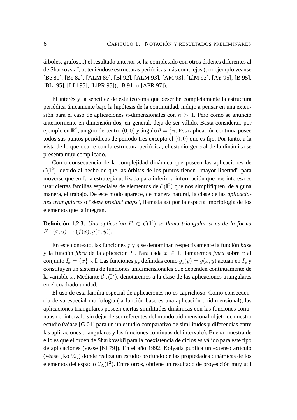árboles, grafos,...) el resultado anterior se ha completado con otros órdenes diferentes al de Sharkovski˘ı, obteniéndose estructuras periódicas más complejas (por ejemplo véanse [Be 81], [Be 82], [ALM 89], [Bl 92], [ALM 93], [AM 93], [LlM 93], [AY 95], [B 95], [BLl 95], [LLl 95], [LlPR 95]), [B 91] o [APR 97]).

El interés y la sencillez de este teorema que describe completamente la estructura periódica únicamente bajo la hipótesis de la continuidad, indujo a pensar en una extensión para el caso de aplicaciones *n*-dimensionales con  $n > 1$ . Pero como se anunció anteriormente en dimensión dos, en general, deja de ser válido. Basta considerar, por ejemplo en  $\mathbb{R}^2$ , un giro de centro  $(0,0)$  y ángulo  $\theta = \frac{2}{3}$  $\frac{2}{3}\pi$ . Esta aplicación continua posee todos sus puntos periódicos de periodo tres excepto el (0, 0) que es fijo. Por tanto, a la vista de lo que ocurre con la estructura periódica, el estudio general de la dinámica se presenta muy complicado.

Como consecuencia de la complejidad dinámica que poseen las aplicaciones de  $\mathcal{C}(\mathbb{I}^2)$ , debido al hecho de que las órbitas de los puntos tienen "mayor libertad" para moverse que en I, la estrategia utilizada para inferir la información que nos interesa es usar ciertas familias especiales de elementos de  $\mathcal{C}(\mathbb{I}^2)$  que nos simplifiquen, de alguna manera, el trabajo. De este modo aparece, de manera natural, la clase de las *aplicaciones triangulares* o "*skew product maps*", llamada así por la especial morfología de los elementos que la integran.

**Definición 1.2.3.** *Una aplicación* F ∈ C(I 2 ) *se llama triangular si es de la forma*  $F: (x, y) \to (f(x), q(x, y)).$ 

En este contexto, las funciones f y g se denominan respectivamente la función *base* y la función *fibra* de la aplicación F. Para cada  $x \in \mathbb{I}$ , llamaremos *fibra* sobre x al conjunto  $I_x = \{x\} \times \mathbb{I}$ . Las funciones  $g_x$  definidas como  $g_x(y) = g(x, y)$  actuan en  $I_x$  y constituyen un sistema de funciones unidimensionales que dependen continuamente de la variable x. Mediante  $\mathcal{C}_\Delta(\mathbb{I}^2)$ , denotaremos a la clase de las aplicaciones triangulares en el cuadrado unidad.

El uso de esta familia especial de aplicaciones no es caprichoso. Como consecuencia de su especial morfología (la función base es una aplicación unidimensional), las aplicaciones triangulares poseen ciertas similitudes dinámicas con las funciones continuas del intervalo sin dejar de ser referentes del mundo bidimensional objeto de nuestro estudio (véase [G 01] para un un estudio comparativo de similitudes y diferencias entre las aplicaciones triangulares y las funciones continuas del intervalo). Buena muestra de ello es que el orden de Sharkovski˘ı para la coexistencia de ciclos es válido para este tipo de aplicaciones (véase [Kl 79]). En el año 1992, Kolyada publica un extenso artículo (véase [Ko 92]) donde realiza un estudio profundo de las propiedades dinámicas de los elementos del espacio  $\mathcal{C}_{\Delta}(\mathbb{I}^2)$ . Entre otros, obtiene un resultado de proyección muy útil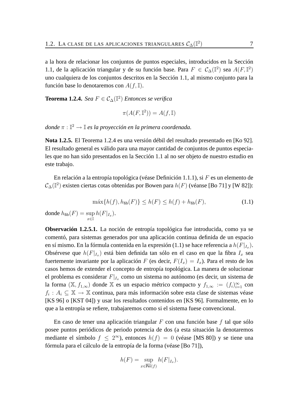a la hora de relacionar los conjuntos de puntos especiales, introducidos en la Sección 1.1, de la aplicación triangular y de su función base. Para  $F \in C_{\Delta}(\mathbb{I}^2)$  sea  $A(F, \mathbb{I}^2)$ uno cualquiera de los conjuntos descritos en la Sección 1.1, al mismo conjunto para la función base lo denotaremos con  $A(f, \mathbb{I})$ .

**Teorema 1.2.4.** *Sea*  $F \in C_{\Delta}(\mathbb{I}^2)$  *Entonces se verifica* 

$$
\pi(A(F, \mathbb{I}^2)) = A(f, \mathbb{I})
$$

*donde* π : I <sup>2</sup> → I *es la proyección en la primera coordenada.*

**Nota 1.2.5.** El Teorema 1.2.4 es una versión débil del resultado presentado en [Ko 92]. El resultado general es válido para una mayor cantidad de conjuntos de puntos especiales que no han sido presentados en la Sección 1.1 al no ser objeto de nuestro estudio en este trabajo.

En relación a la entropía topológica (véase Definición 1.1.1), si F es un elemento de  $\mathcal{C}_{\Delta}(\mathbb{I}^2)$  existen ciertas cotas obtenidas por Bowen para  $h(F)$  (véanse [Bo 71] y [W 82]):

$$
\max\{h(f), h_{\rm fib}(F)\} \le h(F) \le h(f) + h_{\rm fib}(F),\tag{1.1}
$$

donde  $h_{\text{fib}}(F) = \sup$  $\sup_{x\in\mathbb{I}} h(F|_{I_x}).$ 

**Observación 1.2.5.1.** La noción de entropía topológica fue introducida, como ya se comentó, para sistemas generados por una aplicación continua definida de un espacio en sí mismo. En la fórmula contenida en la expresión (1.1) se hace referencia a  $h(F\vert_{I_x}).$ Obsérvese que  $h(F|_{I_x})$  está bien definida tan sólo en el caso en que la fibra  $I_x$  sea fuertemente invariante por la aplicación F (es decir,  $F(I_x) = I_x$ ). Para el resto de los casos hemos de extender el concepto de entropía topológica. La manera de solucionar el problema es considerar  $F|_{I_x}$  como un sistema no autónomo (es decir, un sistema de la forma  $(\mathbb{X}, f_{1,\infty})$  donde  $\mathbb{X}$  es un espacio métrico compacto y  $f_{1,\infty} := (f_i)_{i=1}^{\infty}$  con  $f_i: A_i \subseteq \mathbb{X} \rightarrow \mathbb{X}$  continua, para más información sobre esta clase de sistemas véase [KS 96] o [KST 04]) y usar los resultados contenidos en [KS 96]. Formalmente, en lo que a la entropía se refiere, trabajaremos como si el sistema fuese convencional.

En caso de tener una aplicación triangular  $F$  con una función base  $f$  tal que sólo posee puntos periódicos de periodo potencia de dos (a esta situación la denotaremos mediante el símbolo  $f \leq 2^{\infty}$ ), entonces  $h(f) = 0$  (véase [MS 80]) y se tiene una fórmula para el cálculo de la entropía de la forma (véase [Bo 71]),

$$
h(F) = \sup_{x \in \overline{\text{Per}}(f)} h(F|_{I_x}).
$$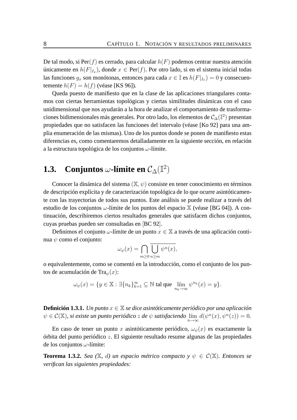De tal modo, si  $\text{Per}(f)$  es cerrado, para calcular  $h(F)$  podemos centrar nuestra atención únicamente en  $h(F|_{I_x})$ , donde  $x \in Per(f)$ . Por otro lado, si en el sistema inicial todas las funciones  $g_x$  son monótonas, entonces para cada  $x \in \mathbb{I}$  es  $h(F|_{I_x}) = 0$  y consecuentemente  $h(F) = h(f)$  (véase [KS 96]).

Queda puesto de manifiesto que en la clase de las aplicaciones triangulares contamos con ciertas herramientas topológicas y ciertas similitudes dinámicas con el caso unidimensional que nos ayudarán a la hora de analizar el comportamiento de trasformaciones bidimensionales más generales. Por otro lado, los elementos de  $\mathcal{C}_{\Delta}(\mathbb{I}^{2})$  presentan propiedades que no satisfacen las funciones del intervalo (véase [Ko 92] para una amplia enumeración de las mismas). Uno de los puntos donde se ponen de manifiesto estas diferencias es, como comentaremos detalladamente en la siguiente sección, en relación a la estructura topológica de los conjuntos  $\omega$ -límite.

## **1.3.** Conjuntos  $\omega$ -límite en  $\mathcal{C}_{\Delta}(\mathbb{I}^2)$

Conocer la dinámica del sistema  $(\mathbb{X}, \psi)$  consiste en tener conocimiento en términos de descripción explícita y de caracterización topológica de lo que ocurre asintóticamente con las trayectorias de todos sus puntos. Este análisis se puede realizar a través del estudio de los conjuntos  $\omega$ -límite de los puntos del espacio  $\mathbb X$  (véase [BG 04]). A continuación, describiremos ciertos resultados generales que satisfacen dichos conjuntos, cuyas pruebas pueden ser consultadas en [BC 92].

Definimos el conjunto  $\omega$ -límite de un punto  $x \in \mathbb{X}$  a través de una aplicación continua  $\psi$  como el conjunto:

$$
\omega_{\psi}(x) = \bigcap_{m \ge 0} \bigcup_{n \ge m} \psi^{n}(x),
$$

o equivalentemente, como se comentó en la introducción, como el conjunto de los puntos de acumulación de Tra $\psi(x)$ :

$$
\omega_\psi(x)=\{y\in \mathbb{X}:\exists \{n_k\}_{k=1}^\infty\subseteq \mathbb{N} \text{ tal que } \lim_{n_k\to\infty}\psi^{n_k}(x)=y\}.
$$

**Definición 1.3.1.** *Un punto* x ∈ X *se dice asintóticamente periódico por una aplicación*  $\psi \in \mathcal{C}(\mathbb{X})$ , *si existe un punto periódico*  $z$  *de*  $\psi$  *satisfaciendo*  $\lim_{n \to \infty} d(\psi^n(x), \psi^n(z)) = 0$ .

En caso de tener un punto x asintóticamente periódico,  $\omega_{\psi}(x)$  es exactamente la órbita del punto periódico z. El siguiente resultado resume algunas de las propiedades de los conjuntos  $\omega$ -límite:

**Teorema 1.3.2.** *Sea* ( $\mathbb{X}$ , d) un espacio métrico compacto  $y \psi \in C(\mathbb{X})$ . Entonces se *verifican las siguientes propiedades:*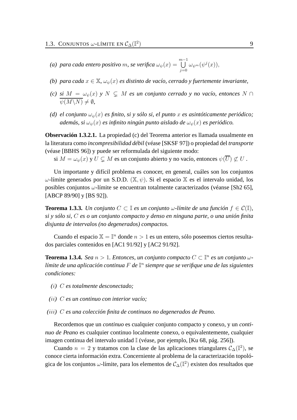- $(a)$  para cada entero positivo m, se verifica  $\omega_\psi(x) =$  $\bigcup^{m-1}$  $j=0$  $\omega_{\psi^m}(\psi^j(x)),$
- *(b)* para cada  $x \in \mathbb{X}$ ,  $\omega_v(x)$  *es distinto de vacío, cerrado y fuertemente invariante,*
- *(c)* si  $M = \omega_{\psi}(x)$   $\mathrm{y}$   $N \subseteq M$  es un conjunto cerrado  $\mathrm{y}$  no vacío, entonces  $N \cap$  $\psi(M\backslash N)\neq \emptyset$ ,
- (d) el conjunto  $\omega_v(x)$  es finito, si y sólo si, el punto x es asintóticamente periódico; *además, si*  $\omega_{\psi}(x)$  *es infinito ningún punto aislado de*  $\omega_{\psi}(x)$  *es periódico.*

**Observación 1.3.2.1.** La propiedad (c) del Teorema anterior es llamada usualmente en la literatura como *incompresibilidad débil* (véase [SKSF 97]) o propiedad del *transporte* (véase [BBHS 96]) y puede ser reformulada del siguiente modo:

si  $M = \omega_{\psi}(x)$  y  $U \subsetneq M$  es un conjunto abierto y no vacío, entonces  $\psi(\overline{U}) \not\subset U$ .

Un importante y difícil problema es conocer, en general, cuáles son los conjuntos  $ω$ -límite generados por un S.D.D. (X,  $ψ$ ). Si el espacio X es el intervalo unidad, los posibles conjuntos  $\omega$ -límite se encuentran totalmente caracterizados (véanse [Sh2 65], [ABCP 89/90] y [BS 92]).

**Teorema 1.3.3.** *Un conjunto*  $C \subset \mathbb{I}$  *es un conjunto*  $\omega$ -límite de una función  $f \in C(\mathbb{I})$ , *si y sólo si,* C *es o un conjunto compacto y denso en ninguna parte, o una unión finita disjunta de intervalos (no degenerados) compactos.*

Cuando el espacio  $\mathbb{X} = \mathbb{I}^n$  donde  $n > 1$  es un entero, sólo poseemos ciertos resultados parciales contenidos en [AC1 91/92] y [AC2 91/92].

**Teorema 1.3.4.** *Sea*  $n > 1$ *. Entonces, un conjunto compacto*  $C \subset \mathbb{I}^n$  *es un conjunto*  $\omega$ *límite de una aplicación continua* F *de* I n *siempre que se verifique una de las siguientes condiciones:*

- *(*i*)* C *es totalmente desconectado;*
- *(*ii*)* C *es un continuo con interior vacío;*
- *(*iii*)* C *es una colección finita de continuos no degenerados de Peano.*

Recordemos que un *continuo* es cualquier conjunto compacto y conexo, y un *continuo de Peano* es cualquier continuo localmente conexo, o equivalentemente, cualquier imagen continua del intervalo unidad I (véase, por ejemplo, [Ku 68, pág. 256]).

Cuando  $n = 2$  y tratamos con la clase de las aplicaciones triangulares  $C_{\Delta}(\mathbb{I}^2)$ , se conoce cierta información extra. Concerniente al problema de la caracterización topológica de los conjuntos  $\omega$ -límite, para los elementos de  $\mathcal{C}_{\Delta}(\mathbb{I}^2)$  existen dos resultados que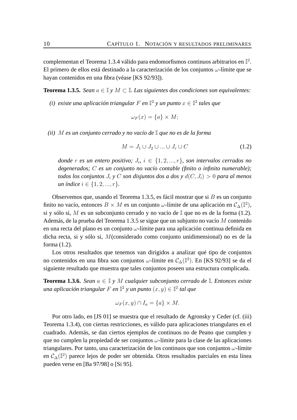complementan el Teorema 1.3.4 válido para endomorfismos continuos arbitrarios en  $\mathbb{I}^2$ . El primero de ellos está destinado a la caracterización de los conjuntos  $\omega$ -límite que se hayan contenidos en una fibra (véase [KS 92/93]).

**Teorema 1.3.5.** *Sean*  $a \in \mathbb{I}$  *y*  $M \subset \mathbb{I}$ *. Las siguientes dos condiciones son equivalentes:* 

(*i*) existe una aplicación triangular  $F$  en  $\mathbb{I}^2$  y un punto  $x \in \mathbb{I}^2$  tales que

$$
\omega_F(x) = \{a\} \times M;
$$

*(ii)* M *es un conjunto cerrado y no vacío de* I *que no es de la forma*

$$
M = J_1 \cup J_2 \cup \ldots \cup J_r \cup C \tag{1.2}
$$

 $\phi$ *donde*  $r$  *es un entero positivo;*  $J_i$ ,  $i \in \{1, 2, ..., r\}$ , son intervalos cerrados no *degenerados;* C *es un conjunto no vacío contable (finito o infinito numerable); todos los conjuntos*  $J_i$  *y* C *son disjuntos dos a dos y*  $d(C, J_i) > 0$  *para al menos un índice*  $i \in \{1, 2, ..., r\}$ .

Observemos que, usando el Teorema 1.3.5, es fácil mostrar que si  $B$  es un conjunto finito no vacío, entonces  $B \times M$  es un conjunto  $\omega$ -límite de una aplicación en  $\mathcal{C}_{\Delta}(\mathbb{I}^2)$ , si y sólo si, M es un subconjunto cerrado y no vacío de  $\mathbb{I}$  que no es de la forma (1.2). Además, de la prueba del Teorema 1.3.5 se sigue que un subjunto no vacío M contenido en una recta del plano es un conjunto  $\omega$ -límite para una aplicación continua definida en dicha recta, si y sólo si, M(considerado como conjunto unidimensional) no es de la forma (1.2).

Los otros resultados que tenemos van dirigidos a analizar qué tipo de conjuntos no contenidos en una fibra son conjuntos  $\omega$ -límite en  $\mathcal{C}_{\Delta}(\mathbb{I}^2)$ . En [KS 92/93] se da el siguiente resultado que muestra que tales conjuntos poseen una estructura complicada.

**Teorema 1.3.6.** *Sean* a ∈ I *y* M *cualquier subconjunto cerrado de* I*. Entonces existe* una aplicación triangular  $F$  en  $\mathbb{I}^2$  y un punto  $(x,y)\in\mathbb{I}^2$  tal que

$$
\omega_F(x, y) \cap I_a = \{a\} \times M.
$$

Por otro lado, en [JS 01] se muestra que el resultado de Agronsky y Ceder (cf. (iii) Teorema 1.3.4), con ciertas restricciones, es válido para aplicaciones triangulares en el cuadrado. Además, se dan ciertos ejemplos de continuos no de Peano que cumplen y que no cumplen la propiedad de ser conjuntos  $\omega$ -límite para la clase de las aplicaciones triangulares. Por tanto, una caracterización de los continuos que son conjuntos  $\omega$ -límite en  $\mathcal{C}_{\Delta}(\mathbb{I}^2)$  parece lejos de poder ser obtenida. Otros resultados parciales en esta línea pueden verse en [Ba 97/98] o [Si 95].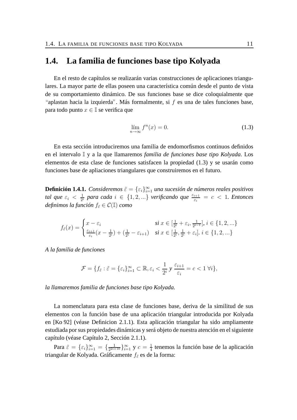#### **1.4. La familia de funciones base tipo Kolyada**

En el resto de capítulos se realizarán varias construcciones de aplicaciones triangulares. La mayor parte de ellas poseen una característica común desde el punto de vista de su comportamiento dinámico. De sus funciones base se dice coloquialmente que "aplastan hacia la izquierda". Más formalmente, si  $f$  es una de tales funciones base, para todo punto  $x \in \mathbb{I}$  se verifica que

$$
\lim_{n \to \infty} f^n(x) = 0. \tag{1.3}
$$

En esta sección introduciremos una familia de endomorfismos continuos definidos en el intervalo I y a la que llamaremos *familia de funciones base tipo Kolyada*. Los elementos de esta clase de funciones satisfacen la propiedad (1.3) y se usarán como funciones base de apliaciones triangulares que construiremos en el futuro.

**Definición 1.4.1.** *Consideremos*  $\tilde{\varepsilon} = \{\varepsilon_i\}_{i=1}^{\infty}$  *una sucesión de números reales positivos tal que*  $\varepsilon_i < \frac{1}{2^n}$  $\frac{1}{2^{i}}$  para cada  $i \in \{1, 2, ...\}$  verificando que  $\frac{\varepsilon_{i+1}}{\varepsilon_{i}} = c < 1$ . Entonces *definimos la función*  $f_{\tilde{\epsilon}} \in \mathcal{C}(\mathbb{I})$  *como* 

$$
f_{\tilde{\varepsilon}}(x) = \begin{cases} x - \varepsilon_i & \text{si } x \in [\frac{1}{2^i} + \varepsilon_i, \frac{1}{2^{i-1}}], \ i \in \{1, 2, \ldots\} \\ \frac{\varepsilon_{i+1}}{\varepsilon_i}(x - \frac{1}{2^i}) + (\frac{1}{2^i} - \varepsilon_{i+1}) & \text{si } x \in [\frac{1}{2^i}, \frac{1}{2^i} + \varepsilon_i], \ i \in \{1, 2, \ldots\} \end{cases}
$$

*A la familia de funciones*

$$
\mathcal{F} = \{ f_{\tilde{\varepsilon}} : \tilde{\varepsilon} = \{ \varepsilon_i \}_{i=1}^{\infty} \subset \mathbb{R}, \varepsilon_i < \frac{1}{2^i} \, y \, \frac{\varepsilon_{i+1}}{\varepsilon_i} = c < 1 \, \forall i \},
$$

*la llamaremos familia de funciones base tipo Kolyada.*

La nomenclatura para esta clase de funciones base, deriva de la similitud de sus elementos con la función base de una aplicación triangular introducida por Kolyada en [Ko 92] (véase Definicion 2.1.1). Esta aplicación triangular ha sido ampliamente estudiada por sus propiedades dinámicas y será objeto de nuestra atención en el siguiente capítulo (véase Capítulo 2, Sección 2.1.1).

Para  $\tilde{\varepsilon} = {\varepsilon_i}_{i=1}^{\infty} = {\frac{1}{2^{2i+1}}}$  $\frac{1}{2^{2i+10}}$ } $\sum_{i=1}^{\infty}$  y  $c = \frac{1}{4}$  $\frac{1}{4}$  tenemos la función base de la aplicación triangular de Kolyada. Gráficamente  $f_{\tilde{\varepsilon}}$  es de la forma: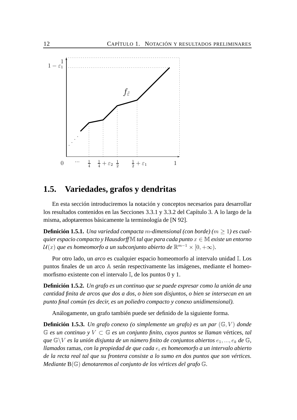

### **1.5. Variedades, grafos y dendritas**

En esta sección introduciremos la notación y conceptos necesarios para desarrollar los resultados contenidos en las Secciones 3.3.1 y 3.3.2 del Capítulo 3. A lo largo de la misma, adoptaremos básicamente la terminología de [N 92].

**Definición 1.5.1.** *Una variedad compacta m-dimensional (con borde)* ( $m \ge 1$ ) *es cualquier espacio compacto y Hausdorff* M *tal que para cada punto* x ∈ M *existe un entorno*  $\mathcal{U}(x)$  que es homeomorfo a un subconjunto abierto de  $\mathbb{R}^{m-1}\times [0,+\infty).$ 

Por otro lado, un *arco* es cualquier espacio homeomorfo al intervalo unidad I. Los puntos finales de un arco A serán respectivamente las imágenes, mediante el homeomorfismo existente con el intervalo I, de los puntos 0 y 1.

**Definición 1.5.2.** *Un grafo es un continuo que se puede expresar como la unión de una cantidad finita de arcos que dos a dos, o bien son disjuntos, o bien se intersecan en un punto final común (es decir, es un poliedro compacto y conexo unidimensional).*

Análogamente, un grafo también puede ser definido de la siguiente forma.

**Definición 1.5.3.** *Un grafo conexo (o simplemente un grafo) es un par*  $(\mathbb{G}, V)$  *donde* G *es un continuo y* V ⊂ G *es un conjunto finito, cuyos puntos se llaman* vértices*, tal que*  $\mathbb{G}\backslash V$  *es la unión disjunta de un número finito de conjuntos abiertos*  $e_1, ..., e_k$  *de*  $\mathbb{G}$ *, llamados* ramas*, con la propiedad de que cada* e<sup>i</sup> *es homeomorfo a un intervalo abierto de la recta real tal que su frontera consiste a lo sumo en dos puntos que son vértices. Mediante* B(G) *denotaremos al conjunto de los vértices del grafo* G*.*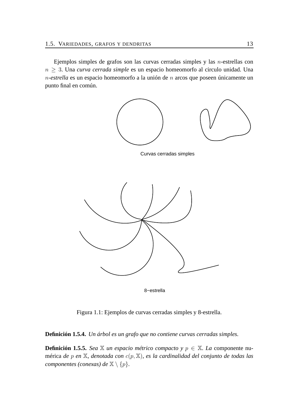Ejemplos simples de grafos son las curvas cerradas simples y las n-estrellas con n ≥ 3. Una *curva cerrada simple* es un espacio homeomorfo al circulo unidad. Una n*-estrella* es un espacio homeomorfo a la unión de n arcos que poseen únicamente un punto final en común.



8−estrella

Figura 1.1: Ejemplos de curvas cerradas simples y 8-estrella.

**Definición 1.5.4.** *Un árbol es un grafo que no contiene curvas cerradas simples.*

**Definición 1.5.5.** *Sea*  $\mathbb{X}$  *un espacio métrico compacto*  $y$   $p \in \mathbb{X}$ *. La* componente numérica *de* p *en* X*, denotada con* c(p, X)*, es la cardinalidad del conjunto de todas las componentes (conexas) de*  $\mathbb{X} \setminus \{p\}$ *.*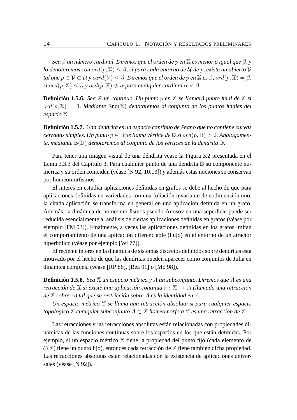*Sea* β *un número cardinal. Diremos que el orden de* p *en* X *es menor o igual que* β*, y lo denotaremos con* ord(p, X) ≤ β*, si para cada entorno de* U *de* p*, existe un abierto* V *tal que*  $p \in V \subset U$  *y*  $card(V) \leq \beta$ . Diremos que el orden de p en  $\mathbb{X}$  *es*  $\beta$ , ord $(p, \mathbb{X}) = \beta$ ,  $s$ *i ord* $(p,\mathbb{X})\leq\beta$  *y ord* $(p,\mathbb{X})\nleq\alpha$  *para cualquier cardinal*  $\alpha<\beta.$ 

**Definición 1.5.6.** *Sea* X *un continuo. Un punto* p *en* X *se llamará punto final de* X *si* ord(p, X) = 1*. Mediante* End(X) *denotaremos al conjunto de los puntos finales del espacio* X*.*

**Definición 1.5.7.** *Una dendrita es un espacio continuo de Peano que no contiene curvas*  $c$ erradas simples. Un punto  $p \in \mathbb{D}$  *se llama vértice de*  $\mathbb{D}$  *si* or  $d(p, \mathbb{D}) > 2$ . Análogamen*te, mediante* B(D) *denotaremos al conjunto de los vértices de la dendrita* D*.*

Para tener una imagen visual de una déndrita véase la Figura 3.2 presentada en el Lema 3.3.3 del Capítulo 3. Para cualquier punto de una dendrita  $D$  su componente numérica y su orden coinciden (véase [N 92, 10.13]) y además estas nociones se conservan por homeomorfismos.

El interés en estudiar aplicaciones definidas en grafos se debe al hecho de que para aplicaciones definidas en variedades con una foliación invariante de codimensión uno, la citada aplicación se transforma en general en una aplicación definida en un grafo. Además, la dinámica de homeomorfismos pseudo-Anosov en una superficie puede ser reducida esencialmente al análisis de ciertas aplicaciones definidas en grafos (véase por ejemplo [FM 93]). Finalmente, a veces las aplicaciones definidas en los grafos imitan el comportamiento de una aplicación diferenciable (flujo) en el entorno de un atractor hiperbólico (véase por ejemplo [Wi 77]).

El reciente interés en la dinámica de sistemas discretos definidos sobre dendritas está motivado por el hecho de que las dendritas pueden aparecer como conjuntos de Julia en dinámica compleja (véase [RP 86], [Bea 91] o [Mo 98]).

**Definición 1.5.8.** *Sea* X *un espacio métrico y* A *un subconjunto. Diremos que* A *es una retracción de* X *si existe una aplicación continua* r : X → A *(llamada una retracción de* X *sobre* A*) tal que su restricción sobre* A *es la identidad en* A*.*

*Un espacio métrico* Y *se llama una retracción absoluta si para cualquier espacio topológico*  $X$  *cualquier subconjunto*  $A \subset X$  *homeomorfo* a  $Y$  *es una retracción de*  $X$ *.* 

Las retracciones y las retracciones absolutas están relacionadas con propiedades dinámicas de las funciones continuas sobre los espacios en los que están definidas. Por ejemplo, si un espacio métrico X tiene la propiedad del punto fijo (cada elemento de  $\mathcal{C}(\mathbb{X})$  tiene un punto fijo), entonces cada retracción de  $\mathbb X$  tiene también dicha propiedad. Las retracciones absolutas están relacionadas con la existencia de aplicaciones universales (véase [N 92]).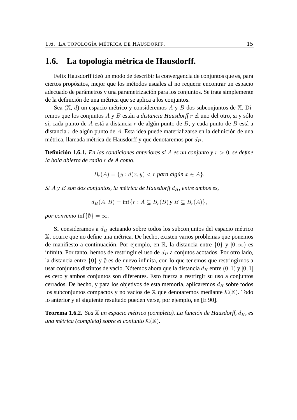### **1.6. La topología métrica de Hausdorff.**

Felix Hausdorff ideó un modo de describir la convergencia de conjuntos que es, para ciertos propósitos, mejor que los métodos usuales al no requerir encontrar un espacio adecuado de parámetros y una parametrización para los conjuntos. Se trata simplemente de la definición de una métrica que se aplica a los conjuntos.

Sea  $(\mathbb{X}, d)$  un espacio métrico y consideremos A y B dos subconjuntos de  $\mathbb{X}$ . Diremos que los conjuntos A y B están a *distancia Hausdorff* r el uno del otro, si y sólo si, cada punto de A está a distancia r de algún punto de B, y cada punto de B está a distancia r de algún punto de A. Esta idea puede materializarse en la definición de una métrica, llamada métrica de Hausdorff y que denotaremos por  $d_H$ .

**Definición 1.6.1.** *En las condiciones anteriores si* A *es un conjunto y* r > 0*, se define la bola abierta de radio* r *de A como,*

$$
B_r(A) = \{ y : d(x, y) < r \text{ para } \text{alg} \text{un } x \in A \}.
$$

 $Si A y B$  *son dos conjuntos, la métrica de Hausdorff*  $d_H$ *, entre ambos es,* 

$$
d_H(A, B) = \inf\{r : A \subseteq B_r(B)y \mid B \subseteq B_r(A)\},\
$$

*por convenio*  $\inf\{\emptyset\} = \infty$ *.* 

Si consideramos a  $d_H$  actuando sobre todos los subconjuntos del espacio métrico X, ocurre que no define una métrica. De hecho, existen varios problemas que ponemos de manifiesto a continuación. Por ejemplo, en R, la distancia entre  $\{0\}$  y  $[0,\infty)$  es infinita. Por tanto, hemos de restringir el uso de  $d_H$  a conjutos acotados. Por otro lado, la distancia entre {0} y ∅ es de nuevo infinita, con lo que tenemos que restringirnos a usar conjuntos distintos de vacío. Nótemos ahora que la distancia  $d_H$  entre  $(0, 1)$  y  $[0, 1]$ es cero y ambos conjuntos son diferentes. Esto fuerza a restrirgir su uso a conjuntos cerrados. De hecho, y para los objetivos de esta memoria, aplicaremos  $d_H$  sobre todos los subconjuntos compactos y no vacíos de  $X$  que denotaremos mediante  $\mathcal{K}(\mathbb{X})$ . Todo lo anterior y el siguiente resultado pueden verse, por ejemplo, en [E 90].

**Teorema 1.6.2.** *Sea* X *un espacio métrico (completo). La función de Hausdorff,*  $d_H$ *, es una métrica (completa) sobre el conjunto* K(X)*.*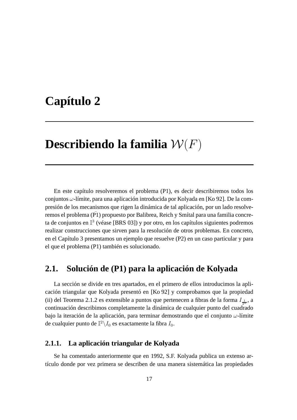# **Capítulo 2**

# **Describiendo la familia** W(F)

En este capítulo resolveremos el problema (P1), es decir describiremos todos los conjuntos  $\omega$ -límite, para una aplicación introducida por Kolyada en [Ko 92]. De la compresión de los mecanismos que rigen la dinámica de tal aplicación, por un lado resolveremos el problema ( $\overline{P1}$ ) propuesto por Balibrea, Reich y Smítal para una familia concreta de conjuntos en  $\mathbb{I}^3$  (véase [BRS 03]) y por otro, en los capítulos siguientes podremos realizar construcciones que sirven para la resolución de otros problemas. En concreto, en el Capítulo 3 presentamos un ejemplo que resuelve (P2) en un caso particular y para el que el problema (P1) también es solucionado.

### **2.1. Solución de (P1) para la aplicación de Kolyada**

La sección se divide en tres apartados, en el primero de ellos introducimos la aplicación triangular que Kolyada presentó en [Ko 92] y comprobamos que la propiedad (ii) del Teorema 2.1.2 es extensible a puntos que pertenecen a fibras de la forma  $I_{\frac{1}{2^n}}$ , a continuación describimos completamente la dinámica de cualquier punto del cuadrado bajo la iteración de la aplicación, para terminar demostrando que el conjunto  $\omega$ -límite de cualquier punto de  $\mathbb{I}^2\backslash I_0$  es exactamente la fibra  $I_0.$ 

#### **2.1.1. La aplicación triangular de Kolyada**

Se ha comentado anteriormente que en 1992, S.F. Kolyada publica un extenso artículo donde por vez primera se describen de una manera sistemática las propiedades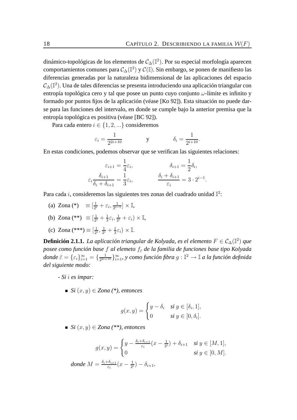dinámico-topológicas de los elementos de  $\mathcal{C}_{\Delta}(\mathbb{I}^2)$ . Por su especial morfología aparecen comportamientos comunes para  $\mathcal{C}_{\Delta}(\mathbb{I}^2)$  y  $\mathcal{C}(\mathbb{I}).$  Sin embargo, se ponen de manifiesto las diferencias generadas por la naturaleza bidimensional de las aplicaciones del espacio  $\mathcal{C}_{\Delta}(\mathbb{I}^{2}).$  Una de tales diferencias se presenta introduciendo una aplicación triangular con entropía topológica cero y tal que posee un punto cuyo conjunto  $\omega$ -límite es infinito y formado por puntos fijos de la aplicación (véase [Ko 92]). Esta situación no puede darse para las funciones del intervalo, en donde se cumple bajo la anterior premisa que la entropía topológica es positiva (véase [BC 92]).

Para cada entero  $i \in \{1, 2, ...\}$  consideremos

$$
\varepsilon_i = \frac{1}{2^{2i+10}} \qquad \qquad y \qquad \qquad \delta_i = \frac{1}{2^{i+10}}.
$$

En estas condiciones, podemos observar que se verifican las siguientes relaciones:

$$
\varepsilon_{i+1} = \frac{1}{4}\varepsilon_i, \qquad \qquad \delta_{i+1} = \frac{1}{2}\delta_i,
$$

$$
\varepsilon_i \frac{\delta_{i+1}}{\delta_i + \delta_{i+1}} = \frac{1}{3}\varepsilon_i, \qquad \qquad \frac{\delta_i + \delta_{i+1}}{\varepsilon_i} = 3 \cdot 2^{i-1}.
$$

Para cada i, consideremos las siguientes tres zonas del cuadrado unidad  $\mathbb{I}^2$ :

- (a) Zona (\*)  $\equiv \left[\frac{1}{2} \right]$  $\frac{1}{2^i}+\varepsilon_i,\frac{1}{2^{i-1}}$  $\frac{1}{2^{i-1}}] \times \mathbb{I},$
- (b) Zona (\*\*)  $\equiv [\frac{1}{2}$  $\frac{1}{2^i} + \frac{1}{3}$  $\frac{1}{3}\varepsilon_i,\frac{1}{2^n}$  $\frac{1}{2^i}+\varepsilon_i)\times\mathbb{I},$
- (c) Zona (\*\*\*)  $\equiv [\frac{1}{2^n}]$  $\frac{1}{2^i}, \frac{1}{2^i}$  $\frac{1}{2^i} + \frac{1}{3}$  $\frac{1}{3}\varepsilon_i\big)\times\mathbb{I}.$

**Definición 2.1.1.** *La aplicación triangular de Kolyada, es el elemento* F ∈ C∆(I 2 ) *que posee como función base f al elemeto*  $f_{\tilde{\epsilon}}$  *de la familia de funciones base tipo Kolyada donde*  $\tilde{\varepsilon} = \{\varepsilon_i\}_{i=1}^{\infty} = \{\frac{1}{2^{2i+1}}\}$  $\frac{1}{2^{2i+10}}\}_{i=1}^{\infty},$  y como función fibra  $g:\mathbb{I}^2\to\mathbb{I}$  a la función definida *del siguiente modo:*

*- Si* i *es impar:*

*Si* (x, y) ∈ *Zona (\*), entonces*

$$
g(x, y) = \begin{cases} y - \delta_i & \text{si } y \in [\delta_i, 1], \\ 0 & \text{si } y \in [0, \delta_i]. \end{cases}
$$

*Si* (x, y) ∈ *Zona (\*\*), entonces*

$$
g(x,y) = \begin{cases} y - \frac{\delta_i + \delta_{i+1}}{\varepsilon_i}(x - \frac{1}{2^i}) + \delta_{i+1} & \text{si } y \in [M,1], \\ 0 & \text{si } y \in [0,M]. \end{cases}
$$

*donde*  $M = \frac{\delta_i + \delta_{i+1}}{\varepsilon}$  $\frac{\delta_{i+1}}{\varepsilon_i}(x-\frac{1}{2^i})$  $(\frac{1}{2^{i}})-\delta_{i+1}.$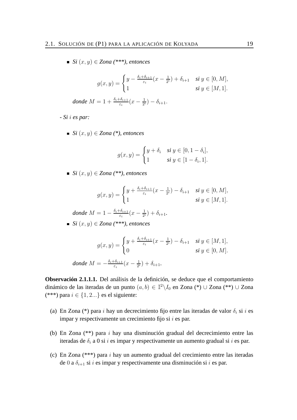■ *Si*  $(x, y)$   $\in$  *Zona* (\*\*\*), *entonces* 

$$
g(x,y) = \begin{cases} y - \frac{\delta_i + \delta_{i+1}}{\varepsilon_i}(x - \frac{1}{2^i}) + \delta_{i+1} & \text{si } y \in [0,M], \\ 1 & \text{si } y \in [M,1]. \end{cases}
$$

*donde*  $M = 1 + \frac{\delta_i + \delta_{i+1}}{\varepsilon_i}(x - \frac{1}{2^n})$  $(\frac{1}{2^i}) - \delta_{i+1}.$ 

*- Si* i *es par:*

■ *Si*  $(x, y)$   $\in$  *Zona*  $(*)$ *, entonces* 

$$
g(x,y) = \begin{cases} y + \delta_i & \text{si } y \in [0, 1 - \delta_i], \\ 1 & \text{si } y \in [1 - \delta_i, 1]. \end{cases}
$$

*Si* (x, y) ∈ *Zona (\*\*), entonces*

$$
g(x,y) = \begin{cases} y + \frac{\delta_i + \delta_{i+1}}{\varepsilon_i}(x - \frac{1}{2^i}) - \delta_{i+1} & \text{si } y \in [0,M], \\ 1 & \text{si } y \in [M,1]. \end{cases}
$$

*donde*  $M = 1 - \frac{\delta_i + \delta_{i+1}}{\varepsilon}$  $\frac{\delta_{i+1}}{\varepsilon_i}(x-\frac{1}{2^i})$  $(\frac{1}{2^{i}}) + \delta_{i+1}.$ 

*Si* (x, y) ∈ *Zona (\*\*\*), entonces*

$$
g(x,y) = \begin{cases} y + \frac{\delta_i + \delta_{i+1}}{\varepsilon_i}(x - \frac{1}{2^i}) - \delta_{i+1} & \text{si } y \in [M,1], \\ 0 & \text{si } y \in [0,M]. \end{cases}
$$
  
donde  $M = -\frac{\delta_i + \delta_{i+1}}{\varepsilon_i}(x - \frac{1}{2^i}) + \delta_{i+1}.$ 

**Observación 2.1.1.1.** Del análisis de la definición, se deduce que el comportamiento dinámico de las iteradas de un punto  $(a, b) \in \mathbb{I}^2 \backslash I_0$  en Zona (\*) ∪ Zona (\*\*) ∪ Zona (\*\*\*) para  $i \in \{1, 2...\}$  es el siguiente:

- (a) En Zona (\*) para i hay un decrecimiento fijo entre las iteradas de valor  $\delta_i$  si i es impar y respectivamente un crecimiento fijo si  $i$  es par.
- (b) En Zona (\*\*) para i hay una disminución gradual del decrecimiento entre las iteradas de  $\delta_i$  a 0 si i es impar y respectivamente un aumento gradual si i es par.
- (c) En Zona (\*\*\*) para i hay un aumento gradual del crecimiento entre las iteradas de 0 a  $\delta_{i+1}$  si i es impar y respectivamente una disminución si i es par.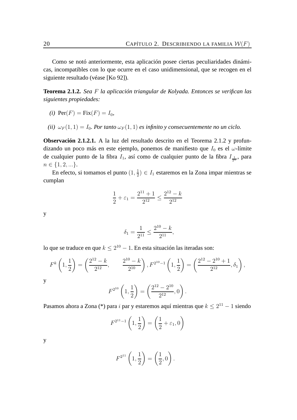Como se notó anteriormente, esta aplicación posee ciertas peculiaridades dinámicas, incompatibles con lo que ocurre en el caso unidimensional, que se recogen en el siguiente resultado (véase [Ko 92]).

**Teorema 2.1.2.** *Sea* F *la aplicación triangular de Kolyada. Entonces se verifican las siguientes propiedades:*

$$
(i) \ \operatorname{Per}(F) = \operatorname{Fix}(F) = I_0,
$$

*(ii)*  $\omega_F(1,1) = I_0$ *. Por tanto*  $\omega_F(1,1)$  *es infinito* y consecuentemente no un ciclo.

**Observación 2.1.2.1.** A la luz del resultado descrito en el Teorema 2.1.2 y profundizando un poco más en este ejemplo, ponemos de manifiesto que  $I_0$  es el  $\omega$ -límite de cualquier punto de la fibra  $I_1$ , así como de cualquier punto de la fibra  $I_{\frac{1}{2^n}}$ , para  $n \in \{1, 2, ...\}.$ 

En efecto, si tomamos el punto  $(1, \frac{1}{2})$  $\frac{1}{2}$ )  $\in I_1$  estaremos en la Zona impar mientras se cumplan

$$
\frac{1}{2} + \varepsilon_1 = \frac{2^{11} + 1}{2^{12}} \le \frac{2^{12} - k}{2^{12}}
$$

y

$$
\delta_1 = \frac{1}{2^{11}} \le \frac{2^{10} - k}{2^{11}},
$$

lo que se traduce en que  $k \leq 2^{10} - 1$ . En esta situación las iteradas son:

$$
F^{k}\left(1,\frac{1}{2}\right) = \left(\frac{2^{12}-k}{2^{12}}, \frac{2^{10}-k}{2^{10}}\right), F^{2^{10}-1}\left(1,\frac{1}{2}\right) = \left(\frac{2^{12}-2^{10}+1}{2^{12}},\delta_{1}\right),
$$
  
y  

$$
F^{2^{10}}\left(1,\frac{1}{2}\right) = \left(\frac{2^{12}-2^{10}}{2^{12}},0\right).
$$

Pasamos ahora a Zona (\*) para i par y estaremos aquí mientras que  $k \leq 2^{11} - 1$  siendo

$$
F^{2^{11}-1}\left(1,\frac{1}{2}\right) = \left(\frac{1}{2} + \varepsilon_1,0\right)
$$

y

$$
F^{2^{11}}\left(1,\frac{1}{2}\right) = \left(\frac{1}{2},0\right).
$$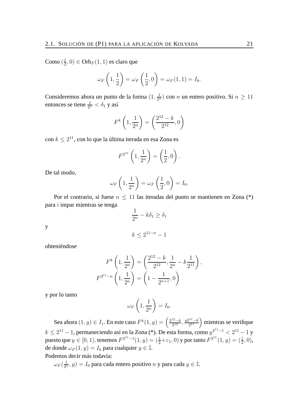Como  $(\frac{1}{2})$  $(\frac{1}{2},0) \in \text{Orb}_F(1,1)$  es claro que

$$
\omega_F\left(1,\frac{1}{2}\right) = \omega_F\left(\frac{1}{2},0\right) = \omega_F(1,1) = I_0.
$$

Consideremos ahora un punto de la forma  $(1, \frac{1}{2^n})$  con n un entero positivo. Si  $n \ge 11$ entonces se tiene  $\frac{1}{2^n} < \delta_1$  y así

$$
F^{k}\left(1,\frac{1}{2^{n}}\right) = \left(\frac{2^{12}-k}{2^{12}},0\right)
$$

con  $k\leq 2^{11}$ , con lo que la última iterada en esa Zona es

$$
F^{2^{11}}\left(1, \frac{1}{2^n}\right) = \left(\frac{1}{2}, 0\right).
$$

De tal modo,

$$
\omega_F\left(1,\frac{1}{2^n}\right) = \omega_F\left(\frac{1}{2},0\right) = I_0.
$$

Por el contrario, si fuese  $n \leq 11$  las iteradas del punto se mantienen en Zona (\*) para i impar mientras se tenga

$$
\frac{1}{2^n} - k\delta_1 \ge \delta_1
$$

 $k \leq 2^{11-n} - 1$ 

y

obteniéndose

$$
F^{k}\left(1, \frac{1}{2^{n}}\right) = \left(\frac{2^{12} - k}{2^{12}}, \frac{1}{2^{n}} - k\frac{1}{2^{11}}\right),
$$

$$
F^{2^{11}-n}\left(1, \frac{1}{2^{n}}\right) = \left(1 - \frac{1}{2^{n+1}}, 0\right)
$$

y por lo tanto

$$
\omega_F\left(1,\frac{1}{2^n}\right) = I_0.
$$

Sea ahora  $(1, y) \in I_1$ . En este caso  $F^k(1, y) = \left(\frac{2^{12} - k}{2^{12}}\right)$  $\frac{y^{2^{12}-k}}{2^{12}}, \frac{y^{2^{11}-k}}{2^{11}}$  $\binom{2^{11}-k}{2^{11}}$  mientras se verifique  $k \leq 2^{11}-1$ , permaneciendo así en la Zona (\*). De esta forma, como  $y^{2^{11}-1} < 2^{11}-1$  y puesto que  $y \in [0, 1)$ , tenemos  $F^{2^{11}-1}(1, y) = (\frac{1}{2} + \varepsilon_1, 0)$  y por tanto  $F^{2^{11}}(1, y) = (\frac{1}{2}, 0)$ , de donde  $\omega_F(1, y) = I_0$  para cualquier  $y \in \mathbb{I}$ .

Podemos decir más todavía:

$$
\omega_F(\frac{1}{2^n}, y) = I_0
$$
 para cada entero positivo *n* y para cada  $y \in \mathbb{I}$ .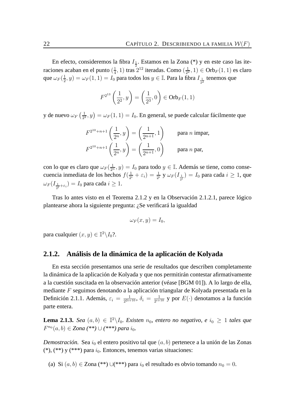En efecto, consideremos la fibra  $I_{\frac{1}{2}}$ . Estamos en la Zona (\*) y en este caso las iteraciones acaban en el punto  $(\frac{1}{4})$  $(\frac{1}{4}, 1)$  tras  $2^{12}$  iteradas. Como  $(\frac{1}{2^2})$  $(\frac{1}{2^2}, 1) \in \text{Orb}_F(1, 1)$  es claro que  $\omega_F (\frac{1}{2})$  $(\frac{1}{2},y)=\omega_F(1,1)=I_0$  para todos los  $y\in\mathbb{I}.$  Para la fibra  $I_{\frac{1}{2^2}}$  tenemos que

$$
F^{2^{13}}\left(\frac{1}{2^2}, y\right) = \left(\frac{1}{2^3}, 0\right) \in \text{Orb}_F(1, 1)
$$

y de nuevo  $\omega_F \left( \frac{1}{2^2} \right)$  $\left(\frac{1}{2^2}, y\right) = \omega_F(1, 1) = I_0$ . En general, se puede calcular fácilmente que

$$
F^{2^{10}+n+1}\left(\frac{1}{2^n}, y\right) = \left(\frac{1}{2^{n+1}}, 1\right) \text{ para } n \text{ impar,}
$$
  

$$
F^{2^{10}+n+1}\left(\frac{1}{2^n}, y\right) = \left(\frac{1}{2^{n+1}}, 0\right) \text{ para } n \text{ par,}
$$

con lo que es claro que  $\omega_F(\frac{1}{2^n}, y) = I_0$  para todo  $y \in \mathbb{I}$ . Además se tiene, como consecuencia inmediata de los hechos  $f(\frac{1}{2^n})$  $\frac{1}{2^i}+\varepsilon_i)=\frac{1}{2^i}$  y  $\omega_F(I_{\frac{1}{2^i}})=I_0$  para cada  $i\geq 1$ , que  $\omega_F(I_{\frac{1}{2^i}+\varepsilon_i})=I_0$  para cada  $i\geq 1$ .

Tras lo antes visto en el Teorema 2.1.2 y en la Observación 2.1.2.1, parece lógico plantearse ahora la siguiente pregunta: ¿Se verificará la igualdad

$$
\omega_F(x,y)=I_0,
$$

para cualquier  $(x, y) \in \mathbb{I}^2 \backslash I_0$ ?.

#### **2.1.2. Análisis de la dinámica de la aplicación de Kolyada**

En esta sección presentamos una serie de resultados que describen completamente la dinámica de la aplicación de Kolyada y que nos permitirán contestar afirmativamente a la cuestión suscitada en la observación anterior (véase [BGM 01]). A lo largo de ella, mediante F seguimos denotando a la aplicación triangular de Kolyada presentada en la Definición 2.1.1. Además,  $\varepsilon_i = \frac{1}{2^{2i+1}}$  $\frac{1}{2^{2i+10}},\, \delta_i\,=\, \frac{1}{2^{i+1}}$  $\frac{1}{2^{i+10}}$  y por  $E(\cdot)$  denotamos a la función parte entera.

**Lema 2.1.3.** *Sea*  $(a, b) \in \mathbb{I}^2 \backslash I_0$ *. Existen*  $n_0$ *, entero no negativo, e*  $i_0 \geq 1$  *tales que*  $F^{n_0}(a, b) \in Z$ ona (\*\*) ∪ (\*\*\*) para i<sub>0</sub>.

*Demostración.* Sea  $i_0$  el entero positivo tal que  $(a, b)$  pertenece a la unión de las Zonas  $(*),$   $(**)$  y  $(***)$  para  $i_0$ . Entonces, tenemos varias situaciones:

(a) Si  $(a, b) \in \text{Zona}$  (\*\*)  $\cup$ (\*\*\*) para  $i_0$  el resultado es obvio tomando  $n_0 = 0$ .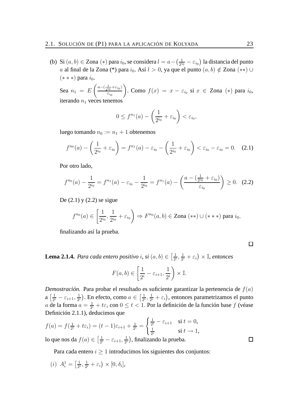(b) Si  $(a, b) \in Z$ ona  $(*)$  para  $i_0$ , se considera  $l = a - \left(\frac{1}{2^{i_0}}\right)$  $\frac{1}{2^{i_0}}-\varepsilon_{i_0}\big)$  la distancia del punto a al final de la Zona (\*) para  $i_0$ . Así  $l > 0$ , ya que el punto  $(a, b) \notin Z$ ona  $(**)$  ∪  $(* **)$  para  $i_0$ .

Sea  $n_1 = E\left(\frac{a - \left(\frac{1}{2^{i_1}}\right)}{\varepsilon}\right)$  $\frac{1}{2^{i_0}}+\varepsilon_{i_0}$ )  $\varepsilon_{i_0}$ ). Como  $f(x) = x - \varepsilon_{i_0}$  si  $x \in \mathsf{Zona}$  (\*) para  $i_0$ , iterando  $n_1$  veces tenemos

$$
0 \le f^{n_1}(a) - \left(\frac{1}{2^{i_0}} + \varepsilon_{i_0}\right) < \varepsilon_{i_0},
$$

luego tomando  $n_0 := n_1 + 1$  obtenemos

$$
f^{n_0}(a) - \left(\frac{1}{2^{i_0}} + \varepsilon_{i_0}\right) = f^{n_1}(a) - \varepsilon_{i_0} - \left(\frac{1}{2^{i_0}} + \varepsilon_{i_0}\right) < \varepsilon_{i_0} - \varepsilon_{i_0} = 0. \quad (2.1)
$$

Por otro lado,

$$
f^{n_0}(a) - \frac{1}{2^{i_0}} = f^{n_1}(a) - \varepsilon_{i_0} - \frac{1}{2^{i_0}} = f^{n_1}(a) - \left(\frac{a - \left(\frac{1}{2^{i_0}} + \varepsilon_{i_0}\right)}{\varepsilon_{i_0}}\right) \ge 0. \tag{2.2}
$$

De  $(2.1)$  y  $(2.2)$  se sigue

$$
f^{n_0}(a) \in \left[\frac{1}{2^{i_0}}, \frac{1}{2^{i_0}} + \varepsilon_{i_0}\right) \Rightarrow F^{n_0}(a, b) \in \text{Zona} \;(**) \cup (***) \text{ para } i_0,
$$

finalizando así la prueba.

 $\Box$ 

 $\Box$ 

**Lema 2.1.4.** *Para cada entero positivo i*, *si*  $(a, b) \in \left[\frac{1}{2^a}\right]$  $\frac{1}{2^i}, \frac{1}{2^i}$  $\frac{1}{2^i}+\varepsilon_i\big)\times\mathbb{I}$ , entonces

$$
F(a,b) \in \left[\frac{1}{2^i} - \varepsilon_{i+1}, \frac{1}{2^i}\right) \times \mathbb{I}.
$$

*Demostración.* Para probar el resultado es suficiente garantizar la pertenencia de  $f(a)$  $a\left[\frac{1}{2i}\right]$  $\frac{1}{2^i} - \varepsilon_{i+1}, \frac{1}{2^i}$  $\frac{1}{2^i}$ ). En efecto, como  $a \in \left[\frac{1}{2^i}\right]$  $\frac{1}{2^i}, \frac{1}{2^i}$  $\frac{1}{2^i} + \varepsilon_i$ ), entonces parametrizamos el punto a de la forma  $a = \frac{1}{2i}$  $\frac{1}{2^i} + t\varepsilon_i$  con  $0 \le t < 1$ . Por la definición de la función base  $f$  (véase Definición 2.1.1), deducimos que

$$
f(a) = f(\frac{1}{2^{i}} + t\varepsilon_{i}) = (t - 1)\varepsilon_{i+1} + \frac{1}{2^{i}} = \begin{cases} \frac{1}{2^{i}} - \varepsilon_{i+1} & \text{si } t = 0, \\ \frac{1}{2^{i}} & \text{si } t \to 1, \end{cases}
$$

lo que nos da  $f(a) \in \left[\frac{1}{2a}\right]$  $\frac{1}{2^{i}}-\varepsilon_{i+1},\frac{1}{2^{i}}$  $\frac{1}{2^i}$ ), finalizando la prueba.

Para cada entero  $i \geq 1$  introducimos los siguientes dos conjuntos:

(*i*) 
$$
A_i^1 = \left[\frac{1}{2^i}, \frac{1}{2^i} + \varepsilon_i\right) \times [0, \delta_i],
$$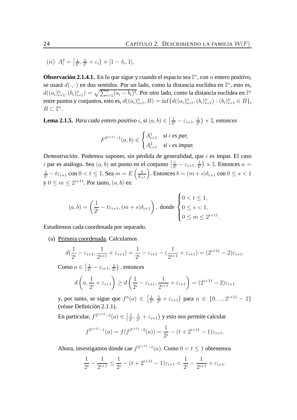.

 $(ii)$   $A_i^2 = \left[\frac{1}{2^n}\right]$  $\frac{1}{2^i}, \frac{1}{2^i}$  $\frac{1}{2^i}+\varepsilon_i\big)\times[1-\delta_i,1].$ 

**Observación 2.1.4.1.** En lo que sigue y cuando el espacio sea  $\mathbb{I}^n$ , con *n* entero positivo, se usará  $d(\cdot, \cdot)$  en dos sentidos. Por un lado, como la distancia euclídea en  $\mathbb{I}^n$ , esto es,  $d((a_i)_{i=1}^n,(b_i)_{i=1}^n)=\sqrt{\sum_{i=1}^n(a_i-b_i)^2}.$  Por otro lado, como la distancia euclídea en  $\mathbb{I}^n$ entre puntos y conjuntos, esto es,  $d((a_i)_{i=1}^n, B) = \inf \{d((a_i)_{i=1}^n, (b_i)_{i=1}^n) : (b_i)_{i=1}^n \in B\}$ ,  $B \subset \mathbb{I}^n$ .

**Lema 2.1.5.** *Para cada entero positivo i, si*  $(a, b) \in \left[\frac{1}{2a}\right]$  $\frac{1}{2^i} - \varepsilon_{i+1}, \frac{1}{2^i}$  $\frac{1}{2^i}$   $\times$  I, entonces

$$
F^{2^{i+11}-1}(a,b) \in \begin{cases} A_{i+1}^1 & \text{si } i \text{ es par,} \\ A_{i+1}^2 & \text{si } i \text{ es impar.} \end{cases}
$$

*Demostración.* Podemos suponer, sin pérdida de generalidad, que i es impar. El caso i par es análogo. Sea  $(a, b)$  un punto en el conjunto  $\left[\frac{1}{2a}\right]$  $\frac{1}{2^i} - \varepsilon_{i+1}, \frac{1}{2^i}$  $\frac{1}{2^i}$   $\times$  I. Entonces  $a =$ 1  $\frac{1}{2^i} - t \varepsilon_{i+1}$  con  $0 < t \leq 1$ . Sea  $m = E\left(\frac{b}{\delta_{i+1}}\right)$ . Entonces  $b = (m+s)\delta_{i+1}$  con  $0 \leq s < 1$  $y \le 0 \le m \le 2^{i+11}$ . Por tanto,  $(a, b)$  es:

$$
(a, b) = \left(\frac{1}{2^{i}} - t\varepsilon_{i+1}, (m+s)\delta_{i+1}\right), \text{ donde } \begin{cases} 0 < t \le 1, \\ 0 < s < 1, \\ 0 < m \le 2^{i+11} \end{cases}
$$

Estudiemos cada coordenada por separado.

(a) Primera coordenada. Calculamos

$$
d(\frac{1}{2^{i}} - \varepsilon_{i+1}, \frac{1}{2^{i+1}} + \varepsilon_{i+1}) = \frac{1}{2^{i}} - \varepsilon_{i+1} - (\frac{1}{2^{i+1}} + \varepsilon_{i+1}) = (2^{i+11} - 2)\varepsilon_{i+1}.
$$

Como  $a \in \left[\frac{1}{2^n}\right]$  $\frac{1}{2^i} - \varepsilon_{i+1}, \frac{1}{2^i}$  $\frac{1}{2^i}$ ), entonces

$$
d\left(a, \frac{1}{2^i} + \varepsilon_{i+1}\right) \ge d\left(\frac{1}{2^i} - \varepsilon_{i+1}, \frac{1}{2^{i+1}} + \varepsilon_{i+1}\right) = (2^{i+11} - 2)\varepsilon_{i+1}
$$

y, por tanto, se sigue que  $f^n(a) \in \left[\frac{1}{2^n}\right]$  $\frac{1}{2^i}, \frac{1}{2^i}$  $\frac{1}{2^i} + \varepsilon_{i+1}$ ) para  $n \in \{0, ..., 2^{i+11} - 2\}$ (véase Definición 2.1.1).

En particular,  $f^{2^{i+11}-2}(a) \in \left[\frac{1}{2^n}\right]$  $\frac{1}{2^i}, \frac{1}{2^i}$  $\frac{1}{2^i}+\varepsilon_{i+1}\big)$  y esto nos permite calcular

$$
f^{2^{i+11}-1}(a) = f(f^{2^{i+11}-2}(a)) = \frac{1}{2^i} - (t+2^{i+11}-1)\varepsilon_{i+1}.
$$

Ahora, investigamos dónde cae  $f^{2^{i+11}-1}(a)$ . Como  $0 < t \le 1$  obtenemos

$$
\frac{1}{2^{i}} - \frac{1}{2^{i+1}} \le \frac{1}{2^{i}} - (t + 2^{i+11} - 1)\varepsilon_{i+1} < \frac{1}{2^{i}} - \frac{1}{2^{i+1}} + \varepsilon_{i+1}.
$$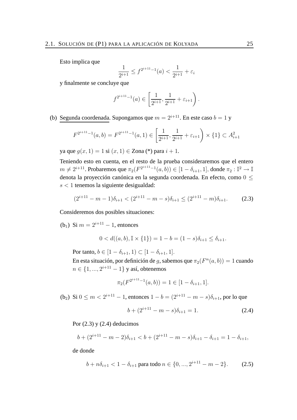Esto implica que

$$
\frac{1}{2^{i+1}} \le f^{2^{i+11}-1}(a) < \frac{1}{2^{i+1}} + \varepsilon_i
$$

y finalmente se concluye que

$$
f^{2^{i+11}-1}(a) \in \left[\frac{1}{2^{i+1}}, \frac{1}{2^{i+1}} + \varepsilon_{i+1}\right).
$$

(b) Segunda coordenada. Supongamos que  $m = 2^{i+1}$ . En este caso  $b = 1$  y

$$
F^{2^{i+11}-1}(a,b) = F^{2^{i+11}-1}(a,1) \in \left[\frac{1}{2^{i+1}}, \frac{1}{2^{i+1}} + \varepsilon_{i+1}\right) \times \{1\} \subset A_{i+1}^2
$$

ya que  $q(x, 1) = 1$  si  $(x, 1) \in \text{Zona}$  (\*) para  $i + 1$ .

Teniendo esto en cuenta, en el resto de la prueba consideraremos que el entero  $m \neq 2^{i+11}.$  Probaremos que  $\pi_2(F^{2^{i+11}-1}(a,b)) \in [1-\delta_{i+1},1],$  donde  $\pi_2 : \mathbb{I}^2 \to \mathbb{I}$ denota la proyección canónica en la segunda coordenada. En efecto, como 0 ≤  $s < 1$  tenemos la siguiente desigualdad:

$$
(2^{i+11} - m - 1)\delta_{i+1} < (2^{i+11} - m - s)\delta_{i+1} \le (2^{i+11} - m)\delta_{i+1}.\tag{2.3}
$$

Consideremos dos posibles situaciones:

(b<sub>1</sub>) Si  $m = 2^{i+11} - 1$ , entonces

$$
0 < d((a, b), \mathbb{I} \times \{1\}) = 1 - b = (1 - s)\delta_{i+1} \le \delta_{i+1}.
$$

Por tanto,  $b \in [1 - \delta_{i+1}, 1) \subset [1 - \delta_{i+1}, 1].$ 

En esta situación, por definición de g, sabemos que  $\pi_2(F^n(a, b)) = 1$  cuando  $n \in \{1, ..., 2^{i+11} - 1\}$  y así, obtenemos

$$
\pi_2(F^{2^{i+11}-1}(a,b)) = 1 \in [1 - \delta_{i+1}, 1].
$$

(b<sub>2</sub>) Si  $0 \le m < 2^{i+11} - 1$ , entonces  $1 - b = (2^{i+11} - m - s)\delta_{i+1}$ , por lo que

$$
b + (2^{i+11} - m - s)\delta_{i+1} = 1.
$$
 (2.4)

Por  $(2.3)$  y  $(2.4)$  deducimos

$$
b + (2^{i+11} - m - 2)\delta_{i+1} < b + (2^{i+11} - m - s)\delta_{i+1} - \delta_{i+1} = 1 - \delta_{i+1},
$$

de donde

$$
b + n\delta_{i+1} < 1 - \delta_{i+1} \text{ para todo } n \in \{0, \ldots, 2^{i+11} - m - 2\}. \tag{2.5}
$$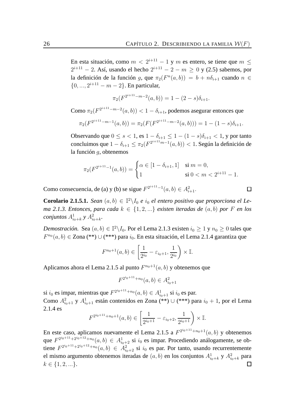En esta situación, como  $m < 2^{i+11} - 1$  y m es entero, se tiene que  $m \leq$  $2^{i+11} - 2$ . Así, usando el hecho  $2^{i+11} - 2 - m \ge 0$  y (2.5) sabemos, por la definición de la función g, que  $\pi_2(F^n(a, b)) = b + n\delta_{i+1}$  cuando  $n \in$  $\{0, ..., 2^{i+11} - m - 2\}$ . En particular,

$$
\pi_2(F^{2^{i+11}-m-2}(a,b)) = 1 - (2-s)\delta_{i+1}.
$$

Como  $\pi_2(F^{2^{i+11}-m-2}(a,b)) < 1-\delta_{i+1}$ , podemos asegurar entonces que

$$
\pi_2(F^{2^{i+11}-m-1}(a,b)) = \pi_2(F(F^{2^{i+11}-m-2}(a,b))) = 1 - (1-s)\delta_{i+1}.
$$

Observando que  $0 \le s < 1$ , es  $1 - \delta_{i+1} \le 1 - (1 - s)\delta_{i+1} < 1$ , y por tanto concluimos que  $1-\delta_{i+1}\leq \pi_2(F^{2^{i+11}m-1}(a,b))< 1.$  Según la definición de la función q, obtenemos

$$
\pi_2(F^{2^{i+11}-1}(a,b)) = \begin{cases} \alpha \in [1 - \delta_{i+1}, 1] & \text{si } m = 0, \\ 1 & \text{si } 0 < m < 2^{i+11} - 1. \end{cases}
$$

Como consecuencia, de (a) y (b) se sigue  $F^{2^{i+11}-1}(a, b) \in A^2_{i+1}$ .

**Corolario 2.1.5.1.** *Sean*  $(a, b) \in \mathbb{I}^2 \setminus I_0$  *e*  $i_0$  *el entero positivo que proporciona el Lema* 2.1.3. Entonces, para cada  $k$  ∈ {1, 2, ...} *existen iteradas de*  $(a, b)$  *por F en los conjuntos*  $A_{i_0+k}^1$  y  $A_{i_0+k}^2$ .

*Demostración.* Sea  $(a, b) \in \mathbb{I}^2 \backslash I_0$ . Por el Lema 2.1.3 existen  $i_0 \ge 1$  y  $n_0 \ge 0$  tales que  $F^{n_0}(a, b)$  ∈ Zona (\*\*)∪(\*\*\*) para  $i_0$ . En esta situación, el Lema 2.1.4 garantiza que

$$
F^{n_0+1}(a, b) \in \left[\frac{1}{2^{i_0}} - \varepsilon_{i_0+1}, \frac{1}{2^{i_0}}\right) \times \mathbb{I}.
$$

Aplicamos ahora el Lema 2.1.5 al punto  $F^{n_0+1}(a, b)$  y obtenemos que

$$
F^{2^{i_0+11}+n_0}(a,b) \in A^2_{i_0+1}
$$

si  $i_0$  es impar, mientras que  $F^{2^{i_0+11}+n_0}(a, b) \in A^1_{i_0+1}$  si  $i_0$  es par. Como  $A_{i_0+1}^2$  y  $A_{i_0+1}^1$  están contenidos en Zona (\*\*)  $\cup$  (\*\*\*) para  $i_0+1$ , por el Lema 2.1.4 es

$$
F^{2^{i_0+1}+n_0+1}(a,b) \in \left[\frac{1}{2^{i_0+1}} - \varepsilon_{i_0+2}, \frac{1}{2^{i_0+1}}\right) \times \mathbb{I}.
$$

En este caso, aplicamos nuevamente el Lema 2.1.5 a  $F^{2^{i_0+1}+n_0+1}(a, b)$  y obtenemos que  $F^{2^{i_0+11}+2^{i_0+12}+n_0}(a, b) \in A^1_{i_0+2}$  si  $i_0$  es impar. Procediendo análogamente, se obtiene  $F^{2^{i_0+11}+2^{i_0+12}+n_0}(a, b) \in A^2_{i_0+2}$  si  $i_0$  es par. Por tanto, usando recurrentemente el mismo argumento obtenemos iteradas de  $(a, b)$  en los conjuntos  $A^1_{i_0+k}$  y  $A^2_{i_0+k}$  para  $k \in \{1, 2, ...\}.$ П

 $\Box$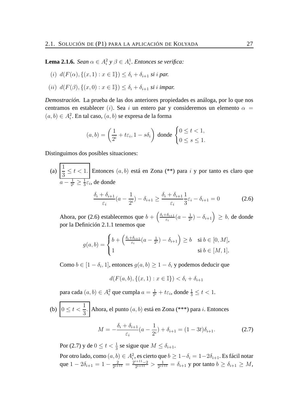**Lema 2.1.6.** *Sean*  $\alpha \in A_i^2$   $\gamma \beta \in A_i^1$ *. Entonces se verifica:* 

- (i)  $d(F(\alpha), \{(x, 1) : x \in \mathbb{I}\}) \leq \delta_i + \delta_{i+1}$  *si i par.*
- (*ii*)  $d(F(\beta), \{(x, 0) : x \in \mathbb{I}\}) \leq \delta_i + \delta_{i+1}$  *si i impar.*

*Demostración.* La prueba de las dos anteriores propiedades es análoga, por lo que nos centramos en establecer (i). Sea i un entero par y consideremos un elemento  $\alpha$  =  $(a, b) \in A_i^2$ . En tal caso,  $(a, b)$  se expresa de la forma

$$
(a,b) = \left(\frac{1}{2^i} + t\varepsilon_i, 1 - s\delta_i\right) \text{ donde } \begin{cases} 0 \le t < 1, \\ 0 \le s \le 1. \end{cases}
$$

Distinguimos dos posibles situaciones:

(a) 
$$
\left| \frac{1}{3} \le t < 1 \right|
$$
. Entonces  $(a, b)$  está en Zona (\*\*) para *i* y por tanto es claro que  $a - \frac{1}{2^i} \ge \frac{1}{3} \varepsilon_i$ , de donde

$$
\frac{\delta_i + \delta_{i+1}}{\varepsilon_i}(a - \frac{1}{2^i}) - \delta_{i+1} \ge \frac{\delta_i + \delta_{i+1}}{\varepsilon_i} \frac{1}{3}\varepsilon_i - \delta_{i+1} = 0 \tag{2.6}
$$

Ahora, por (2.6) establecemos que  $b + \left(\frac{\delta_i + \delta_{i+1}}{\delta_i}\right)$  $\frac{1}{\varepsilon_i}$   $\frac{1}{\varepsilon_i}$   $\left(a - \frac{1}{2^n}\right)$  $\left(\frac{1}{2^i}\right) - \delta_{i+1}$   $\Big) \geq b$ , de donde por la Definición 2.1.1 tenemos que

$$
g(a,b) = \begin{cases} b + \left(\frac{\delta_i + \delta_{i+1}}{\varepsilon_i}(a - \frac{1}{2^i}) - \delta_{i+1}\right) \ge b & \text{si } b \in [0, M], \\ 1 & \text{si } b \in [M, 1]. \end{cases}
$$

Como  $b \in [1 - \delta_i, 1]$ , entonces  $g(a, b) \ge 1 - \delta_i$  y podemos deducir que

$$
d(F(a, b), \{(x, 1) : x \in \mathbb{I}\}) < \delta_i + \delta_{i+1}
$$

para cada  $(a,b)\in A_i^2$  que cumpla  $a=\frac{1}{2^n}$  $\frac{1}{2^i} + t\varepsilon_i$ , donde  $\frac{1}{3} \le t < 1$ .

(b) 
$$
0 \le t < \frac{1}{3}
$$
.  
Abora, el punto  $(a, b)$  está en Zona (\*<sup>\*\*</sup>) para *i*. Entonces  

$$
\delta_i + \delta_{i+1} \qquad 1 \qquad \text{for} \qquad (1 - 2i)
$$

$$
M = -\frac{\delta_i + \delta_{i+1}}{\varepsilon_i}(a - \frac{1}{2^i}) + \delta_{i+1} = (1 - 3t)\delta_{i+1}.
$$
 (2.7)

Por (2.7) y de  $0 \le t < \frac{1}{3}$  se sigue que  $M \le \delta_{i+1}$ .

Por otro lado, como  $(a,b)\in A_i^2$ , es cierto que  $b\geq 1-\delta_i=1-2\delta_{i+1}.$  Es fácil notar que  $1 - 2\delta_{i+1} = 1 - \frac{2}{2^{i+1}}$  $\frac{2}{2^{i+11}} = \frac{2^{i+11}-2}{2^{i+11}}$  $\frac{i+11-2}{2^{i+11}} > \frac{1}{2^{i+1}}$  $\frac{1}{2^{i+11}} = \delta_{i+1}$  y por tanto  $b \geq \delta_{i+1} \geq M$ ,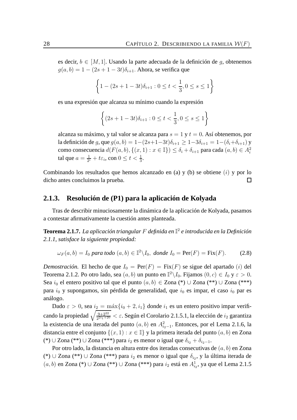es decir,  $b \in [M, 1]$ . Usando la parte adecuada de la definición de *q*, obtenemos  $g(a, b) = 1 - (2s + 1 - 3t)\delta_{i+1}$ . Ahora, se verifica que

$$
\left\{1 - (2s + 1 - 3t)\delta_{i+1} : 0 \le t < \frac{1}{3}, 0 \le s \le 1\right\}
$$

es una expresión que alcanza su mínimo cuando la expresión

$$
\left\{ (2s+1-3t)\delta_{i+1} : 0 \le t < \frac{1}{3}, 0 \le s \le 1 \right\}
$$

alcanza su máximo, y tal valor se alcanza para  $s = 1$  y  $t = 0$ . Así obtenemos, por la definición de g, que  $g(a, b) = 1-(2s+1-3t)\delta_{i+1} \ge 1-3\delta_{i+1} = 1-(\delta_i+\delta_{i+1})$  y como consecuencia  $d(F(a, b), \{(x, 1) : x \in \mathbb{I}\}) \le \delta_i + \delta_{i+1}$  para cada  $(a, b) \in A_i^2$ tal que  $a=\frac{1}{2^n}$  $\frac{1}{2^i} + t\varepsilon_i$ , con  $0 \le t < \frac{1}{3}$ .

Combinando los resultados que hemos alcanzado en (a) y (b) se obtiene  $(i)$  y por lo dicho antes concluimos la prueba.  $\Box$ 

#### **2.1.3. Resolución de (P1) para la aplicación de Kolyada**

Tras de describir minuciosamente la dinámica de la aplicación de Kolyada, pasamos a contestar afirmativamente la cuestión antes planteada.

**Teorema 2.1.7.** *La aplicación triangular* F *definida en* I 2 *e introducida en la Definición 2.1.1, satisface la siguiente propiedad:*

$$
\omega_F(a, b) = I_0 \text{ para todo } (a, b) \in \mathbb{I}^2 \backslash I_0, \text{ donde } I_0 = \text{Per}(F) = \text{Fix}(F). \tag{2.8}
$$

*Demostración*. El hecho de que  $I_0 = \text{Per}(F) = \text{Fix}(F)$  se sigue del apartado (i) del Teorema 2.1.2. Po otro lado, sea  $(a, b)$  un punto en  $\mathbb{I}^2\backslash I_0$ . Fijamos  $(0, c) \in I_0$  y  $\varepsilon > 0$ . Sea  $i_0$  el entero positivo tal que el punto  $(a, b) \in Z$ ona (\*) ∪ Zona (\*\*) ∪ Zona (\*\*\*) para  $i_0$  y supongamos, sin pérdida de generalidad, que  $i_0$  es impar, el caso  $i_0$  par es análogo.

Dado  $\varepsilon > 0$ , sea  $i_2 = \max\{i_0 + 2, i_1\}$  donde  $i_1$  es un entero positivo impar verificando la propiedad  $\sqrt{\frac{9+2^{22}}{2^{2i_1}+2^{i_2}}}$  $\frac{9+2^{22}}{2^{2i_1+20}} < \varepsilon$ . Según el Corolario 2.1.5.1, la elección de  $i_2$  garantiza la existencia de una iterada del punto  $(a, b)$  en  $A_{i_2-1}^2$ . Entonces, por el Lema 2.1.6, la distancia entre el conjunto  $\{(x, 1) : x \in \mathbb{I}\}\$  y la primera iterada del punto  $(a, b)$  en Zona (\*) ∪ Zona (\*\*) ∪ Zona (\*\*\*) para  $i_2$  es menor o igual que  $\delta_{i_2} + \delta_{i_2-1}$ .

Por otro lado, la distancia en altura entre dos iteradas consecutivas de  $(a, b)$  en Zona (\*)∪Zona (\*\*)∪Zona (\*\*\*) para  $i_2$  es menor o igual que  $\delta_{i_2}$ , y la última iterada de  $(a, b)$  en Zona (\*)∪ Zona (\*\*)∪ Zona (\*\*\*) para  $i_2$  está en  $A^1_{i_2}$ , ya que el Lema 2.1.5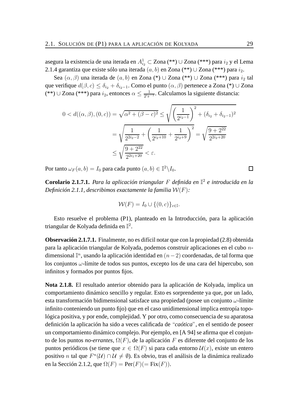asegura la existencia de una iterada en  $A_{i_2}^1 \subset \mathsf{Zona}\,(\mathrm{**}) \cup \mathsf{Zona}\,(\mathrm{***})$  para  $i_2$  y el Lema 2.1.4 garantiza que existe sólo una iterada  $(a, b)$  en Zona (\*\*) ∪ Zona (\*\*\*) para  $i_2$ .

Sea  $(\alpha, \beta)$  una iterada de  $(a, b)$  en Zona (\*) ∪ Zona (\*\*) ∪ Zona (\*\*\*) para  $i_2$  tal que verifique  $d(\beta, c) \leq \delta_{i_2} + \delta_{i_2-1}$ . Como el punto  $(\alpha, \beta)$  pertenece a Zona (\*) ∪ Zona (\*\*) ∪ Zona (\*\*\*) para  $i_2$ , entonces  $\alpha \leq \frac{1}{2^{i_2}}$  $\frac{1}{2^{i_2-1}}$ . Calculamos la siguiente distancia:

$$
0 < d((\alpha, \beta), (0, c)) = \sqrt{\alpha^2 + (\beta - c)^2} \le \sqrt{\left(\frac{1}{2^{i_2 - 1}}\right)^2 + (\delta_{i_2} + \delta_{i_2 - 1})^2}
$$

$$
= \sqrt{\frac{1}{2^{2i_2 - 2}} + \left(\frac{1}{2^{i_2 + 10}} + \frac{1}{2^{i_2 + 9}}\right)^2} = \sqrt{\frac{9 + 2^{22}}{2^{2i_2 + 20}}}
$$

$$
\le \sqrt{\frac{9 + 2^{22}}{2^{2i_1 + 20}}} < \varepsilon.
$$

Por tanto  $\omega_F(a,b) = I_0$  para cada punto  $(a,b) \in \mathbb{I}^2 \backslash I_0$ .

**Corolario 2.1.7.1.** *Para la aplicación triangular* F *definida en* I 2 *e introducida en la Definición 2.1.1, describimos exactamente la familia* W(F)*:*

$$
\mathcal{W}(F) = I_0 \cup \{(0, c)\}_{c \in \mathbb{I}}.
$$

Esto resuelve el problema (P1), planteado en la Introducción, para la aplicación triangular de Kolyada definida en  $\mathbb{I}^2.$ 

**Observación 2.1.7.1.** Finalmente, no es difícil notar que con la propiedad (2.8) obtenida para la aplicación triangular de Kolyada, podemos construir aplicaciones en el cubo ndimensional  $\mathbb{I}^n$ , usando la aplicación identidad en  $(n-2)$  coordenadas, de tal forma que los conjuntos  $\omega$ -límite de todos sus puntos, excepto los de una cara del hipercubo, son infinitos y formados por puntos fijos.

**Nota 2.1.8.** El resultado anterior obtenido para la aplicación de Kolyada, implica un comportamiento dinámico sencillo y regular. Esto es sorprendente ya que, por un lado, esta transformación bidimensional satisface una propiedad (posee un conjunto  $\omega$ -límite infinito conteniendo un punto fijo) que en el caso unidimensional implica entropía topológica positiva, y por ende, complejidad. Y por otro, como consecuencia de su aparatosa definición la aplicación ha sido a veces calificada de "*caótica*", en el sentido de poseer un comportamiento dinámico complejo. Por ejemplo, en [A 94] se afirma que el conjunto de los puntos *no-errantes*, Ω(F), de la aplicación F es diferente del conjunto de los puntos periódicos (se tiene que  $x \in \Omega(F)$  si para cada entorno  $\mathcal{U}(x)$ , existe un entero positivo *n* tal que  $F^{n}(\mathcal{U}) \cap \mathcal{U} \neq \emptyset$ ). Es obvio, tras el análisis de la dinámica realizado en la Sección 2.1.2, que  $\Omega(F) = \text{Per}(F) (= \text{Fix}(F)).$ 

 $\Box$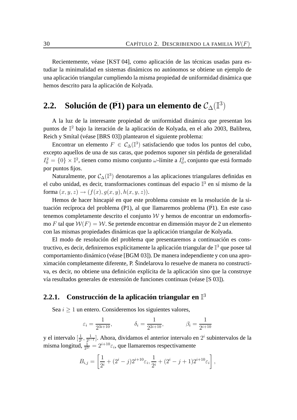Recientemente, véase [KST 04], como aplicación de las técnicas usadas para estudiar la minimalidad en sistemas dinámicos no autónomos se obtiene un ejemplo de una aplicación triangular cumpliendo la misma propiedad de uniformidad dinámica que hemos descrito para la aplicación de Kolyada.

## **2.2.** Solución de (P1) para un elemento de  $\mathcal{C}_{\Delta}(\mathbb{I}^3)$

A la luz de la interesante propiedad de uniformidad dinámica que presentan los puntos de I <sup>2</sup> bajo la iteración de la aplicación de Kolyada, en el año 2003, Balibrea, Reich y Smítal (véase [BRS 03]) plantearon el siguiente problema:

Encontrar un elemento  $F \in C_{\Delta}(\mathbb{I}^3)$  satisfaciendo que todos los puntos del cubo, excepto aquellos de una de sus caras, que podemos suponer sin pérdida de generalidad  $I_0^2 = \{0\} \times \mathbb{I}^2$ , tienen como mismo conjunto  $\omega$ -límite a  $I_0^2$ , conjunto que está formado por puntos fijos.

Naturalmente, por  $\mathcal{C}_{\Delta}(\mathbb{I}^3)$  denotaremos a las aplicaciones triangulares definidas en el cubo unidad, es decir, transformaciones continuas del espacio  $\mathbb{I}^3$  en sí mismo de la forma  $(x, y, z) \rightarrow (f(x), q(x, y), h(x, y, z)).$ 

Hemos de hacer hincapié en que este problema consiste en la resolución de la situación recíproca del problema (P1), al que llamaremos problema (P1). En este caso ¯ tenemos completamente descrito el conjunto  $\mathcal W$  y hemos de encontrar un endomorfismo F tal que  $W(F) = W$ . Se pretende encontrar en dimensión mayor de 2 un elemento con las mismas propiedades dinámicas que la aplicación triangular de Kolyada.

El modo de resolución del problema que presentaremos a continuación es constructivo, es decir, definiremos explícitamente la aplicación triangular de  $\mathbb{I}^3$  que posee tal comportamiento dinámico (véase [BGM 03]). De manera independiente y con una aproximación completamente diferente, P. Šindelarova lo resuelve de manera no constructiva, es decir, no obtiene una definición explícita de la aplicación sino que la construye vía resultados generales de extensión de funciones continuas (véase [S 03]).

### **2.2.1. Construcción de la aplicación triangular en** I 3

Sea  $i > 1$  un entero. Consideremos los siguientes valores,

$$
\varepsilon_i = \frac{1}{2^{3i+10}},
$$
\n $\delta_i = \frac{1}{2^{2i+10}},$ \n $\beta_i = \frac{1}{2^{i+10}}$ 

y el intervalo  $\left[\frac{1}{2}\right]$  $\frac{1}{2^i}, \frac{1}{2^{i-1}}$  $\frac{1}{2^{i-1}}$ . Ahora, dividamos el anterior intervalo en  $2^i$  subintervalos de la misma longitud,  $\frac{1}{2^{2i}} = 2^{i+10} \varepsilon_i$ , que llamaremos respectivamente

$$
B_{i,j} = \left[\frac{1}{2^i} + (2^i - j)2^{i+10}\varepsilon_i, \frac{1}{2^i} + (2^i - j + 1)2^{i+10}\varepsilon_i\right],
$$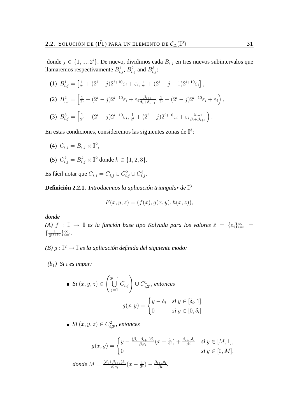donde  $j \in \{1, ..., 2^i\}$ . De nuevo, dividimos cada  $B_{i,j}$  en tres nuevos subintervalos que llamaremos respectivamente  $B_{i,j}^1$ ,  $B_{i,j}^2$  and  $B_{i,j}^3$ :

(1) 
$$
B_{i,j}^1 = \left[\frac{1}{2^i} + (2^i - j)2^{i+10}\varepsilon_i + \varepsilon_i, \frac{1}{2^i} + (2^i - j + 1)2^{i+10}\varepsilon_i\right],
$$
  
\n(2) 
$$
B_{i,j}^2 = \left[\frac{1}{2^i} + (2^i - j)2^{i+10}\varepsilon_i + \varepsilon_i \frac{\beta_{i+1}}{\beta_i + \beta_{i+1}}, \frac{1}{2^i} + (2^i - j)2^{i+10}\varepsilon_i + \varepsilon_i\right),
$$
  
\n(3) 
$$
B_{i,j}^3 = \left[\frac{1}{2^i} + (2^i - j)2^{i+10}\varepsilon_i, \frac{1}{2^i} + (2^i - j)2^{i+10}\varepsilon_i + \varepsilon_i \frac{\beta_{i+1}}{\beta_i + \beta_{i+1}}\right).
$$

En estas condiciones, consideremos las siguientes zonas de  $\mathbb{I}^3$ :

(4)  $C_{i,j} = B_{i,j} \times \mathbb{I}^2$ ,

(5) 
$$
C_{i,j}^k = B_{i,j}^k \times \mathbb{I}^2
$$
 donde  $k \in \{1, 2, 3\}.$ 

Es fácil notar que  $C_{i,j} = C_{i,j}^1 \cup C_{i,j}^2 \cup C_{i,j}^3$ .

**Definición 2.2.1.** *Introducimos la aplicación triangular de* I 3

$$
F(x, y, z) = (f(x), g(x, y), h(x, z)),
$$

*donde*

*(A)*  $f : \mathbb{I} \to \mathbb{I}$  *es la función base tipo Kolyada para los valores*  $\tilde{\varepsilon} = {\varepsilon_i}_{i=1}^{\infty}$  =  $\{\frac{1}{2^{3i+1}}\}$  $\frac{1}{2^{3i+10}}\}_{i=1}^{\infty}$ .

*(B)* g : I <sup>2</sup> → I *es la aplicación definida del siguiente modo:*

*(b*1*) Si* i *es impar:*

■ Si 
$$
(x, y, z) \in \left(\bigcup_{j=1}^{2^i-1} C_{i,j}\right) \cup C_{i,2^i}^1
$$
, *entonces*  

$$
g(x, y) = \begin{cases} y - \delta_i & \text{si } y \in [\delta_i, 1], \\ 0 & \text{si } y \in [0, \delta_i]. \end{cases}
$$

*Si*  $(x, y, z) \in C_i^2$  $i_{i,2}^2$ , entonces

$$
g(x,y) = \begin{cases} y - \frac{(\beta_i + \beta_{i+1})\delta_i}{\beta_i \varepsilon_i}(x - \frac{1}{2^i}) + \frac{\beta_{i+1}\delta_i}{\beta_i} & \text{si } y \in [M,1], \\ 0 & \text{si } y \in [0,M]. \end{cases}
$$

*donde*  $M = \frac{(\beta_i + \beta_{i+1})\delta_i}{\beta_i \varepsilon_i}$  $\frac{\beta_{i+1}\delta_i}{\beta_i\varepsilon_i}(x-\frac{1}{2^i}% )\mathbf{I}^{-\beta_{i+1}}(\varepsilon)\mathbf{I}^{-\beta_{i+1}}(\varepsilon)$  $\frac{1}{2^i}\big) - \frac{\beta_{i+1}\delta_i}{\beta i}.$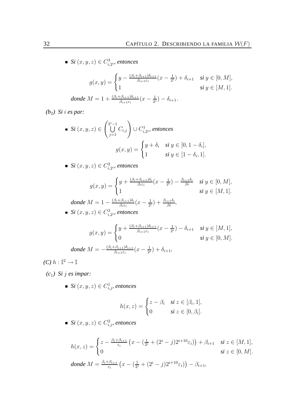$\mathit{Si}~(x,y,z) \in C_{i,2^i}^3$ , entonces

$$
g(x,y) = \begin{cases} y - \frac{(\beta_i + \beta_{i+1})\delta_{i+1}}{\beta_{i+1}\varepsilon_i}(x - \frac{1}{2^i}) + \delta_{i+1} & \text{si } y \in [0, M], \\ 1 & \text{si } y \in [M, 1]. \end{cases}
$$
  
donde  $M = 1 + \frac{(\beta_i + \beta_{i+1})\delta_{i+1}}{\beta_{i+1}\varepsilon_i}(x - \frac{1}{2^i}) - \delta_{i+1}.$ 

*(b*2*) Si* i *es par:*

■ Si 
$$
(x, y, z) \in \left(\bigcup_{j=1}^{2^{i}-1} C_{i,j}\right) \cup C_{i,2^{i}}^{1}
$$
, entonces  

$$
g(x, y) = \begin{cases} y + \delta_{i} & \text{si } y \in [0, 1 - \delta_{i}], \\ 1 & \text{si } y \in [1 - \delta_{i}, 1]. \end{cases}
$$

*Si*  $(x, y, z) \in C_i^2$  $\hat{c}_{i,2^i}$ , entonces

$$
g(x,y) = \begin{cases} y + \frac{(\beta_i + \beta_{i+1})\delta_i}{\beta_i \varepsilon_i}(x - \frac{1}{2^i}) - \frac{\beta_{i+1}\delta_i}{\beta_i} & \text{si } y \in [0,M], \\ 1 & \text{si } y \in [M,1]. \end{cases}
$$

$$
donde M = 1 - \frac{(\beta_i + \beta_{i+1})\delta_i}{\beta_i \varepsilon_i}(x - \frac{1}{2^i}) + \frac{\beta_{i+1}\delta_i}{\beta_i}.
$$
  
Si  $(x, y, z) \in C_{i, 2i}^3$ , *entonces*

$$
g(x,y) = \begin{cases} y + \frac{(\beta_i + \beta_{i+1})\delta_{i+1}}{\beta_{i+1}\varepsilon_i}(x - \frac{1}{2^i}) - \delta_{i+1} & \text{si } y \in [M,1], \\ 0 & \text{si } y \in [0,M]. \end{cases}
$$
  
donde  $M = -\frac{(\beta_i + \beta_{i+1})\delta_{i+1}}{\beta_{i+1}\varepsilon_i}(x - \frac{1}{2^i}) + \delta_{i+1}.$ 

 $(C) \ h : \mathbb{I}^2 \to \mathbb{I}$ 

*(c*1*) Si* j *es impar:*

 $Si\left(x,y,z\right)\in C_{i,j}^{1},$  entonces

$$
h(x, z) = \begin{cases} z - \beta_i & \text{si } z \in [\beta_i, 1], \\ 0 & \text{si } z \in [0, \beta_i]. \end{cases}
$$

 $Si(x, y, z) \in C_{i,j}^2$ , entonces

$$
h(x, z) = \begin{cases} z - \frac{\beta_i + \beta_{i+1}}{\varepsilon_i} \left( x - \left( \frac{1}{2^i} + (2^i - j) 2^{i+10} \varepsilon_i \right) \right) + \beta_{i+1} & \text{si } z \in [M, 1], \\ 0 & \text{si } z \in [0, M]. \end{cases}
$$
  
donde  $M = \frac{\beta_i + \beta_{i+1}}{\varepsilon_i} \left( x - \left( \frac{1}{2^i} + (2^i - j) 2^{i+10} \varepsilon_i \right) \right) - \beta_{i+1}.$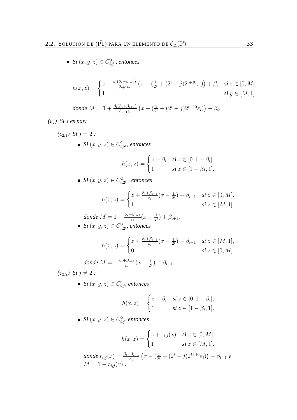$\mathit{Si}~(x,y,z) \in C_{i,j}^{3}$  *, entonces* 

$$
h(x,z) = \begin{cases} z - \frac{\beta_i(\beta_i + \beta_{i+1})}{\beta_{i+1}\varepsilon_i} \left( x - \left( \frac{1}{2^i} + (2^i - j)2^{i+10}\varepsilon_i \right) \right) + \beta_i & \text{si } z \in [0,M], \\ 1 & \text{si } y \in [M,1]. \end{cases}
$$

*donde* 
$$
M = 1 + \frac{\beta_i(\beta_i + \beta_{i+1})}{\beta_{i+1}\varepsilon_i} (x - (\frac{1}{2^i} + (2^i - j)2^{i+10}\varepsilon_i)) - \beta_i.
$$

*(c*2*) Si* j *es par:*

$$
(c_{2,1}) \text{ } Si \text{ } j = 2^i:
$$
  
\n• 
$$
Si \text{ } (x, y, z) \in C_{i, 2^i}^1 \text{ } entonces
$$

$$
h(x, z) = \begin{cases} z + \beta_i & \text{si } z \in [0, 1 - \beta_i], \\ 1 & \text{si } z \in [1 - \beta_i, 1]. \end{cases}
$$

*Si*  $(x, y, z) \in C_i^2$  $\hat{c}_{i,2^i}^2$  , entonces

$$
h(x,z) = \begin{cases} z + \frac{\beta_i + \beta_{i+1}}{\varepsilon_i}(x - \frac{1}{2^i}) - \beta_{i+1} & \text{si } z \in [0, M], \\ 1 & \text{si } z \in [M, 1]. \end{cases}
$$

*donde* 
$$
M = 1 - \frac{\beta_i + \beta_{i+1}}{\varepsilon_i} (x - \frac{1}{2^i}) + \beta_{i+1}.
$$
  
\n•  $Si(x, y, z) \in C_{i, 2^i}^3$ , *entonces*

$$
h(x,z) = \begin{cases} z + \frac{\beta_i + \beta_{i+1}}{\varepsilon_i}(x - \frac{1}{2^i}) - \beta_{i+1} & \text{si } z \in [M,1], \\ 0 & \text{si } z \in [0,M]. \end{cases}
$$

$$
donde M = -\frac{\beta_i + \beta_{i+1}}{\varepsilon_i}(x - \frac{1}{2^i}) + \beta_{i+1}.
$$

 $(c_{2,2})$  *Si*  $j \neq 2^i$ :

 $Si\left(x,y,z\right)\in C_{i,j}^{1},$  entonces

$$
h(x, z) = \begin{cases} z + \beta_i & \text{si } z \in [0, 1 - \beta_i], \\ 1 & \text{si } z \in [1 - \beta_i, 1]. \end{cases}
$$

 $Si\left(x,y,z\right)\in C_{i,j}^{2},$  entonces

$$
h(x, z) = \begin{cases} z + r_{i,j}(x) & \text{si } z \in [0, M], \\ 1 & \text{si } z \in [M, 1]. \end{cases}
$$
  
donde  $r_{i,j}(x) = \frac{\beta_i + \beta_{i+1}}{\varepsilon_i} (x - (\frac{1}{2^i} + (2^i - j)2^{i+10}\varepsilon_i)) - \beta_{i+1} y$   

$$
M = 1 - r_{i,j}(x).
$$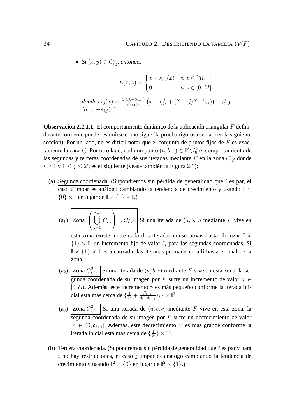$\mathit{Si}\left(x,y\right)\in C_{i,j}^{3},$  entonces

$$
h(x, z) = \begin{cases} z + s_{i,j}(x) & \text{si } z \in [M, 1], \\ 0 & \text{si } z \in [0, M]. \end{cases}
$$
  
donde  $s_{i,j}(x) = \frac{\beta_i(\beta_i + \beta_{i+1})}{\beta_{i+1}\varepsilon_i} (x - (\frac{1}{2^i} + (2^i - j)2^{i+10}\varepsilon_i)) - \beta_i y$   

$$
M = -s_{i,j}(x).
$$

**Observación 2.2.1.1.** El comportamiento dinámico de la aplicación triangular F definida anteriormente puede resumirse como sigue (la prueba rigurosa se dará en la siguiente sección). Por un lado, no es difícil notar que el conjunto de puntos fijos de  $F$  es exactamente la cara  $I_0^2.$  Por otro lado, dado un punto  $(a,b,c)\in \mathbb{I}^3\backslash I_0^2$  el comportamiento de las segundas y terceras coordenadas de sus iteradas mediante F en la zona  $C_{i,j}$  donde  $i \geq 1$  y  $1 \leq j \leq 2^i$ , es el siguiente (véase también la Figura 2.1):

- (a) Segunda coordenada. (Supondremos sin pérdida de generalidad que  $i$  es par, el caso i impar es análogo cambiando la tendencia de crecimiento y usando  $\mathbb{I} \times$  $\{0\} \times \mathbb{I}$  en lugar de  $\mathbb{I} \times \{1\} \times \mathbb{I}$ .)
	- $(a_1)$  Zona  $\sqrt{ }$  $\mathcal{L}$  $\begin{bmatrix} 2^i - 1 \\ 1 \end{bmatrix}$  $j=1$  $C_{i,j}$  $\setminus$  $\bigcup\, C^1_{i,}$  $\mathcal{I}_{i,2^i}^{\perp}$ . Si una iterada de  $(a, b, c)$  mediante F vive en esta zona existe, entre cada dos iteradas consecutivas hasta alcanzar  $\mathbb{I} \times$  $\{1\} \times \mathbb{I}$ , un incremento fijo de valor  $\delta_i$  para las segundas coordenadas. Si  $\mathbb{I} \times \{1\} \times \mathbb{I}$  es alcanzada, las iteradas permanecen allí hasta el final de la zona.
	- $(a_2)$  Zona  $C_i^2$  $i_{i,2^{i}}$ . Si una iterada de  $(a, b, c)$  mediante F vive en esta zona, la segunda coordenada de su imagen por F sufre un incremento de valor  $\gamma \in$ [0,  $\delta_i$ ]. Además, este incremento  $\gamma$  es más pequeño conforme la iterada inicial está más cerca de  $\{\frac{1}{2^n}\}$  $\frac{1}{2^i}+\frac{\beta_{i+1}}{\beta_i+\beta_i}$  $\frac{\beta_{i+1}}{\beta_i+\beta_{i+1}}\varepsilon_i\}\times\mathbb{I}^2.$
	- $(a_3)$  Zona  $C_i^3$  $\int_{i,2^{i}}^{3}$ . Si una iterada de  $(a, b, c)$  mediante F vive en esta zona, la segunda coordenada de su imagen por F sufre un decrecimiento de valor  $γ ∈ (0, δ<sub>i+1</sub>]$ . Además, este decrecimiento  $γ'$  es más grande conforme la iterada inicial está más cerca de  $\{\frac{1}{2}$  $\frac{1}{2^i}\}\times\mathbb{I}^2.$
- (b) Tercera coordenada. (Supondremos sin pérdida de generalidad que  $i$  es par y para  $i$  no hay restricciones, el caso  $j$  impar es análogo cambiando la tendencia de crecimiento y usando  $\mathbb{I}^2 \times \{0\}$  en lugar de  $\mathbb{I}^2 \times \{1\}$ .)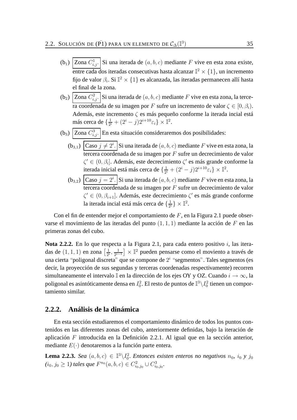- $(b_1)$  Zona  $C_{i,j}^1$ . Si una iterada de  $(a, b, c)$  mediante F vive en esta zona existe, entre cada dos iteradas consecutivas hasta alcanzar  $\mathbb{I}^2 \times \{1\}$ , un incremento fijo de valor  $\beta_i$ . Si  $\mathbb{I}^2 \times \{1\}$  es alcanzada, las iteradas permanecen allí hasta el final de la zona.
- (b<sub>2</sub>) Zona  $C_{i,j}^2$ . Si una iterada de  $(a, b, c)$  mediante F vive en esta zona, la tercera coordenada de su imagen por F sufre un incremento de valor  $\zeta \in [0, \beta_i)$ . Además, este incremento  $\zeta$  es más pequeño conforme la iterada incial está más cerca de  $\{\frac{1}{2^n}\}$  $\frac{1}{2^i} + (2^i - j)2^{i+10}\varepsilon_i \} \times \mathbb{I}^2.$
- $(b_3)$  Zona  $C_{i,j}^3$ . En esta situación consideraremos dos posibilidades:
	- $(b_{3,1})$  Caso  $j \neq 2^i$ . Si una iterada de  $(a, b, c)$  mediante F vive en esta zona, la tercera coordenada de su imagen por F sufre un decrecimiento de valor  $\zeta' \in (0, \beta_i]$ . Además, este decrecimiento  $\zeta'$  es más grande conforme la iterada inicial está más cerca de  $\{\frac{1}{2}$  $\frac{1}{2^i} + (2^i - j)2^{i+10}\varepsilon_i \} \times \mathbb{I}^2.$
	- $(b_{3,2})$   $\Big|$ Caso  $j=2^i$ . Si una iterada de  $(a,b,c)$  mediante  $F$  vive en esta zona, la tercera coordenada de su imagen por F sufre un decrecimiento de valor  $\zeta' \in (0, \beta_{i+1}]$ . Además, este decrecimiento  $\zeta'$  es más grande conforme la iterada incial está más cerca de  $\{\frac{1}{2}$  $\frac{1}{2^i}\}\times\mathbb{I}^2.$

Con el fin de entender mejor el comportamiento de  $F$ , en la Figura 2.1 puede observarse el movimiento de las iteradas del punto  $(1, 1, 1)$  mediante la acción de F en las primeras zonas del cubo.

**Nota 2.2.2.** En lo que respecta a la Figura 2.1, para cada entero positivo i, las iteradas de  $(1, 1, 1)$  en zona  $\left[\frac{1}{2^{i}}\right]$  $\frac{1}{2^i}, \frac{1}{2^{i-1}}$  $\frac{1}{2^{i-1}}$  × I<sup>2</sup> pueden pensarse como el moviento a través de una cierta "poligonal discreta" que se compone de  $2^i$  "segmentos". Tales segmentos (es decir, la proyección de sus segundas y terceras coordenadas respectivamente) recorren simultaneamente el intervalo I en la dirección de los ejes OY y OZ. Cuando  $i \to \infty$ , la poligonal es asintóticamente densa en  $I_0^2$ . El resto de puntos de  $\mathbb{I}^3\backslash I_0^2$  tienen un comportamiento similar.

## **2.2.2. Análisis de la dinámica**

En esta sección estudiaremos el comportamiento dinámico de todos los puntos contenidos en las diferentes zonas del cubo, anteriormente definidas, bajo la iteración de aplicación F introducida en la Definición 2.2.1. Al igual que en la sección anterior, mediante  $E(\cdot)$  denotaremos a la función parte entera.

**Lema 2.2.3.** *Sea*  $(a, b, c) \in \mathbb{I}^3 \setminus I_0^2$ . *Entonces existen enteros no negativos*  $n_0$ ,  $i_0$  *y*  $j_0$  $(i_0, j_0 \ge 1)$  tales que  $F^{n_0}(a, b, c) \in C^2_{i_0, j_0} \cup C^3_{i_0, j_0}$ .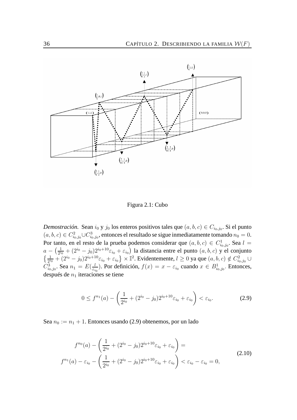

Figura 2.1: Cubo

*Demostración*. Sean  $i_0$  y  $j_0$  los enteros positivos tales que  $(a, b, c) \in C_{i_0, j_0}$ . Si el punto  $(a, b, c) \in C_{i_0, j_0}^2 \cup C_{i_0, j_0}^3$ , entonces el resultado se sigue inmediatamente tomando  $n_0 = 0$ . Por tanto, en el resto de la prueba podemos considerar que  $(a, b, c) \in C^1_{i_0, j_0}$ . Sea  $l =$  $_{i_0,j_0}$  $a-\left(\frac{1}{2^{i_0}}\right)$  $\frac{1}{2^{i_0}} + (2^{i_0} - j_0)2^{i_0+10}\varepsilon_{i_0} + \varepsilon_{i_0}$ ) la distancia entre el punto  $(a, b, c)$  y el conjunto  $\left\{\frac{1}{2^{i_0}} + (2^{i_0} - j_0)2^{i_0+10}\varepsilon_{i_0} + \varepsilon_{i_0}\right\} \times \mathbb{I}^2$ . Evidentemente,  $l \ge 0$  ya que  $(a, b, c) \notin C^2_{i_0, j_0} \cup$  $C_{i_0,j_0}^3$ . Sea  $n_1 = E(\frac{l}{\varepsilon_i})$  $\frac{l}{\epsilon_{i_0}}$ ). Por definición,  $f(x) = x - \epsilon_{i_0}$  cuando  $x \in B^1_{i_0, j_0}$ . Entonces, después de  $n_1$  iteraciones se tiene

$$
0 \le f^{n_1}(a) - \left(\frac{1}{2^{i_0}} + (2^{i_0} - j_0)2^{i_0 + 10}\varepsilon_{i_0} + \varepsilon_{i_0}\right) < \varepsilon_{i_0}.\tag{2.9}
$$

Sea  $n_0 := n_1 + 1$ . Entonces usando (2.9) obtenemos, por un lado

$$
f^{n_0}(a) - \left(\frac{1}{2^{i_0}} + (2^{i_0} - j_0)2^{i_0+10}\varepsilon_{i_0} + \varepsilon_{i_0}\right) =
$$
  

$$
f^{n_1}(a) - \varepsilon_{i_0} - \left(\frac{1}{2^{i_0}} + (2^{i_0} - j_0)2^{i_0+10}\varepsilon_{i_0} + \varepsilon_{i_0}\right) < \varepsilon_{i_0} - \varepsilon_{i_0} = 0,
$$
\n
$$
(2.10)
$$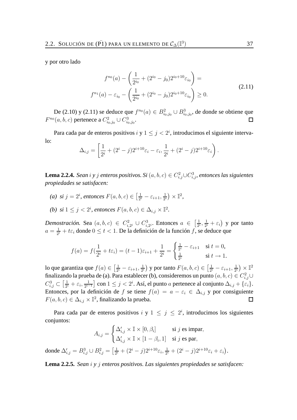y por otro lado

$$
f^{n_0}(a) - \left(\frac{1}{2^{i_0}} + (2^{i_0} - j_0)2^{i_0+10}\varepsilon_{i_0}\right) =
$$
  

$$
f^{n_1}(a) - \varepsilon_{i_0} - \left(\frac{1}{2^{i_0}} + (2^{i_0} - j_0)2^{i_0+10}\varepsilon_{i_0}\right) \ge 0.
$$
 (2.11)

De (2.10) y (2.11) se deduce que  $f^{n_0}(a) \in B^2_{i_0,j_0} \cup B^3_{i_0,j_0}$ , de donde se obtiene que  $F^{n_0}(a,b,c)$  pertenece a  $C^2_{i_0,j_0}\cup C^3_{i_0,j_0}.$  $\Box$ 

Para cada par de enteros positivos  $i \, y \, 1 \leq j < 2^i$ , introducimos el siguiente intervalo:

$$
\Delta_{i,j} = \left[ \frac{1}{2^i} + (2^i - j) 2^{i+10} \varepsilon_i - \varepsilon_i, \frac{1}{2^i} + (2^i - j) 2^{i+10} \varepsilon_i \right).
$$

**Lema 2.2.4.** *Sean* i *y* j *enteros positivos. Si* (a, b, c) ∈ C 2 i,j∪C 3 i,j *, entonces las siguientes propiedades se satisfacen:*

- (*a*) si  $j = 2^i$ , entonces  $F(a, b, c) \in \left[\frac{1}{2^i}\right]$  $\frac{1}{2^i} - \varepsilon_{i+1}, \frac{1}{2^i}$  $\frac{1}{2^i}\big)\times\mathbb{I}^2$ ,
- *(b)* si  $1 \leq j < 2^i$ , entonces  $F(a, b, c) \in \Delta_{i,j} \times \mathbb{I}^2$ .

*Demostración.* Sea  $(a, b, c) \in C_i^2$  $i_{i,2}^2 \cup C_{i,1}^3$  $i_{i,2}^3$ . Entonces  $a \in \left[\frac{1}{2^n}\right]$  $\frac{1}{2^i}, \frac{1}{2^i}$  $\frac{1}{2^i} + \varepsilon_i$ ) y por tanto  $a=\frac{1}{2^i}$  $\frac{1}{2^i} + t\varepsilon_i$  donde  $0 \le t < 1$ . De la definición de la función f, se deduce que

$$
f(a) = f(\frac{1}{2^{i}} + t\varepsilon_{i}) = (t - 1)\varepsilon_{i+1} + \frac{1}{2^{i}} = \begin{cases} \frac{1}{2^{i}} - \varepsilon_{i+1} & \text{si } t = 0, \\ \frac{1}{2^{i}} & \text{si } t \to 1. \end{cases}
$$

lo que garantiza que  $f(a) \in \left[\frac{1}{2^n}\right]$  $\frac{1}{2^{i}}-\varepsilon_{i+1},\frac{1}{2^{i}}$  $\frac{1}{2^i}$ ) y por tanto  $F(a,b,c) \in \left[\frac{1}{2^i}\right]$  $\frac{1}{2^{i}}-\varepsilon_{i+1},\frac{1}{2^{i}}$  $\frac{1}{2^i}\big)\times \mathbb{I}^2$ finalizando la prueba de (a). Para establecer (b), consideremos un punto  $(a,b,c)\in C^2_{i,j}\cup$  $C_{i,j}^3 \subset \left[\frac{1}{2^n}\right]$  $\frac{1}{2^i}+\varepsilon_i,\frac{1}{2^{i-1}}$  $\frac{1}{2^{i-1}}$ ] con  $1 \leq j < 2^i$ . Así, el punto a pertenece al conjunto  $\Delta_{i,j} + \{\varepsilon_i\}$ . Entonces, por la definición de f se tiene  $f(a) = a - \varepsilon_i \in \Delta_{i,j}$  y por consiguiente  $F(a, b, c) \in \Delta_{i,j} \times \mathbb{I}^2$ , finalizando la prueba.  $\Box$ 

Para cada par de enteros positivos i y  $1 \leq j \leq 2^{i}$ , introducimos los siguientes conjuntos:

$$
A_{i,j} = \begin{cases} \Delta'_{i,j} \times \mathbb{I} \times [0, \beta_i] & \text{si } j \text{ es impar,} \\ \Delta'_{i,j} \times \mathbb{I} \times [1 - \beta_i, 1] & \text{si } j \text{ es par,} \end{cases}
$$
donde  $\Delta'_{i,j} = B_{i,j}^3 \cup B_{i,j}^2 = \left[\frac{1}{2^i} + (2^i - j)2^{i+10}\varepsilon_i, \frac{1}{2^i} + (2^i - j)2^{i+10}\varepsilon_i + \varepsilon_i\right)$ 

**Lema 2.2.5.** *Sean* i *y* j *enteros positivos. Las siguientes propiedades se satisfacen:*

.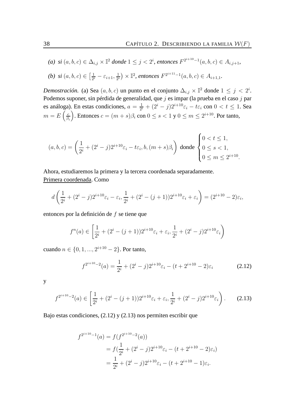(a) si 
$$
(a, b, c) \in \Delta_{i,j} \times \mathbb{I}^2
$$
 donde  $1 \leq j < 2^i$ , entonces  $F^{2^{i+10}-1}(a, b, c) \in A_{i,j+1}$ ,

(b) 
$$
si(a, b, c) \in \left[\frac{1}{2^i} - \varepsilon_{i+1}, \frac{1}{2^i}\right) \times \mathbb{I}^2
$$
, *entonces*  $F^{2^{i+11}-1}(a, b, c) \in A_{i+1,1}$ .

*Demostración.* (a) Sea  $(a, b, c)$  un punto en el conjunto  $\Delta_{i,j} \times \mathbb{I}^2$  donde  $1 \leq j < 2^i$ . Podemos suponer, sin pérdida de generalidad, que  $j$  es impar (la prueba en el caso  $j$  par es análoga). En estas condiciones,  $a = \frac{1}{2^a}$  $\frac{1}{2^i} + (2^i - j)2^{i+10}\varepsilon_i - t\varepsilon_i$  con  $0 < t \le 1$ . Sea  $m = E\left(\frac{c}{\beta}\right)$  $\beta_i$ ). Entonces  $c = (m + s)\beta_i$  con  $0 \le s < 1$  y  $0 \le m \le 2^{i+10}$ . Por tanto,

$$
(a,b,c)=\left(\frac{1}{2^i}+(2^i-j)2^{i+10}\varepsilon_i-t\varepsilon_i,b,(m+s)\beta_i\right) \text{ donde } \begin{cases} 0 < t \leq 1,\\ 0 \leq s < 1,\\ 0 \leq m \leq 2^{i+10}. \end{cases}
$$

Ahora, estudiaremos la primera y la tercera coordenada separadamente. Primera coordenada. Como

$$
d\left(\frac{1}{2^i} + (2^i - j)2^{i+10}\varepsilon_i - \varepsilon_i, \frac{1}{2^i} + (2^i - (j+1))2^{i+10}\varepsilon_i + \varepsilon_i\right) = (2^{i+10} - 2)\varepsilon_i,
$$

entonces por la definición de f se tiene que

$$
f^{n}(a) \in \left[\frac{1}{2^{i}} + (2^{i} - (j+1))2^{i+10}\varepsilon_{i} + \varepsilon_{i}, \frac{1}{2^{i}} + (2^{i} - j)2^{i+10}\varepsilon_{i}\right)
$$

cuando  $n \in \{0, 1, ..., 2^{i+10} - 2\}$ . Por tanto,

$$
f^{2^{i+10}-2}(a) = \frac{1}{2^i} + (2^i - j)2^{i+10}\varepsilon_i - (t + 2^{i+10} - 2)\varepsilon_i \tag{2.12}
$$

y

$$
f^{2^{i+10}-2}(a) \in \left[\frac{1}{2^i} + (2^i - (j+1))2^{i+10}\varepsilon_i + \varepsilon_i, \frac{1}{2^i} + (2^i - j)2^{i+10}\varepsilon_i\right). \tag{2.13}
$$

Bajo estas condiciones, (2.12) y (2.13) nos permiten escribir que

$$
f^{2^{i+10}-1}(a) = f(f^{2^{i+10}-2}(a))
$$
  
=  $f(\frac{1}{2^i} + (2^i - j)2^{i+10}\varepsilon_i - (t + 2^{i+10} - 2)\varepsilon_i)$   
=  $\frac{1}{2^i} + (2^i - j)2^{i+10}\varepsilon_i - (t + 2^{i+10} - 1)\varepsilon_i$ .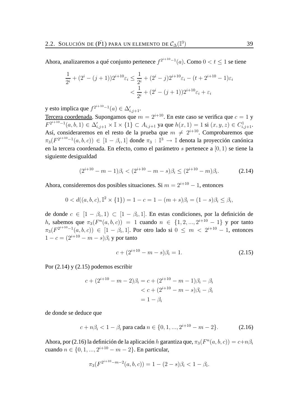Ahora, analizaremos a qué conjunto pertenece  $f^{2^{i+10}-1}(a)$ . Como  $0 < t \le 1$  se tiene

$$
\frac{1}{2^{i}} + (2^{i} - (j+1))2^{i+10}\varepsilon_{i} \le \frac{1}{2^{i}} + (2^{i} - j)2^{i+10}\varepsilon_{i} - (t+2^{i+10} - 1)\varepsilon_{i}
$$

$$
< \frac{1}{2^{i}} + (2^{i} - (j+1))2^{i+10}\varepsilon_{i} + \varepsilon_{i}
$$

y esto implica que  $f^{2^{i+10}-1}(a) \in \Delta'_{i,j+1}.$ 

Tercera coordenada. Supongamos que  $m = 2^{i+10}$ . En este caso se verifica que  $c = 1$  y  $F^{2^{i+10}-1}(a, b, 1) \in \Delta'_{i,j+1} \times \mathbb{I} \times \{1\} \subset A_{i,j+1}$  ya que  $h(x, 1) = 1$  si  $(x, y, z) \in C^1_{i,j+1}$ . Así, consideraremos en el resto de la prueba que  $m \neq 2^{i+10}$ . Comprobaremos que  $\pi_3(F^{2^{i+10}-1}(a,b,c)) \in [1-\beta_i,1]$  donde  $\pi_3 : \mathbb{I}^3 \to \mathbb{I}$  denota la proyección canónica en la tercera coordenada. En efecto, como el parámetro s pertenece a [0, 1) se tiene la siguiente desigualdad

$$
(2^{i+10} - m - 1)\beta_i < (2^{i+10} - m - s)\beta_i \le (2^{i+10} - m)\beta_i. \tag{2.14}
$$

Ahora, consideremos dos posibles situaciones. Si  $m = 2^{i+10} - 1$ , entonces

$$
0 < d((a, b, c), \mathbb{I}^2 \times \{1\}) = 1 - c = 1 - (m + s)\beta_i = (1 - s)\beta_i \le \beta_i,
$$

de donde  $c \in [1 - \beta_i, 1) \subset [1 - \beta_i, 1]$ . En estas condiciones, por la definición de h, sabemos que  $\pi_3(F^n(a, b, c)) = 1$  cuando  $n \in \{1, 2, ..., 2^{i+10} - 1\}$  y por tanto  $\pi_3(F^{2^{i+10}-1}(a,b,c)) \in [1 - \beta_i, 1]$ . Por otro lado si  $0 \leq m < 2^{i+10} - 1$ , entonces  $1 - c = (2^{i+10} - m - s)\beta_i$  y por tanto

$$
c + (2^{i+10} - m - s)\beta_i = 1.
$$
\n(2.15)

Por (2.14) y (2.15) podemos escribir

$$
c + (2^{i+10} - m - 2)\beta_i = c + (2^{i+10} - m - 1)\beta_i - \beta_i
$$
  

$$
< c + (2^{i+10} - m - s)\beta_i - \beta_i
$$
  

$$
= 1 - \beta_i
$$

de donde se deduce que

$$
c + n\beta_i < 1 - \beta_i \text{ para cada } n \in \{0, 1, \ldots, 2^{i+10} - m - 2\}. \tag{2.16}
$$

Ahora, por (2.16) la definición de la aplicación h garantiza que,  $\pi_3(F^n(a, b, c)) = c+n\beta_i$ cuando  $n \in \{0, 1, ..., 2^{i+10} - m - 2\}$ . En particular,

$$
\pi_3(F^{2^{i+10}-m-2}(a,b,c)) = 1 - (2-s)\beta_i < 1 - \beta_i.
$$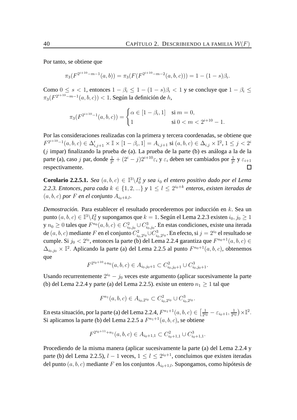Por tanto, se obtiene que

$$
\pi_3(F^{2^{i+10}-m-1}(a,b)) = \pi_3(F(F^{2^{i+10}-m-2}(a,b,c))) = 1 - (1-s)\beta_i.
$$

Como  $0 \le s \le 1$ , entonces  $1 - \beta_i \le 1 - (1 - s)\beta_i \le 1$  y se concluye que  $1 - \beta_i \le$  $\pi_3(F^{2^{i+10}-m-1}(a,b,c)) < 1$ . Según la definición de h,

$$
\pi_3(F^{2^{i+10}-1}(a,b,c)) = \begin{cases} \alpha \in [1-\beta_i,1] & \text{si } m=0, \\ 1 & \text{si } 0 < m < 2^{i+10}-1. \end{cases}
$$

Por las consideraciones realizadas con la primera y tercera coordenadas, se obtiene que  $F^{2^{i+10}-1}(a,b,c) \in \Delta'_{i,j+1}\times \mathbb{I} \times [1-\beta_i,1] = A_{i,j+1} \; \text{si}\; (a,b,c) \in \Delta_{i,j} \times \mathbb{I}^2, \, 1 \leq j < 2^i$ (j impar) finalizando la prueba de (a). La prueba de la parte (b) es análoga a la de la parte (a), caso j par, donde  $\frac{1}{2^i} + (2^i - j)2^{i+10}\varepsilon_i$  y  $\varepsilon_i$  deben ser cambiados por  $\frac{1}{2^i}$  y  $\varepsilon_{i+1}$ respectivamente.  $\Box$ 

**Corolario 2.2.5.1.** *Sea*  $(a, b, c) \in \mathbb{I}^3 \setminus I_0^2$  *y sea*  $i_0$  *el entero positivo dado por el Lema* 2.2.3. Entonces, para cada  $k \in \{1, 2, ...\}$  y  $1 \leq l \leq 2^{i_0+k}$  enteros, existen iteradas de  $(a, b, c)$  *por F en el conjunto*  $A_{i_0+k,l}$ *.* 

*Demostración.* Para establecer el resultado procederemos por inducción en k. Sea un punto  $(a,b,c)\in\mathbb{I}^3\backslash I^2_0$  y supongamos que  $k=1.$  Según el Lema 2.2.3 existen  $i_0,j_0\geq 1$ y  $n_0 \geq 0$  tales que  $F^{n_0}(a,b,c) \in C_{i_0,j_0}^2 \cup C_{i_0,j_0}^3.$  En estas condiciones, existe una iterada de  $(a, b, c)$  mediante F en el conjunto  $C_{i}^2$  $i_0, 2^{i_0} \cup C_{i_0}^3$  $i_{i_0,2^{i_0}}$ . En efecto, si  $j=2^{i_0}$  el resultado se cumple. Si  $j_0 < 2^{i_0}$ , entonces la parte (b) del Lema 2.2.4 garantiza que  $F^{n_0+1}(a, b, c) \in$  $\Delta_{i_0,j_0} \times \mathbb{I}^2$ . Aplicando la parte (a) del Lema 2.2.5 al punto  $F^{n_0+1}(a, b, c)$ , obtenemos que

$$
F^{2^{i_0+10}+n_0}(a,b,c) \in A_{i_0,j_0+1} \subset C^2_{i_0,j_0+1} \cup C^3_{i_0,j_0+1}.
$$

Usando recurrentemente  $2^{i_0} - j_0$  veces este argumento (aplicar sucesivamente la parte (b) del Lema 2.2.4 y parte (a) del Lema 2.2.5). existe un entero  $n_1 \geq 1$  tal que

$$
F^{n_1}(a, b, c) \in A_{i_0, 2^{i_0}} \subset C^2_{i_0, 2^{i_0}} \cup C^3_{i_0, 2^{i_0}}.
$$

En esta situación, por la parte (a) del Lema 2.2.4,  $F^{n_1+1}(a, b, c) \in \left[\frac{1}{2^n}\right]$  $\frac{1}{2^{i_0}}-\varepsilon_{i_0+1}, \frac{1}{2^{i_0}}$  $\frac{1}{2^{i_0}}$   $\times$   $\mathbb{I}^2$ . Si aplicamos la parte (b) del Lema 2.2.5 a  $F^{n_1+1}(a, b, c)$ , se obtiene

$$
F^{2^{i_0+11}+n_1}(a,b,c) \in A_{i_0+1,1} \subset C_{i_0+1,1}^2 \cup C_{i_0+1,1}^3.
$$

Procediendo de la misma manera (aplicar sucesivamente la parte (a) del Lema 2.2.4 y parte (b) del Lema 2.2.5),  $l - 1$  veces,  $1 \le l \le 2^{i_0+1}$ , concluimos que existen iteradas del punto  $(a, b, c)$  mediante F en los conjuntos  $A_{i_0+1,l}$ . Supongamos, como hipótesis de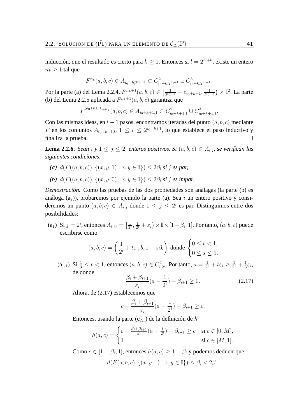inducción, que el resultado es cierto para  $k \geq 1$ . Entonces si  $l = 2^{i_0+k}$ , existe un entero  $n_k \geq 1$  tal que

$$
F^{n_k}(a,b,c) \in A_{i_0+k,2^{i_0+k}} \subset C^2_{i_0+k,2^{i_0+k}} \cup C^3_{i_0+k,2^{i_0+k}}.
$$

Por la parte (a) del Lema 2.2.4,  $F^{n_k+1}(a, b, c) \in \left[\frac{1}{2^{i_0}}\right]$  $\frac{1}{2^{i_0+k}}-\varepsilon_{i_0+k+1},\frac{1}{2^{i_0}}$  $\frac{1}{2^{i_0+k}}\big)\times \mathbb{I}^2.$  La parte (b) del Lema 2.2.5 aplicada a  $F^{n_k+1}(a, b, c)$  garantiza que

 $F^{2^{i_0+k+11}+n_k}(a,b,c) \in A_{i_0+k+1,1} \subset C^2_{i_0+k+1,1} \cup C^3_{i_0+k+1,1}.$ 

Con las mismas ideas, en  $l - 1$  pasos, encontramos iteradas del punto  $(a, b, c)$  mediante F en los conjuntos  $A_{i_0+k+1,l}$ ,  $1 \leq l \leq 2^{i_0+k+1}$ , lo que establece el paso inductivo y finaliza la prueba. 口

**Lema 2.2.6.** *Sean* i y  $1 \leq j \leq 2^i$  enteros positivos. Si  $(a, b, c) \in A_{i,j}$ , se verifican las *siguientes condiciones:*

(a)  $d(F((a, b, c)), \{(x, y, 1) : x, y \in \mathbb{I}\}) \leq 2\beta$ , si j es par, *(b)*  $d(F((a, b, c)), \{(x, y, 0) : x, y \in \mathbb{I}\}) \leq 2\beta_i$  *si j es impar.* 

*Demostración.* Como las pruebas de las dos propiedades son análagas (la parte (b) es análoga  $(a_2)$ ), probaremos por ejemplo la parte (a). Sea i un entero positivo y consideremos un punto  $(a, b, c) \in A_{i,j}$  donde  $1 \leq j \leq 2^{i}$  es par. Distinguimos entre dos posibilidades:

(a<sub>1</sub>) Si  $j = 2^i$ , entonces  $A_{i,2^i} = \left[\frac{1}{2^i}\right]$  $\frac{1}{2^i}, \frac{1}{2^i}$  $\frac{1}{2^i}+\varepsilon_i\big)\times\mathbb{I}\times[1-\beta_i,1].$  Por tanto,  $(a,b,c)$  puede escribirse como

$$
(a, b, c) = \left(\frac{1}{2^i} + t\varepsilon_i, b, 1 - s\beta_i\right) \text{ donde } \begin{cases} 0 \le t < 1, \\ 0 \le s \le 1. \end{cases}
$$

(a<sub>1,1</sub>) Si  $\frac{1}{3} \le t < 1$ , entonces  $(a, b, c) \in C^2_{i}$ ,  $i_{i,2}^2$ . Por tanto,  $a=\frac{1}{2^n}$  $\frac{1}{2^i}+t\varepsilon_i\geq \frac{1}{2^i}$  $\frac{1}{2^i} + \frac{1}{3}$  $\frac{1}{3}\varepsilon_i$ de donde

$$
\frac{\beta_i + \beta_{i+1}}{\varepsilon_i} (a - \frac{1}{2^i}) - \beta_{i+1} \ge 0.
$$
 (2.17)

Ahora, de (2.17) establecemos que

$$
c + \frac{\beta_i + \beta_{i+1}}{\varepsilon_i} (a - \frac{1}{2^i}) - \beta_{i+1} \ge c.
$$

Entonces, usando la parte  $(c_{2,1})$  de la definición de h

$$
h(a,c) = \begin{cases} c + \frac{\beta_i + \beta_{i+1}}{\varepsilon_i} (a - \frac{1}{2^i}) - \beta_{i+1} \ge c & \text{si } c \in [0, M], \\ 1 & \text{si } c \in [M, 1]. \end{cases}
$$

Como  $c \in [1 - \beta_i, 1]$ , entonces  $h(a, c) \ge 1 - \beta_i$  y podemos deducir que

$$
d(F(a, b, c), \{(x, y, 1) : x, y \in \mathbb{I}\}) \le \beta_i < 2\beta_i.
$$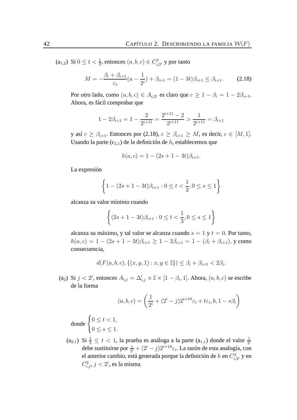$(a_{1,2})$  Si  $0 \le t < \frac{1}{3}$ , entonces  $(a, b, c) \in C_{i, 2^i}^3$  y por tanto

$$
M = -\frac{\beta_i + \beta_{i+1}}{\varepsilon_i} (a - \frac{1}{2^i}) + \beta_{i+1} = (1 - 3t)\beta_{i+1} \le \beta_{i+1}.
$$
 (2.18)

Por otro lado, como  $(a, b, c) \in A_{i, 2^i}$  es claro que  $c \geq 1 - \beta_i = 1 - 2\beta_{i+1}$ . Ahora, es fácil comprobar que

$$
1 - 2\beta_{i+1} = 1 - \frac{2}{2^{i+11}} = \frac{2^{i+11} - 2}{2^{i+11}} > \frac{1}{2^{i+11}} = \beta_{i+1}
$$

y así  $c \geq \beta_{i+1}$ . Entonces por (2.18),  $c \geq \beta_{i+1} \geq M$ , es decir,  $c \in [M, 1]$ . Usando la parte  $(c_{2,1})$  de la definición de h, establecemos que

$$
h(a, c) = 1 - (2s + 1 - 3t)\beta_{i+1}.
$$

La expresión

$$
\left\{1 - (2s + 1 - 3t)\beta_{i+1} : 0 \le t < \frac{1}{3}, 0 \le s \le 1\right\}
$$

alcanza su valor mínimo cuando

$$
\left\{ (2s+1-3t)\beta_{i+1} : 0 \le t < \frac{1}{3}, 0 \le s \le 1 \right\}
$$

alcanza su máximo, y tal valor se alcanza cuando  $s = 1$  y  $t = 0$ . Por tanto,  $h(a, c) = 1 - (2s + 1 - 3t)\beta_{i+1} \ge 1 - 3\beta_{i+1} = 1 - (\beta_i + \beta_{i+1}),$  y como consecuencia,

$$
d(F(a, b, c), \{(x, y, 1) : x, y \in \mathbb{I}\}) \le \beta_i + \beta_{i+1} < 2\beta_i.
$$

(a<sub>2</sub>) Si  $j < 2^i$ , entonces  $A_{i,j} = \Delta'_{i,j} \times \mathbb{I} \times [1 - \beta_i, 1]$ . Ahora,  $(a, b, c)$  se escribe de la forma

$$
(a, b, c) = \left(\frac{1}{2^i} + (2^i - j)2^{i+10}\varepsilon_i + t\varepsilon_i, b, 1 - s\beta_i\right)
$$

donde  $\begin{cases} 0 \leq t < 1, \end{cases}$  $0 \leq s \leq 1$ .

 $(a_{2,1})$  Si  $\frac{1}{3} \leq t < 1$ , la prueba es análoga a la parte  $(a_{1,1})$  donde el valor  $\frac{1}{2^i}$ debe sustituirse por  $\frac{1}{2^i} + (2^i - j)2^{i+10}\varepsilon_i$ . La razón de esta analogía, con el anterior cambio, está generada porque la definición de  $h$  en  $C_i^2$  $\zeta_{i,2^i}^2$  y en  $C_{i,j}^2$ ,  $j < 2^i$ , es la misma.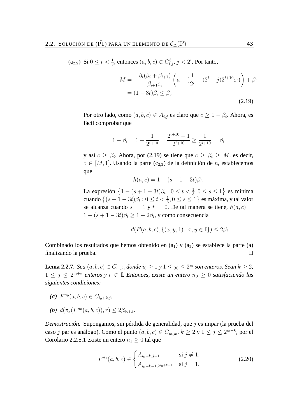(a<sub>2,2</sub>) Si  $0 \le t < \frac{1}{3}$ , entonces  $(a, b, c) \in C_{i,j}^3$ ,  $j < 2^i$ . Por tanto,

$$
M = -\frac{\beta_i(\beta_i + \beta_{i+1})}{\beta_{i+1}\varepsilon_i} \left( a - \left( \frac{1}{2^i} + (2^i - j)2^{i+10}\varepsilon_i \right) \right) + \beta_i
$$
  
=  $(1 - 3t)\beta_i \le \beta_i$ . (2.19)

Por otro lado, como  $(a, b, c) \in A_{i,j}$  es claro que  $c \geq 1 - \beta_i$ . Ahora, es fácil comprobar que

$$
1 - \beta_i = 1 - \frac{1}{2^{i+10}} = \frac{2^{i+10} - 1}{2^{i+10}} \ge \frac{1}{2^{i+10}} = \beta_i
$$

y así  $c \geq \beta_i$ . Ahora, por (2.19) se tiene que  $c \geq \beta_i \geq M$ , es decir,  $c \in [M, 1]$ . Usando la parte (c<sub>2,2</sub>) de la definición de h, establecemos que

$$
h(a, c) = 1 - (s + 1 - 3t)\beta_i
$$

La expresión  $\{1 - (s + 1 - 3t)\beta_i : 0 \le t < \frac{1}{3}, 0 \le s \le 1\}$  es mínima cuando  $\{(s+1-3t)\beta_i: 0 \le t < \frac{1}{3}, 0 \le s \le 1\}$  es máxima, y tal valor se alcanza cuando  $s = 1$  y  $t = 0$ . De tal manera se tiene,  $h(a, c) =$  $1 - (s + 1 - 3t)\beta_i \geq 1 - 2\beta_i$ , y como consecuencia

$$
d(F(a, b, c), \{(x, y, 1) : x, y \in \mathbb{I}\}) \le 2\beta_i.
$$

.

Combinado los resultados que hemos obtenido en  $(a_1)$  y  $(a_2)$  se establece la parte  $(a)$ finalizando la prueba.  $\Box$ 

**Lema 2.2.7.** *Sea*  $(a, b, c) \in C_{i_0, j_0}$  *donde*  $i_0 \ge 1$  *y*  $1 \le j_0 \le 2^{i_0}$  *son enteros. Sean*  $k \ge 2$ *,*  $1 ≤ j ≤ 2<sup>i<sub>0</sub>+k</sup>$  enteros y  $r ∈ \mathbb{I}$ . Entonces, existe un entero  $n_0 ≥ 0$  satisfaciendo las *siguientes condiciones:*

- *(a)*  $F^{n_0}(a, b, c) \in C_{i_0+k, j}$
- *(b)*  $d(\pi_3(F^{n_0}(a, b, c)), r) \leq 2\beta_{i_0+k}$ .

*Demostración.* Supongamos, sin pérdida de generalidad, que j es impar (la prueba del caso j par es análogo). Como el punto  $(a, b, c) \in C_{i_0, j_0}, k \ge 2$  y  $1 \le j \le 2^{i_0+k}$ , por el Corolario 2.2.5.1 existe un entero  $n_1 \geq 0$  tal que

$$
F^{n_1}(a, b, c) \in \begin{cases} A_{i_0+k, j-1} & \text{si } j \neq 1, \\ A_{i_0+k-1, 2^{i_0+k-1}} & \text{si } j = 1. \end{cases}
$$
 (2.20)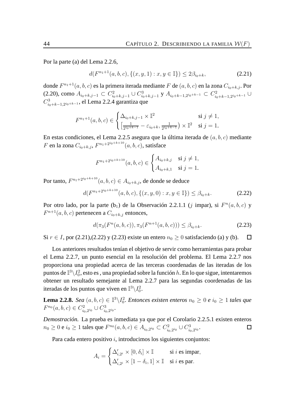Por la parte (a) del Lema 2.2.6,

$$
d(F^{n_1+1}(a,b,c), \{(x,y,1): x,y \in \mathbb{I}\}) \le 2\beta_{i_0+k},\tag{2.21}
$$

donde  $F^{n_1+1}(a,b,c)$  es la primera iterada mediante  $F$  de  $(a,b,c)$  en la zona  $C_{i_0+k,j}.$  Por (2.20), como  $A_{i_0+k, j-1} \subset C_{i_0+k, j-1}^2 \cup C_{i_0+k, j-1}^3$  y  $A_{i_0+k-1, 2^{i_0+k-1}} \subset C_{i_0}^2$  $i_0+k-1, 2^{i_0+k-1}$  ∪  $C_{i}^3$  $\frac{13}{i_0+k-1,2^{i_0+k-1}}$ , el Lema 2.2.4 garantiza que

$$
F^{n_1+1}(a, b, c) \in \begin{cases} \Delta_{i_0+k, j-1} \times \mathbb{I}^2 & \text{si } j \neq 1, \\ \left[\frac{1}{2^{i_0+k-1}} - \varepsilon_{i_0+k}, \frac{1}{2^{i_0+k-1}}\right) \times \mathbb{I}^2 & \text{si } j = 1. \end{cases}
$$

En estas condiciones, el Lema 2.2.5 asegura que la última iterada de  $(a, b, c)$  mediante  $F$  en la zona  $C_{i_0+k,j}$ ,  $F^{n_1+2^{i_0+k+10}}(a,b,c)$ , satisface

$$
F^{n_1+2^{i_0+k+10}}(a,b,c) \in \begin{cases} A_{i_0+k,j} & \text{si } j \neq 1, \\ A_{i_0+k,1} & \text{si } j = 1. \end{cases}
$$

Por tanto,  $F^{n_1+2^{i_0+k+10}}(a,b,c) \in A_{i_0+k,j},$  de donde se deduce

$$
d(F^{n_1+2^{i_0+k+10}}(a,b,c),\{(x,y,0):x,y\in\mathbb{I}\})\leq \beta_{i_0+k}.\tag{2.22}
$$

Por otro lado, por la parte (b<sub>1</sub>) de la Observación 2.2.1.1 (j impar), si  $F<sup>n</sup>(a, b, c)$  y  $F^{n+1}(a, b, c)$  pertenecen a  $C_{i_0+k,j}$  entonces,

$$
d(\pi_3(F^n(a,b,c)), \pi_3(F^{n+1}(a,b,c))) \le \beta_{i_0+k}.\tag{2.23}
$$

Si  $r \in I$ , por (2.21),(2.22) y (2.23) existe un entero  $n_0 \ge 0$  satisfaciendo (a) y (b).  $\Box$ 

Los anteriores resultados tenían el objetivo de servir como herramientas para probar el Lema 2.2.7, un punto esencial en la resolución del problema. El Lema 2.2.7 nos proporciona una propiedad acerca de las terceras coordenadas de las iteradas de los puntos de  $\mathbb{I}^3\backslash I^2_0$ , esto es , una propiedad sobre la función  $h.$  En lo que sigue, intentaremos obtener un resultado semejante al Lema 2.2.7 para las segundas coordenadas de las iteradas de los puntos que viven en  $\mathbb{I}^3\backslash I_0^2$ .

**Lema 2.2.8.** *Sea*  $(a, b, c) \in \mathbb{I}^3 \setminus I_0^2$ *. Entonces existen enteros*  $n_0 \geq 0$  *e*  $i_0 \geq 1$  *tales que*  $F^{n_0}(a, b, c) \in C^2_{i_0}$  $i_{0,2}^{2}$ <sup>2</sup> $\cup C_{i_{0}}^{3}$  $_{i_0,2^{i_0}}.$ 

*Demostración.* La prueba es inmediata ya que por el Corolario 2.2.5.1 existen enteros  $n_0 \ge 0$  e  $i_0 \ge 1$  tales que  $F^{n_0}(a, b, c) \in A_{i_0, 2^{i_0}} \subset C_{i_0}^2$  $\frac{c_2}{i_0, 2^{i_0}} \cup C_{i_0}^3$ ' $_{i_0,2^{i_0}}.$  $\Box$ 

Para cada entero positivo  $i$ , introducimos los siguientes conjuntos:

$$
A_i = \begin{cases} \Delta'_{i,2^i} \times [0, \delta_i] \times \mathbb{I} & \text{si } i \text{ es impar,} \\ \Delta'_{i,2^i} \times [1 - \delta_i, 1] \times \mathbb{I} & \text{si } i \text{ es par.} \end{cases}
$$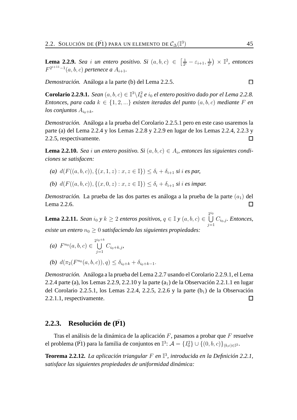**Lema 2.2.9.** *Sea i un entero positivo. Si*  $(a, b, c) \in \left[\frac{1}{2^a}\right]$  $\frac{1}{2^{i}}-\varepsilon_{i+1},\frac{1}{2^{i}}$  $\frac{1}{2^i}$   $\times$   $\mathbb{I}^2$ , entonces  $F^{2^{i+11}-1}(a, b, c)$  pertenece a  $A_{i+1}$ .

*Demostración.* Análoga a la parte (b) del Lema 2.2.5.

**Corolario 2.2.9.1.** *Sean*  $(a, b, c) \in \mathbb{I}^3 \setminus I_0^2$  *e*  $i_0$  *el entero positivo dado por el Lema* 2.2.8. *Entonces, para cada*  $k \in \{1, 2, ...\}$  *existen iteradas del punto*  $(a, b, c)$  *mediante* F *en los conjuntos*  $A_{i_0+k}$ .

*Demostración.* Análoga a la prueba del Corolario 2.2.5.1 pero en este caso usaremos la parte (a) del Lema 2.2.4 y los Lemas 2.2.8 y 2.2.9 en lugar de los Lemas 2.2.4, 2.2.3 y 2.2.5, respectivamente.  $\Box$ 

**Lema 2.2.10.** *Sea i un* entero positivo. Si  $(a, b, c) \in A_i$ , entonces las siguientes condi*ciones se satisfacen:*

- (a)  $d(F((a, b, c)), \{(x, 1, z) : x, z \in \mathbb{I}\}) \leq \delta_i + \delta_{i+1}$  *si i es par,*
- *(b)*  $d(F((a, b, c)), \{(x, 0, z) : x, z \in \mathbb{I}\}) \le \delta_i + \delta_{i+1}$  *si i es impar.*

*Demostración*. La prueba de las dos partes es análoga a la prueba de la parte  $(a_1)$  del Lema 2.2.6.  $\Box$ 

**Lema 2.2.11.** *Sean*  $i_0 \ y \ k \geq 2$  *enteros positivos,*  $q \in \mathbb{I}$  *y*  $(a, b, c) \in \left(\frac{2}{a}\right)$ U  $i_0$  $j=1$  $C_{i_0,j}$ *. Entonces, existe un entero*  $n_0 \geq 0$  *satisfaciendo las siguientes propiedades:* 

*(a)*  $F^{n_0}(a, b, c) \in \bigcup^{2^{i_0+k}}$ U  $j=1$  $C_{i_0+k,j}$ 

(b) 
$$
d(\pi_2(F^{n_0}(a, b, c)), q) \leq \delta_{i_0+k} + \delta_{i_0+k-1}
$$
.

*Demostración.* Análoga a la prueba del Lema 2.2.7 usando el Corolario 2.2.9.1, el Lema 2.2.4 parte (a), los Lemas 2.2.9, 2.2.10 y la parte  $(a_1)$  de la Observación 2.2.1.1 en lugar del Corolario 2.2.5.1, los Lemas 2.2.4, 2.2.5, 2.2.6 y la parte  $(b_1)$  de la Observación 2.2.1.1, respectivamente.  $\Box$ 

## **2.2.3.** Resolución de (P1)

Tras el análisis de la dinámica de la aplicación  $F$ , pasamos a probar que  $F$  resuelve el problema (PI) para la familia de conjuntos en  $\mathbb{I}^3$ :  $\mathcal{A}=\{I_0^2\}\cup\{(0,b,c)\}_{(b,c)\in\mathbb{I}^2}$ .

**Teorema 2.2.12.** *La aplicación triangular* F *en* I 3 *, introducida en la Definición 2.2.1, satisface las siguientes propiedades de uniformidad dinámica:*

 $\Box$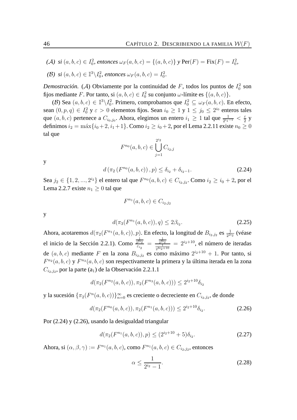$(A)$  si  $(a, b, c) \in I_0^2$ , entonces  $\omega_F(a, b, c) = \{(a, b, c)\}\$  *y* Per $(F) = \text{Fix}(F) = I_0^2$ ,

(*B*) si 
$$
(a, b, c) \in \mathbb{I}^3 \setminus I_0^2
$$
, entonces  $\omega_F(a, b, c) = I_0^2$ .

*Demostración.* (A) Obviamente por la continuidad de F, todos los puntos de  $I_0^2$  son fijos mediante F. Por tanto, si  $(a, b, c) \in I_0^2$  su conjunto  $\omega$ -límite es  $\{(a, b, c)\}.$ 

(B) Sea  $(a, b, c) \in \mathbb{I}^3 \setminus I_0^2$ . Primero, comprobamos que  $I_0^2 \subseteq \omega_F(a, b, c)$ . En efecto, sean  $(0, p, q) \in I_0^2$  y  $\varepsilon > 0$  elementos fijos. Sean  $i_0 \ge 1$  y  $1 \le j_0 \le 2^{i_0}$  enteros tales que  $(a, b, c)$  pertenece a  $C_{i_0, j_0}$ . Ahora, elegimos un entero  $i_1 \ge 1$  tal que  $\frac{1}{2^{i_1-1}} < \frac{\varepsilon}{2}$  $rac{\varepsilon}{2}$  y definimos  $i_2 = \max\{i_0 + 2, i_1 + 1\}$ . Como  $i_2 \ge i_0 + 2$ , por el Lema 2.2.11 existe  $n_0 \ge 0$ tal que

$$
F^{n_0}(a, b, c) \in \bigcup_{j=1}^{2^{i_2}} C_{i_2, j}
$$

y

$$
d\left(\pi_2\left(F^{n_0}(a,b,c)\right),p\right) \leq \delta_{i_2} + \delta_{i_2-1}.\tag{2.24}
$$

Sea  $j_2 \in \{1, 2, ..., 2^{i_2}\}$  el entero tal que  $F^{n_0}(a, b, c) \in C_{i_2, j_2}$ . Como  $i_2 \ge i_0 + 2$ , por el Lema 2.2.7 existe  $n_1 > 0$  tal que

$$
F^{n_1}(a, b, c) \in C_{i_2, j_2}
$$

y

$$
d(\pi_3(F^{n_1}(a,b,c)),q) \le 2\beta_{i_2}.\tag{2.25}
$$

Ahora, acotaremos  $d(\pi_2(F^{n_1}(a,b,c)), p)$ . En efecto, la longitud de  $B_{i_2,j_2}$  es  $\frac{1}{2^{2i_2}}$  (véase el inicio de la Sección 2.2.1). Como  $\frac{1}{2^{2n}}$  $\substack{2^{2i}2}$  $\frac{\frac{1}{2^{2i_2}}}{\varepsilon_{i_2}} = \frac{\frac{1}{2^{2i}}}{\frac{1}{2^{3i_2}}}$  $\frac{2^{2i}2}{1}$  $\frac{\frac{2^{2i_2}}{2^{1}}}{2^{3i_2+10}}$  =  $2^{i_2+10}$ , el número de iteradas de  $(a, b, c)$  mediante F en la zona  $B_{i_2, j_2}$  es como máximo  $2^{i_2+10} + 1$ . Por tanto, si  $F^{n_2}(a, b, c)$  y  $F^{n_3}(a, b, c)$  son respectivamente la primera y la última iterada en la zona  $C_{i_2,j_2}$ , por la parte (a<sub>1</sub>) de la Observación 2.2.1.1

$$
d(\pi_2(F^{n_2}(a,b,c)), \pi_2(F^{n_3}(a,b,c))) \le 2^{i_2+10} \delta_{i_2}
$$

y la sucesión  $\{\pi_2(F^n(a,b,c))\}_{n=0}^{\infty}$  es creciente o decreciente en  $C_{i_2,j_2}$ , de donde

$$
d(\pi_2(F^{n_0}(a,b,c)), \pi_2(F^{n_1}(a,b,c))) \le 2^{i_2+10} \delta_{i_2}.
$$
 (2.26)

Por (2.24) y (2.26), usando la desigualdad triangular

$$
d(\pi_2(F^{n_1}(a,b,c)), p) \le (2^{i_2+10}+5)\delta_{i_2}.
$$
 (2.27)

Ahora, si  $(\alpha, \beta, \gamma) := F^{n_1}(a, b, c)$ , como  $F^{n_1}(a, b, c) \in C_{i_2, j_2}$ , entonces

$$
\alpha \le \frac{1}{2^{i_2} - 1}.\tag{2.28}
$$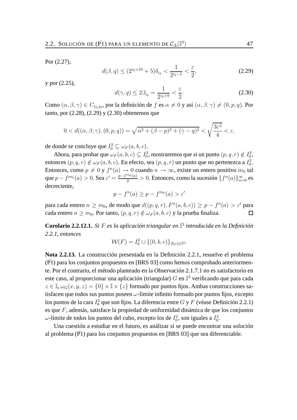Por (2.27),

$$
d(\beta, q) \le (2^{i_2+10} + 5)\delta_{i_2} < \frac{1}{2^{i_2 - 1}} < \frac{\varepsilon}{2},\tag{2.29}
$$

y por (2.25),

$$
d(\gamma, q) \le 2\beta_{i_2} = \frac{1}{2^{i_2+9}} < \frac{\varepsilon}{2}.\tag{2.30}
$$

Como  $(\alpha, \beta, \gamma) \in C_{i_2, j_2}$ , por la definición de  $f$  es  $\alpha \neq 0$  y así  $(\alpha, \beta, \gamma) \neq (0, p, q)$ . Por tanto, por (2.28), (2.29) y (2.30) obtenemos que

$$
0 < d((\alpha, \beta, \gamma), (0, p, q)) = \sqrt{\alpha^2 + (\beta - p)^2 + (\gamma - q)^2} < \sqrt{\frac{3\varepsilon^2}{4}} < \varepsilon,
$$

de donde se concluye que  $I_0^2 \subseteq \omega_F(a, b, c)$ .

Ahora, para probar que  $\omega_F(a, b, c) \subseteq I_0^2$ , mostraremos que si un punto  $(p, q, r) \notin I_0^2$ , entonces  $(p, q, r) \notin \omega_F(a, b, c)$ . En efecto, sea  $(p, q, r)$  un punto que no pertenezca a  $I_0^2$ . Entonces, como  $p \neq 0$  y  $f^n(a) \to 0$  cuando  $n \to \infty$ , existe un entero positivo  $m_0$  tal que  $p - f^{m_0}(a) > 0$ . Sea  $\varepsilon' = \frac{p - f^{m_0}(a)}{2} > 0$ . Entonces, como la sucesión  $\{f^n(a)\}_{n=0}^{\infty}$  es decreciente,

$$
p - f^{n}(a) \ge p - f^{m_0}(a) > \varepsilon'
$$

para cada entero  $n \geq m_0$ , de modo que  $d((p, q, r), F^n(a, b, c)) \geq p - f^n(a) > \varepsilon'$  para cada entero  $n \geq m_0$ . Por tanto,  $(p, q, r) \notin \omega_F(a, b, c)$  y la prueba finaliza.  $\Box$ 

**Corolario 2.2.12.1.** *Si* F *es la aplicación triangular en* I 3 *introducida en la Definición 2.2.1, entonces*

$$
\mathcal{W}(F) = I_0^2 \cup \{(0, b, c)\}_{(b, c) \in \mathbb{I}^2}.
$$

**Nota 2.2.13.** La construcción presentada en la Definición 2.2.1, resuelve el problema  $(\overline{P1})$  para los conjuntos propuestos en [BRS 03] como hemos comprobado anteriormente. Por el contrario, el método planteado en la Observación 2.1.7.1 no es satisfactorio en este caso, al proporcionar una aplicación (triangular)  $G$  en  $\mathbb{I}^3$  verificando que para cada  $z \in \mathbb{I}, \omega_G(x, y, z) = \{0\} \times \mathbb{I} \times \{z\}$  formado por puntos fijos. Ambas construcciones satisfacen que todos sus puntos poseen  $\omega$ -límite infinito formado por puntos fijos, excepto los puntos de la cara  $I_0^2$  que son fijos. La diferencia entre  $G$  y  $F$  (véase Definición 2.2.1) es que F, además, satisface la propiedad de uniformidad dinámica de que los conjuntos  $\omega$ -límite de todos los puntos del cubo, excepto los de  $I_0^2$ , son iguales a  $I_0^2$ .

Una cuestión a estudiar en el futuro, es análizar si se puede encontrar una solución al problema  $(\overline{P1})$  para los conjuntos propuestos en [BRS 03] que sea diferenciable.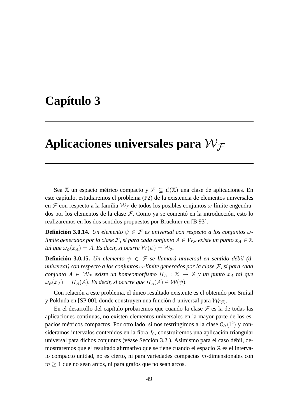# **Capítulo 3**

# Aplicaciones universales para  $\mathcal{W}_{\mathcal{F}}$

Sea X un espacio métrico compacto y  $\mathcal{F} \subset \mathcal{C}(\mathbb{X})$  una clase de aplicaciones. En este capítulo, estudiaremos el problema (P2) de la existencia de elementos universales en F con respecto a la familia  $W_F$  de todos los posibles conjuntos  $\omega$ -límite engendrados por los elementos de la clase F. Como ya se comentó en la introducción, esto lo realizaremos en los dos sentidos propuestos por Bruckner en [B 93].

**Definición 3.0.14.** *Un elemento*  $\psi \in \mathcal{F}$  *es universal con respecto a los conjuntos*  $\omega$ *límite generados por la clase F*, *si para cada conjunto*  $A \in \mathcal{W}_{\mathcal{F}}$  *existe un punto*  $x_A \in \mathbb{X}$ *tal que*  $\omega_{\psi}(x_A) = A$ *. Es decir, si ocurre*  $\mathcal{W}(\psi) = \mathcal{W}_{\mathcal{F}}$ *.* 

**Definición 3.0.15.** *Un elemento*  $\psi \in \mathcal{F}$  *se llamará universal en sentido débil (duniversal) con respecto a los conjuntos* ω*-límite generados por la clase* F*, si para cada conjunto*  $A \in \mathcal{W}_{\mathcal{F}}$  *existe un homeomorfismo*  $H_A : \mathbb{X} \to \mathbb{X}$  *y un punto*  $x_A$  *tal que*  $\omega_{\psi}(x_A) = H_A(A)$ *. Es decir, si ocurre que*  $H_A(A) \in \mathcal{W}(\psi)$ *.* 

Con relación a este problema, el único resultado existente es el obtenido por Smítal y Pokluda en [SP 00], donde construyen una función d-universal para  $\mathcal{W}_{\mathcal{C}(\mathbb{I})}.$ 

En el desarrollo del capítulo probaremos que cuando la clase  $\mathcal F$  es la de todas las aplicaciones continuas, no existen elementos universales en la mayor parte de los espacios métricos compactos. Por otro lado, si nos restringimos a la clase  $\mathcal{C}_\Delta(\mathbb{I}^2)$  y consideramos intervalos contenidos en la fibra  $I_0$ , construiremos una aplicación triangular universal para dichos conjuntos (véase Sección 3.2 ). Asimismo para el caso débil, demostraremos que el resultado afirmativo que se tiene cuando el espacio X es el intervalo compacto unidad, no es cierto, ni para variedades compactas  $m$ -dimensionales con  $m \geq 1$  que no sean arcos, ni para grafos que no sean arcos.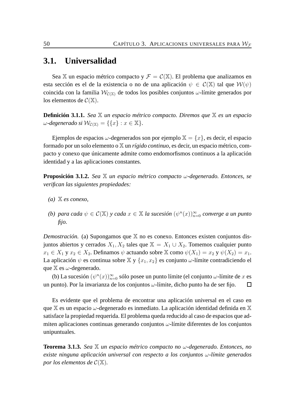# **3.1. Universalidad**

Sea X un espacio métrico compacto y  $\mathcal{F} = \mathcal{C}(\mathbb{X})$ . El problema que analizamos en esta sección es el de la existencia o no de una aplicación  $\psi \in C(\mathbb{X})$  tal que  $\mathcal{W}(\psi)$ coincida con la familia  $W_{\mathcal{C}(\mathbb{X})}$  de todos los posibles conjuntos  $\omega$ -límite generados por los elementos de  $\mathcal{C}(\mathbb{X})$ .

**Definición 3.1.1.** *Sea* X *un espacio métrico compacto. Diremos que* X *es un espacio*  $\omega$ *-degenerado si*  $\mathcal{W}_{\mathcal{C}(\mathbb{X})} = \{ \{x\} : x \in \mathbb{X} \}.$ 

Ejemplos de espacios  $\omega$ -degenerados son por ejemplo  $X = \{x\}$ , es decir, el espacio formado por un solo elemento o X un *rígido continuo*, es decir, un espacio métrico, compacto y conexo que únicamente admite como endomorfismos continuos a la aplicación identidad y a las aplicaciones constantes.

**Proposición 3.1.2.** *Sea* X *un espacio métrico compacto* ω*-degenerado. Entonces, se verifican las siguientes propiedades:*

- *(a)* X *es conexo,*
- *(b) para cada*  $\psi \in \mathcal{C}(\mathbb{X})$  *y cada*  $x \in \mathbb{X}$  *la sucesión*  $(\psi^n(x))_{n=0}^{\infty}$  *converge a un punto fijo.*

*Demostración.* (a) Supongamos que X no es conexo. Entonces existen conjuntos disjuntos abiertos y cerrados  $X_1, X_2$  tales que  $X = X_1 \cup X_2$ . Tomemos cualquier punto  $x_1 \in X_1$  y  $x_2 \in X_2$ . Definamos  $\psi$  actuando sobre  $\mathbb{X}$  como  $\psi(X_1) = x_2$  y  $\psi(X_2) = x_1$ . La aplicación  $\psi$  es continua sobre  $\mathbb{X}$  y  $\{x_1, x_2\}$  es conjunto  $\omega$ -límite contradiciendo el que  $X$  es  $\omega$ -degenerado.

(b) La sucesión  $(\psi^n(x))_{n=0}^{\infty}$  sólo posee un punto límite (el conjunto  $\omega$ -límite de x es un punto). Por la invarianza de los conjuntos  $\omega$ -límite, dicho punto ha de ser fijo.  $\Box$ 

Es evidente que el problema de encontrar una aplicación universal en el caso en que  $X$  es un espacio  $\omega$ -degenerado es inmediato. La aplicación identidad definida en X satisface la propiedad requerida. El problema queda reducido al caso de espacios que admiten aplicaciones continuas generando conjuntos  $\omega$ -límite diferentes de los conjuntos unipuntuales.

**Teorema 3.1.3.** *Sea* X *un espacio métrico compacto no* ω*-degenerado. Entonces, no existe ninguna aplicación universal con respecto a los conjuntos* ω*-límite generados por los elementos de*  $C(\mathbb{X})$ *.*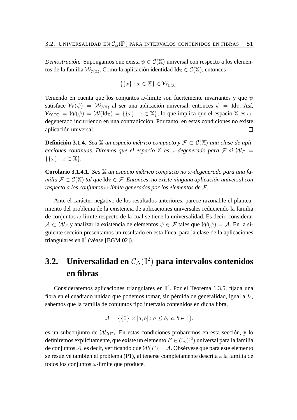*Demostración.* Supongamos que exista  $\psi \in C(\mathbb{X})$  universal con respecto a los elementos de la familia  $\mathcal{W}_{\mathcal{C}(\mathbb{X})}.$  Como la aplicación identidad Id $_{\mathbb{X}}\in\mathcal{C}(\mathbb{X}),$  entonces

$$
\{\{x\} : x \in \mathbb{X}\} \in \mathcal{W}_{\mathcal{C}(\mathbb{X})}.
$$

Teniendo en cuenta que los conjuntos  $\omega$ -límite son fuertemente invariantes y que  $\psi$ satisface  $W(\psi) = W_{\mathcal{C}(\mathbb{X})}$  al ser una aplicación universal, entonces  $\psi = \text{Id}_{\mathbb{X}}$ . Así,  $W_{\mathcal{C}(\mathbb{X})} = \mathcal{W}(\psi) = \mathcal{W}(\text{Id}_{\mathbb{X}}) = \{ \{x\} : x \in \mathbb{X} \}$ , lo que implica que el espacio  $\mathbb{X}$  es  $\omega$ degenerado incurriendo en una contradicción. Por tanto, en estas condiciones no existe aplicación universal.  $\Box$ 

**Definición 3.1.4.** *Sea*  $\mathbb{X}$  *un espacio métrico compacto* y  $\mathcal{F} \subset \mathcal{C}(\mathbb{X})$  *una clase de apli caciones continuas. Diremos que el espacio*  $\mathbb X$  *es ω-degenerado para*  $\mathcal F$  *si*  $\mathcal W_{\mathcal F}$  =  $\{\{x\} : x \in \mathbb{X}\}.$ 

**Corolario 3.1.4.1.** *Sea* X *un espacio métrico compacto no* ω*-degenerado para una familia*  $\mathcal{F} \subset \mathcal{C}(\mathbb{X})$  *tal que*  $\text{Id}_{\mathbb{X}} \in \mathcal{F}$ *. Entonces, no existe ninguna aplicación universal con respecto a los conjuntos* ω*-límite generados por los elementos de* F*.*

Ante el carácter negativo de los resultados anteriores, parece razonable el planteamiento del problema de la existencia de aplicaciones universales reduciendo la familia de conjuntos  $\omega$ -límite respecto de la cual se tiene la universalidad. Es decir, considerar  $A \subset \mathcal{W}_{\mathcal{F}}$  y analizar la existencia de elementos  $\psi \in \mathcal{F}$  tales que  $\mathcal{W}(\psi) = \mathcal{A}$ . En la siguiente sección presentamos un resultado en esta línea, para la clase de la aplicaciones triangulares en  $\mathbb{I}^2$  (véase [BGM 02]).

# **3.2. Universalidad en** C∆(I 2 ) **para intervalos contenidos en fibras**

Consideraremos aplicaciones triangulares en  $\mathbb{I}^2$ . Por el Teorema 1.3.5, fijada una fibra en el cuadrado unidad que podemos tomar, sin pérdida de generalidad, igual a  $I_0$ , sabemos que la familia de conjuntos tipo intervalo contenidos en dicha fibra,

$$
\mathcal{A} = \{ \{0\} \times [a, b] : a \le b, a, b \in \mathbb{I} \},
$$

es un subconjunto de  $\mathcal{W}_{\mathcal{C}(\mathbb{I}^2)}$ . En estas condiciones probaremos en esta sección, y lo definiremos explícitamente, que existe un elemento  $F\in \mathcal{C}_{\Delta}(\mathbb{I}^2)$  universal para la familia de conjuntos A, es decir, verificando que  $W(F) = A$ . Obsérvese que para este elemento se resuelve también el problema (P1), al tenerse completamente descrita a la familia de todos los conjuntos  $\omega$ -límite que produce.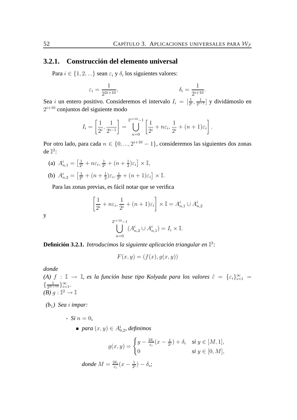# **3.2.1. Construcción del elemento universal**

Para  $i \in \{1, 2, ...\}$  sean  $\varepsilon_i$  y  $\delta_i$  los siguientes valores:

$$
\varepsilon_i = \frac{1}{2^{2i+10}}, \qquad \qquad \delta_i = \frac{1}{2^{i+10}}.
$$

Sea *i* un entero positivo. Consideremos el intervalo  $I_i = \left[\frac{1}{2^i}, \frac{1}{2^{i-1}}\right]$  $\frac{1}{2^{i-1}}$  y dividámoslo en  $2^{i+10}$  conjuntos del siguiente modo

$$
I_i = \left[\frac{1}{2^i}, \frac{1}{2^{i-1}}\right] = \bigcup_{n=0}^{2^{i+10}-1} \left[\frac{1}{2^i} + n\varepsilon_i, \frac{1}{2^i} + (n+1)\varepsilon_i\right].
$$

Por otro lado, para cada  $n \in \{0, ..., 2^{i+10} - 1\}$ , consideremos las siguientes dos zonas de  $\mathbb{I}^2$ :

(a)  $A_{n,1}^i = \left[\frac{1}{2^n}\right]$  $\frac{1}{2^i}+n\varepsilon_i,\frac{1}{2^i}$  $\frac{1}{2^i} + (n + \frac{1}{2})$  $\frac{1}{2}$ ) $\varepsilon_i$ ]  $\times$  I, (b)  $A_{n,2}^i = \left[\frac{1}{2^n}\right]$  $\frac{1}{2^i} + (n + \frac{1}{2})$  $(\frac{1}{2})\varepsilon_i, \frac{1}{2^n}$  $\frac{1}{2^i} + (n+1)\varepsilon_i] \times \mathbb{I}.$ 

Para las zonas previas, es fácil notar que se verifica

$$
\left[\frac{1}{2^i} + n\varepsilon_i, \frac{1}{2^i} + (n+1)\varepsilon_i\right] \times \mathbb{I} = A_{n,1}^i \cup A_{n,2}^i
$$

$$
\bigcup_{n=0}^{2^{i+10}-1} (A_{n,2}^i \cup A_{n,1}^i) = I_i \times \mathbb{I}.
$$

**Definición 3.2.1.** *Introducimos la siguiente aplicación triangular en* I 2 *:*

$$
F(x, y) = (f(x), g(x, y))
$$

*donde*

y

*(A)*  $f : \mathbb{I} \to \mathbb{I}$ , es la función base tipo Kolyada para los valores  $\tilde{\varepsilon} = {\varepsilon_i}_{i=1}^{\infty} =$  $\{\frac{1}{2^{2i+1}}\}$  $\frac{1}{2^{2i+10}}\}_{i=1}^{\infty}$ . *(B)*  $g:\mathbb{I}^2\to\mathbb{I}$ 

*(b*1*) Sea* i *impar:*

*- Si*  $n = 0$ ,  $para\left(x,y\right) \in A_{0,2}^{i},$  definimos

$$
g(x,y) = \begin{cases} y - \frac{2\delta_i}{\varepsilon_i}(x - \frac{1}{2^i}) + \delta_i & \text{si } y \in [M,1], \\ 0 & \text{si } y \in [0,M], \end{cases}
$$
  
donde  $M = \frac{2\delta_i}{\varepsilon_i}(x - \frac{1}{2^i}) - \delta_i;$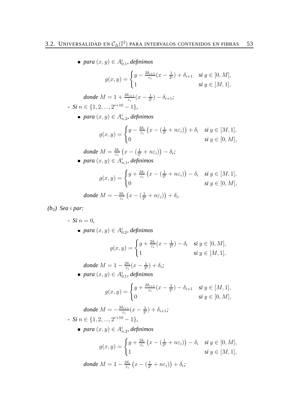$para\ (x, y) \in A^i_{0,1}$ *, definimos* 

$$
g(x,y) = \begin{cases} y - \frac{2\delta_{i+1}}{\varepsilon_i}(x - \frac{1}{2^i}) + \delta_{i+1} & \text{si } y \in [0, M], \\ 1 & \text{si } y \in [M, 1], \end{cases}
$$

 $donde M = 1 + \frac{2\delta_{i+1}}{\varepsilon_i}(x - \frac{1}{2^i})$  $(\frac{1}{2^i}) - \delta_{i+1}$ ;  *<i>n*  $\in \{1, 2, ..., 2^{i+10} - 1\},\$ 

 $para\left(x,y\right) \in A_{n,2}^{i},$  definimos

$$
g(x,y) = \begin{cases} y - \frac{2\delta_i}{\varepsilon_i} \left( x - \left( \frac{1}{2^i} + n\varepsilon_i \right) \right) + \delta_i & \text{si } y \in [M,1], \\ 0 & \text{si } y \in [0,M], \end{cases}
$$

*donde* 
$$
M = \frac{2\delta_i}{\varepsilon_i} \left( x - \left( \frac{1}{2^i} + n\varepsilon_i \right) \right) - \delta_i;
$$
  
para  $(x, y) \in A_{n,1}^i$ , definimos

$$
g(x,y) = \begin{cases} y + \frac{2\delta_i}{\varepsilon_i} \left( x - \left( \frac{1}{2^i} + n\varepsilon_i \right) \right) - \delta_i & \text{si } y \in [M,1], \\ 0 & \text{si } y \in [0,M], \end{cases}
$$
  
donde  $M = -\frac{2\delta_i}{\varepsilon_i} \left( x - \left( \frac{1}{2^i} + n\varepsilon_i \right) \right) + \delta_i.$ 

*(b*2*) Sea* i *par:*

*- Si*  $n = 0$ *,*  $para\ (x, y) \in A^i_{0, 2}$ , definimos

$$
g(x,y) = \begin{cases} y + \frac{2\delta_i}{\varepsilon_i}(x - \frac{1}{2^i}) - \delta_i & \text{si } y \in [0, M], \\ 1 & \text{si } y \in [M, 1], \end{cases}
$$

*donde*  $M = 1 - \frac{2\delta_i}{\varepsilon_i}$  $\frac{2\delta_i}{\varepsilon_i}(x-\frac{1}{2^i}% )+\frac{2\delta_i}{\varepsilon_i}(x-\frac{1}{2^i}% )+\frac{2\delta_i}{\varepsilon_i}(x-\frac{1}{2^i}% )+\frac{2\delta_i}{\varepsilon_i}(x-\frac{1}{2^i}% )+\frac{2\delta_i}{\varepsilon_i}(x-\frac{1}{2^i}% )+\frac{2\delta_i}{\varepsilon_i}(x-\frac{1}{2^i}% )+\frac{2\delta_i}{\varepsilon_i}(x-\frac{1}{2^i}% )+\frac{2\delta_i}{\varepsilon_i}(x-\frac{1}{2^i}% )+\frac{2\delta_i}{\varepsilon_i}(x-\frac{1}{$  $(\frac{1}{2^{i}})+\delta_{i}$ ;  $para\ (x, y) \in A^i_{0,1}$ *, definimos* 

$$
g(x,y) = \begin{cases} y + \frac{2\delta_{i+1}}{\varepsilon_i}(x - \frac{1}{2^i}) - \delta_{i+1} & \text{si } y \in [M,1], \\ 0 & \text{si } y \in [0,M], \end{cases}
$$

*donde*  $M = -\frac{2\delta_{i+1}}{\varepsilon}$  $\frac{\partial_{i+1}}{\varepsilon_i}(x-\frac{1}{2^i})$  $(\frac{1}{2^{i}}) + \delta_{i+1}$ ;  *<i>n*  $\in \{1, 2, ..., 2^{i+10} - 1\},\$ 

 $para\left(x,y\right) \in A_{n,2}^{i},$  definimos

$$
g(x,y) = \begin{cases} y + \frac{2\delta_i}{\varepsilon_i} \left( x - \left( \frac{1}{2^i} + n\varepsilon_i \right) \right) - \delta_i & \text{si } y \in [0,M], \\ 1 & \text{si } y \in [M,1], \end{cases}
$$

*donde*  $M = 1 - \frac{2\delta_i}{\varepsilon}$  $\frac{2\delta_i}{\varepsilon_i}\left(x-\left(\frac{1}{2^i}\right)\right)$  $\frac{1}{2^i}+n\varepsilon_i)\big)+\delta_i;$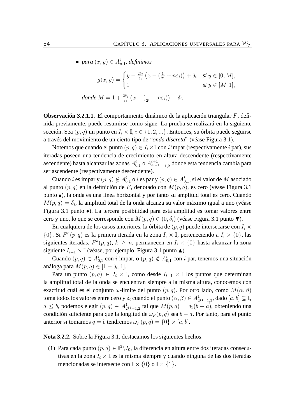$para\left(x,y\right) \in A_{n,1}^{i}$ , definimos

$$
g(x,y) = \begin{cases} y - \frac{2\delta_i}{\varepsilon_i} \left( x - \left( \frac{1}{2^i} + n\varepsilon_i \right) \right) + \delta_i & \text{si } y \in [0,M], \\ 1 & \text{si } y \in [M,1], \end{cases}
$$
  
donde  $M = 1 + \frac{2\delta_i}{\varepsilon_i} \left( x - \left( \frac{1}{2^i} + n\varepsilon_i \right) \right) - \delta_i.$ 

**Observación 3.2.1.1.** El comportamiento dinámico de la aplicación triangular F, definida previamente, puede resumirse como sigue. La prueba se realizará en la siguiente sección. Sea  $(p, q)$  un punto en  $I_i \times \mathbb{I}, i \in \{1, 2, ...\}$ . Entonces, su órbita puede seguirse a través del movimiento de un cierto tipo de "*onda discreta*" (véase Figura 3.1).

Notemos que cuando el punto  $(p, q) \in I_i \times \mathbb{I}$  con i impar (respectivamente i par), sus iteradas poseen una tendencia de crecimiento en altura descendente (respectivamente ascendente) hasta alcanzar las zonas  $A^i_{0,1}$  o  $A^{i+1}_{2^{i+1}}$  $\frac{i+1}{2^{i+11}-1,2}$  donde esta tendencia cambia para ser ascendente (respectivamente descendente).

Cuando  $i$  es impar y  $(p, q) \notin A_{0,1}^i$  o  $i$  es par y  $(p, q) \in A_{0,1}^i$ , si el valor de  $M$  asociado al punto  $(p, q)$  en la definición de F, denotado con  $M(p, q)$ , es cero (véase Figura 3.1) punto ), la onda es una línea horizontal y por tanto su amplitud total es cero. Cuando  $M(p,q) = \delta_i$ , la amplitud total de la onda alcanza su valor máximo igual a uno (véase Figura 3.1 punto •). La tercera posibilidad para esta amplitud es tomar valores entre cero y uno, lo que se corresponde con  $M(p,q) \in (0,\delta_i)$  (véase Figura 3.1 punto  $\nabla$ ).

En cualquiera de los casos anteriores, la órbita de  $(p, q)$  puede intersecarse con  $I_i \times$  $\{0\}$ . Si  $F^n(p,q)$  es la primera iterada en la zona  $I_i \times \mathbb{I}$ , perteneciendo a  $I_i \times \{0\}$ , las siguientes iteradas,  $F^k(p,q)$ ,  $k \geq n$ , permanecen en  $I_i \times \{0\}$  hasta alcanzar la zona siguiente  $I_{i+1} \times \mathbb{I}$  (véase, por ejemplo, Figura 3.1 punto  $\blacktriangle$ ).

Cuando  $(p, q) \in A_{0,1}^i$  con i impar, o  $(p, q) \notin A_{0,1}^i$  con i par, tenemos una situación análoga para  $M(p,q) \in [1-\delta_i,1].$ 

Para un punto  $(p, q) \in I_i \times \mathbb{I}$ , como desde  $I_{i+1} \times \mathbb{I}$  los puntos que determinan la amplitud total de la onda se encuentran siempre a la misma altura, conocemos con exactitud cuál es el conjunto  $\omega$ -límite del punto  $(p, q)$ . Por otro lado, como  $M(\alpha, \beta)$ toma todos los valores entre cero y  $\delta_i$  cuando el punto  $(\alpha,\beta)\in A^1_{2^{11}-1,2}$ , dado  $[a,b]\subseteq\mathbb{I},$  $a \leq b$ , podemos elegir  $(p, q) \in A_{2^{11}-1, 2}^1$  tal que  $M(p, q) = \delta_1(b - a)$ , obteniendo una condición suficiente para que la longitud de  $\omega_F(p,q)$  sea  $b-a$ . Por tanto, para el punto anterior si tomamos  $q = b$  tendremos  $\omega_F(p,q) = \{0\} \times [a, b].$ 

**Nota 3.2.2.** Sobre la Figura 3.1, destacamos los siguientes hechos:

(1) Para cada punto  $(p, q) \in \mathbb{I}^2 \setminus I_0$ , la diferencia en altura entre dos iteradas consecutivas en la zona  $I_i \times \mathbb{I}$  es la misma siempre y cuando ninguna de las dos iteradas mencionadas se intersecte con  $\mathbb{I} \times \{0\}$  o  $\mathbb{I} \times \{1\}$ .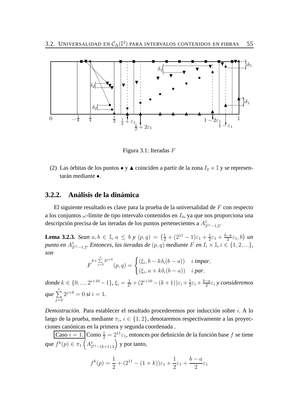

Figura 3.1: Iteradas F

(2) Las órbitas de los puntos  $\bullet$  y  $\blacktriangle$  coinciden a partir de la zona  $I_2 \times \mathbb{I}$  y se representarán mediante •.

## **3.2.2. Análisis de la dinámica**

El siguiente resultado es clave para la prueba de la universalidad de  $F$  con respecto a los conjuntos  $\omega$ -límite de tipo intervalo contenidos en  $I_0$ , ya que nos proporciona una descripción precisa de las iteradas de los puntos pertenecientes a  $A^1_{2^{11}-1,2}$ .

**Lema 3.2.3.** *Sean*  $a, b \in \mathbb{I}$ ,  $a \leq b$  *y*  $(p, q) = \left(\frac{1}{2} + (2^{11} - 1)\varepsilon_1 + \frac{1}{2}\right)$  $\frac{1}{2}\varepsilon_1 + \frac{b-a}{2}$  $\frac{-a}{2}\varepsilon_1$ , *b*) un *punto en*  $A_{2^{11}-1,2}^1$ *. Entonces, las iteradas de*  $(p,q)$  *mediante*  $F$  *en*  $I_i \times \mathbb{I}$ *, i*  $\in \{1,2,...\}$ *, son*

$$
F^{k+\sum\limits_{j=2}^{i}2^{j+9}}(p,q)=\begin{cases}(\xi_i,b-k\delta_i(b-a))& i~\textit{impar},\\(\xi_i,a+k\delta_i(b-a))& i~\textit{par},\end{cases}
$$

*donde*  $k \in \{0, ..., 2^{i+10} - 1\}$ ,  $\xi_i = \frac{1}{2^i}$  $\frac{1}{2^i} + (2^{i+10} - (k+1))\varepsilon_i + \frac{1}{2}$  $rac{1}{2}\varepsilon_i + \frac{b-a}{2}$  $\frac{-a}{2}\varepsilon_i$  y consideremos que  $\sum$ i  $j=2$  $2^{j+9} = 0$  *si*  $i = 1$ .

*Demostración.* Para establecer el resultado procederemos por inducción sobre i. A lo largo de la prueba, mediante  $\pi_i, i \in \{1,2\}$ , denotaremos respectivamente a las proyecciones canónicas en la primera y segunda coordenada .

Caso  $i = 1$ . Como  $\frac{1}{2} = 2^{11} \varepsilon_1$ , entonces por definición de la función base f se tiene que  $f^k(p) \in \pi_1\left(A^1_{2^{11}-(k+1),2}\right)$  y por tanto,

$$
f^{k}(p) = \frac{1}{2} + (2^{11} - (1 + k))\varepsilon_1 + \frac{1}{2}\varepsilon_1 + \frac{b - a}{2}\varepsilon_1
$$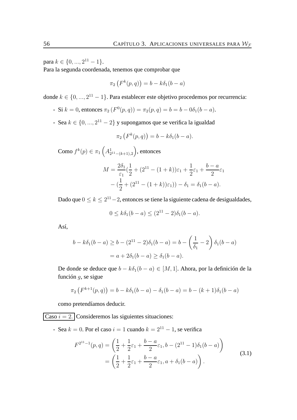para  $k \in \{0, ..., 2^{11} - 1\}.$ 

Para la segunda coordenada, tenemos que comprobar que

$$
\pi_2\left(F^k(p,q)\right) = b - k\delta_1(b-a)
$$

donde  $k \in \{0, ..., 2^{11} - 1\}$ . Para establecer este objetivo procedemos por recurrencia:

- Si  $k = 0$ , entonces  $\pi_2(F^0(p, q)) = \pi_2(p, q) = b = b 0\delta_1(b a)$ .
- Sea  $k \in \{0, ..., 2^{11} 2\}$  y supongamos que se verifica la igualdad

$$
\pi_2\left(F^k(p,q)\right) = b - k\delta_1(b-a).
$$

Como  $f^k(p) \in \pi_1\left( A^1_{2^{11}-(k+1),2} \right)$ , entonces

$$
M = \frac{2\delta_1}{\varepsilon_1} \left(\frac{1}{2} + (2^{11} - (1+k))\varepsilon_1 + \frac{1}{2}\varepsilon_1 + \frac{b-a}{2}\varepsilon_1 - \left(\frac{1}{2} + (2^{11} - (1+k))\varepsilon_1\right)\right) - \delta_1 = \delta_1(b-a).
$$

Dado que  $0 \leq k \leq 2^{11}-2$ , entonces se tiene la siguiente cadena de desigualdades,

$$
0 \le k\delta_1(b-a) \le (2^{11} - 2)\delta_1(b-a).
$$

Así,

$$
b - k\delta_1(b - a) \ge b - (2^{11} - 2)\delta_1(b - a) = b - \left(\frac{1}{\delta_1} - 2\right)\delta_1(b - a)
$$

$$
= a + 2\delta_1(b - a) \ge \delta_1(b - a).
$$

De donde se deduce que  $b - k\delta_1(b - a) \in [M, 1]$ . Ahora, por la definición de la función g, se sigue

$$
\pi_2(F^{k+1}(p,q)) = b - k\delta_1(b-a) - \delta_1(b-a) = b - (k+1)\delta_1(b-a)
$$

como pretendíamos deducir.

 $\boxed{\text{Caso } i = 2.}$  Consideremos las siguientes situaciones:

- Sea  $k = 0$ . Por el caso  $i = 1$  cuando  $k = 2^{11} - 1$ , se verifica

$$
F^{2^{11}-1}(p,q) = \left(\frac{1}{2} + \frac{1}{2}\varepsilon_1 + \frac{b-a}{2}\varepsilon_1, b-(2^{11}-1)\delta_1(b-a)\right)
$$
  
= 
$$
\left(\frac{1}{2} + \frac{1}{2}\varepsilon_1 + \frac{b-a}{2}\varepsilon_1, a+\delta_1(b-a)\right).
$$
 (3.1)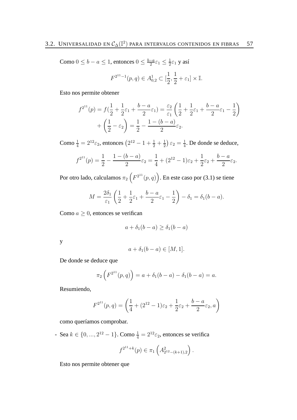Como  $0 \leq b - a \leq 1$ , entonces  $0 \leq \frac{b-a}{2}$  $\frac{-a}{2}\varepsilon_1 \leq \frac{1}{2}$  $\frac{1}{2}\varepsilon_1$  y así

$$
F^{2^{11}-1}(p,q) \in A_{0,2}^1 \subset [\frac{1}{2}, \frac{1}{2} + \varepsilon_1] \times \mathbb{I}.
$$

Esto nos permite obtener

$$
f^{2^{11}}(p) = f(\frac{1}{2} + \frac{1}{2}\varepsilon_1 + \frac{b-a}{2}\varepsilon_1) = \frac{\varepsilon_2}{\varepsilon_1} \left(\frac{1}{2} + \frac{1}{2}\varepsilon_1 + \frac{b-a}{2}\varepsilon_1 - \frac{1}{2}\right) + \left(\frac{1}{2} - \varepsilon_2\right) = \frac{1}{2} - \frac{1 - (b-a)}{2}\varepsilon_2.
$$

Como  $\frac{1}{4} = 2^{12} \varepsilon_2$ , entonces  $\left( 2^{12} - 1 + \frac{1}{2} + \frac{1}{2} \right)$  $\frac{1}{2}$ )  $\varepsilon_2 = \frac{1}{4}$  $\frac{1}{4}$ . De donde se deduce,

$$
f^{2^{11}}(p) = \frac{1}{2} - \frac{1 - (b - a)}{2} \varepsilon_2 = \frac{1}{4} + (2^{12} - 1)\varepsilon_2 + \frac{1}{2}\varepsilon_2 + \frac{b - a}{2}\varepsilon_2.
$$

Por otro lado, calculamos  $\pi_2\left(F^{2^{11}}(p,q)\right)$ . En este caso por (3.1) se tiene

$$
M = \frac{2\delta_1}{\varepsilon_1} \left( \frac{1}{2} + \frac{1}{2}\varepsilon_1 + \frac{b-a}{2}\varepsilon_1 - \frac{1}{2} \right) - \delta_1 = \delta_1(b-a).
$$

Como  $a \geq 0$ , entonces se verifican

$$
a + \delta_1(b - a) \ge \delta_1(b - a)
$$

y

$$
a + \delta_1(b - a) \in [M, 1].
$$

De donde se deduce que

$$
\pi_2\left(F^{2^{11}}(p,q)\right) = a + \delta_1(b-a) - \delta_1(b-a) = a.
$$

Resumiendo,

$$
F^{2^{11}}(p,q) = \left(\frac{1}{4} + (2^{12} - 1)\varepsilon_2 + \frac{1}{2}\varepsilon_2 + \frac{b-a}{2}\varepsilon_2, a\right)
$$

como queríamos comprobar.

- Sea  $k \in \{0, ..., 2^{12} - 1\}$ . Como  $\frac{1}{4} = 2^{12} \varepsilon_2$ , entonces se verifica

$$
f^{2^{11}+k}(p) \in \pi_1\left(A_{2^{12}-(k+1),2}^2\right).
$$

Esto nos permite obtener que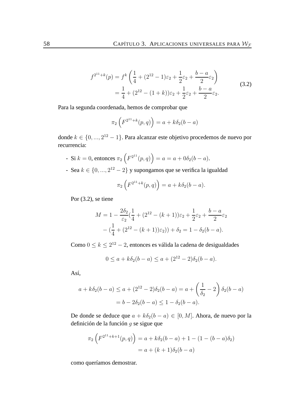$$
f^{2^{11}+k}(p) = f^k \left( \frac{1}{4} + (2^{12} - 1)\varepsilon_2 + \frac{1}{2}\varepsilon_2 + \frac{b-a}{2}\varepsilon_2 \right)
$$
  
=  $\frac{1}{4} + (2^{12} - (1+k))\varepsilon_2 + \frac{1}{2}\varepsilon_2 + \frac{b-a}{2}\varepsilon_2.$  (3.2)

Para la segunda coordenada, hemos de comprobar que

$$
\pi_2 \left( F^{2^{11} + k}(p, q) \right) = a + k \delta_2 (b - a)
$$

donde  $k \in \{0, ..., 2^{12} - 1\}$ . Para alcanzar este objetivo procedemos de nuevo por recurrencia:

- Si  $k = 0$ , entonces  $\pi_2 \left( F^{2^{11}}(p,q) \right) = a = a + 0 \delta_2 (b a)$ .
- Sea  $k \in \{0, ..., 2^{12} 2\}$  y supongamos que se verifica la igualdad

$$
\pi_2 \left( F^{2^{11}+k}(p,q) \right) = a + k \delta_2 (b-a).
$$

Por (3.2), se tiene

$$
M = 1 - \frac{2\delta_2}{\varepsilon_2} \left(\frac{1}{4} + (2^{12} - (k+1))\varepsilon_2 + \frac{1}{2}\varepsilon_2 + \frac{b-a}{2}\varepsilon_2\right)
$$

$$
- \left(\frac{1}{4} + (2^{12} - (k+1))\varepsilon_2\right) + \delta_2 = 1 - \delta_2(b-a).
$$

Como  $0 \le k \le 2^{12} - 2$ , entonces es válida la cadena de desigualdades

$$
0 \le a + k\delta_2(b-a) \le a + (2^{12} - 2)\delta_2(b-a).
$$

Así,

$$
a + k\delta_2(b - a) \le a + (2^{12} - 2)\delta_2(b - a) = a + \left(\frac{1}{\delta_2} - 2\right)\delta_2(b - a)
$$

$$
= b - 2\delta_2(b - a) \le 1 - \delta_2(b - a).
$$

De donde se deduce que  $a + k\delta_2(b - a) \in [0, M]$ . Ahora, de nuevo por la definición de la función g se sigue que

$$
\pi_2 \left( F^{2^{11} + k + 1}(p, q) \right) = a + k \delta_2 (b - a) + 1 - (1 - (b - a) \delta_2)
$$

$$
= a + (k + 1) \delta_2 (b - a)
$$

como queríamos demostrar.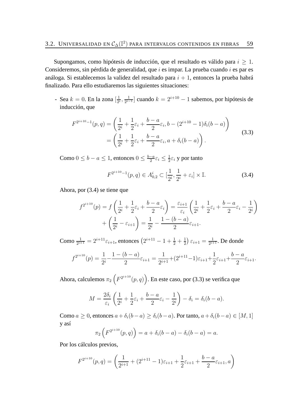Supongamos, como hipótesis de inducción, que el resultado es válido para  $i \geq 1$ . Consideremos, sin pérdida de generalidad, que  $i$  es impar. La prueba cuando  $i$  es par es análoga. Si establecemos la validez del resultado para  $i + 1$ , entonces la prueba habrá finalizado. Para ello estudiaremos las siguientes situaciones:

- Sea  $k = 0$ . En la zona  $\left[\frac{1}{2}\right]$  $\frac{1}{2^i}, \frac{1}{2^{i-1}}$  $\frac{1}{2^{i-1}}$  cuando  $k = 2^{i+10} - 1$  sabemos, por hipótesis de inducción, que

$$
F^{2^{i+10}-1}(p,q) = \left(\frac{1}{2^i} + \frac{1}{2}\varepsilon_i + \frac{b-a}{2}\varepsilon_i, b-(2^{i+10}-1)\delta_i(b-a)\right)
$$
  
= 
$$
\left(\frac{1}{2^i} + \frac{1}{2}\varepsilon_i + \frac{b-a}{2}\varepsilon_i, a+\delta_i(b-a)\right).
$$
 (3.3)

Como  $0 \leq b - a \leq 1$ , entonces  $0 \leq \frac{b-a}{2}$  $\frac{-a}{2}\varepsilon_i \leq \frac{1}{2}$  $\frac{1}{2}\varepsilon_i$  y por tanto

$$
F^{2^{i+10}-1}(p,q) \in A_{0,2}^i \subset [\frac{1}{2^i}, \frac{1}{2^i} + \varepsilon_i] \times \mathbb{I}.
$$
 (3.4)

Ahora, por (3.4) se tiene que

$$
f^{2^{i+10}}(p) = f\left(\frac{1}{2^i} + \frac{1}{2}\varepsilon_i + \frac{b-a}{2}\varepsilon_i\right) = \frac{\varepsilon_{i+1}}{\varepsilon_i}\left(\frac{1}{2^i} + \frac{1}{2}\varepsilon_i + \frac{b-a}{2}\varepsilon_i - \frac{1}{2^i}\right) + \left(\frac{1}{2^i} - \varepsilon_{i+1}\right) = \frac{1}{2^i} - \frac{1 - (b-a)}{2}\varepsilon_{i+1}.
$$

Como  $\frac{1}{2^{i+1}} = 2^{i+11} \varepsilon_{i+1}$ , entonces  $\left( 2^{i+11} - 1 + \frac{1}{2} + \frac{1}{2} \right)$  $(\frac{1}{2})\,\varepsilon_{i+1} = \frac{1}{2^{i+1}}$  $\frac{1}{2^{i+1}}$ . De donde

$$
f^{2^{i+10}}(p) = \frac{1}{2^i} - \frac{1 - (b - a)}{2} \varepsilon_{i+1} = \frac{1}{2^{i+1}} + (2^{i+11} - 1)\varepsilon_{i+1} + \frac{1}{2} \varepsilon_{i+1} + \frac{b - a}{2} \varepsilon_{i+1}.
$$

Ahora, calculemos  $\pi_2\left(F^{2^{i+10}}(p,q)\right)$ . En este caso, por (3.3) se verifica que

$$
M = \frac{2\delta_i}{\varepsilon_i} \left( \frac{1}{2^i} + \frac{1}{2} \varepsilon_i + \frac{b-a}{2} \varepsilon_i - \frac{1}{2^i} \right) - \delta_i = \delta_i (b-a).
$$

Como  $a \ge 0$ , entonces  $a + \delta_i(b-a) \ge \delta_i(b-a)$ . Por tanto,  $a + \delta_i(b-a) \in [M, 1]$ y así

$$
\pi_2 \left( F^{2^{i+10}}(p,q) \right) = a + \delta_i (b-a) - \delta_i (b-a) = a.
$$

Por los cálculos previos,

$$
F^{2^{i+10}}(p,q) = \left(\frac{1}{2^{i+1}} + (2^{i+11} - 1)\varepsilon_{i+1} + \frac{1}{2}\varepsilon_{i+1} + \frac{b-a}{2}\varepsilon_{i+1}, a\right)
$$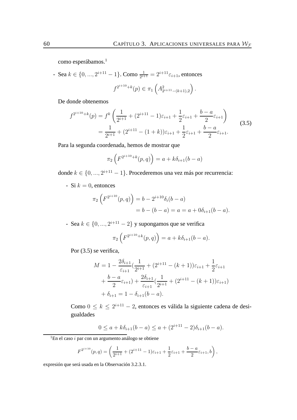como esperábamos.<sup>1</sup>

- Sea  $k \in \{0, ..., 2^{i+11} - 1\}$ . Como  $\frac{1}{2^{i+1}} = 2^{i+11} \varepsilon_{i+1}$ , entonces

$$
f^{2^{i+10}+k}(p) \in \pi_1\left(A_{2^{i+11}-(k+1),2}^2\right).
$$

De donde obtenemos

$$
f^{2^{i+10}+k}(p) = f^k \left( \frac{1}{2^{i+1}} + (2^{i+11} - 1)\varepsilon_{i+1} + \frac{1}{2}\varepsilon_{i+1} + \frac{b-a}{2}\varepsilon_{i+1} \right)
$$
  
= 
$$
\frac{1}{2^{i+1}} + (2^{i+11} - (1+k))\varepsilon_{i+1} + \frac{1}{2}\varepsilon_{i+1} + \frac{b-a}{2}\varepsilon_{i+1}.
$$
 (3.5)

Para la segunda coordenada, hemos de mostrar que

$$
\pi_2 \left( F^{2^{i+10}+k}(p,q) \right) = a + k \delta_{i+1}(b-a)
$$

donde  $k \in \{0, ..., 2^{i+11} - 1\}$ . Procederemos una vez más por recurrencia:

- Si  $k = 0$ , entonces

$$
\pi_2 \left( F^{2^{i+10}}(p,q) \right) = b - 2^{i+10} \delta_i (b-a)
$$
  
= b - (b - a) = a = a + 0\delta\_{i+1}(b-a).

- Sea  $k \in \{0, ..., 2^{i+11} - 2\}$  y supongamos que se verifica

$$
\pi_2\left(F^{2^{i+10}+k}(p,q)\right) = a + k\delta_{i+1}(b-a).
$$

Por  $(3.5)$  se verifica,

$$
M = 1 - \frac{2\delta_{i+1}}{\varepsilon_{i+1}} \left( \frac{1}{2^{i+1}} + (2^{i+11} - (k+1))\varepsilon_{i+1} + \frac{1}{2}\varepsilon_{i+1} + \frac{b-a}{2}\varepsilon_{i+1}\right) + \frac{2\delta_{i+1}}{\varepsilon_{i+1}} \left( \frac{1}{2^{i+1}} + (2^{i+11} - (k+1))\varepsilon_{i+1} \right) + \delta_{i+1} = 1 - \delta_{i+1}(b-a).
$$

Como  $0 \leq k \leq 2^{i+11} - 2$ , entonces es válida la siguiente cadena de desigualdades

$$
0 \le a + k\delta_{i+1}(b-a) \le a + (2^{i+1} - 2)\delta_{i+1}(b-a).
$$

 $1$ En el caso i par con un argumento análogo se obtiene

$$
F^{2^{i+10}}(p,q) = \left(\frac{1}{2^{i+1}} + (2^{i+11} - 1)\varepsilon_{i+1} + \frac{1}{2}\varepsilon_{i+1} + \frac{b-a}{2}\varepsilon_{i+1}, b\right),\,
$$

expresión que será usada en la Observación 3.2.3.1.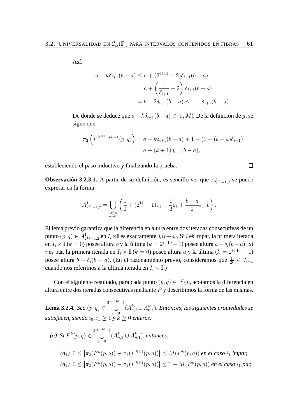Así,

$$
a + k\delta_{i+1}(b-a) \le a + (2^{i+1} - 2)\delta_{i+1}(b-a)
$$
  
=  $a + \left(\frac{1}{\delta_{i+1}} - 2\right)\delta_{i+1}(b-a)$   
=  $b - 2\delta_{i+1}(b-a) \le 1 - \delta_{i+1}(b-a)$ .

De donde se deduce que  $a + k\delta_{i+1}(b - a) \in [0, M]$ . De la definición de *g*, se sigue que

$$
\pi_2 \left( F^{2^{i+10}+k+1}(p,q) \right) = a + k \delta_{i+1} (b-a) + 1 - (1 - (b-a) \delta_{i+1})
$$
  
= a + (k+1) \delta\_{i+1} (b-a),

estableciendo el paso inductivo y finalizando la prueba.

**Observación 3.2.3.1.** A partir de su definición, es sencillo ver que  $A_{2^{11}-1,2}^1$  se puede expresar en la forma

$$
A^1_{2^{11}-1,2}=\bigcup_{\substack{a\le b\\a,b\in\mathbb{I}}}\left(\frac{1}{2}+(2^{11}-1)\varepsilon_1+\frac{1}{2}\varepsilon_1+\frac{b-a}{2}\varepsilon_1,b\right).
$$

El lema previo garantiza que la diferencia en altura entre dos iteradas consecutivas de un punto  $(p, q) \in A_2^1$  $_{2^{11}-1,2}^1$  en  $I_i\times\mathbb{I}$  es exactamente  $\delta_i(b-a).$  Si  $i$  es impar, la primera iterada en  $I_i \times \mathbb{I}$  (k = 0) posee altura b y la última (k =  $2^{i+10} - 1$ ) posee altura  $a + \delta_i(b - a)$ . Si  $i$ es par, la primera iterada en  $I_i\times \mathbb{I}$   $(k=0)$ posee altura  $a$ y la última  $(k=2^{i+10}-1)$ posee altura  $b - \delta_i(b - a)$ . (En el razonamiento previo, consideramos que  $\frac{1}{2^i} \in I_{i+1}$ cuando nos referimos a la última iterada en  $I_i \times \mathbb{I}$ .)

Con el siguiente resultado, para cada punto  $(p,q)\in \mathbb{I}^2\backslash I_0$  acotamos la diferencia en altura entre dos iteradas consecutivas mediante  $F$  y describimos la forma de las mismas.

**Lema 3.2.4.** *Sea* (p, q) ∈  $\bigcup^{2^i0\,+\,10}-1$  $n=0$  $(A^{i_0}_{n,2}\cup A^{i_0}_n)$ n,1 )*. Entonces, las siguientes propiedades se satisfacen, siendo*  $i_0, i_1 \geq 1$   $\overline{y} k^2 \geq 0$  *enteros:* 

(a) Si 
$$
F^k(p,q) \in \bigcup_{n=0}^{2^{i_1+10}-1} (A_{n,2}^{i_1} \cup A_{n,1}^{i_1}),
$$
 *entonces:*  
\n(a<sub>1</sub>)  $0 \le |\pi_2(F^k(p,q)) - \pi_2(F^{k+1}(p,q))| \le M(F^k(p,q))$  *en el caso i<sub>1</sub> impar,*  
\n(a<sub>2</sub>)  $0 \le |\pi_2(F^k(p,q)) - \pi_2(F^{k+1}(p,q))| \le 1 - M(F^k(p,q))$  *en el caso i<sub>1</sub> par,*

 $\Box$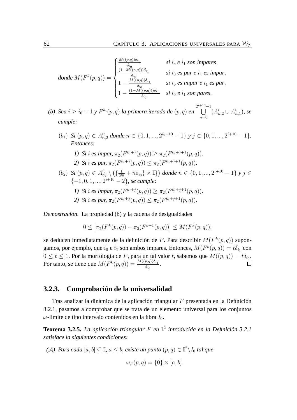$$
donde\ M(F^k(p,q)) = \begin{cases} \frac{M((p,q))\delta_{i_1}}{\delta_{i_0}} & si\ i_0\ e\ i_1\ son\ impares, \\ \frac{(1-M((p,q)))\delta_{i_1}}{\delta_{i_0}} & si\ i_0\ es\ par\ e\ i_1\ es\ impar, \\ 1-\frac{M((p,q))\delta_{i_1}}{\delta_{i_0}} & si\ i_0\ es\ impar\ e\ i_1\ es\ par, \\ 1-\frac{(1-M((p,q)))\delta_{i_1}}{\delta_{i_0}} & si\ i_0\ e\ i_1\ son\ pares. \end{cases}
$$

(b) Sea  $i\geq i_0+1$  y  $F^{k_i}(p,q)$  la primera iterada de  $(p,q)$  en  $\bigcup^{2^{i+10}-1}$  $n=0$  $(A_{n,2}^i \cup A_{n,1}^i)$ *, se cumple:*

- $(b_1)$  *Si*  $(p, q) \in A_{n,2}^{i_0}$  donde  $n \in \{0, 1, ..., 2^{i_0+10} 1\}$  *y*  $j \in \{0, 1, ..., 2^{i+10} 1\}$ *. Entonces:*
	- *1) Si i es impar*,  $\pi_2(F^{k_i+j}(p, q)) \geq \pi_2(F^{k_i+j+1}(p, q)).$ 2) *Si i es par,*  $\pi_2(F^{k_i+j}(p, q)) \leq \pi_2(F^{k_i+j+1}(p, q)).$
- $(b_2)$  *Si*  $(p, q) \in A_n^{i_0}$  $_{n,1}^{i_0}\backslash\,\big(\{\frac{1}{2^{i_0}}$  $\frac{1}{2^{i_0}}+n\varepsilon_{i_0}$ } ×  $\mathbb{I}\}\)$  donde  $n \in \{0, 1, ..., 2^{i+10}-1\}$  y j ∈  $\{-1, 0, 1, ..., 2^{i+10} - 2\}$ *, se cumple:* 
	- *1) Si i es impar*,  $\pi_2(F^{k_i+j}(p, q)) \geq \pi_2(F^{k_i+j+1}(p, q)).$
	- 2) *Si i es par,*  $\pi_2(F^{k_i+j}(p, q)) \leq \pi_2(F^{k_i+j+1}(p, q)).$

*Demostración.* La propiedad (b) y la cadena de desigualdades

$$
0 \leq |\pi_2(F^k(p,q)) - \pi_2(F^{k+1}(p,q))| \leq M(F^k(p,q)),
$$

se deducen inmediatamente de la definición de F. Para describir  $M(F^k(p,q))$  supongamos, por ejemplo, que  $i_0$  e  $i_1$  son ambos impares. Entonces,  $M(F^k(p,q)) = t \delta_{i_1}$  con  $0 \leq t \leq 1.$  Por la morfología de F, para un tal valor t, sabemos que  $M((p,q)) = t \delta_{i_0}.$ Por tanto, se tiene que  $M(F^k(p,q)) = \frac{M((p,q))\delta_{i_1}}{\delta_{i_0}}$ .  $\Box$ 

### **3.2.3. Comprobación de la universalidad**

Tras analizar la dinámica de la aplicación triangular  $F$  presentada en la Definición 3.2.1, pasamos a comprobar que se trata de un elemento universal para los conjuntos  $\omega$ -límite de tipo intervalo contenidos en la fibra  $I_0$ .

**Teorema 3.2.5.** *La aplicación triangular* F *en* I 2 *introducida en la Definición 3.2.1 satisface la siguientes condiciones:*

*(A) Para cada*  $[a, b] \subseteq \mathbb{I}$ ,  $a \leq b$ , existe un punto  $(p, q) \in \mathbb{I}^2 \backslash I_0$  tal que

$$
\omega_F(p,q) = \{0\} \times [a,b].
$$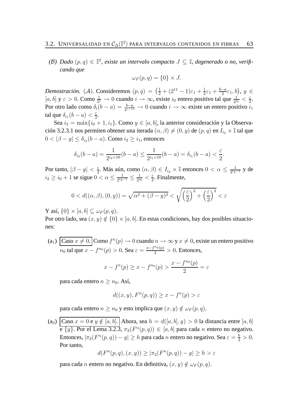(B) Dado  $(p, q)$  ∈  $\mathbb{I}^2$ , existe un intervalo compacto  $J ⊆ \mathbb{I}$ , degenerado o no, verifi*cando que*

$$
\omega_F(p,q) = \{0\} \times J.
$$

*Demostración.* (*A*). Consideremos  $(p, q) = \left(\frac{1}{2} + (2^{11} - 1)\varepsilon_1 + \frac{1}{2}\right)$  $\frac{1}{2}\varepsilon_1 + \frac{b-a}{2}$  $\frac{-a}{2}\varepsilon_1$ , b),  $y \in$  $[a, b]$  y  $\varepsilon > 0$ . Como  $\frac{1}{2^i} \to 0$  cuando  $i \to \infty$ , existe  $i_0$  entero positivo tal que  $\frac{1}{2^{i_0}} < \frac{\varepsilon}{2}$  $rac{\varepsilon}{2}$ . Por otro lado como  $\delta_i(b-a) = \frac{b-a}{2^{i+10}} \to 0$  cuando  $i \to \infty$  existe un entero positivo  $i_1$ tal que  $\delta_{i_1}(b-a) < \frac{\varepsilon}{2}$  $\frac{\varepsilon}{2}$ .

Sea  $i_2 = \max\{i_0 + 1, i_1\}$ . Como  $y \in [a, b]$ , la anterior consideración y la Observación 3.2.3.1 nos permiten obtener una iterada  $(\alpha, \beta) \neq (0, y)$  de  $(p, q)$  en  $I_{i_2} \times \mathbb{I}$  tal que  $0<|\beta-y|\leq \delta_{i_2}(b-a).$  Como  $i_2\geq i_1,$  entonces

$$
\delta_{i_2}(b-a) = \frac{1}{2^{i_2+10}}(b-a) \le \frac{1}{2^{i_1+10}}(b-a) = \delta_{i_1}(b-a) < \frac{\varepsilon}{2}.
$$

Por tanto,  $|\beta - y| < \frac{\varepsilon}{2}$  $\frac{\varepsilon}{2}$ . Más aún, como  $(\alpha, \beta) \in I_{i_2} \times \mathbb{I}$  entonces  $0 < \alpha \leq \frac{1}{2^{i_2}}$  $\frac{1}{2^{i_2-1}}$  y de  $i_2 \geq i_0 + 1$  se sigue  $0 < \alpha \leq \frac{1}{2^{i_2}}$  $\frac{1}{2^{i_2-1}} \leq \frac{1}{2^{i_0}}$  $\frac{1}{2^{i_0}} < \frac{\varepsilon}{2}$  $\frac{\varepsilon}{2}$ . Finalmente,

$$
0 < d((\alpha, \beta), (0, y)) = \sqrt{\alpha^2 + (\beta - y)^2} < \sqrt{\left(\frac{\varepsilon}{2}\right)^2 + \left(\frac{\varepsilon}{2}\right)^2} < \varepsilon
$$

Y así,  $\{0\} \times [a, b] \subseteq \omega_F(p, q)$ .

Por otro lado, sea  $(x, y) \notin \{0\} \times [a, b]$ . En estas condiciones, hay dos posibles situaciones:

(a<sub>1</sub>)  $\int \text{Caso } x \neq 0.$  Como  $f^n(p) \to 0$  cuando  $n \to \infty$  y  $x \neq 0$ , existe un entero positivo  $n_0$  tal que  $x - f^{n_0}(p) > 0$ . Sea  $\varepsilon = \frac{x - f^{n_0}(p)}{2} > 0$ . Entonces,

$$
x - f^{n}(p) \ge x - f^{n_0}(p) > \frac{x - f^{n_0}(p)}{2} = \varepsilon
$$

para cada entero  $n \geq n_0$ . Así,

$$
d((x, y), F^n(p, q)) \ge x - f^n(p) > \varepsilon
$$

para cada entero  $n \ge n_0$  y esto implica que  $(x, y) \notin \omega_F(p, q)$ .

(a<sub>2</sub>) Caso  $x = 0$  e  $y \notin [a, b]$ . Ahora, sea  $h = d([a, b], y) > 0$  la distancia entre  $[a, b]$ e  $\{y\}$ . Por el Lema 3.2.3,  $\pi_2(F^n(p,q)) \in [a,b]$  para cada n entero no negativo. Entonces,  $|\pi_2(F^n(p, q)) - y| \ge h$  para cada n entero no negativo. Sea  $\varepsilon = \frac{h}{2} > 0$ . Por tanto,

$$
d(F^n(p,q),(x,y)) \ge |\pi_2(F^n(p,q)) - y| \ge h > \varepsilon
$$

para cada n entero no negativo. En definitiva,  $(x, y) \notin \omega_F(p, q)$ .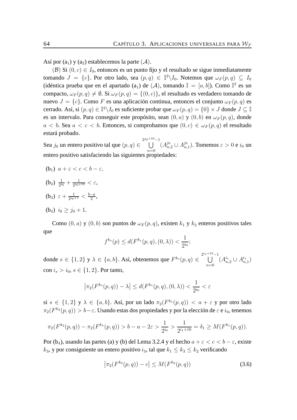Así por  $(a_1)$  y  $(a_2)$  establecemos la parte  $(A)$ .

(B) Si  $(0, c) \in I_0$ , entonces es un punto fijo y el resultado se sigue inmediatamente tomando  $J = \{c\}$ . Por otro lado, sea  $(p, q) \in \mathbb{I}^2 \backslash I_0$ . Notemos que  $\omega_F(p, q) \subseteq I_0$ (idéntica prueba que en el apartado (a<sub>1</sub>) de (A), tomando  $\mathbb{I} = [a, b]$ ). Como  $\mathbb{I}^2$  es un compacto,  $\omega_F(p,q) \neq \emptyset$ . Si  $\omega_F(p,q) = \{(0,c)\}\$ , el resultado es verdadero tomando de nuevo  $J = \{c\}$ . Como F es una aplicación continua, entonces el conjunto  $\omega_F(p,q)$  es cerrado. Así, si  $(p,q) \in \mathbb{I}^2\backslash I_0$  es suficiente probar que  $\omega_F(p,q) = \{0\} \times J$  donde  $J \subseteq \mathbb{I}$ es un intervalo. Para conseguir este propósito, sean  $(0, a)$  y  $(0, b)$  en  $\omega_F(p, q)$ , donde  $a < b$ . Sea  $a < c < b$ . Entonces, si comprobamos que  $(0, c) \in \omega_F(p, q)$  el resultado estará probado.

Sea  $j_0$  un entero positivo tal que  $(p, q) \in$  $\bigcup^{2j_0+10}-1$  $n=0$  $(A_{n,2}^{j_0} \cup A_{n,2}^{j_0})$  $_{n,1}^{\jmath_0}).$  Tomemos  $\varepsilon > 0$  e  $i_0$  un entero positivo satisfaciendo las siguientes propiedades:

- (b<sub>1</sub>)  $a + \varepsilon < c < b \varepsilon$ ,
- $(b_2) \frac{1}{2^i}$  $\frac{1}{2^{i_0}} + \frac{1}{2^{i_0+1}}$  $\frac{1}{2^{i_0+10}} < \varepsilon,$
- (b<sub>3</sub>)  $\varepsilon + \frac{1}{2^{i_0}}$  $\frac{1}{2^{i_0+1}} < \frac{b-a}{2}$  $\frac{-a}{2}$
- (b<sub>4</sub>)  $i_0 \geq j_0 + 1$ .

Como  $(0, a)$  y  $(0, b)$  son puntos de  $\omega_F(p, q)$ , existen  $k_1$  y  $k_2$  enteros positivos tales que

$$
f^{k_s}(p) \le d(F^{k_s}(p, q), (0, \lambda)) < \frac{1}{2^{i_0}};
$$

donde  $s \in \{1,2\}$  y  $\lambda \in \{a,b\}$ . Así, obtenemos que  $F^{k_s}(p,q) \in \bigcup^{2^{i_s+10}-1}$  $n=0$  $(A^{i_s}_{n,2} \cup A^{i_s}_{n,1})$ con  $i_s > i_0, s \in \{1, 2\}$ . Por tanto,

$$
\left|\pi_2(F^{k_s}(p,q)) - \lambda\right| \le d(F^{k_s}(p,q), (0,\lambda)) < \frac{1}{2^{i_0}} < \varepsilon
$$

si  $s \in \{1,2\}$  y  $\lambda \in \{a,b\}$ . Así, por un lado  $\pi_2(F^{k_1}(p,q)) < a+\varepsilon$  y por otro lado  $\pi_2(F^{k_2}(p, q)) > b-\varepsilon.$  Usando estas dos propiedades y por la elección de  $\varepsilon$  e  $i_0$ , tenemos

$$
\pi_2(F^{k_2}(p,q)) - \pi_2(F^{k_1}(p,q)) > b - a - 2\varepsilon > \frac{1}{2^{i_0}} > \frac{1}{2^{i_1+10}} = \delta_1 \ge M(F^{k_1}(p,q)).
$$

Por (b<sub>4</sub>), usando las partes (a) y (b) del Lema 3.2.4 y el hecho  $a + \varepsilon < c < b - \varepsilon$ , existe  $k_3$ , y por consiguiente un entero positivo  $i_3$ , tal que  $k_1 \leq k_3 \leq k_2$  verificando

$$
\left|\pi_2(F^{k_3}(p,q)) - c\right| \le M(F^{k_3}(p,q))\tag{3.6}
$$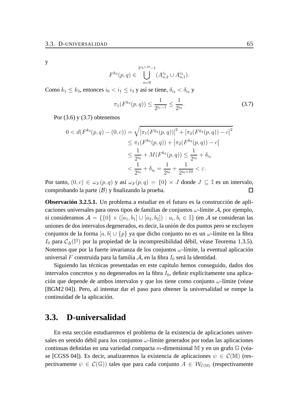y

$$
F^{k_3}(p,q) \in \bigcup_{n=0}^{2^{i_3+10}-1} (A^{i_3}_{n,2} \cup A^{i_3}_{n,1}).
$$

Como  $k_1 \leq k_3$ , entonces  $i_0 < i_1 \leq i_3$  y así se tiene,  $\delta_{i_3} < \delta_{i_0}$  y

$$
\pi_1(F^{k_3}(p,q)) \le \frac{1}{2^{i_1-1}} \le \frac{1}{2^{i_0}}.\tag{3.7}
$$

Por  $(3.6)$  y  $(3.7)$  obtenemos

$$
0 < d(F^{k_3}(p,q) - (0, c)) = \sqrt{[\pi_1(F^{k_3}(p,q))]^2 + [\pi_2(F^{k_3}(p,q)) - c]^2}
$$
  
\n
$$
\leq \pi_1(F^{k_3}(p,q)) + |\pi_2(F^{k_3}(p,q)) - c|
$$
  
\n
$$
\leq \frac{1}{2^{i_0}} + M(F^{k_3}(p,q)) \leq \frac{1}{2^{i_0}} + \delta_{i_3}
$$
  
\n
$$
< \frac{1}{2^{i_0}} + \delta_{i_0} = \frac{1}{2^{i_0}} + \frac{1}{2^{i_0+10}} < \varepsilon.
$$

Por tanto,  $(0, c) \in \omega_F(p, q)$  y así  $\omega_F(p, q) = \{0\} \times J$  donde  $J \subseteq \mathbb{I}$  es un intervalo, comprobando la parte  $(\mathcal{B})$  y finalizando la prueba.  $\Box$ 

**Observación 3.2.5.1.** Un problema a estudiar en el futuro es la construcción de aplicaciones universales para otros tipos de familias de conjuntos  $\omega$ -límite A, por ejemplo, si consideramos  $\mathcal{A} = \{0\} \times ([a_1, b_1] \cup [a_2, b_2]) : a_i, b_i \in \mathbb{I}\}$  (en  $\mathcal A$  se consideran las uniones de dos intervalos degenerados, es decir, la unión de dos puntos pero se excluyen conjuntos de la forma  $[a, b] \cup \{p\}$  ya que dicho conjunto no es un  $\omega$ -límite en la fibra  $I_0$  para  $\mathcal{C}_\Delta(\mathbb{I}^2)$  por la propiedad de la incompresibilidad débil, véase Teorema 1.3.5). Notemos que por la fuerte invarianza de los conjuntos  $\omega$ -límite, la eventual aplicación universal F construida para la familia A, en la fibra  $I_0$  será la identidad.

Siguiendo las técnicas presentadas en este capítulo hemos conseguido, dados dos intervalos concretos y no degenerados en la fibra  $I_0$ , definir explícitamente una aplicación que depende de ambos intervalos y que los tiene como conjunto ω-límite (véase [BGM2 04]). Pero, al intentar dar el paso para obtener la universalidad se rompe la continuidad de la aplicación.

# **3.3. D-universalidad**

En esta sección estudiaremos el problema de la existencia de aplicaciones universales en sentido débil para los conjuntos  $\omega$ -límite generados por todas las aplicaciones continuas definidas en una variedad compacta m-dimensional M y en un grafo  $\mathbb{G}$  (véase [CGSS 04]). Es decir, analizaremos la existencia de aplicaciones  $\psi \in \mathcal{C}(\mathbb{M})$  (respectivamente  $\psi \in C(\mathbb{G})$  tales que para cada conjunto  $A \in \mathcal{W}_{C(\mathbb{M})}$  (respectivamente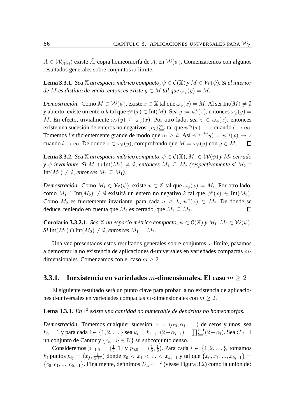$A \in \mathcal{W}_{\mathcal{C}(\mathbb{G})}$ ) existe A, copia homeomorfa de A, en  $\mathcal{W}(\psi)$ . Comenzaremos con algunos resultados generales sobre conjuntos  $\omega$ -límite.

**Lema 3.3.1.** *Sea*  $\mathbb X$  *un espacio métrico compacto,*  $\psi \in C(\mathbb X)$  *y*  $M \in \mathcal W(\psi)$ *. Si el interior de* M *es distinto de vacío, entonces existe*  $y \in M$  *tal que*  $\omega_{\psi}(y) = M$ .

*Demostración.* Como  $M \in \mathcal{W}(\psi)$ , existe  $x \in \mathbb{X}$  tal que  $\omega_{\psi}(x) = M$ . Al ser Int $(M) \neq \emptyset$ y abierto, existe un entero  $k$  tal que  $\psi^k(x)\in\mathrm{Int}(M).$  Sea  $y:=\psi^k(x),$  entonces  $\omega_\psi(y)=$ M. En efecto, trivialmente  $\omega_{\psi}(y) \subseteq \omega_{\psi}(x)$ . Por otro lado, sea  $z \in \omega_{\psi}(x)$ , entonces existe una sucesión de enteros no negativos  $\{n_l\}_{l=0}^{\infty}$  tal que  $\psi^{n_l}(x) \to z$  cuando  $l \to \infty$ . Tomemos l suficientemente grande de modo que  $n_l \geq k$ . Así  $\psi^{n_l-k}(y) = \psi^{n_l}(x) \to z$ cuando  $l \to \infty$ . De donde  $z \in \omega_{\psi}(y)$ , comprobando que  $M = \omega_{\psi}(y)$  con  $y \in M$ .  $\Box$ 

**Lema 3.3.2.** *Sea*  $\mathbb X$  *un espacio métrico compacto,*  $\psi \in C(\mathbb X)$ ,  $M_1 \in \mathcal W(\psi)$  *y*  $M_2$  *cerrado y*  $\psi$ -invariante. Si  $M_1 \cap Int(M_2) \neq \emptyset$ , entonces  $M_1 \subseteq M_2$  (respectivamente si  $M_2 \cap$ Int $(M_1) \neq \emptyset$ , entonces  $M_2 \subseteq M_1$ ).

*Demostración.* Como  $M_1 \in \mathcal{W}(\psi)$ , existe  $x \in \mathbb{X}$  tal que  $\omega_{\psi}(x) = M_1$ . Por otro lado, como  $M_1 \cap Int(M_2) \neq \emptyset$  existirá un entero no negativo k tal que  $\psi^k(x) \in Int(M_2)$ . Como  $M_2$  es fuertemente invariante, para cada  $n \geq k$ ,  $\psi^n(x) \in M_2$ . De donde se deduce, teniendo en cuenta que  $M_2$  es cerrado, que  $M_1 \subseteq M_2$ .  $\Box$ 

**Corolario 3.3.2.1.** *Sea*  $\mathbb{X}$  *un espacio métrico compacto,*  $\psi \in C(\mathbb{X})$  *y*  $M_1, M_2 \in \mathcal{W}(\psi)$ *. Si* Int( $M_1$ ) ∩ Int( $M_2$ ) ≠  $\emptyset$ *, entonces*  $M_1 = M_2$ .

Una vez presentados estos resultados generales sobre conjuntos  $\omega$ -límite, pasamos a demostrar la no existencia de aplicaciones d-universales en variedades compactas mdimensionales. Comenzamos con el caso  $m \geq 2$ .

#### **3.3.1. Inexistencia en variedades** m**-dimensionales. El caso** m ≥ 2

El siguiente resultado será un punto clave para probar la no existencia de aplicaciones d-universales en variedades compactas m-dimensionales con  $m > 2$ .

**Lema 3.3.3.** *En* I 2 *existe una cantidad no numerable de dendritas no homeomorfas.*

*Demostración.* Tomemos cualquier sucesión  $\alpha = (\alpha_0, \alpha_1, \dots)$  de ceros y unos, sea  $k_0=1$  y para cada  $i\in\{1,2,\dots\}$  sea  $k_i=k_{i-1}\cdot(2+\alpha_{i-1})=\prod_{l=0}^{i-1}(2+\alpha_l).$  Sea  $C\subset\mathbb{I}$ un conjunto de Cantor y  $\{c_n : n \in \mathbb{N}\}\$  su subconjunto denso.

Consideremos  $p_{-1,0} = (\frac{1}{2}, 1)$  y  $p_{0,0} = (\frac{1}{2}, \frac{1}{2})$  $\frac{1}{2}$ ). Para cada  $i \in \{1, 2, \dots\}$ , tomamos  $k_i$  puntos  $p_{ij} = (x_j, \frac{1}{2^{i+j}})$  $\frac{1}{2^{i+1}}$ ) donde  $x_0 < x_1 < ... < x_{k_i-1}$  y tal que  $\{x_0, x_1, ..., x_{k_i-1}\}$  $\{c_0, c_1, ..., c_{i_k-1}\}.$  Finalmente, definimos  $D_\alpha \subset \mathbb{I}^2$  (véase Figura 3.2) como la unión de: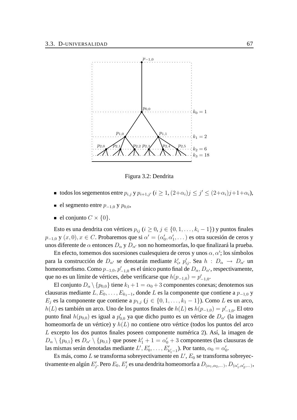

Figura 3.2: Dendrita

- todos los segementos entre  $p_{i,j}$  y  $p_{i+1,j'}$   $(i \geq 1, (2+\alpha_i)j \leq j' \leq (2+\alpha_i)j+1+\alpha_i)$ ,
- **e** el segmento entre  $p_{-1,0}$  y  $p_{0,0}$ ,
- el conjunto  $C \times \{0\}$ .

Esto es una dendrita con vértices  $p_{ij}$  ( $i \ge 0, j \in \{0, 1, \ldots, k_i - 1\}$ ) y puntos finales  $p_{-1,0}$  y  $(x,0), x \in C$ . Probaremos que si  $\alpha' = (\alpha'_0, \alpha'_1, ...)$  es otra sucesión de ceros y unos diferente de  $\alpha$  entonces  $D_{\alpha}$  y  $D_{\alpha'}$  son no homeomorfas, lo que finalizará la prueba.

En efecto, tomemos dos sucesiones cualesquiera de ceros y unos  $\alpha, \alpha'$ ; los símbolos para la construcción de  $D_{\alpha'}$  se denotarán mediante  $k'_i$ ,  $p'_{ij}$ . Sea  $h : D_{\alpha} \to D_{\alpha'}$  un homeomorfismo. Como  $p_{-1,0}, p'_{-1,0}$  es el único punto final de  $D_{\alpha}, D_{\alpha'}$ , respectivamente, que no es un límite de vértices, debe verificarse que  $h(p_{-1,0}) = p'_{-1,0}$ .

El conjunto  $D_{\alpha} \setminus \{p_{0,0}\}\$  tiene  $k_1 + 1 = \alpha_0 + 3$  componentes conexas; denotemos sus clausuras mediante  $L, E_0, \ldots, E_{k_1-1}$ , donde L es la componente que contiene a  $p_{-1,0}$  y  $E_j$  es la componente que contiene a  $p_{1,j}$  ( $j \in \{0, 1, \ldots, k_1 - 1\}$ ). Como L es un arco,  $h(L)$  es también un arco. Uno de los puntos finales de  $h(L)$  es  $h(p_{-1,0}) = p'_{-1,0}$ . El otro punto final  $h(p_{0,0})$  es igual a  $p'_{0,0}$  ya que dicho punto es un vértice de  $D_{\alpha'}$  (la imagen homeomorfa de un vértice) y  $h(L)$  no contiene otro vértice (todos los puntos del arco L excepto los dos puntos finales poseen componente numérica 2). Así, la imagen de  $D_{\alpha}\setminus\{p_{0,1}\}$  es  $D_{\alpha'}\setminus\{p_{0,1}\}$  que posee  $k'_1+1=\alpha'_0+3$  componentes (las clausuras de las mismas serán denotadas mediante  $L', E'_0, \ldots, E'_{k'_1-1}$ ). Por tanto,  $\alpha_0 = \alpha'_0$ .

Es más, como  $L$  se transforma sobreyectivamente en  $L', E_0$  se transforma sobreyectivamente en algún  $E'_j.$  Pero  $E_0, E'_j$  es una dendrita homeomorfa a  $D_{(\alpha_1,\alpha_2,...\,},D_{(\alpha'_1,\alpha'_2,...\,)} ,$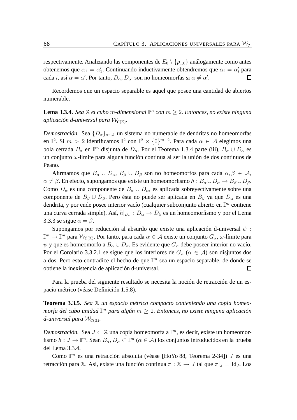respectivamente. Analizando las componentes de  $E_0 \setminus \{p_{1,0}\}\$ análogamente como antes obtenemos que  $\alpha_1 = \alpha'_1$ . Continuando inductivamente obtendremos que  $\alpha_i = \alpha'_i$  para cada *i*, así  $\alpha = \alpha'$ . Por tanto,  $D_{\alpha}, D_{\alpha'}$  son no homeomorfas si  $\alpha \neq \alpha'$ . □

Recordemos que un espacio separable es aquel que posee una cantidad de abiertos numerable.

**Lema 3.3.4.** *Sea*  $\mathbb{X}$  *el cubo m*-dimensional  $\mathbb{I}^m$  con  $m \geq 2$ . *Entonces, no existe ninguna* aplicación d-universal para  $\mathcal{W}_{\mathcal{C}(\mathbb{X})}$ .

*Demostración.* Sea  $\{D_{\alpha}\}_{{\alpha} \in \mathcal{A}}$  un sistema no numerable de dendritas no homeomorfas en  $\mathbb{I}^2$ . Si  $m > 2$  identificamos  $\mathbb{I}^2$  con  $\mathbb{I}^2 \times \{0\}^{m-2}$ . Para cada  $\alpha \in \mathcal{A}$  elegimos una bola cerrada  $B_{\alpha}$  en  $\mathbb{I}^m$  disjunta de  $D_{\alpha}$ . Por el Teorema 1.3.4 parte (iii),  $B_{\alpha} \cup D_{\alpha}$  es un conjunto ω-límite para alguna función continua al ser la unión de dos continuos de Peano.

Afirmamos que  $B_{\alpha} \cup D_{\alpha}$ ,  $B_{\beta} \cup D_{\beta}$  son no homeomorfos para cada  $\alpha, \beta \in A$ ,  $\alpha \neq \beta$ . En efecto, supongamos que existe un homeomorfismo  $h : B_\alpha \cup D_\alpha \to B_\beta \cup D_\beta$ . Como  $D_{\alpha}$  es una componente de  $B_{\alpha} \cup D_{\alpha}$ , es aplicada sobreyectivamente sobre una componente de  $B_\beta \cup D_\beta$ . Pero ésta no puede ser aplicada en  $B_\beta$  ya que  $D_\alpha$  es una dendrita, y por ende posee interior vacío (cualquier subconjunto abierto en  $\mathbb{I}^m$  contiene una curva cerrada simple). Así,  $h|_{D_{\alpha}}:D_{\alpha}\to D_{\beta}$  es un homeomorfismo y por el Lema 3.3.3 se sigue  $\alpha = \beta$ .

Supongamos por reducción al absurdo que existe una aplicación d-universal  $\psi$ :  $\mathbb{I}^m\to\mathbb{I}^m$  para  $\mathcal{W}_{\mathcal{C}(\mathbb{X})}.$  Por tanto, para cada  $\alpha\in\mathcal{A}$  existe un conjunto  $G_\alpha$ ,  $\omega$ -límite para  $\psi$  y que es homeomorfo a  $B_{\alpha} \cup D_{\alpha}$ . Es evidente que  $G_{\alpha}$  debe poseer interior no vacío. Por el Corolario 3.3.2.1 se sigue que los interiores de  $G_\alpha$  ( $\alpha \in A$ ) son disjuntos dos a dos. Pero esto contradice el hecho de que  $\mathbb{I}^m$  sea un espacio separable, de donde se obtiene la inexistencia de aplicación d-universal.  $\Box$ 

Para la prueba del siguiente resultado se necesita la noción de retracción de un espacio métrico (véase Definición 1.5.8).

**Teorema 3.3.5.** *Sea* X *un espacio métrico compacto conteniendo una copia homeomorfa del cubo unidad* I <sup>m</sup> *para algún* m ≥ 2*. Entonces, no existe ninguna aplicación* d-universal para  $\mathcal{W}_{\mathcal{C}(\mathbb{X})}$ .

*Demostración.* Sea  $J \subset \mathbb{X}$  una copia homeomorfa a  $\mathbb{I}^m$ , es decir, existe un homeomorfismo  $h: J \to \mathbb{I}^m$ . Sean  $B_\alpha, D_\alpha \subset \mathbb{I}^m$  ( $\alpha \in A$ ) los conjuntos introducidos en la prueba del Lema 3.3.4.

Como  $\mathbb{I}^m$  es una retracción absoluta (véase [HoYo 88, Teorema 2-34])  $J$  es una retracción para X. Así, existe una función continua  $\pi : X \to J$  tal que  $\pi|_J = Id_J$ . Los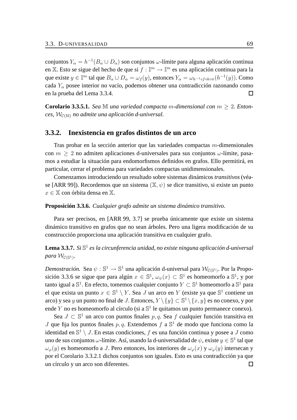conjuntos  $Y_\alpha = h^{-1}(B_\alpha \cup D_\alpha)$  son conjuntos  $\omega$ -límite para alguna aplicación continua en X. Esto se sigue del hecho de que si  $f : \mathbb{I}^m \to \mathbb{I}^m$  es una aplicación continua para la que existe  $y \in \mathbb{I}^m$  tal que  $B_\alpha \cup D_\alpha = \omega_f(y)$ , entonces  $Y_\alpha = \omega_{h^{-1} \circ f \circ h \circ \pi}(h^{-1}(y))$ . Como cada  $Y_\alpha$  posee interior no vacío, podemos obtener una contradicción razonando como en la prueba del Lema 3.3.4.  $\Box$ 

**Corolario 3.3.5.1.** *Sea* M *una variedad compacta m-dimensional con*  $m > 2$ *. Enton* $ces, W_{\mathcal{C}(\mathbb{M})}$  *no admite una aplicación d-universal.* 

#### **3.3.2. Inexistencia en grafos distintos de un arco**

Tras probar en la sección anterior que las variedades compactas m-dimensionales con  $m \geq 2$  no admiten aplicaciones d-universales para sus conjuntos  $\omega$ -límite, pasamos a estudiar la situación para endomorfismos definidos en grafos. Ello permitirá, en particular, cerrar el problema para variedades compactas unidimensionales.

Comenzamos introduciendo un resultado sobre sistemas dinámicos *transitivos*(véase [ARR 99]). Recordemos que un sistema  $(\mathbb{X}, \psi)$  se dice transitivo, si existe un punto  $x \in \mathbb{X}$  con órbita densa en  $\mathbb{X}$ .

#### **Proposición 3.3.6.** *Cualquier grafo admite un sistema dinámico transitivo.*

Para ser precisos, en [ARR 99, 3.7] se prueba únicamente que existe un sistema dinámico transitivo en grafos que no sean árboles. Pero una ligera modificación de su construcción proporciona una aplicación transitiva en cualquier grafo.

#### **Lema 3.3.7.** *Si* S 1 *es la circunferencia unidad, no existe ninguna aplicación d-universal*  $para \mathcal{W}_{\mathcal{C}(\mathbb{S}^1)}$ .

*Demostración*. Sea  $\psi: \mathbb{S}^1 \to \mathbb{S}^1$  una aplicación d-universal para  $\mathcal{W}_{\mathcal{C}(\mathbb{S}^1)}$ . Por la Proposición 3.3.6 se sigue que para algún  $x \in \mathbb{S}^1$ ,  $\omega_{\psi}(x) \subset \mathbb{S}^1$  es homeomorfo a  $\mathbb{S}^1$ , y por tanto igual a  $\mathbb{S}^1.$  En efecto, tomemos cualquier conjunto  $Y\subset \mathbb{S}^1$  homeomorfo a  $\mathbb{S}^1$  para el que exista un punto  $x \in \mathbb{S}^1 \setminus Y$ . Sea J un arco en Y (existe ya que  $\mathbb{S}^1$  contiene un arco) y sea  $y$  un punto no final de  $J.$  Entonces,  $Y\setminus\{y\}\subset\mathbb{S}^1\setminus\{x,y\}$  es no conexo, y por ende Y no es homeomorfo al círculo (si a  $\mathbb{S}^1$  le quitamos un punto permanece conexo).

Sea  $J \subset \mathbb{S}^1$  un arco con puntos finales  $p, q$ . Sea f cualquier función transitiva en J que fija los puntos finales  $p, q$ . Extendemos  $f$  a  $\mathbb{S}^1$  de modo que funciona como la identidad en  $\mathbb{S}^1 \setminus J$ . En estas condiciones,  $f$  es una función continua y posee a  $J$  como uno de sus conjuntos  $\omega$ -límite. Así, usando la d-universalidad de  $\psi,$  existe  $y\in\mathbb{S}^1$  tal que  $\omega_{\varphi}(y)$  es homeomorfo a J. Pero entonces, los interiores de  $\omega_{\varphi}(x)$  y  $\omega_{\varphi}(y)$  intersecan y por el Corolario 3.3.2.1 dichos conjuntos son iguales. Esto es una contradicción ya que un círculo y un arco son diferentes. $\Box$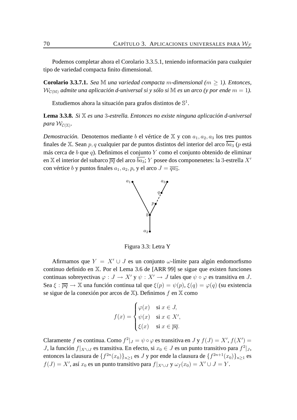Podemos completar ahora el Corolario 3.3.5.1, teniendo información para cualquier tipo de variedad compacta finito dimensional.

**Corolario 3.3.7.1.** *Sea* M *una variedad compacta m-dimensional* ( $m \geq 1$ )*. Entonces,*  $W_{\mathcal{C}(\mathbb{M})}$  *admite una aplicación d-universal si y sólo si* M *es un arco (y por ende*  $m = 1$ ).

Estudiemos ahora la situación para grafos distintos de  $\mathbb{S}^1$ .

**Lema 3.3.8.** *Si* X *es una* 3*-estrella. Entonces no existe ninguna aplicación d-universal* para  $\mathcal{W}_{\mathcal{C}(\mathbb{X})}$ .

*Demostración*. Denotemos mediante b el vértice de  $X$  y con  $a_1, a_2, a_3$  los tres puntos finales de X. Sean p, q cualquier par de puntos distintos del interior del arco  $\overline{ba_3}$  (p está más cerca de  $b$  que  $q$ ). Definimos el conjunto  $Y$  como el conjunto obtenido de eliminar en X el interior del subarco  $\overline{pq}$  del arco  $\overline{ba_3}$ ; Y posee dos componenetes: la 3-estrella X' con vértice b y puntos finales  $a_1, a_2, p$ , y el arco  $J = \overline{qa_3}$ .



Figura 3.3: Letra Y

Afirmamos que  $Y = X' \cup J$  es un conjunto  $\omega$ -límite para algún endomorfismo continuo definido en X. Por el Lema 3.6 de [ARR 99] se sigue que existen funciones continuas sobreyectivas  $\varphi : J \to X'$  y  $\psi : X' \to J$  tales que  $\psi \circ \varphi$  es transitiva en J. Sea  $\xi : \overline{pq} \to \mathbb{X}$  una función continua tal que  $\xi(p) = \psi(p)$ ,  $\xi(q) = \varphi(q)$  (su existencia se sigue de la conexión por arcos de  $X$ ). Definimos f en X como

$$
f(x) = \begin{cases} \varphi(x) & \text{si } x \in J, \\ \psi(x) & \text{si } x \in X', \\ \xi(x) & \text{si } x \in \overline{pq}. \end{cases}
$$

Claramente f es continua. Como  $f^2|_J = \psi \circ \varphi$  es transitiva en J y  $f(J) = X', f(X') = \varphi$ J, la función  $f|_{X' \cup J}$  es transitiva. En efecto, si  $x_0 \in J$  es un punto transitivo para  $f^2|_J$ , entonces la clausura de  $\{f^{2n}(x_0)\}_{n\geq 1}$  es  $J$  y por ende la clausura de  $\{f^{2n+1}(x_0)\}_{n\geq 1}$  es  $f(J) = X'$ , así  $x_0$  es un punto transitivo para  $f|_{X' \cup J}$  y  $\omega_f(x_0) = X' \cup J = Y$ .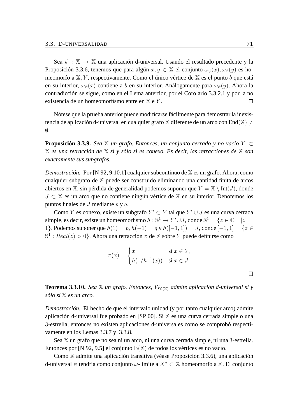Sea  $\psi : \mathbb{X} \to \mathbb{X}$  una aplicación d-universal. Usando el resultado precedente y la Proposición 3.3.6, tenemos que para algún  $x, y \in \mathbb{X}$  el conjunto  $\omega_{\psi}(x), \omega_{\psi}(y)$  es homeomorfo a  $X, Y$ , respectivamente. Como el único vértice de  $X$  es el punto b que está en su interior,  $\omega_{\psi}(x)$  contiene a b en su interior. Análogamente para  $\omega_{\psi}(y)$ . Ahora la contradicción se sigue, como en el Lema antertior, por el Corolario 3.3.2.1 y por la no existencia de un homeomorfismo entre en X e Y .  $\Box$ 

Nótese que la prueba anterior puede modificarse fácilmente para demostrar la inexistencia de aplicación d-universal en cualquier grafo  $\mathbb X$  diferente de un arco con End $(\mathbb X)\neq 0$  $\emptyset$ .

**Proposición 3.3.9.** *Sea*  $\mathbb{X}$  *un grafo. Entonces, un conjunto cerrado y no vacío*  $Y \subset$ X *es una retracción de* X *si y sólo si es conexo. Es decir, las retracciones de* X *son exactamente sus subgrafos.*

*Demostración.* Por [N 92, 9.10.1] cualquier subcontinuo de X es un grafo. Ahora, como cualquier subgrafo de X puede ser construido eliminando una cantidad finita de arcos abiertos en X, sin pérdida de generalidad podemos suponer que  $Y = X \setminus Int(J)$ , donde J ⊂ X es un arco que no contiene ningún vértice de X en su interior. Denotemos los puntos finales de  $J$  mediante  $p \, y \, q$ .

Como Y es conexo, existe un subgrafo  $Y' \subset Y$  tal que  $Y' \cup J$  es una curva cerrada simple, es decir, existe un homeomorfismo  $h: \mathbb{S}^1 \to Y' \cup J$ , donde  $\mathbb{S}^1 = \{z \in \mathbb{C} : |z| = 1\}$ 1}. Podemos suponer que  $h(1) = p$ ,  $h(-1) = q y h([-1, 1]) = J$ , donde  $[-1, 1] = \{z \in$  $\mathbb{S}^1$  :  $Real(z) > 0$ }. Ahora una retracción  $\pi$  de  $\mathbb X$  sobre  $Y$  puede definirse como

$$
\pi(x) = \begin{cases} x & \text{si } x \in Y, \\ h(1/h^{-1}(x)) & \text{si } x \in J. \end{cases}
$$

**Teorema 3.3.10.** *Sea*  $\mathbb{X}$  *un grafo. Entonces,*  $\mathcal{W}_{\mathcal{C}(\mathbb{X})}$  *admite aplicación d-universal si y sólo si* X *es un arco.*

*Demostración.* El hecho de que el intervalo unidad (y por tanto cualquier arco) admite aplicación d-universal fue probado en [SP 00]. Si X es una curva cerrada simple o una 3-estrella, entonces no existen aplicaciones d-universales como se comprobó respectivamente en los Lemas 3.3.7 y 3.3.8.

Sea X un grafo que no sea ni un arco, ni una curva cerrada simple, ni una 3-estrella. Entonces por [N 92, 9.5] el conjunto B(X) de todos los vértices es no vacío.

Como X admite una aplicación transitiva (véase Proposición 3.3.6), una aplicación d-universal  $\psi$  tendría como conjunto  $\omega$ -límite a  $X^* \subset \mathbb{X}$  homeomorfo a  $\mathbb{X}$ . El conjunto

 $\Box$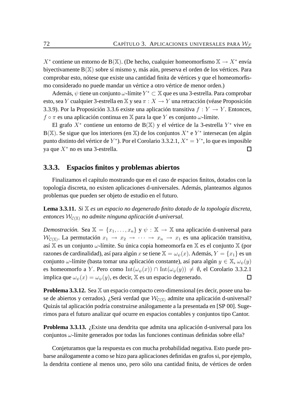$X^*$  contiene un entorno de B(X). (De hecho, cualquier homeomorfismo  $X \to X^*$  envía biyectivamente B(X) sobre sí mismo y, más aún, preserva el orden de los vértices. Para comprobar esto, nótese que existe una cantidad finita de vértices y que el homeomorfismo considerado no puede mandar un vértice a otro vértice de menor orden.)

Además,  $\psi$  tiene un conjunto  $\omega$ -límite  $Y^* \subset \mathbb{X}$  que es una 3-estrella. Para comprobar esto, sea Y cualquier 3-estrella en X y sea  $\pi : X \to Y$  una retracción (véase Proposición 3.3.9). Por la Proposición 3.3.6 existe una aplicación transitiva  $f: Y \to Y$ . Entonces,  $f \circ \pi$  es una aplicación continua en X para la que Y es conjunto  $\omega$ -límite.

El grafo  $X^*$  contiene un entorno de B(X) y el vértice de la 3-estrella  $Y^*$  vive en B(X). Se sigue que los interiores (en X) de los conjuntos  $X^*$  e  $Y^*$  intersecan (en algún punto distinto del vértice de Y<sup>\*</sup>). Por el Corolario 3.3.2.1,  $X^* = Y^*$ , lo que es imposible ya que  $X^*$  no es una 3-estrella.  $\Box$ 

#### **3.3.3. Espacios finitos y problemas abiertos**

Finalizamos el capítulo mostrando que en el caso de espacios finitos, dotados con la topología discreta, no existen aplicaciones d-universales. Además, planteamos algunos problemas que pueden ser objeto de estudio en el futuro.

**Lema 3.3.11.** *Si* X *es un espacio no degenerado finito dotado de la topología discreta,*  $entonces W<sub>C(X)</sub>$  *no admite ninguna aplicación d-universal.* 

*Demostración.* Sea  $X = \{x_1, \ldots, x_n\}$  y  $\psi : X \to X$  una aplicación d-universal para  $\mathcal{W}_{\mathcal{C}(\mathbb{X})}$ . La permutación  $x_1 \to x_2 \to \cdots \to x_n \to x_1$  es una aplicación transitiva, así  $X$  es un conjunto  $\omega$ -límite. Su única copia homeomorfa en  $X$  es el conjunto  $X$  (por razones de cardinalidad), así para algún x se tiene  $\mathbb{X} = \omega_{\psi}(x)$ . Además,  $Y = \{x_1\}$  es un conjunto  $\omega$ -límite (basta tomar una aplicación constante), así para algún  $y \in X$ ,  $\omega_{\psi}(y)$ es homeomorfo a Y. Pero como Int $(\omega_{\psi}(x)) \cap \text{Int}(\omega_{\psi}(y)) \neq \emptyset$ , el Corolario 3.3.2.1 implica que  $\omega_{\psi}(x) = \omega_{\psi}(y)$ , es decir, X es un espacio degenerado.  $\Box$ 

**Problema 3.3.12.** Sea X un espacio compacto cero-dimensional (es decir, posee una base de abiertos y cerrados). ¿Será verdad que  $W_{\mathcal{C}(\mathbb{X})}$  admite una aplicación d-universal? Quizás tal aplicación podría construirse análogamente a la presentada en [SP 00]. Sugerimos para el futuro analizar qué ocurre en espacios contables y conjuntos tipo Cantor.

**Problema 3.3.13.** *i*. Existe una dendrita que admita una aplicación d-universal para los conjuntos  $\omega$ -límite generados por todas las funciones continuas definidas sobre ella?

Conjeturamos que la respuesta es con mucha probabilidad negativa. Esto puede probarse análogamente a como se hizo para aplicaciones definidas en grafos si, por ejemplo, la dendrita contiene al menos uno, pero sólo una cantidad finita, de vértices de orden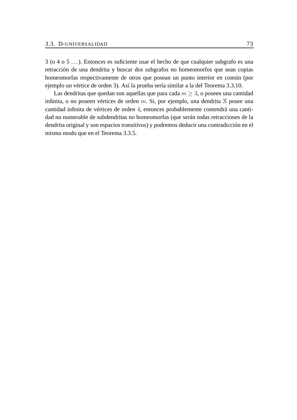3 (o 4 o 5 . . . ). Entonces es suficiente usar el hecho de que cualquier subgrafo es una retracción de una dendrita y buscar dos subgrafos no homeomorfos que sean copias homeomorfas respectivamente de otros que posean un punto interior en común (por ejemplo un vértice de orden 3). Así la prueba sería similar a la del Teorema 3.3.10.

Las dendritas que quedan son aquellas que para cada  $m > 3$ , o poseen una cantidad infinita, o no poseen vértices de orden m. Si, por ejemplo, una dendrita  $X$  posee una cantidad infinita de vértices de orden 4, entonces probablemente contendrá una cantidad no numerable de subdendritas no homeomorfas (que serán todas retracciones de la dendrita original y son espacios transitivos) y podremos deducir una contradicción en el mismo modo que en el Teorema 3.3.5.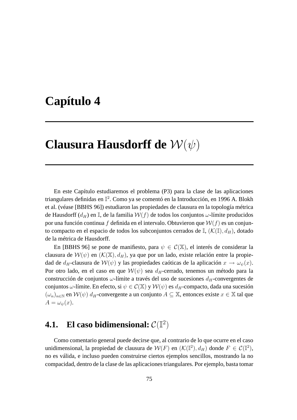## **Capítulo 4**

## **Clausura Hausdorff de** W(ψ)

En este Capítulo estudiaremos el problema (P3) para la clase de las aplicaciones triangulares definidas en I 2 . Como ya se comentó en la Introducción, en 1996 A. Blokh et al. (véase [BBHS 96]) estudiaron las propiedades de clausura en la topología métrica de Hausdorff ( $d_H$ ) en I, de la familia  $W(f)$  de todos los conjuntos  $\omega$ -límite producidos por una función continua f definida en el intervalo. Obtuvieron que  $W(f)$  es un conjunto compacto en el espacio de todos los subconjuntos cerrados de  $\mathbb{I}$ ,  $(\mathcal{K}(\mathbb{I}), d_H)$ , dotado de la métrica de Hausdorff.

En [BBHS 96] se pone de manifiesto, para  $\psi \in C(\mathbb{X})$ , el interés de considerar la clausura de  $W(\psi)$  en  $(K(\mathbb{X}), d_H)$ , ya que por un lado, existe relación entre la propiedad de  $d_H$ -clausura de  $\mathcal{W}(\psi)$  y las propiedades caóticas de la aplicación  $x \to \omega_{\psi}(x)$ . Por otro lado, en el caso en que  $W(\psi)$  sea  $d<sub>H</sub>$ -cerrado, tenemos un método para la construcción de conjuntos  $\omega$ -límite a través del uso de sucesiones  $d_H$ -convergentes de conjuntos  $\omega$ -límite. En efecto, si  $\psi \in C(\mathbb{X})$  y  $\mathcal{W}(\psi)$  es  $d_H$ -compacto, dada una sucesión  $(\omega_n)_{n\in\mathbb{N}}$  en  $\mathcal{W}(\psi)$  d<sub>H</sub>-convergente a un conjunto  $A \subseteq \mathbb{X}$ , entonces existe  $x \in \mathbb{X}$  tal que  $A = \omega_{\psi}(x).$ 

### **4.1.** El caso bidimensional:  $\mathcal{C}(\mathbb{I}^2)$

Como comentario general puede decirse que, al contrario de lo que ocurre en el caso unidimensional, la propiedad de clausura de  $W(F)$  en  $(\mathcal{K}(\mathbb{I}^2), d_H)$  donde  $F \in \mathcal{C}(\mathbb{I}^2)$ , no es válida, e incluso pueden construirse ciertos ejemplos sencillos, mostrando la no compacidad, dentro de la clase de las aplicaciones triangulares. Por ejemplo, basta tomar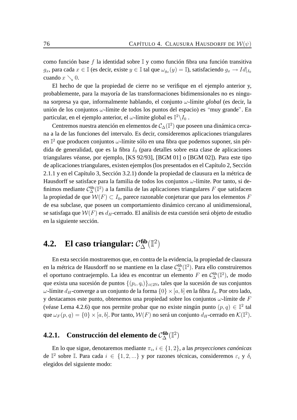como función base  $f$  la identidad sobre  $\mathbb I$  y como función fibra una función transitiva  $g_x$ , para cada  $x\in\mathbb{I}$  (es decir, existe  $y\in\mathbb{I}$  tal que  $\omega_{g_x}(y)=\mathbb{I}$ ), satisfaciendo  $g_x\to Id|_{I_0}$ cuando  $x \searrow 0$ .

El hecho de que la propiedad de cierre no se verifique en el ejemplo anterior y, probablemente, para la mayoría de las transformaciones bidimensionales no es ninguna sorpresa ya que, informalmente hablando, el conjunto ω-límite *global* (es decir, la unión de los conjuntos  $\omega$ -límite de todos los puntos del espacio) es "muy grande". En particular, en el ejemplo anterior, el  $\omega$ -límite global es  $\mathbb{I}^2\backslash I_0$  .

Centremos nuestra atención en elementos de  $\mathcal{C}_{\Delta}(\mathbb{I}^2)$  que poseen una dinámica cercana a la de las funciones del intervalo. Es decir, consideremos aplicaciones triangulares en  $\mathbb{I}^2$  que producen conjuntos  $\omega$ -límite sólo en una fibra que podemos suponer, sin pérdida de generalidad, que es la fibra  $I_0$  (para detalles sobre esta clase de aplicaciones triangulares véanse, por ejemplo, [KS 92/93], [BGM 01] o [BGM 02]). Para este tipo de aplicaciones triangulares, existen ejemplos (los presentados en el Capítulo 2, Sección 2.1.1 y en el Capítulo 3, Sección 3.2.1) donde la propiedad de clausura en la métrica de Hausdorff se satisface para la familia de todos los conjuntos  $\omega$ -límite. Por tanto, si definimos mediante  $C^{\text{fib}}_{\Delta}(\mathbb{I}^2)$  a la familia de las aplicaciones triangulares F que satisfacen la propiedad de que  $W(F) \subset I_0$ , parece razonable conjeturar que para los elementos F de esa subclase, que poseen un comportamiento dinámico cercano al unidimensional, se satisfaga que  $W(F)$  es  $d_H$ -cerrado. El análisis de esta cuestión será objeto de estudio en la siguiente sección.

## **4.2.** El caso triangular:  $C_{\Delta}^{\text{fib}}(\mathbb{I}^2)$

En esta sección mostraremos que, en contra de la evidencia, la propiedad de clausura en la métrica de Hausdorff no se mantiene en la clase  $\mathcal{C}^{\text{fib}}_{\Delta}(\mathbb{I}^2)$ . Para ello construiremos el oportuno contraejemplo. La idea es encontrar un elemento  $F$  en  $C^{\text{fib}}_{\Delta}(\mathbb{I}^2)$ , de modo que exista una sucesión de puntos  $\{(p_i, q_i)\}_{i \in 2\mathbb{N}}$ , tales que la sucesión de sus conjuntos ω-límite d<sub>H</sub>-converge a un conjunto de la forma  $\{0\} \times [a, b]$  en la fibra  $I_0$ . Por otro lado, y destacamos este punto, obtenemos una propiedad sobre los conjuntos  $\omega$ -límite de F (véase Lema 4.2.6) que nos permite probar que no existe ningún punto  $(p, q) \in \mathbb{I}^2$  tal que  $\omega_F(p,q)=\{0\}\times [a,b].$  Por tanto,  $\mathcal{W}(F)$  no será un conjunto  $d_H$ -cerrado en  $\mathcal{K}(\mathbb{I}^2).$ 

### **4.2.1.** Construcción del elemento de  $C_{\Delta}^{\text{fib}}(\mathbb{I}^2)$

En lo que sigue, denotaremos mediante  $\pi_i$ ,  $i \in \{1, 2\}$ , a las *proyecciones canónicas* de  $\mathbb{I}^2$  sobre  $\mathbb{I}$ . Para cada  $i \in \{1, 2, ...\}$  y por razones técnicas, consideremos  $\varepsilon_i$  y  $\delta_i$ elegidos del siguiente modo: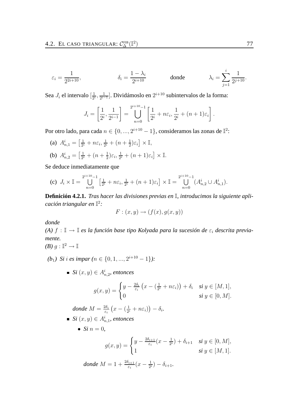$$
\varepsilon_i = \frac{1}{2^{2i+10}}, \qquad \qquad \delta_i = \frac{1-\lambda_i}{2^{i+10}} \qquad \qquad \text{donde} \qquad \qquad \lambda_i = \sum_{j=1}^i \frac{1}{2^{j+10}}.
$$

Sea  $J_i$  el intervalo  $\left[\frac{1}{2^n}\right]$  $\frac{1}{2^i}, \frac{1}{2^{i-1}}$  $\frac{1}{2^{i-1}}$ . Dividámoslo en  $2^{i+10}$  subintervalos de la forma:

$$
J_i = \left[\frac{1}{2^i}, \frac{1}{2^{i-1}}\right] = \bigcup_{n=0}^{2^{i+10}-1} \left[\frac{1}{2^i} + n\varepsilon_i, \frac{1}{2^i} + (n+1)\varepsilon_i\right].
$$

Por otro lado, para cada  $n \in \{0, ..., 2^{i+10}-1\}$ , consideramos las zonas de  $\mathbb{I}^2$ :

(a)  $A_{n,1}^i = \left[\frac{1}{2^n}\right]$  $\frac{1}{2^i}+n\varepsilon_i,\frac{1}{2^i}$  $\frac{1}{2^i} + (n + \frac{1}{2})$  $\frac{1}{2}$ ) $\varepsilon_i$   $\times$  I, (b)  $A_{n,2}^i = \left[\frac{1}{2^n}\right]$  $\frac{1}{2^i} + (n + \frac{1}{2})$  $(\frac{1}{2})\varepsilon_i, \frac{1}{2^n}$  $\frac{1}{2^i} + (n+1)\varepsilon_i \rbrack \times \mathbb{I}.$ 

Se deduce inmediatamente que

(c) 
$$
J_i \times \mathbb{I} = \bigcup_{n=0}^{2^{i+10}-1} \left[ \frac{1}{2^i} + n \varepsilon_i, \frac{1}{2^i} + (n+1) \varepsilon_i \right] \times \mathbb{I} = \bigcup_{n=0}^{2^{i+10}-1} (A_{n,2}^i \cup A_{n,1}^i).
$$

**Definición 4.2.1.** *Tras hacer las divisiones previas en* I*, introducimos la siguiente aplicación triangular en* I 2 *:*

$$
F: (x, y) \rightarrow (f(x), g(x, y))
$$

*donde*

*(A)*  $f : \mathbb{I} \to \mathbb{I}$  *es la función base tipo Kolyada para la sucesión de*  $\varepsilon_i$  *descrita previamente.*

$$
(B) g: \mathbb{I}^2 \to \mathbb{I}
$$

 $(b_1)$  *Si i es impar*  $(n \in \{0, 1, ..., 2^{i+10} - 1\})$ :

 $Si\left(x,y\right)\in A_{n,2}^{i},$  entonces

$$
g(x,y) = \begin{cases} y - \frac{2\delta_i}{\varepsilon_i} \left( x - \left( \frac{1}{2^i} + n\varepsilon_i \right) \right) + \delta_i & \text{si } y \in [M,1], \\ 0 & \text{si } y \in [0,M]. \end{cases}
$$

*donde*  $M = \frac{2\delta_i}{\varepsilon}$  $\frac{2\delta_i}{\varepsilon_i}\left(x-\left(\frac{1}{2^i}\right)\right)$  $\frac{1}{2^i} + n\varepsilon_i)\big) - \delta_i.$ 

- $Si\left(x,y\right)\in A_{n,1}^{i},$  entonces
	- *Si*  $n = 0$ ,

$$
g(x,y) = \begin{cases} y - \frac{2\delta_{i+1}}{\varepsilon_i}(x - \frac{1}{2^i}) + \delta_{i+1} & \text{si } y \in [0, M], \\ 1 & \text{si } y \in [M, 1]. \end{cases}
$$

 $\emph{donde } M = 1 + \frac{2 \delta_{i+1}}{\varepsilon_i} (x - \frac{1}{2^i})$  $(\frac{1}{2^i}) - \delta_{i+1}.$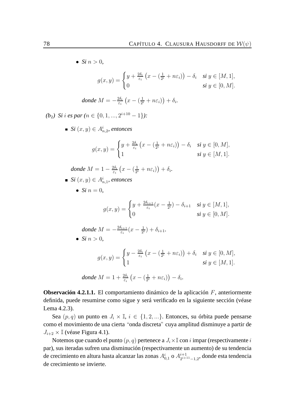• *Si*  $n > 0$ ,  $g(x,y) = \begin{cases} y + \frac{2\delta_i}{\varepsilon_i} \end{cases}$  $\frac{2\delta_i}{\varepsilon_i}\left(x-\left(\frac{1}{2^i}\right)\right)$  $\left(\frac{1}{2^i}+n\varepsilon_i\right)\right)-\delta_i$  si  $y\in[M,1],$ 0 **si**  $y \in [0, M]$ . *donde*  $M = -\frac{2\delta_i}{\varepsilon}$  $\frac{2\delta_i}{\varepsilon_i}\left(x-\left(\frac{1}{2^n}\right)\right)$  $\frac{1}{2^i}+n\varepsilon_i)\big)+\delta_i.$  $(b_2)$  *Si* i es par  $(n \in \{0, 1, ..., 2^{i+10} - 1\})$ :  $Si(x,y) \in A_{n,2}^i$ , entonces  $g(x,y) = \begin{cases} y + \frac{2\delta_i}{\varepsilon_i} \end{cases}$  $\frac{2\delta_i}{\varepsilon_i}\left(x-\left(\frac{1}{2^n}\right)\right)$  $(\frac{1}{2^i} + n\varepsilon_i)$ ) –  $\delta_i$  si  $y \in [0, M]$ , 1 **si**  $y \in [M, 1].$ *donde*  $M = 1 - \frac{2\delta_i}{\epsilon}$  $\frac{2\delta_i}{\varepsilon_i}\left(x-\left(\frac{1}{2^i}\right)\right)$  $\frac{1}{2^i} + n\varepsilon_i)\big) + \delta_i.$  $Si(x, y) \in A_{n,1}^i$ , entonces • *Si*  $n = 0$ ,  $g(x,y) = \begin{cases} y + \frac{2\delta_{i+1}}{\varepsilon_i} \end{cases}$  $\frac{\partial i+1}{\partial \varepsilon_i}(x-\frac{1}{2^n})$  $\frac{1}{2^i}$ ) –  $\delta_{i+1}$  *si*  $y \in [M, 1]$ , 0 **si**  $y \in [0, M]$ . *donde*  $M = -\frac{2\delta_{i+1}}{\varepsilon_i}$  $\frac{\delta_{i+1}}{\varepsilon_i}(x-\frac{1}{2^n})$  $(\frac{1}{2^{i}}) + \delta_{i+1}.$ 

• *Si*  $n > 0$ 

$$
g(x,y) = \begin{cases} y - \frac{2\delta_i}{\varepsilon_i} \left( x - \left( \frac{1}{2^i} + n\varepsilon_i \right) \right) + \delta_i & \text{si } y \in [0,M], \\ 1 & \text{si } y \in [M,1]. \end{cases}
$$

*donde* 
$$
M = 1 + \frac{2\delta_i}{\varepsilon_i} \left( x - \left( \frac{1}{2^i} + n\varepsilon_i \right) \right) - \delta_i.
$$

**Observación 4.2.1.1.** El comportamiento dinámico de la aplicación F, anteriormente definida, puede resumirse como sigue y será verificado en la siguiente sección (véase Lema 4.2.3).

Sea  $(p, q)$  un punto en  $J_i \times \mathbb{I}$ ,  $i \in \{1, 2, \ldots\}$ . Entonces, su órbita puede pensarse como el movimiento de una cierta "onda discreta" cuya amplitud disminuye a partir de  $J_{i+2} \times \mathbb{I}$  (véase Figura 4.1).

Notemos que cuando el punto  $(p, q)$  pertenece a  $J_i \times \mathbb{I}$  con i impar (respectivamente i par), sus iteradas sufren una disminución (respectivamente un aumento) de su tendencia de crecimiento en altura hasta alcanzar las zonas  $A^i_{0,1}$  o  $A^{i+1}_{2^{i+1}}$  $\frac{i+1}{2^{i+11}-1,2}$ , donde esta tendencia de crecimiento se invierte.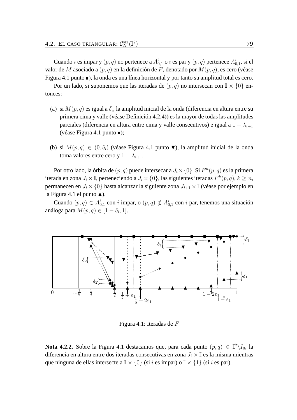Cuando  $i$  es impar y  $(p, q)$  no pertenece a  $A_{0,1}^i$  o  $i$  es par y  $(p, q)$  pertenece  $A_{0,1}^i$ , si el valor de M asociado a  $(p, q)$  en la definición de F, denotado por  $M(p, q)$ , es cero (véase Figura 4.1 punto  $\blacksquare$ ), la onda es una línea horizontal y por tanto su amplitud total es cero.

Por un lado, si suponemos que las iteradas de  $(p, q)$  no intersecan con  $\mathbb{I} \times \{0\}$  entonces:

- (a) si  $M(p,q)$  es igual a  $\delta_i$ , la amplitud inicial de la onda (diferencia en altura entre su primera cima y valle (véase Definición 4.2.4)) es la mayor de todas las amplitudes parciales (diferencia en altura entre cima y valle consecutivos) e igual a  $1 - \lambda_{i+1}$ (véase Figura 4.1 punto •);
- (b) si  $M(p,q) \in (0, \delta_i)$  (véase Figura 4.1 punto  $\nabla$ ), la amplitud inicial de la onda toma valores entre cero y 1 –  $\lambda_{i+1}$ .

Por otro lado, la órbita de  $(p,q)$  puede intersecar a  $J_i\times\{0\}.$  Si  $F^n(p,q)$  es la primera iterada en zona  $J_i\times\mathbb{I}$ , perteneciendo a  $J_i\times\{0\}$ , las siguientes iteradas  $F^k(p,q),$   $k\ge n,$ permanecen en  $J_i \times \{0\}$  hasta alcanzar la siguiente zona  $J_{i+1} \times \mathbb{I}$  (véase por ejemplo en la Figura 4.1 el punto  $\blacktriangle$ ).

Cuando  $(p, q) \in A_{0,1}^i$  con i impar, o  $(p, q) \notin A_{0,1}^i$  con i par, tenemos una situación análoga para  $M(p,q) \in [1-\delta_i,1].$ 



Figura 4.1: Iteradas de F

**Nota 4.2.2.** Sobre la Figura 4.1 destacamos que, para cada punto  $(p,q) \in \mathbb{I}^2 \setminus I_0$ , la diferencia en altura entre dos iteradas consecutivas en zona  $J_i \times \mathbb{I}$  es la misma mientras que ninguna de ellas intersecte a  $\mathbb{I} \times \{0\}$  (si i es impar) o  $\mathbb{I} \times \{1\}$  (si i es par).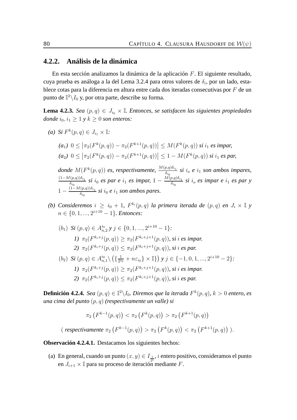#### **4.2.2. Análisis de la dinámica**

En esta sección analizamos la dinámica de la aplicación F. El siguiente resultado, cuya prueba es análoga a la del Lema 3.2.4 para otros valores de  $\delta_i,$  por un lado, establece cotas para la diferencia en altura entre cada dos iteradas consecutivas por  $F$  de un punto de  $\mathbb{I}^2\backslash I_0$  y, por otra parte, describe su forma.

**Lema 4.2.3.** *Sea*  $(p, q) \in J_{i_0} \times \mathbb{I}$ *. Entonces, se satisfacen las siguientes propiedades donde*  $i_0$ ,  $i_1 > 1$  *y*  $k > 0$  *son enteros:* 

*(a) Si*  $F^k(p, q) \in J_{i_1} \times \mathbb{I}$ :

$$
(a_1) \ 0 \le |\pi_2(F^k(p, q)) - \pi_2(F^{k+1}(p, q))| \le M(F^k(p, q)) \ si \ i_1 \ es \ impar,
$$
  

$$
(a_2) \ 0 \le |\pi_2(F^k(p, q)) - \pi_2(F^{k+1}(p, q))| \le 1 - M(F^k(p, q)) \ si \ i_1 \ es \ par,
$$

*donde*  $M(F^k(p,q))$  *es, respectivamente,*  $\frac{M(p,q)\delta_{i_1}}{\delta_{i_0}}$  *si i<sub>o</sub> e i*<sub>1</sub> *son ambos impares,*  $\left(1-M(p,q)\right)\delta_{i_1}$  $\frac{\delta(i_0,q))\delta_{i_1}}{\delta_{i_0}}$  *si*  $i_0$  *es par e*  $i_1$  *es impar,*  $1-\frac{M(p,q)\delta_{i_1}}{\delta_{i_0}}$  $\frac{\partial \rho, q_{j} \partial i_{1}}{\partial i_{0}}$  *si*  $i_{o}$  *es impar e*  $i_{1}$  *es par y*  $1-\frac{(1-M(p,q))\delta_{i_1}}{\delta}$  $\frac{(p,q))^{0i_1}}{\delta_{i_0}}$  *si*  $i_0$  *e*  $i_1$  *son ambos pares.* 

*(b)* Consideremos  $i \geq i_0 + 1$ ,  $F^{k_i}(p,q)$  la primera iterada de  $(p,q)$  en  $J_i \times \mathbb{I}$  y  $n \in \{0, 1, ..., 2^{i+10} - 1\}$ *. Entonces:* 

\n- (b) Si 
$$
(p, q) \in A_{n,2}^{i_0} \ y \ j \in \{0, 1, \ldots, 2^{i+10} - 1\}
$$
:
\n- 1)  $\pi_2(F^{k_i+j}(p, q)) \geq \pi_2(F^{k_i+j+1}(p, q))$ , si *i* es impar.
\n- 2)  $\pi_2(F^{k_i+j}(p, q)) \leq \pi_2(F^{k_i+j+1}(p, q))$ , si *i* es par.
\n- (b) Si  $(p, q) \in A_{n,1}^{i_0} \setminus \left(\left\{\frac{1}{2^{i_0}} + n \varepsilon_{i_0}\right\} \times \mathbb{I}\right\}\right) y \ j \in \{-1, 0, 1, \ldots, 2^{i+10} - 2\}$ :
\n- 1)  $\pi_2(F^{k_i+j}(p, q)) \geq \pi_2(F^{k_i+j+1}(p, q))$ , si *i* es impar.
\n- 2)  $\pi_2(F^{k_i+j}(p, q)) \leq \pi_2(F^{k_i+j+1}(p, q))$ , si *i* es par.
\n

**Definición 4.2.4.** *Sea*  $(p, q) \in \mathbb{I}^2 \backslash I_0$ *. Diremos que la iterada*  $F^k(p, q)$ *, k* > 0 *entero, es una cima del punto* (p, q) *(respectivamente un valle) si*

$$
\pi_2\left(F^{k-1}(p,q)\right) < \pi_2\left(F^k(p,q)\right) > \pi_2\left(F^{k+1}(p,q)\right)
$$
\n(respectivamente  $\pi_2\left(F^{k-1}(p,q)\right) > \pi_2\left(F^k(p,q)\right) < \pi_2\left(F^{k+1}(p,q)\right)$ ).

**Observación 4.2.4.1.** Destacamos los siguientes hechos:

(a) En general, cuando un punto  $(x, y) \in I_{\frac{1}{2i}}$ , *i* entero positivo, consideramos el punto en  $J_{i+1} \times \mathbb{I}$  para su proceso de iteración mediante F.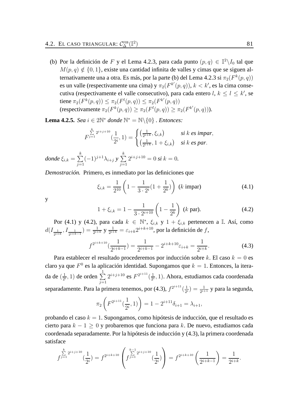(b) Por la definición de F y el Lema 4.2.3, para cada punto  $(p, q) \in \mathbb{I}^2 \setminus I_0$  tal que  $M(p, q) \notin \{0, 1\}$ , existe una cantidad infinita de valles y cimas que se siguen alternativamente una a otra. Es más, por la parte (b) del Lema 4.2.3 si  $\pi_2(F^k(p,q))$ es un valle (respectivamente una cima) y  $\pi_2(F^{k'}(p,q)), k < k'$ , es la cima consecutiva (respectivamente el valle consecutivo), para cada entero  $l, k \leq l \leq k'$ , se tiene  $\pi_2(F^k(p,q)) \leq \pi_2(F^l(p,q)) \leq \pi_2(F^{k'}(p,q))$ (respectivamente  $\pi_2(F^k(p,q)) \geq \pi_2(F^l(p,q)) \geq \pi_2(F^{k'}(p,q))$ ).

**Lema 4.2.5.** *Sea*  $i \in 2\mathbb{N}^*$  *donde*  $\mathbb{N}^* = \mathbb{N} \setminus \{0\}$  *. Entonces:* 

$$
F^{\sum_{j=1}^{k} 2^{i+j+10}}(\frac{1}{2^i}, 1) = \begin{cases} \left(\frac{1}{2^{i+k}}, \xi_{i,k}\right) & \text{si } k \text{ es impar,} \\ \left(\frac{1}{2^{i+k}}, 1 + \xi_{i,k}\right) & \text{si } k \text{ es par.} \end{cases}
$$
  
donde  $\xi_{i,k} = \sum_{j=1}^{k} (-1)^{j+1} \lambda_{i+j} y \sum_{j=1}^{k} 2^{i+j+10} = 0 \text{ si } k = 0.$ 

*Demostración.* Primero, es inmediato por las definiciones que

$$
\xi_{i,k} = \frac{1}{2^{10}} \left( 1 - \frac{1}{3 \cdot 2^{i}} (1 + \frac{1}{2^{k}}) \right) \quad (k \text{ impar}) \tag{4.1}
$$

y

$$
1 + \xi_{i,k} = 1 - \frac{1}{3 \cdot 2^{i+10}} \left( 1 - \frac{1}{2^k} \right) \text{ (k par)}.
$$
 (4.2)

Por (4.1) y (4.2), para cada  $k \in \mathbb{N}^*$ ,  $\xi_{i,k}$  y  $1 + \xi_{i,k}$  pertenecen a I. Así, como  $d(I_{\frac{1}{2^{i+k}}},I_{\frac{1}{2^{i+k-1}}})=\frac{1}{2^{i+k}}$  y  $\frac{1}{2^{i+k}}$  $\frac{1}{2^{i+k}} = \varepsilon_{i+k} 2^{i+k+10}$ , por la definición de f,

$$
f^{2^{i+k+10}}\left(\frac{1}{2^{i+k-1}}\right) = \frac{1}{2^{i+k-1}} - 2^{i+k+10}\varepsilon_{i+k} = \frac{1}{2^{i+k}}.\tag{4.3}
$$

Para establecer el resultado procederemos por inducción sobre k. El caso  $k = 0$  es claro ya que  $F^0$  es la aplicación identidad. Supongamos que  $k = 1$ . Entonces, la iterada de  $\left(\frac{1}{2n}\right)$  $(\frac{1}{2^i}, 1)$  de orden  $\sum_{i=1}^1$  $j=1$  $2^{i+j+10}$  es  $F^{2^{i+11}}(\frac{1}{2^n})$  $\frac{1}{2^i}$ , 1). Ahora, estudiamos cada coordenada separadamente. Para la primera tenemos, por (4.3),  $f^{2^{i+11}}(\frac{1}{2^n})$  $\frac{1}{2^i}) = \frac{1}{2^{i+1}}$  y para la segunda,

$$
\pi_2\left(F^{2^{i+11}}\left(\frac{1}{2^i}, 1\right)\right) = 1 - 2^{i+11}\delta_{i+1} = \lambda_{i+1},
$$

probando el caso  $k = 1$ . Supongamos, como hipótesis de inducción, que el resultado es cierto para  $k - 1 \geq 0$  y probaremos que funciona para k. De nuevo, estudiamos cada coordenada separadamente. Por la hipótesis de inducción y (4.3), la primera coordenada satisface

$$
f^{ \sum\limits_{j=1}^{k} 2^{i+j+10} } (\frac{1}{2^i}) = f^{2^{i+k+10}} \left( f^{ \sum\limits_{j=1}^{k-1} 2^{i+j+10} } (\frac{1}{2^i}) \right) = f^{2^{i+k+10}} \left( \frac{1}{2^{i+k-1}} \right) = \frac{1}{2^{i+k}}.
$$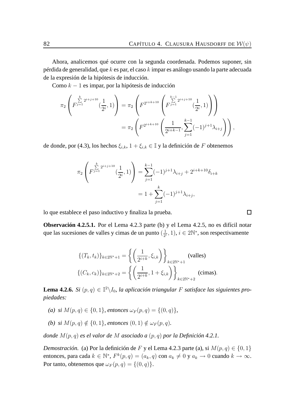Ahora, analicemos qué ocurre con la segunda coordenada. Podemos suponer, sin pérdida de generalidad, que  $k$  es par, el caso  $k$  impar es análogo usando la parte adecuada de la expresión de la hipótesis de inducción.

Como  $k - 1$  es impar, por la hipótesis de inducción

$$
\pi_2 \left( F^{\sum\limits_{j=1}^k 2^{i+j+10}}(\frac{1}{2^i}, 1) \right) = \pi_2 \left( F^{2^{i+k+10}} \left( F^{\sum\limits_{j=1}^{k-1} 2^{i+j+10}}(\frac{1}{2^i}, 1) \right) \right)
$$
  
= 
$$
\pi_2 \left( F^{2^{i+k+10}} \left( \frac{1}{2^{i+k-1}}, \sum\limits_{j=1}^{k-1} (-1)^{j+1} \lambda_{i+j} \right) \right),
$$

de donde, por (4.3), los hechos  $\xi_{i,k}$ ,  $1 + \xi_{i,k} \in \mathbb{I}$  y la definición de F obtenemos

$$
\pi_2 \left( F^{\sum_{j=1}^k 2^{i+j+10}}(\frac{1}{2^i}, 1) \right) = \sum_{j=1}^{k-1} (-1)^{j+1} \lambda_{i+j} + 2^{i+k+10} \delta_{i+k}
$$

$$
= 1 + \sum_{j=1}^k (-1)^{j+1} \lambda_{i+j},
$$

lo que establece el paso inductivo y finaliza la prueba.

**Observación 4.2.5.1.** Por el Lema 4.2.3 parte (b) y el Lema 4.2.5, no es difícil notar que las sucesiones de valles y cimas de un punto  $\left(\frac{1}{2}n\right)$  $\frac{1}{2^i}, 1$ ),  $i \in 2\mathbb{N}^*$ , son respectivamente

$$
\{(T_k, t_k)\}_{k \in 2\mathbb{N}^*+1} = \left\{ \left(\frac{1}{2^{i+k}}, \xi_{i,k}\right) \right\}_{k \in 2\mathbb{N}^*+1}
$$
 (values)  

$$
\{(C_k, c_k)\}_{k \in 2\mathbb{N}^*+2} = \left\{ \left(\frac{1}{2^{i+k}}, 1 + \xi_{i,k}\right) \right\}_{k \in 2\mathbb{N}^*+2}
$$
 (cimas).

**Lema 4.2.6.** *Si*  $(p, q) \in \mathbb{I}^2 \setminus I_0$ , la aplicación triangular F satisface las siguientes pro*piedades:*

- *(a)* si  $M(p,q) \in \{0,1\}$ , entonces  $\omega_F(p,q) = \{(0,q)\},$
- *(b)* si  $M(p, q) \notin \{0, 1\}$ , entonces  $(0, 1) \notin \omega_F(p, q)$ .

*donde* M(p, q) *es el valor de* M *asociado a* (p, q) *por la Definición 4.2.1.*

*Demostración.* (a) Por la definición de F y el Lema 4.2.3 parte (a), si  $M(p,q) \in \{0,1\}$ entonces, para cada  $k \in \mathbb{N}^*,$   $F^k(p,q) = (a_k, q)$  con  $a_k \neq 0$  y  $a_k \to 0$  cuando  $k \to \infty$ . Por tanto, obtenemos que  $\omega_F(p,q) = \{(0,q)\}.$ 

 $\Box$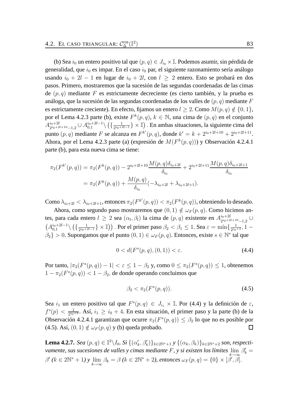(b) Sea  $i_0$  un entero positivo tal que  $(p, q) \in J_{i_0} \times \mathbb{I}$ . Podemos asumir, sin pérdida de generalidad, que  $i_0$  es impar. En el caso  $i_0$  par, el siguiente razonamiento sería análogo usando  $i_0 + 2l - 1$  en lugar de  $i_0 + 2l$ , con  $l \geq 2$  entero. Esto se probará en dos pasos. Primero, mostraremos que la sucesión de las segundas coordenadas de las cimas de  $(p, q)$  mediante F es estrictamente decreciente (es cierto también, y la prueba es análoga, que la sucesión de las segundas coordenadas de los valles de  $(p, q)$  mediante F es estrictamente creciente). En efecto, fijamos un entero  $l \geq 2$ . Como  $M(p, q) \notin \{0, 1\}$ , por el Lema 4.2.3 parte (b), existe  $F^k(p,q)$ ,  $k \in \mathbb{N}$ , una cima de  $(p,q)$  en el conjunto  $A^{i_0+2l}_{2i_0+2}$  $i_0+2l$ <br>  $2i_0+2l+10$ <sub>-1,2</sub>  $\cup$   $A_{0,1}^{i_0+2l-1}$  $_{0,1}^{i_0+2l-1}\setminus \big(\{\frac{1}{2^{i_0+2}}$  $\frac{1}{2^{i_0+2l-1}}$   $\}\times$  I]). En ambas situaciones, la siguiente cima del punto  $(p, q)$  mediante F se alcanza en  $F^{k'}(p, q)$ , donde  $k' = k + 2^{i_0+2l+10} + 2^{i_0+2l+11}$ . Ahora, por el Lema 4.2.3 parte (a) (expresión de  $M(F^k(p,q))$ ) y Observación 4.2.4.1 parte (b), para esta nueva cima se tiene:

$$
\pi_2(F^{k'}(p,q)) = \pi_2(F^k(p,q)) - 2^{i_0+2l+10} \frac{M(p,q)\delta_{i_0+2l}}{\delta_{i_0}} + 2^{i_0+2l+11} \frac{M(p,q)\delta_{i_0+2l+1}}{\delta_{i_0}}
$$

$$
= \pi_2(F^k(p,q)) + \frac{M(p,q)}{\delta_{i_0}}(-\lambda_{i_0+2l} + \lambda_{i_0+2l+1}).
$$

Como  $\lambda_{i_0+2l}<\lambda_{i_0+2l+1}$ , entonces  $\pi_2(F^{k'}(p,q))<\pi_2(F^{k}(p,q)),$  obteniendo lo deseado.

Ahora, como segundo paso mostraremos que  $(0, 1) \notin \omega_F(p, q)$ . Como hicimos antes, para cada entero  $l \geq 2$  sea  $(\alpha_l, \beta_l)$  la cima de  $(p, q)$  existente en  $A_{2i_0+2l}^{i_0+2l}$  $\frac{i_0+2l}{2^{i_0+2l+10}-1,2}$  ∪  $(A_{0.1}^{i_0+2l-1}$  $\binom{i_0+2l-1}{0,1}\setminus \Big(\big\{\frac{1}{2^{i_0+2l}}\Big\}$  $\frac{1}{2^{i_0+2l-1}}\}\times\mathbb{I})\big)$  . Por el primer paso  $\beta_2<\beta_1\leq 1$ . Sea  $\varepsilon=\min\{\frac{1}{2^{i_0+2l}}\}$  $\frac{1}{2^{i_0+3}}, 1 \{\beta_2\} > 0$ . Supongamos que el punto  $(0, 1) \in \omega_F(p, q)$ . Entonces, existe  $s \in \mathbb{N}^*$  tal que

$$
0 < d(F^s(p, q), (0, 1)) < \varepsilon. \tag{4.4}
$$

Por tanto,  $|\pi_2(F^s(p,q)) - 1| < \varepsilon \leq 1 - \beta_2$  y, como  $0 \leq \pi_2(F^s(p,q)) \leq 1$ , obtenemos  $1 - \pi_2(F^s(p, q)) < 1 - \beta_2$ , de donde operando concluimos que

$$
\beta_2 < \pi_2(F^s(p, q)).\tag{4.5}
$$

Sea  $i_1$  un entero positivo tal que  $F^s(p,q) \in J_{i_1} \times \mathbb{I}$ . Por (4.4) y la definición de  $\varepsilon$ ,  $f^s(p) < \frac{1}{2^{i_0}}$  $\frac{1}{2^{i_0+3}}$ . Así,  $i_1 \geq i_0+4$ . En esta situación, el primer paso y la parte (b) de la Observación 4.2.4.1 garantizan que ocurre  $\pi_2(F^s(p,q)) \leq \beta_2$  lo que no es posible por (4.5). Así,  $(0, 1) \notin \omega_F(p, q)$  y (b) queda probado.  $\Box$ 

**Lema 4.2.7.** *Sea*  $(p, q) \in \mathbb{I}^2 \setminus I_0$ *. Si*  $\{(\alpha'_k, \beta'_k)\}_{k \in 2\mathbb{N}^*+1}$  *y*  $\{(\alpha_k, \beta_k)\}_{k \in 2\mathbb{N}^*+2}$  *son, respectivamente, sus sucesiones de valles y cimas mediante*  $F$ , y si existen los límites  $\lim_{k \to \infty} \beta'_k =$  $k\rightarrow\infty$  $\beta'$  ( $k \in 2\mathbb{N}^* + 1$ ) y  $\lim_{k \to \infty} \beta_k = \beta$  ( $k \in 2\mathbb{N}^* + 2$ ), entonces  $\omega_F(p, q) = \{0\} \times [\beta', \beta]$ .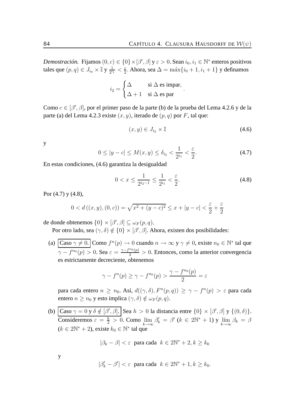*Demostración.* Fijamos  $(0, c) \in \{0\} \times [\beta', \beta]$  y  $\varepsilon > 0$ . Sean  $i_0, i_1 \in \mathbb{N}^*$  enteros positivos tales que  $(p,q)\in J_{i_0}\times\mathbb{I}$  y  $\frac{1}{2^{i_0}}$  $\frac{1}{2^{i_1}} < \frac{\varepsilon}{2}$  $\frac{\varepsilon}{2}$ . Ahora, sea  $\Delta = \max\{i_0 + 1, i_1 + 1\}$  y definamos

$$
i_2 = \begin{cases} \Delta & \text{si } \Delta \text{ es impar,} \\ \Delta + 1 & \text{si } \Delta \text{ es par} \end{cases}
$$

Como  $c \in [\beta', \beta]$ , por el primer paso de la parte (b) de la prueba del Lema 4.2.6 y de la parte (a) del Lema 4.2.3 existe  $(x, y)$ , iterado de  $(p, q)$  por F, tal que:

$$
(x, y) \in J_{i_2} \times \mathbb{I} \tag{4.6}
$$

.

y

$$
0 \le |y - c| \le M(x, y) \le \delta_{i_2} < \frac{1}{2^{i_1}} < \frac{\varepsilon}{2}.\tag{4.7}
$$

En estas condiciones, (4.6) garantiza la desigualdad

$$
0 < x \le \frac{1}{2^{i_2 - 1}} \le \frac{1}{2^{i_1}} < \frac{\varepsilon}{2}.\tag{4.8}
$$

Por  $(4.7)$  y  $(4.8)$ ,

$$
0 < d\left( (x, y), (0, c) \right) = \sqrt{x^2 + (y - c)^2} \le x + |y - c| < \frac{\varepsilon}{2} + \frac{\varepsilon}{2}
$$

de donde obtenemos  $\{0\} \times [\beta', \beta] \subseteq \omega_F(p, q)$ .

Por otro lado, sea  $(\gamma, \delta) \notin \{0\} \times [\beta', \beta]$ . Ahora, existen dos posibilidades:

(a)  $\left|\text{Caso }\gamma \neq 0.\right| \text{Como } f^n(p) \to 0 \text{ cuando } n \to \infty \text{ y } \gamma \neq 0, \text{ existe } n_0 \in \mathbb{N}^* \text{ tal que}$  $\gamma - f^{n_0}(p) > 0$ . Sea  $\varepsilon = \frac{\gamma - f^{n_0}(p)}{2} > 0$ . Entonces, como la anterior convergencia es estrictamente decreciente, obtenemos

$$
\gamma - f^{n}(p) \ge \gamma - f^{n_0}(p) > \frac{\gamma - f^{n_0}(p)}{2} = \varepsilon
$$

para cada entero  $n \ge n_0$ . Así,  $d((\gamma, \delta), F^n(p, q)) \ge \gamma - f^n(p) > \varepsilon$  para cada entero  $n \ge n_0$  y esto implica  $(\gamma, \delta) \notin \omega_F(p, q)$ .

(b)  $\big| \text{Caso }\gamma = 0 \text{ y } \delta \notin [\beta', \beta]. \big| \text{ Sea } h > 0 \text{ la distancia entre } \{0\} \times [\beta', \beta] \text{ y } \{(0, \delta)\}.$ Consideremos  $\varepsilon = \frac{h}{2} > 0$ . Como  $\lim_{k \to \infty} \beta'_k = \beta'$  ( $k \in 2\mathbb{N}^* + 1$ ) y  $\lim_{k \to \infty} \beta_k = \beta$  $(k \in 2\mathbb{N}^* + 2)$ , existe  $k_0 \in \mathbb{N}^*$  tal que

$$
|\beta_k - \beta| < \varepsilon \quad \text{para cada} \quad k \in 2\mathbb{N}^* + 2, k \ge k_0
$$

y

$$
|\beta'_k-\beta'|<\varepsilon \ \ \text{para cada} \ \ k\in 2\mathbb{N}^*+1, k\geq k_0.
$$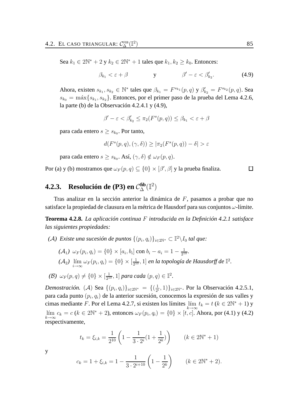Sea  $k_1 \in 2\mathbb{N}^* + 2$  y  $k_2 \in 2\mathbb{N}^* + 1$  tales que  $k_1, k_2 \geq k_0$ . Entonces:

$$
\beta_{k_1} < \varepsilon + \beta \qquad \qquad \mathbf{y} \qquad \qquad \beta' - \varepsilon < \beta'_{k_2}.\tag{4.9}
$$

Ahora, existen  $s_{k_1}, s_{k_2} \in \mathbb{N}^*$  tales que  $\beta_{k_1} = F^{s_{k_1}}(p, q)$  y  $\beta'_{k_2} = F^{s_{k_2}}(p, q)$ . Sea  $s_{k_0} = \max\{s_{k_1}, s_{k_2}\}.$  Entonces, por el primer paso de la prueba del Lema 4.2.6, la parte (b) de la Observación 4.2.4.1 y (4.9),

$$
\beta'-\varepsilon<\beta'_{k_2}\leq\pi_2(F^s(p,q))\leq\beta_{k_1}<\varepsilon+\beta
$$

para cada entero  $s \geq s_{k_0}$ . Por tanto,

$$
d(F^s(p,q), (\gamma, \delta)) \ge |\pi_2(F^s(p,q)) - \delta| > \varepsilon
$$

para cada entero  $s\geq s_{k_0}.$  Así,  $(\gamma,\delta)\notin \omega_F(p,q).$ 

Por (a) y (b) mostramos que  $\omega_F(p,q) \subseteq \{0\} \times [\beta',\beta]$  y la prueba finaliza.

### **4.2.3.** Resolución de (P3) en  $C_{\Delta}^{fib}(\mathbb{I}^2)$

Tras analizar en la sección anterior la dinámica de F, pasamos a probar que no satisface la propiedad de clausura en la métrica de Hausdorf para sus conjuntos  $\omega$ -límite.

**Teorema 4.2.8.** *La aplicación continua* F *introducida en la Definición 4.2.1 satisface las siguientes propiedades:*

- $(A)$  Existe una sucesión de puntos  $\{(p_i,q_i)\}_{i\in 2\mathbb{N}^*}\subset \mathbb{I}^2\backslash I_0$  tal que:
	- $(A_1) \omega_F(p_i, q_i) = \{0\} \times [a_i, b_i] \text{ con } b_i a_i = 1 \frac{1}{2^1}$  $\frac{1}{2^{10}}$  $(A_2)$   $\lim_{i\to\infty} \omega_F(p_i,q_i) = \{0\} \times [\frac{1}{2^1}]$  $\frac{1}{2^{10}}, 1]$  *en la topología de Hausdorff de*  $\mathbb{I}^2$ .

$$
\textbf{(B)}\ \ \omega_F(p,q)\neq\{0\}\times[\tfrac{1}{2^{10}},1]\ \text{para cada }(p,q)\in\mathbb{I}^2.
$$

*Demostración.* (A) Sea  $\{(p_i, q_i)\}_{i \in 2\mathbb{N}^*} = \{(\frac{1}{2^n})\}$  $\{\frac{1}{2^{i}}, 1)\}_{i \in 2\mathbb{N}^*}$ . Por la Observación 4.2.5.1, para cada punto  $(p_i, q_i)$  de la anterior sucesión, conocemos la expresión de sus valles y cimas mediante F. Por el Lema 4.2.7, si existen los límites  $\lim_{k \to \infty} t_k = t$  ( $k \in 2\mathbb{N}^* + 1$ ) y  $\lim_{k \to \infty} c_k = c \ (k \in 2\mathbb{N}^* + 2)$ , entonces  $\omega_F(p_i, q_i) = \{0\} \times [t, c]$ . Ahora, por (4.1) y (4.2) respectivamente,

$$
t_k = \xi_{i,k} = \frac{1}{2^{10}} \left( 1 - \frac{1}{3 \cdot 2^i} (1 + \frac{1}{2^k}) \right) \qquad (k \in 2\mathbb{N}^* + 1)
$$

y

$$
c_k = 1 + \xi_{i,k} = 1 - \frac{1}{3 \cdot 2^{i+10}} \left( 1 - \frac{1}{2^k} \right) \qquad (k \in 2\mathbb{N}^* + 2).
$$

 $\Box$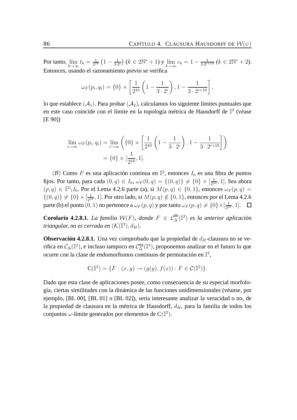Por tanto,  $\lim_{k \to \infty} t_k = \frac{1}{2^1}$  $\frac{1}{2^{10}}\left(1-\frac{1}{3\cdot 2}\right)$  $\frac{1}{3\cdot2^{i}}(k\in2\mathbb{N}^{*}+1)$  y  $\lim_{k\to\infty}c_k=1-\frac{1}{3\cdot2^{i}}$  $\frac{1}{3\cdot2^{i+10}}$   $(k \in 2\mathbb{N}^* + 2)$ . Entonces, usando el razonamiento previo se verifica

$$
\omega_F(p_i, q_i) = \{0\} \times \left[\frac{1}{2^{10}} \left(1 - \frac{1}{3 \cdot 2^i}\right), 1 - \frac{1}{3 \cdot 2^{i+10}}\right],
$$

lo que establece  $(A_1)$ . Para probar  $(A_2)$ , calculamos los siguiente límites puntuales que en este caso coincide con el límite en la topología métrica de Hausdorff de  $\mathbb{I}^2$  (véase [E 90])

$$
\lim_{i \to \infty} \omega_F(p_i, q_i) = \lim_{i \to \infty} \left( \{0\} \times \left[ \frac{1}{2^{10}} \left( 1 - \frac{1}{3 \cdot 2^i} \right), 1 - \frac{1}{3 \cdot 2^{i+10}} \right] \right)
$$

$$
= \{0\} \times \left[ \frac{1}{2^{10}}, 1 \right].
$$

(B) Como F es una aplicación continua en  $\mathbb{I}^2$ , entonces  $I_0$  es una fibra de puntos fijos. Por tanto, para cada  $(0, q) \in I_0$ ,  $\omega_F(0, q) = \{(0, q)\}\neq \{0\} \times [\frac{1}{21}]$  $\frac{1}{2^{10}}, 1]$ . Sea ahora  $(p, q) \in \mathbb{I}^2 \backslash I_0$ . Por el Lema 4.2.6 parte (a), si  $M(p, q) \in \{0, 1\}$ , entonces  $\omega_F(p, q) =$  $\{(0,q)\}\neq \{0\}\times [\frac{1}{2^1}]$  $\frac{1}{2^{10}}$ , 1]. Por otro lado, si  $M(p,q) \notin \{0,1\}$ , entonces por el Lema 4.2.6 parte (b) el punto  $(0,1)$  no pertenece a  $\omega_F(p,q)$  y por tanto  $\omega_F(p,q)\neq \{0\}\times [\frac{1}{2^1}]$  $\frac{1}{2^{10}}, 1].$ 

**Corolario 4.2.8.1.** *La familia*  $W(F)$ , *donde*  $F \in C_{\Delta}^{\text{fib}}(\mathbb{I}^2)$  *es la anterior aplicación*  $t$ riangular, no es cerrada en  $(\mathcal{K}(\mathbb{I}^2),d_H).$ 

**Observación 4.2.8.1.** Una vez comprobado que la propiedad de  $d_H$ -clausura no se verifica en  $\mathcal{C}_{\Delta}(\mathbb{I}^2),$  e incluso tampoco en  $\mathcal{C}^\mathrm{fib}_\Delta(\mathbb{I}^2),$  proponemos analizar en el futuro lo que ocurre con la clase de endomorfismos continuos de permutación en  $\mathbb{I}^2$ ,

$$
\mathbf{C}(\mathbb{I}^2) = \{ F : (x, y) \to (g(y), f(x)) : F \in \mathcal{C}(\mathbb{I}^2) \}.
$$

Dado que esta clase de aplicaciones posee, como consecuencia de su especial morfología, ciertas similitudes con la dinámica de las funciones unidimensionales (véanse, por ejemplo, [BL 00], [BL 01] o [BL 02]), sería interesante analizar la veracidad o no, de la propiedad de clausura en la métrica de Hausdorff,  $d<sub>H</sub>$ , para la familia de todos los conjuntos  $\omega$ -límite generados por elementos de C $(\mathbb{I}^2)$ .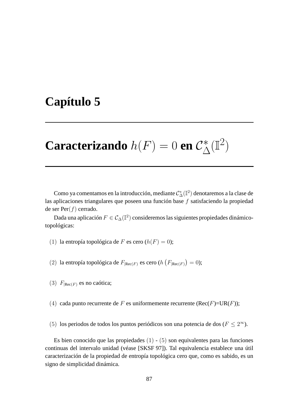## **Capítulo 5**

### **Caracterizando**  $h(F) = 0$  en  $C^*_{\Lambda}$  $\triangle^*(\mathbb{I}^2)$

Como ya comentamos en la introducción, mediante  $\mathcal{C}_\Delta^*(\mathbb{I}^2)$  denotaremos a la clase de las aplicaciones triangulares que poseen una función base f satisfaciendo la propiedad de ser  $Per(f)$  cerrado.

Dada una aplicación  $F\in\mathcal{C}_{\Delta}(\mathbb{I}^2)$  consideremos las siguientes propiedades dinámicotopológicas:

- (1) la entropía topológica de F es cero  $(h(F) = 0)$ ;
- (2) la entropía topológica de  $F_{|{\rm Rec}(F)}$  es cero (h  $(F_{|{\rm Rec}(F)}) = 0$ );
- (3)  $F_{|Rec(F)}$  es no caótica;
- (4) cada punto recurrente de F es uniformemente recurrente ( $Rec(F)=UR(F)$ );
- (5) los periodos de todos los puntos periódicos son una potencia de dos ( $F \leq 2^{\infty}$ ).

Es bien conocido que las propiedades  $(1)$  -  $(5)$  son equivalentes para las funciones continuas del intervalo unidad (véase [SKSF 97]). Tal equivalencia establece una útil caracterización de la propiedad de entropía topológica cero que, como es sabido, es un signo de simplicidad dinámica.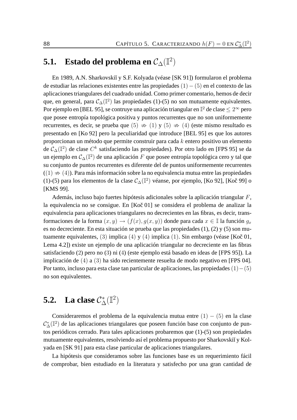## **5.1.** Estado del problema en  $\mathcal{C}_{\Delta}(\mathbb{I}^2)$

En 1989, A.N. Sharkovski˘ı y S.F. Kolyada (véase [SK 91]) formularon el problema de estudiar las relaciones existentes entre las propiedades (1)−(5) en el contexto de las aplicaciones triangulares del cuadrado unidad. Como primer comentario, hemos de decir que, en general, para  $\mathcal{C}_{\Delta}(\mathbb{I}^2)$  las propiedades (1)-(5) no son mutuamente equivalentes. Por ejemplo en [BEL 95], se contruye una aplicación triangular en  $\mathbb{I}^2$  de clase  $\leq 2^\infty$  pero que posee entropía topológica positiva y puntos recurrentes que no son uniformemente recurrentes, es decir, se prueba que  $(5) \Rightarrow (1)$  y  $(5) \Rightarrow (4)$  (este mismo resultado es presentado en [Ko 92] pero la peculiaridad que introduce [BEL 95] es que los autores proporcionan un método que permite construir para cada k entero positivo un elemento de  $\mathcal{C}_{\Delta}(\mathbb{I}^{2})$  de clase  $C^{k}$  satisfaciendo las propiedades). Por otro lado en [FPS 95] se da un ejemplo en  $\mathcal{C}_{\Delta}(\mathbb{I}^2)$  de una aplicación  $F$  que posee entropía topológica cero y tal que su conjunto de puntos recurrentes es diferente del de puntos uniformemente recurrentes  $((1) \nArr (4)$ ). Para más información sobre la no equivalencia mutua entre las propiedades (1)-(5) para los elementos de la clase  $\mathcal{C}_{\Delta}(\mathbb{I}^2)$  véanse, por ejemplo, [Ko 92], [Koč 99] o [KMS 99].

Además, incluso bajo fuertes hipótesis adicionales sobre la aplicación triangular F, la equivalencia no se consigue. En  $[Ko\breve{c} 01]$  se considera el problema de analizar la equivalencia para aplicaciones triangulares no decrecientes en las fibras, es decir, transformaciones de la forma  $(x, y) \rightarrow (f(x), g(x, y))$  donde para cada  $x \in \mathbb{I}$  la función  $g_x$ es no decreciente. En esta situación se prueba que las propiedades (1), (2) y (5) son mutuamente equivalentes,  $(3)$  implica  $(4)$  y  $(4)$  implica  $(1)$ . Sin embargo (véase [Koč 01, Lema 4.2]) existe un ejemplo de una aplicación triangular no decreciente en las fibras satisfaciendo (2) pero no (3) ni (4) (este ejemplo está basado en ideas de [FPS 95]). La implicación de (4) a (3) ha sido recientemente resuelta de modo negativo en [FPS 04]. Por tanto, incluso para esta clase tan particular de aplicaciones, las propiedades (1)−(5) no son equivalentes.

## **5.2.** La clase  $C^*_{\Delta}(\mathbb{I}^2)$

Consideraremos el problema de la equivalencia mutua entre  $(1) - (5)$  en la clase  $\mathcal{C}_{\Delta}^{*}(\mathbb{I}^{2})$  de las aplicaciones triangulares que poseen función base con conjunto de puntos periódicos cerrado. Para tales aplicaciones probaremos que (1)-(5) son propiedades mutuamente equivalentes, resolviendo así el problema propuesto por Sharkovskiĭ y Kolyada en [SK 91] para esta clase particular de aplicaciones triangulares.

La hipótesis que consideramos sobre las funciones base es un requerimiento fácil de comprobar, bien estudiado en la literatura y satisfecho por una gran cantidad de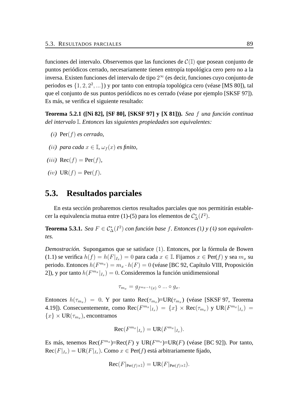funciones del intervalo. Observemos que las funciones de  $\mathcal{C}(\mathbb{I})$  que posean conjunto de puntos periódicos cerrado, necesariamente tienen entropía topológica cero pero no a la inversa. Existen funciones del intervalo de tipo  $2^\infty$  (es decir, funciones cuyo conjunto de periodos es  $\{1, 2, 2^2, ...\}$ ) y por tanto con entropía topológica cero (véase [MS 80]), tal que el conjunto de sus puntos periódicos no es cerrado (véase por ejemplo [SKSF 97]). Es más, se verifica el siguiente resultado:

**Teorema 5.2.1 ([Ni 82], [SF 80], [SKSF 97] y [X 81])).** *Sea* f *una función continua del intervalo* I*. Entonces las siguientes propiedades son equivalentes:*

- *(*i*)* Per(f) *es cerrado,*
- *(ii)* para cada  $x \in \mathbb{I}$ ,  $\omega_f(x)$  *es finito*,
- $(iii)$  Rec $(f)$  = Per $(f)$ *,*
- $(iv)$  UR( $f$ ) = Per( $f$ ).

### **5.3. Resultados parciales**

En esta sección probaremos ciertos resultados parciales que nos permitirán establecer la equivalencia mutua entre (1)-(5) para los elementos de  $\mathcal{C}_{\Delta}^*(I^2)$ .

**Teorema 5.3.1.** *Sea*  $F \in C^*_{\Delta}(I^2)$  *con función base f. Entonces* (1) y (4) *son equivalentes.*

*Demostración.* Supongamos que se satisface (1). Entonces, por la fórmula de Bowen (1.1) se verifica  $h(f) = h(F|_{I_x}) = 0$  para cada  $x \in \mathbb{I}$ . Fijamos  $x \in \text{Per}(f)$  y sea  $m_x$  su periodo. Entonces  $h(F^{m_x}) = m_x \cdot h(F) = 0$  (véase [BC 92, Capítulo VIII, Proposición 2]), y por tanto  $h(F^{m_x}|_{I_x}) = 0$ . Consideremos la función unidimensional

$$
\tau_{m_x} = g_{f^{m_x-1}(x)} \circ \dots \circ g_x.
$$

Entonces  $h(\tau_{m_x}) = 0$ . Y por tanto  $\text{Rec}(\tau_{m_x}) = \text{UR}(\tau_{m_x})$  (véase [SKSF 97, Teorema 4.19]). Consecuentemente, como Rec $(F^{m_x}|_{I_x}) = \{x\} \times \text{Rec}(\tau_{m_x})$  y  $\text{UR}(F^{m_x}|_{I_x}) =$  ${x} \times \text{UR}(\tau_{m_x})$ , encontramos

$$
\operatorname{Rec}(F^{m_x}|_{I_x}) = \operatorname{UR}(F^{m_x}|_{I_x}).
$$

Es más, tenemos  $\text{Rec}(F^{m_x}) = \text{Rec}(F)$  y  $\text{UR}(F^{m_x}) = \text{UR}(F)$  (véase [BC 92]). Por tanto,  $\text{Rec}(F|_{I_x}) = \text{UR}(F|_{I_x})$ . Como  $x \in \text{Per}(f)$  está arbitrariamente fijado,

$$
\operatorname{Rec}(F|_{\operatorname{Per}(f)\times \mathbb{I}})=\operatorname{UR}(F|_{\operatorname{Per}(f)\times \mathbb{I}}).
$$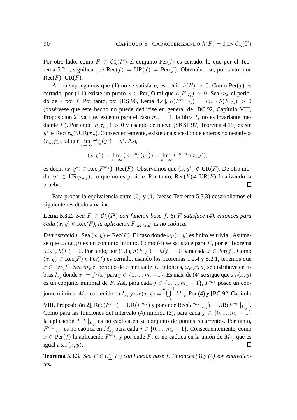Por otro lado, como  $F \in C^*_\Delta(I^2)$  el conjunto Per(f) es cerrado, lo que por el Teorema 5.2.1, significa que  $\text{Rec}(f) = \text{UR}(f) = \text{Per}(f)$ . Obteniéndose, por tanto, que  $Rec(F)=UR(F).$ 

Ahora supongamos que (1) no se satisface, es decir,  $h(F) > 0$ . Como Per(f) es cerrado, por (1.1) existe un punto  $x \in Per(f)$  tal que  $h(F|_{I_x}) > 0$ . Sea  $m_x$  el periodo de x por f. Por tanto, por [KS 96, Lema 4.4],  $h(F^{m_x}|_{I_x}) = m_x \cdot h(F|_{I_x}) > 0$ (obsérvese que este hecho no puede deducise en general de [BC 92, Capítulo VIII, Proposicion 2] ya que, excepto para el caso  $m_x = 1$ , la fibra  $I_x$  no es invariante mediante F). Por ende,  $h(\tau_{m_x}) > 0$  y usando de nuevo [SKSF 97, Teorema 4.19] existe  $y^* \in \text{Rec}(\tau_m) \setminus \text{UR}(\tau_m)$ . Consecuentemente, existe una sucesión de enteros no negativos  $(n_k)_{k=0}^{\infty}$  tal que  $\lim_{k\to\infty} \tau_{m_x}^{n_k}(y^*) = y^*$ . Así,

$$
(x, y^*) = \lim_{k \to \infty} (x, \tau_{m_x}^{n_k}(y^*)) = \lim_{k \to \infty} F^{n_k \cdot m_x}(x, y^*),
$$

es decir,  $(x, y^*) \in Rec(F^{m_x}) = Rec(F)$ . Observemos que  $(x, y^*) \notin UR(F)$ . De otro modo,  $y^* \in \text{UR}(\tau_{m_x})$ , lo que no es posible. Por tanto,  $\text{Rec}(F) \neq \text{UR}(F)$  finalizando la prueba.  $\Box$ 

Para probar la equivalencia entre (3) y (4) (véase Teorema 5.3.3) desarrollamos el siguiente resultado auxiliar.

**Lema 5.3.2.** *Sea*  $F \in C^*_{\Delta}(I^2)$  *con función base f. Si F satisface (4), entonces para*  $\text{cada}(x, y) \in \text{Rec}(F)$ , la aplicación  $F|_{\omega_F(x, y)}$  es no caótica.

*Demostración.* Sea  $(x, y) \in Rec(F)$ . El caso donde  $\omega_F(x, y)$  es finito es trivial. Asúmase que  $\omega_F(x, y)$  es un conjunto infinito. Como (4) se satisface para F, por el Teorema 5.3.1,  $h(F) = 0$ . Por tanto, por (1.1),  $h(F|_{I_x}) = h(f) = 0$  para cada  $x \in Per(f)$ . Como  $(x, y) \in \text{Rec}(F)$  y Per(f) es cerrado, usando los Teoremas 1.2.4 y 5.2.1, tenemos que  $x \in \text{Per}(f)$ . Sea  $m_x$  el periodo de x mediante f. Entonces,  $\omega_F(x, y)$  se distribuye en fibras  $I_{x_j}$  donde  $x_j = f^j(x)$  para  $j \in \{0, ..., m_x-1\}$ . Es más, de (4) se sigue que  $\omega_F(x, y)$ es un conjunto minimal de F. Así, para cada  $j \in \{0, ..., m_x - 1\}$ ,  $F^{m_x}$  posee un con- $\bigcup^{m_x-1}$ junto minimal  $M_{x_j}$  contenido en  $I_{x_j}$  y  $\omega_F(x,y) =$  $\bigcup_{j=0}$   $M_{x_j}$ . Por (4) y [BC 92, Capítulo VIII, Proposición 2], Rec $(F^{m_x}) = \text{UR}(F^{m_x})$  y por ende Rec $(F^{m_x}|_{I_{x_j}}) = \text{UR}(F^{m_x}|_{I_{x_j}})$ . Como para las funciones del intervalo (4) implica (3), para cada  $j \in \{0, ..., m_x - 1\}$ la aplicación  $F^{m_x}|_{I_{x_j}}$  es no caótica en su conjunto de puntos recurrentes. Por tanto,  $F^{m_x}|_{I_{x_j}}$  es no caótica en  $M_{x_j}$  para cada  $j \in \{0, ..., m_x - 1\}$ . Consecuentemente, como  $x \in \text{Per}(f)$  la aplicación  $F^{m_x}$ , y por ende F, es no caótica en la unión de  $M_{x_j}$  que es igual a  $\omega_F(x, y)$ .  $\Box$ 

**Teorema 5.3.3.** *Sea*  $F \in C^*_{\Delta}(I^2)$  *con función base f. Entonces* (3) y (4) *son equivalentes.*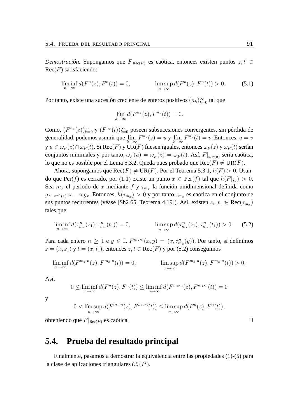*Demostración.* Supongamos que  $F_{|Rec(F)}$  es caótica, entonces existen puntos  $z, t \in$  $Rec(F)$  satisfaciendo:

$$
\liminf_{n \to \infty} d(F^n(z), F^n(t)) = 0, \qquad \limsup_{n \to \infty} d(F^n(z), F^n(t)) > 0. \tag{5.1}
$$

Por tanto, existe una sucesión creciente de enteros positivos  $(n_k)_{k=0}^{\infty}$  tal que

$$
\lim_{k \to \infty} d(F^{n_k}(z), F^{n_k}(t)) = 0.
$$

Como,  $(F^{n_k}(z))_{k=0}^{\infty}$  y  $(F^{n_k}(t))_{k=0}^{\infty}$  poseen subsucesiones convergentes, sin pérdida de generalidad, podemos asumir que  $\lim_{k\to\infty} F^{n_k}(z) = u$  y  $\lim_{k\to\infty} F^{n_k}(t) = v$ . Entonces,  $u = v$ y  $u\in\omega_F(z)\cap\omega_F(t).$  Si  $\text{Rec}(F)$  y UR(F) fuesen iguales, entonces  $\omega_F(z)$  y  $\omega_F(t)$  serían conjuntos minimales y por tanto,  $\omega_F(u) = \omega_F(z) = \omega_F(t)$ . Así,  $F|_{\omega_F(u)}$  sería caótica, lo que no es posible por el Lema 5.3.2. Queda pues probado que  $\text{Rec}(F) \neq \text{UR}(F)$ .

Ahora, supongamos que  $\text{Rec}(F) \neq \text{UR}(F)$ . Por el Teorema 5.3.1,  $h(F) > 0$ . Usando que Per(f) es cerrado, por (1.1) existe un punto  $x \in Per(f)$  tal que  $h(F|_{I_x}) > 0$ . Sea  $m_x$  el periodo de x mediante f y  $\tau_{m_x}$  la función unidimensional definida como  $g_{f^{m_x-1}(x)} \circ ... \circ g_x$ . Entonces,  $h(\tau_{m_x}) > 0$  y por tanto  $\tau_{m_x}$  es caótica en el conjunto de sus puntos recurrentes (véase [Sh2 65, Teorema 4.19]). Así, existen  $z_1, t_1 \in \text{Rec}(\tau_{m_x})$ tales que

$$
\liminf_{n \to \infty} d(\tau^n_{m_x}(z_1), \tau^n_{m_x}(t_1)) = 0, \qquad \limsup_{n \to \infty} d(\tau^n_{m_x}(z_1), \tau^n_{m_x}(t_1)) > 0. \tag{5.2}
$$

Para cada entero  $n \geq 1$  e  $y \in \mathbb{I}$ ,  $F^{m_x \cdot n}(x, y) = (x, \tau_{m_x}^n(y))$ . Por tanto, si definimos  $z = (x, z_1)$  y  $t = (x, t_1)$ , entonces  $z, t \in \text{Rec}(F)$  y por (5.2) conseguimos

$$
\liminf_{n \to \infty} d(F^{m_x \cdot n}(z), F^{m_x \cdot n}(t)) = 0, \qquad \limsup_{n \to \infty} d(F^{m_x \cdot n}(z), F^{m_x \cdot n}(t)) > 0.
$$

Así,

$$
0 \le \liminf_{n \to \infty} d(F^n(z), F^n(t)) \le \liminf_{n \to \infty} d(F^{m_x \cdot n}(z), F^{m_x \cdot n}(t)) = 0
$$

y

$$
0 < \limsup_{n \to \infty} d(F^{m_x \cdot n}(z), F^{m_x \cdot n}(t)) \le \limsup_{n \to \infty} d(F^n(z), F^n(t)),
$$

obteniendo que  $F|_{\text{Rec}(F)}$  es caótica.

### **5.4. Prueba del resultado principal**

Finalmente, pasamos a demostrar la equivalencia entre las propiedades (1)-(5) para la clase de aplicaciones triangulares  $C^*_{\Delta}(I^2)$ .

 $\Box$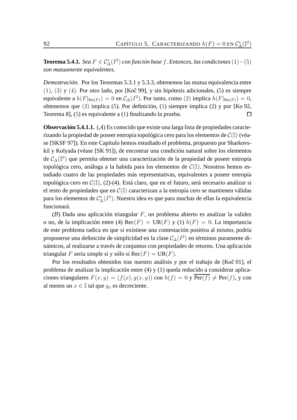**Teorema 5.4.1.** *Sea*  $F ∈ C^*_{\Delta}(I^2)$  *con función base f*. *Entonces, las condiciones*  $(1) - (5)$ *son mutuamente equivalentes.*

*Demostración.* Por los Teoremas 5.3.1 y 5.3.3, obtenemos las mutua equivalencia entre  $(1), (3)$  y  $(4)$ . Por otro lado, por [Koč 99], y sin hipótesis adicionales,  $(5)$  es siempre equivalente a  $h(F|_{\text{Per}(F)}) = 0$  en  $\mathcal{C}_{\Delta}(I^2)$ . Por tanto, como  $(2)$  implica  $h(F|_{\text{Per}(F)}) = 0$ , obtenemos que (2) implica (5). Por definición, (1) siempre implica (2) y por [Ko 92, Teorema 8], (5) es equivalente a (1) finalizando la prueba.  $\Box$ 

**Observación 5.4.1.1.** (A) Es conocido que existe una larga lista de propiedades caracterizando la propiedad de poseer entropía topológica cero para los elementos de  $\mathcal{C}(\mathbb{I})$  (véase [SKSF 97]). En este Capítulo hemos estudiado el problema, propuesto por Sharkovskiĭ y Kolyada (véase [SK 91]), de encontrar una condición natural sobre los elementos de  $\mathcal{C}_{\Delta}(\mathbb{I}^2)$  que permita obtener una caracterización de la propiedad de poseer entropía topológica cero, análoga a la habida para los elementos de  $\mathcal{C}(\mathbb{I})$ . Nosotros hemos estudiado cuatro de las propiedades más representativas, equivalentes a poseer entropía topológica cero en  $\mathcal{C}(\mathbb{I})$ , (2)-(4). Está claro, que en el futuro, será necesario analizar si el resto de propiedades que en  $\mathcal{C}(\mathbb{I})$  caracterizan a la entropía cero se mantienen válidas para los elementos de  $\mathcal{C}_\Delta^*(I^2)$ . Nuestra idea es que para muchas de ellas la equivalencia funcionará.

 $(B)$  Dada una aplicación triangular F, un problema abierto es analizar la validez o no, de la implicación entre (4) Rec $(F) = \text{UR}(F)$  y (1)  $h(F) = 0$ . La importancia de este problema radica en que si existiese una contestación positiva al mismo, podría proponerse una definición de simplicidad en la clase  $\mathcal{C}_{\Delta}(I^2)$  en términos puramente dinámicos, al realizarse a través de conjuntos con propiedades de retorno. Una aplicación triangular F sería simple si y sólo si  $\text{Rec}(F) = \text{UR}(F)$ .

Por los resultados obtenidos tras nuestro análisis y por el trabajo de [Koč 01], el problema de analizar la implicación entre (4) y (1) queda reducido a considerar aplicaciones triangulares  $F(x, y) = (f(x), q(x, y))$  con  $h(f) = 0$  y Per $(f) \neq Per(f)$ , y con al menos un  $x \in \mathbb{I}$  tal que  $g_x$  es decreciente.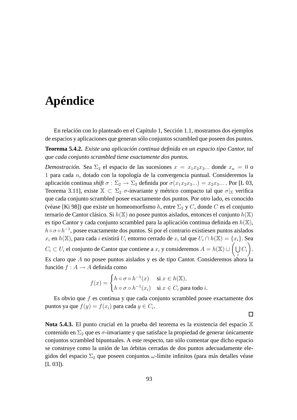## **Apéndice**

En relación con lo planteado en el Capítulo 1, Sección 1.1, mostramos dos ejemplos de espacios y aplicaciones que generan sólo conjuntos scrambled que poseen dos puntos.

**Teorema 5.4.2.** *Existe una aplicación continua definida en un espacio tipo Cantor, tal que cada conjunto scrambled tiene exactamente dos puntos.*

*Demostración.* Sea  $\Sigma_2$  el espacio de las sucesiones  $x = x_1x_2x_3...$  donde  $x_n = 0$  o 1 para cada n, dotado con la topología de la convergencia puntual. Consideremos la aplicación continua *shift*  $\sigma : \Sigma_2 \to \Sigma_2$  definida por  $\sigma(x_1x_2x_3...) = x_2x_3...$  Por [L 03, Teorema 3.11], existe  $\mathbb{X} \subset \Sigma_2$  *σ*-invariante y métrico compacto tal que  $\sigma|_{\mathbb{X}}$  verifica que cada conjunto scrambled posee exactamente dos puntos. Por otro lado, es conocido (véase [Ki 98]) que existe un homeomorfismo h, entre  $\Sigma_2$  y C, donde C es el conjunto ternario de Cantor clásico. Si  $h(\mathbb{X})$  no posee puntos aislados, entonces el conjunto  $h(\mathbb{X})$ es tipo Cantor y cada conjunto scrambled para la aplicación continua definida en  $h(\mathbb{X}),$  $h \circ \sigma \circ h^{-1}$ , posee exactamente dos puntos. Si por el contrario existiesen puntos aislados  $x_i$  en  $h(\mathbb{X})$ , para cada  $i$  existirá  $U_i$  entorno cerrado de  $x_i$  tal que  $U_i \cap h(\mathbb{X}) = \{x_i\}.$  Sea  $C_i\subset U_i$  el conjunto de Cantor que contiene a  $x_i$  y consideremos  $A=h(\mathbb{X})\cup\bigg(\bigcup C_i$ Es claro que A no posee puntos aislados y es de tipo Cantor. Consideremos ahora la . función  $f : A \rightarrow A$  definida como

$$
f(x) = \begin{cases} h \circ \sigma \circ h^{-1}(x) & \text{si } x \in h(\mathbb{X}), \\ h \circ \sigma \circ h^{-1}(x_i) & \text{si } x \in C_i \text{ para todo } i. \end{cases}
$$

Es obvio que  $f$  es continua y que cada conjunto scrambled posee exactamente dos puntos ya que  $f(y) = f(x_i)$  para cada  $y \in C_i$ .

 $\Box$ 

**Nota 5.4.3.** El punto crucial en la prueba del teorema es la existencia del espacio X contenido en  $\Sigma_2$  que es  $\sigma$ -invariante y que satisface la propiedad de generar únicamente conjuntos scrambled bipuntuales. A este respecto, tan sólo comentar que dicho espacio se construye como la unión de las órbitas cerradas de dos puntos adecuadamente elegidos del espacio  $\Sigma_2$  que poseen conjuntos  $\omega$ -límite infinitos (para más detalles véase  $[L 03]$ ).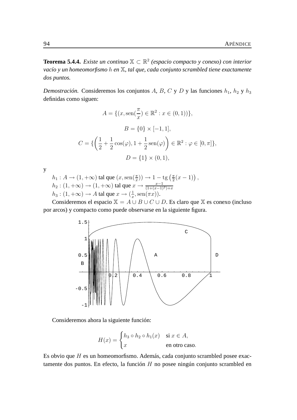**Teorema 5.4.4.** *Existe un continuo* X ⊂ R 2 *(espacio compacto y conexo) con interior vacío y un homeomorfismo* h *en* X*, tal que, cada conjunto scrambled tiene exactamente dos puntos.*

*Demostración.* Consideremos los conjuntos A, B, C y D y las funciones  $h_1$ ,  $h_2$  y  $h_3$ definidas como siguen:

$$
A = \{(x, \text{sen}(\frac{\pi}{x}) \in \mathbb{R}^2 : x \in (0, 1))\},\
$$

$$
B = \{0\} \times [-1, 1],
$$

$$
C = \{\left(\frac{1}{2} + \frac{1}{2}\cos(\varphi), 1 + \frac{1}{2}\sin(\varphi)\right) \in \mathbb{R}^2 : \varphi \in [0, \pi]\},\
$$

$$
D = \{1\} \times (0, 1),
$$

y

 $h_1: A \to (1, +\infty)$  tal que  $(x, \text{sen}(\frac{\pi}{x})) \to 1 - \text{tg}(\frac{\pi}{2})$  $\frac{\pi}{2}(x-1)\big)$ ,  $h_2: (1, +\infty) \to (1, +\infty)$  tal que  $x \to \frac{x-1}{(1+(x-1)^2)+x}$  $h_3: (1, +\infty) \to A$  tal que  $x \to (\frac{1}{x})$  $\frac{1}{x}, \operatorname{sen}(\pi x)$ ).

Consideremos el espacio  $X = A \cup B \cup C \cup D$ . Es claro que X es conexo (incluso por arcos) y compacto como puede observarse en la siguiente figura.



Consideremos ahora la siguiente función:

$$
H(x) = \begin{cases} h_3 \circ h_2 \circ h_1(x) & \text{si } x \in A, \\ x & \text{en otro caso.} \end{cases}
$$

Es obvio que H es un homeomorfismo. Además, cada conjunto scrambled posee exactamente dos puntos. En efecto, la función  $H$  no posee ningún conjunto scrambled en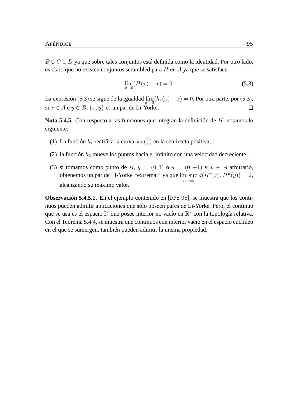B ∪ C ∪ D ya que sobre tales conjuntos está definida como la identidad. Por otro lado, es claro que no existen conjuntos scrambled para  $H$  en  $A$  ya que se satisface

$$
\lim_{x \to 0} (H(x) - x) = 0.
$$
\n(5.3)

La expresión (5.3) se sigue de la igualdad  $\lim_{x\to 0}(h_2(x) - x) = 0$ . Por otra parte, por (5.3), si  $x \in A$  e  $y \in B$ ,  $\{x, y\}$  es un par de Li-Yorke.

**Nota 5.4.5.** Con respecto a las funciones que integran la definición de H, notamos lo siguiente:

- (1) La función  $h_1$  rectifica la curva sen $(\frac{1}{x})$  en la semirecta positiva,
- (2) la función  $h_2$  mueve los puntos hacia el infinito con una velocidad decreciente,
- (3) si tomamos como punto de B,  $y = (0, 1)$  o  $y = (0, -1)$  y  $x \in A$  arbitrario, obtenemos un par de Li-Yorke "extremal" ya que lím sup  $d(H^n(x), H^n(y)) = 2$ , n→∞ alcanzando su máximo valor.

**Observación 5.4.5.1.** En el ejemplo contenido en [FPS 95], se muestra que los continuos pueden admitir aplicaciones que sólo poseen pares de Li-Yorke. Pero, el continuo que se usa es el espacio  $\mathbb{I}^2$  que posee interior no vacío en  $\mathbb{R}^2$  con la topología relativa. Con el Teorema 5.4.4, se muestra que continuos con interior vacío en el espacio euclídeo en el que se sumergen, también pueden admitir la misma propiedad.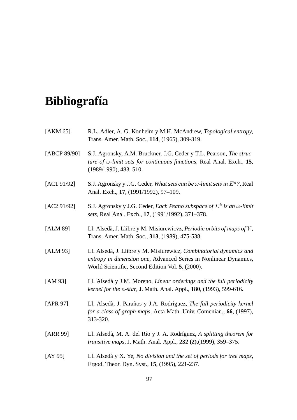# **Bibliografía**

| [AKM 65]     | R.L. Adler, A. G. Konheim y M.H. McAndrew, Topological entropy,<br>Trans. Amer. Math. Soc., 114, (1965), 309-319.                                                                          |
|--------------|--------------------------------------------------------------------------------------------------------------------------------------------------------------------------------------------|
| [ABCP 89/90] | S.J. Agronsky, A.M. Bruckner, J.G. Ceder y T.L. Pearson, The struc-<br>ture of $\omega$ -limit sets for continuous functions, Real Anal. Exch., 15,<br>$(1989/1990), 483 - 510.$           |
| [AC1 91/92]  | S.J. Agronsky y J.G. Ceder, What sets can be $\omega$ -limit sets in $E^n$ ?, Real<br>Anal. Exch., 17, (1991/1992), 97-109.                                                                |
| [AC2 91/92]  | S.J. Agronsky y J.G. Ceder, Each Peano subspace of $E^k$ is an $\omega$ -limit<br>sets, Real Anal. Exch., 17, (1991/1992), 371-378.                                                        |
| [ALM 89]     | Ll. Alsedà, J. Llibre y M. Misiurewicvz, Periodic orbits of maps of Y,<br>Trans. Amer. Math, Soc., 313, (1989), 475-538.                                                                   |
| [ALM 93]     | Ll. Alsedà, J. Llibre y M. Misiurewicz, Combinatorial dynamics and<br>entropy in dimension one, Advanced Series in Nonlinear Dynamics,<br>World Scientific, Second Edition Vol. 5, (2000). |
| [AM $93$ ]   | Ll. Alsedà y J.M. Moreno, Linear orderings and the full periodicity<br>kernel for the n-star, J. Math. Anal. Appl., 180, (1993), 599-616.                                                  |
| [APR 97]     | Ll. Alsedà, J. Paraños y J.A. Rodríguez, The full periodicity kernel<br>for a class of graph maps, Acta Math. Univ. Comenian., 66, (1997),<br>313-320.                                     |
| [ARR 99]     | Ll. Alsedà, M. A. del Río y J. A. Rodríguez, A splitting theorem for<br>transitive maps, J. Math. Anal. Appl., 232 (2), (1999), 359-375.                                                   |
| [AY $95$ ]   | Ll. Alsedá y X. Ye, No division and the set of periods for tree maps,<br>Ergod. Theor. Dyn. Syst., 15, (1995), 221-237.                                                                    |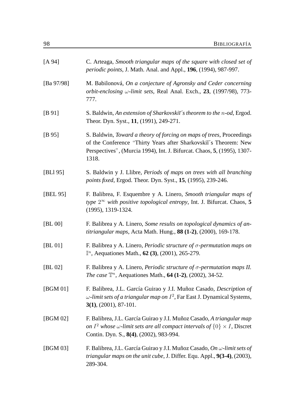| [A 94]        | C. Arteaga, Smooth triangular maps of the square with closed set of<br>periodic points, J. Math. Anal. and Appl., 196, (1994), 987-997.                                                                                      |
|---------------|------------------------------------------------------------------------------------------------------------------------------------------------------------------------------------------------------------------------------|
| [Ba $97/98$ ] | M. Babilonová, On a conjecture of Agronsky and Ceder concerning<br>orbit-enclosing $\omega$ -limit sets, Real Anal. Exch., 23, (1997/98), 773-<br>777.                                                                       |
| [B 91]        | S. Baldwin, An extension of Sharkovskii's theorem to the n-od, Ergod.<br>Theor. Dyn. Syst., 11, (1991), 249-271.                                                                                                             |
| [B 95]        | S. Baldwin, Toward a theory of forcing on maps of trees, Proceedings<br>of the Conference "Thirty Years after Sharkovskii's Theorem: New<br>Perspectives", (Murcia 1994), Int. J. Bifurcat. Chaos, 5, (1995), 1307-<br>1318. |
| [BLI 95]      | S. Baldwin y J. Llibre, <i>Periods of maps on trees with all branching</i><br>points fixed, Ergod. Theor. Dyn. Syst., 15, (1995), 239-246.                                                                                   |
| [BEL 95]      | F. Balibrea, F. Esquembre y A. Linero, Smooth triangular maps of<br>type $2^{\infty}$ with positive topological entropy, Int. J. Bifurcat. Chaos, 5<br>$(1995), 1319-1324.$                                                  |
| [BL 00]       | F. Balibrea y A. Linero, Some results on topological dynamics of an-<br>titriangular maps, Acta Math. Hung., 88 (1-2), (2000), 169-178.                                                                                      |
| [BL 01]       | F. Balibrea y A. Linero, Periodic structure of $\sigma$ -permutation maps on<br>$\mathbb{I}^n$ , Aequationes Math., 62 (3), (2001), 265-279.                                                                                 |
| [BL 02]       | F. Balibrea y A. Linero, <i>Periodic structure of <math>\sigma</math>-permutation maps II</i> .<br><i>The case</i> $\mathbb{T}^n$ , Aequationes Math., <b>64 (1-2)</b> , (2002), 34-52.                                      |
| [BGM 01]      | F. Balibrea, J.L. García Guirao y J.I. Muñoz Casado, Description of<br>$\omega$ -limit sets of a triangular map on $I^2$ , Far East J. Dynamical Systems,<br>$3(1), (2001), 87-101.$                                         |
| [BGM 02]      | F. Balibrea, J.L. García Guirao y J.I. Muñoz Casado, A triangular map<br>on $I^2$ whose $\omega$ -limit sets are all compact intervals of $\{0\} \times I$ , Discret<br>Contin. Dyn. S., 8(4), (2002), 983-994.              |
| [BGM 03]      | F. Balibrea, J.L. García Guirao y J.I. Muñoz Casado, On $\omega$ -limit sets of<br>triangular maps on the unit cube, J. Differ. Equ. Appl., 9(3-4), (2003),<br>289-304.                                                      |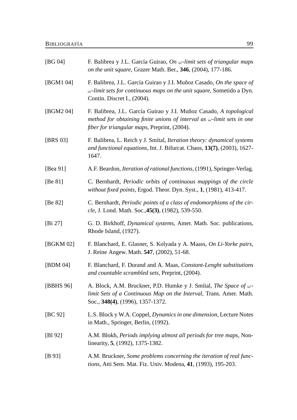| [ $BG 04$ ] | F. Balibrea y J.L. García Guirao, On $\omega$ -limit sets of triangular maps<br>on the unit square, Grazer Math. Ber., 346, (2004), 177-186.                                                        |
|-------------|-----------------------------------------------------------------------------------------------------------------------------------------------------------------------------------------------------|
| [BGM1 04]   | F. Balibrea, J.L. García Guirao y J.I. Muñoz Casado, On the space of<br>$\omega$ -limit sets for continuous maps on the unit square, Sometido a Dyn.<br>Contin. Discret I., (2004).                 |
| [BGM2 04]   | F. Balibrea, J.L. García Guirao y J.I. Muñoz Casado, A topological<br>method for obtaining finite unions of interval as $\omega$ -limit sets in one<br>fiber for triangular maps, Preprint, (2004). |
| [BRS 03]    | F. Balibrea, L. Reich y J. Smítal, Iteration theory: dynamical systems<br>and functional equations, Int. J. Bifurcat. Chaos, 13(7), (2003), 1627-<br>1647.                                          |
| [Bea 91]    | A.F. Beardon, <i>Iteration of rational functions</i> , (1991), Springer-Verlag.                                                                                                                     |
| [Be $81$ ]  | C. Bernhardt, Periodic orbits of continuous mappings of the circle<br>without fixed points, Ergod. Theor. Dyn. Syst., 1, (1981), 413-417.                                                           |
| [Be 82]     | C. Bernhardt, Periodic points of a class of endomorphisms of the cir-<br>cle, J. Lond. Math. Soc., 45(3), (1982), 539-550.                                                                          |
| [Bi $27$ ]  | G. D. Birkhoff, <i>Dynamical systems</i> , Amer. Math. Soc. publications,<br>Rhode Island, (1927).                                                                                                  |
| [BGKM 02]   | F. Blanchard, E. Glasner, S. Kolyada y A. Maass, On Li-Yorke pairs,<br>J. Reine Angew. Math. 547, (2002), 51-68.                                                                                    |
| [BDM 04]    | F. Blanchard, F. Durand and A. Maas, Constant-Lenght substitutions<br>and countable scrambled sets, Preprint, (2004).                                                                               |
| [BBHS 96]   | A. Block, A.M. Bruckner, P.D. Humke y J. Smital, The Space of w-<br>limit Sets of a Continuous Map on the Interval, Trans. Amer. Math.<br>Soc., 348(4), (1996), 1357-1372.                          |
| [BC $92$ ]  | L.S. Block y W.A. Coppel, <i>Dynamics in one dimension</i> , Lecture Notes<br>in Math., Springer, Berlin, (1992).                                                                                   |
| [B1 92]     | A.M. Blokh, <i>Periods implying almost all periods for tree maps</i> , Non-<br>linearity, 5, (1992), 1375-1382.                                                                                     |
| [B 93]      | A.M. Bruckner, Some problems concerning the iteration of real func-<br>tions, Atti Sem. Mat. Fiz. Univ. Modena, 41, (1993), 195-203.                                                                |
|             |                                                                                                                                                                                                     |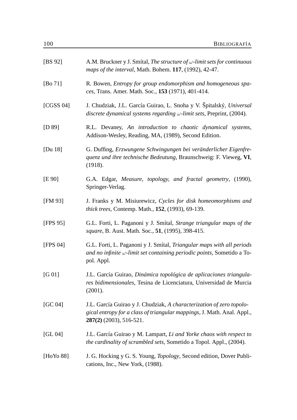| [BS 92]    | A.M. Bruckner y J. Smital, The structure of $\omega$ -limit sets for continuous<br>maps of the interval, Math. Bohem. 117, (1992), 42-47.                                    |
|------------|------------------------------------------------------------------------------------------------------------------------------------------------------------------------------|
| [Bo $71$ ] | R. Bowen, Entropy for group endomorphism and homogeneous spa-<br>ces, Trans. Amer. Math. Soc., 153 (1971), 401-414.                                                          |
| [CGSS 04]  | J. Chudziak, J.L. García Guirao, L. Snoha y V. Špitalský, Universal<br>discrete dynamical systems regarding $\omega$ -limit sets, Preprint, (2004).                          |
| [D 89]     | R.L. Devaney, An introduction to chaotic dynamical systems,<br>Addison-Wesley, Reading, MA, (1989), Second Edition.                                                          |
| [Du 18]    | G. Duffing, Erzwungene Schwingungen bei veränderlicher Eigenfre-<br>quenz und ihre technische Bedeutung, Braunschweig: F. Vieweg, VI,<br>(1918).                             |
| [E 90]     | G.A. Edgar, Measure, topology, and fractal geometry, (1990),<br>Springer-Verlag.                                                                                             |
| [FM 93]    | J. Franks y M. Misiurewicz, Cycles for disk homeomorphisms and<br><i>thick trees, Contemp. Math., 152, (1993), 69-139.</i>                                                   |
| [FPS 95]   | G.L. Forti, L. Paganoni y J. Smítal, Strange triangular maps of the<br>square, B. Aust. Math. Soc., 51, (1995), 398-415.                                                     |
| [FPS 04]   | G.L. Forti, L. Paganoni y J. Smítal, Triangular maps with all periods<br>and no infinite $\omega$ -limit set containing periodic points, Sometido a To-<br>pol. Appl.        |
| [G 01]     | J.L. García Guirao, Dinámica topológica de aplicaciones triangula-<br>res bidimensionales, Tesina de Licenciatura, Universidad de Murcia<br>(2001).                          |
| [GC 04]    | J.L. García Guirao y J. Chudziak, A characterization of zero topolo-<br>gical entropy for a class of triangular mappings, J. Math. Anal. Appl.,<br>$287(2)$ (2003), 516-521. |
| [GL 04]    | J.L. García Guirao y M. Lampart, Li and Yorke chaos with respect to<br>the cardinality of scrambled sets, Sometido a Topol. Appl., (2004).                                   |
| [HoYo 88]  | J. G. Hocking y G. S. Young, <i>Topology</i> , Second edition, Dover Publi-<br>cations, Inc., New York, (1988).                                                              |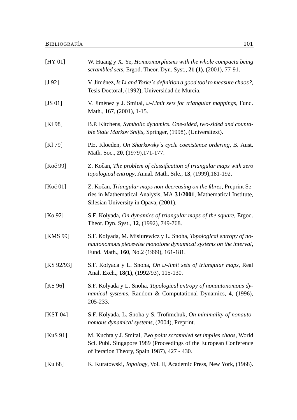| [HY 01]             | W. Huang y X. Ye, <i>Homeomorphisms with the whole compacta being</i><br>scrambled sets, Ergod. Theor. Dyn. Syst., 21 (1), (2001), 77-91.                                                |
|---------------------|------------------------------------------------------------------------------------------------------------------------------------------------------------------------------------------|
| [J 92]              | V. Jiménez, Is Li and Yorke's definition a good tool to measure chaos?,<br>Tesis Doctoral, (1992), Universidad de Murcia.                                                                |
| [JS $01$ ]          | V. Jiménez y J. Smítal, $\omega$ -Limit sets for triangular mappings, Fund.<br>Math., 167, (2001), 1-15.                                                                                 |
| [Ki 98]             | B.P. Kitchens, Symbolic dynamics. One-sided, two-sided and counta-<br>ble State Markov Shifts, Springer, (1998), (Universitext).                                                         |
| [K1 79]             | P.E. Kloeden, On Sharkovsky's cycle coexistence ordering, B. Aust.<br>Math. Soc., 20, (1979), 171-177.                                                                                   |
| [Koč 99]            | Z. Kočan, The problem of classification of triangular maps with zero<br>topological entropy, Annal. Math. Sile., 13, (1999), 181-192.                                                    |
| [ $Ko\check{c}$ 01] | Z. Kočan, Triangular maps non-decreasing on the fibres, Preprint Se-<br>ries in Mathematical Analysis, MA 31/2001, Mathematical Institute,<br>Silesian University in Opava, (2001).      |
| [Ko 92]             | S.F. Kolyada, On dynamics of triangular maps of the square, Ergod.<br>Theor. Dyn. Syst., 12, (1992), 749-768.                                                                            |
| [KMS 99]            | S.F. Kolyada, M. Misiurewicz y L. Snoha, Topological entropy of no-<br>nautonomous piecewise monotone dynamical systems on the interval,<br>Fund. Math., 160, No.2 (1999), 161-181.      |
| [KS $92/93$ ]       | S.F. Kolyada y L. Snoha, On w-limit sets of triangular maps, Real<br>Anal. Exch., 18(1), (1992/93), 115-130.                                                                             |
| [KS 96]             | S.F. Kolyada y L. Snoha, Topological entropy of nonautonomous dy-<br>namical systems, Random & Computational Dynamics, 4, (1996),<br>205-233.                                            |
| [KST 04]            | S.F. Kolyada, L. Snoha y S. Trofimchuk, On minimality of nonauto-<br>nomous dynamical systems, (2004), Preprint.                                                                         |
| [KuS 91]            | M. Kuchta y J. Smítal, Two point scrambled set implies chaos, World<br>Sci. Publ. Singapore 1989 (Proceedings of the European Conference<br>of Iteration Theory, Spain 1987), 427 - 430. |
| [Ku 68]             | K. Kuratowski, <i>Topology</i> , Vol. II, Academic Press, New York, (1968).                                                                                                              |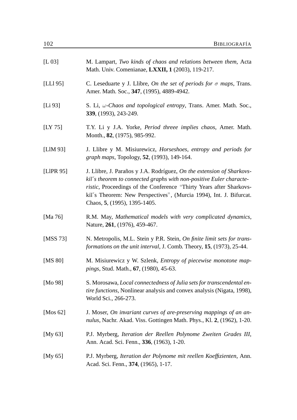| [L 03]              | M. Lampart, Two kinds of chaos and relations between them, Acta<br>Math. Univ. Comenianae, LXXII, 1 (2003), 119-217.                                                                                                                                                                                                      |
|---------------------|---------------------------------------------------------------------------------------------------------------------------------------------------------------------------------------------------------------------------------------------------------------------------------------------------------------------------|
| [LLI 95]            | C. Leseduarte y J. Llibre, On the set of periods for $\sigma$ maps, Trans.<br>Amer. Math. Soc., 347, (1995), 4889-4942.                                                                                                                                                                                                   |
| [L <sub>i</sub> 93] | S. Li, $\omega$ -Chaos and topological entropy, Trans. Amer. Math. Soc.,<br>339, (1993), 243-249.                                                                                                                                                                                                                         |
| [LY $75$ ]          | T.Y. Li y J.A. Yorke, <i>Period threee implies chaos</i> , Amer. Math.<br>Month., 82, (1975), 985-992.                                                                                                                                                                                                                    |
| [ $LIM 93$ ]        | J. Llibre y M. Misiurewicz, Horseshoes, entropy and periods for<br>graph maps, Topology, 52, (1993), 149-164.                                                                                                                                                                                                             |
| [LIPR 95]           | J. Llibre, J. Paraños y J.A. Rodríguez, On the extension of Sharkovs-<br>kit's theorem to connected graphs with non-positive Euler characte-<br>ristic, Proceedings of the Conference "Thirty Years after Sharkovs-<br>kiĭ's Theorem: New Perspectives", (Murcia 1994), Int. J. Bifurcat.<br>Chaos, 5, (1995), 1395-1405. |
| [Ma 76]             | R.M. May, Mathematical models with very complicated dynamics,<br>Nature, 261, (1976), 459-467.                                                                                                                                                                                                                            |
| [MSS 73]            | N. Metropolis, M.L. Stein y P.R. Stein, On finite limit sets for trans-<br>formations on the unit interval, J. Comb. Theory, 15, (1973), 25-44.                                                                                                                                                                           |
| [MS 80]             | M. Misiurewicz y W. Szlenk, Entropy of piecewise monotone map-<br><i>pings</i> , Stud. Math., 67, (1980), 45-63.                                                                                                                                                                                                          |
| [Mo 98]             | S. Morosawa, Local connectedness of Julia sets for transcendental en-<br><i>tire functions</i> , Nonlinear analysis and convex analysis (Nigata, 1998),<br>World Sci., 266-273.                                                                                                                                           |
| [Mos $62$ ]         | J. Moser, On invariant curves of are-preserving mappings of an an-<br>nulus, Nachr. Akad. Viss. Gottingen Math. Phys., Kl. 2, (1962), 1-20.                                                                                                                                                                               |
| [My $63$ ]          | P.J. Myrberg, Iteration der Reellen Polynome Zweiten Grades III,<br>Ann. Acad. Sci. Fenn., 336, (1963), 1-20.                                                                                                                                                                                                             |
| [My $65$ ]          | P.J. Myrberg, Iteration der Polynome mit reellen Koeffizienten, Ann.<br>Acad. Sci. Fenn., 374, (1965), 1-17.                                                                                                                                                                                                              |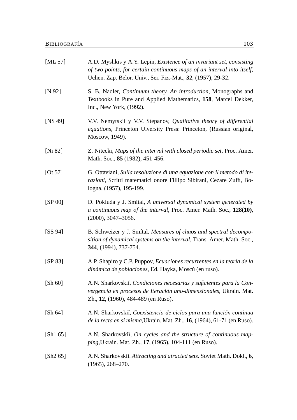| [ML 57]       | A.D. Myshkis y A.Y. Lepin, <i>Existence of an invariant set, consisting</i><br>of two points, for certain continuous maps of an interval into itself,<br>Uchen. Zap. Belor. Univ., Ser. Fiz.-Mat., 32, (1957), 29-32. |  |
|---------------|-----------------------------------------------------------------------------------------------------------------------------------------------------------------------------------------------------------------------|--|
| [N 92]        | S. B. Nadler, Continuum theory. An introduction, Monographs and<br>Textbooks in Pure and Applied Mathematics, 158, Marcel Dekker,<br>Inc., New York, (1992).                                                          |  |
| [NS 49]       | V.V. Nemytskii y V.V. Stepanov, Qualitative theory of differential<br>equations, Princeton Uiversity Press: Princeton, (Russian original,<br>Moscow, 1949).                                                           |  |
| [Ni $82$ ]    | Z. Nitecki, Maps of the interval with closed periodic set, Proc. Amer.<br>Math. Soc., 85 (1982), 451-456.                                                                                                             |  |
| $[O$ t 57 $]$ | G. Ottaviani, Sulla resoluzione di una equazione con il metodo di ite-<br>razioni, Scritti matematici onore Fillipo Sibirani, Cezare Zuffi, Bo-<br>logna, (1957), 195-199.                                            |  |
| [SP 00]       | D. Pokluda y J. Smítal, A universal dynamical system generated by<br>a continuous map of the interval, Proc. Amer. Math. Soc., 128(10),<br>$(2000), 3047 - 3056.$                                                     |  |
| [SS 94]       | B. Schweizer y J. Smítal, Measures of chaos and spectral decompo-<br>sition of dynamical systems on the interval, Trans. Amer. Math. Soc.,<br>344, (1994), 737-754.                                                   |  |
| [SP 83]       | A.P. Shapiro y C.P. Puppov, Ecuaciones recurrentes en la teoría de la<br>dinámica de poblaciones, Ed. Hayka, Moscú (en ruso).                                                                                         |  |
| [Sh 60]       | A.N. Sharkovskii, Condiciones necesarias y suficientes para la Con-<br>vergencia en procesos de Iteración uno-dimensionales, Ukrain. Mat.<br>Zh., 12, (1960), 484-489 (en Ruso).                                      |  |
| [Sh 64]       | A.N. Sharkovskiĭ, Coexistencia de ciclos para una función continua<br>de la recta en si misma, Ukrain. Mat. Zh., 16, (1964), 61-71 (en Ruso).                                                                         |  |
| [Sh1 65]      | A.N. Sharkovskii, On cycles and the structure of continuous map-<br><i>ping</i> , Ukrain. Mat. Zh., 17, (1965), 104-111 (en Ruso).                                                                                    |  |
| [Sh2 65]      | A.N. Sharkovskii. Attracting and atracted sets. Soviet Math. Dokl., 6,<br>$(1965), 268 - 270.$                                                                                                                        |  |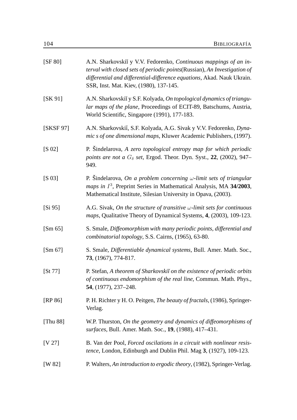| [SF 80]     | A.N. Sharkovskiĭ y V.V. Fedorenko, Continuous mappings of an in-<br>terval with closed sets of periodic points(Russian), An Investigation of<br>differential and differential-difference equations, Akad. Nauk Ukrain.<br>SSR, Inst. Mat. Kiev, (1980), 137-145. |
|-------------|------------------------------------------------------------------------------------------------------------------------------------------------------------------------------------------------------------------------------------------------------------------|
| [SK 91]     | A.N. Sharkovskiı y S.F. Kolyada, On topological dynamics of triangu-<br>lar maps of the plane, Proceedings of ECIT-89, Batschums, Austria,<br>World Scientific, Singapore (1991), 177-183.                                                                       |
| [SKSF 97]   | A.N. Sharkovskii, S.F. Kolyada, A.G. Sivak y V.V. Fedorenko, Dyna-<br>mic s of one dimensional maps, Kluwer Academic Publishers, (1997).                                                                                                                         |
| $[S\ 02]$   | P. Sindelarova, A zero topological entropy map for which periodic<br>points are not a $G_{\delta}$ set, Ergod. Theor. Dyn. Syst., 22, (2002), 947–<br>949.                                                                                                       |
| $[S\ 03]$   | P. Sindelarova, On a problem concerning $\omega$ -limit sets of triangular<br>maps in $I^3$ , Preprint Series in Mathematical Analysis, MA 34/2003,<br>Mathematical Institute, Silesian University in Opava, (2003).                                             |
| [Si 95]     | A.G. Sivak, On the structure of transitive $\omega$ -limit sets for continuous<br>maps, Qualitative Theory of Dynamical Systems, 4, (2003), 109-123.                                                                                                             |
| [Sm 65]     | S. Smale, Diffeomorphism with many periodic points, differential and<br>combinatorial topology, S.S. Cairns, (1965), 63-80.                                                                                                                                      |
| [Sm 67]     | S. Smale, Differentiable dynamical systems, Bull. Amer. Math. Soc.,<br>73, (1967), 774-817.                                                                                                                                                                      |
| [St 77]     | P. Stefan, A theorem of Sharkovskii on the existence of periodic orbits<br>of continuous endomorphism of the real line, Commun. Math. Phys.,<br>54, (1977), 237–248.                                                                                             |
| [RP 86]     | P. H. Richter y H. O. Peitgen, <i>The beauty of fractals</i> , (1986), Springer-<br>Verlag.                                                                                                                                                                      |
| [Thu $88$ ] | W.P. Thurston, On the geometry and dynamics of diffeomorphisms of<br>surfaces, Bull. Amer. Math. Soc., 19, (1988), 417-431.                                                                                                                                      |
| [V 27]      | B. Van der Pool, Forced oscilations in a circuit with nonlinear resis-<br><i>tence</i> , London, Edinburgh and Dublin Phil. Mag 3, (1927), 109-123.                                                                                                              |
| [W 82]      | P. Walters, An introduction to ergodic theory, (1982), Springer-Verlag.                                                                                                                                                                                          |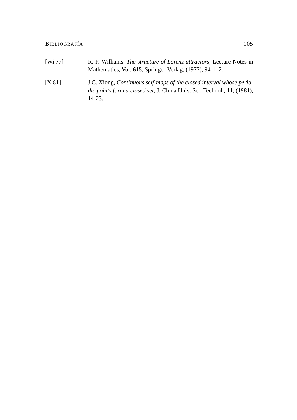| $[W_1 77]$ | R. F. Williams. The structure of Lorenz attractors, Lecture Notes in<br>Mathematics, Vol. 615, Springer-Verlag, (1977), 94-112.                                     |
|------------|---------------------------------------------------------------------------------------------------------------------------------------------------------------------|
| [X 81]     | J.C. Xiong, Continuous self-maps of the closed interval whose perio-<br><i>dic points form a closed set, J. China Univ. Sci. Technol., 11, (1981),</i><br>$14 - 23$ |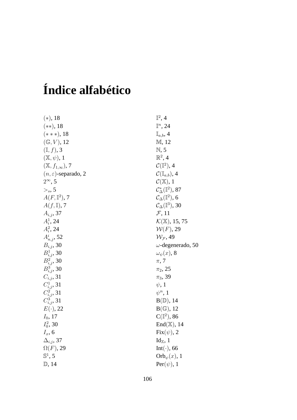## **Índice alfabético**

| $(*)$ , 18                      | $\mathbb{I}^2, 4$                           |
|---------------------------------|---------------------------------------------|
| $(**), 18$                      | $\mathbb{I}^n$ , 24                         |
| $(***)$ , 18                    | $\mathbb{I}_{a,b}$ , 4                      |
| $(\mathbb{G}, V)$ , 12          | M, 12                                       |
| $(\mathbb{I},f),$ 3             | N, 5                                        |
| $(\mathbb{X}, \psi), 1$         | $\mathbb{R}^2$ , 4                          |
| $(\mathbb{X}, f_{1,\infty}), 7$ | $\mathcal{C}(\mathbb{I}^2)$ , 4             |
| $(n, \varepsilon)$ -separado, 2 | $\mathcal{C}(\mathbb{I}_{a,b}),$ 4          |
| $2^{\infty}$ , 5                | $\mathcal{C}(\mathbb{X}), 1$                |
| $\gt_s, 5$                      | $\mathcal{C}^*_{\wedge}(\mathbb{I}^2)$ , 87 |
| $A(F,\mathbb{I}^2), 7$          | $\mathcal{C}_{\Delta}(\mathbb{I}^2)$ , 6    |
| $A(f,\mathbb{I}), 7$            | $\mathcal{C}_{\Delta}(\mathbb{I}^3)$ , 30   |
| $A_{i,j}$ , 37                  | $\mathcal{F}$ , 11                          |
| $A_i^1$ , 24                    | $\mathcal{K}(\mathbb{X}), 15, 75$           |
| $A_i^2$ , 24                    | $W(F)$ , 29                                 |
| $A_{n,j}^i$ , 52                | $W_{\mathcal{F}}$ , 49                      |
| $B_{i,j}$ , 30                  | $\omega$ -degenerado, 50                    |
| $B_{i,j}^1$ , 30                | $\omega_{\psi}(x)$ , 8                      |
| $B_{i,j}^2$ , 30                | $\pi$ , 7                                   |
| $B_{i,j}^3$ , 30                | $\pi_2$ , 25                                |
| $C_{i,j}$ , 31                  | $\pi_3, 39$                                 |
| $C_{i,j}^1$ , 31                | $\psi$ , 1                                  |
| $C_{i,j}^2$ , 31                | $\psi^n$ , 1                                |
| $C_{i,j}^3$ , 31                | B(D), 14                                    |
| $E(\cdot)$ , 22                 | $B(\mathbb{G}), 12$                         |
| $I_0$ , 17                      | $C(\mathbb{I}^2)$ , 86                      |
| $I_0^2$ , 30                    | $End(\mathbb{X}), 14$                       |
| $I_x$ , 6                       | $Fix(\psi), 2$                              |
| $\Delta_{i,j}$ , 37             | $\mathrm{Id}_{\mathbb{X}}$ , 1              |
| $\Omega(F)$ , 29                | $Int(\cdot)$ , 66                           |
| $\mathbb{S}^1$ , 5              | $Orb_{\psi}(x)$ , 1                         |
| $\mathbb{D}$ , 14               | $Per(\psi)$ , 1                             |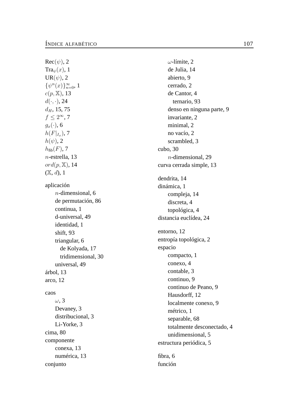$\mathop{{\rm Rec}}\nolimits(\psi), 2$ Tra $_{\psi}(x)$ , 1  $\mathrm{UR}(\psi), 2$  $\{\psi^{n}(x)\}_{n=0}^{\infty}$ , 1  $c(p, \mathbb{X}), 13$  $d(\cdot,\cdot)$ , 24  $d_H$ , 15, 75  $f \leq 2^{\infty}$ , 7  $g_x(\cdot)$ , 6  $h(F|_{I_r}), 7$  $h(\psi)$ , 2  $h_{\text{fib}}(F)$ , 7 n-estrella, 13 ord $(p,\mathbb{X}),$  14  $(X, d)$ , 1 aplicación n-dimensional, 6 de permutación, 86 continua, 1 d-universal, 49 identidad, 1 shift, 93 triangular, 6 de Kolyada, 17 tridimensional, 30 universal, 49 árbol, 13 arco, 12 caos $\omega$ , 3 Devaney, 3 distribucional, 3 Li-Yorke, 3 cima, 80 componente conexa, 13 numérica, 13 conjunto

 $\omega$ -límite, 2 de Julia, 14 abierto, 9 cerrado, 2 de Cantor, 4 ternario, 93 denso en ninguna parte, 9 invariante, 2 minimal, 2 no vacío, 2 scrambled, 3 cubo, 30 n-dimensional, 29 curva cerrada simple, 13 dendrita, 14 dinámica, 1 compleja, 14 discreta, 4 topológica, 4 distancia euclídea, 24 entorno, 12 entropía topológica, 2 espacio compacto, 1 conexo, 4 contable, 3 continuo, 9 continuo de Peano, 9 Hausdorff, 12 localmente conexo, 9 métrico, 1 separable, 68 totalmente desconectado, 4 unidimensional, 5 estructura periódica, 5 fibra, 6 función